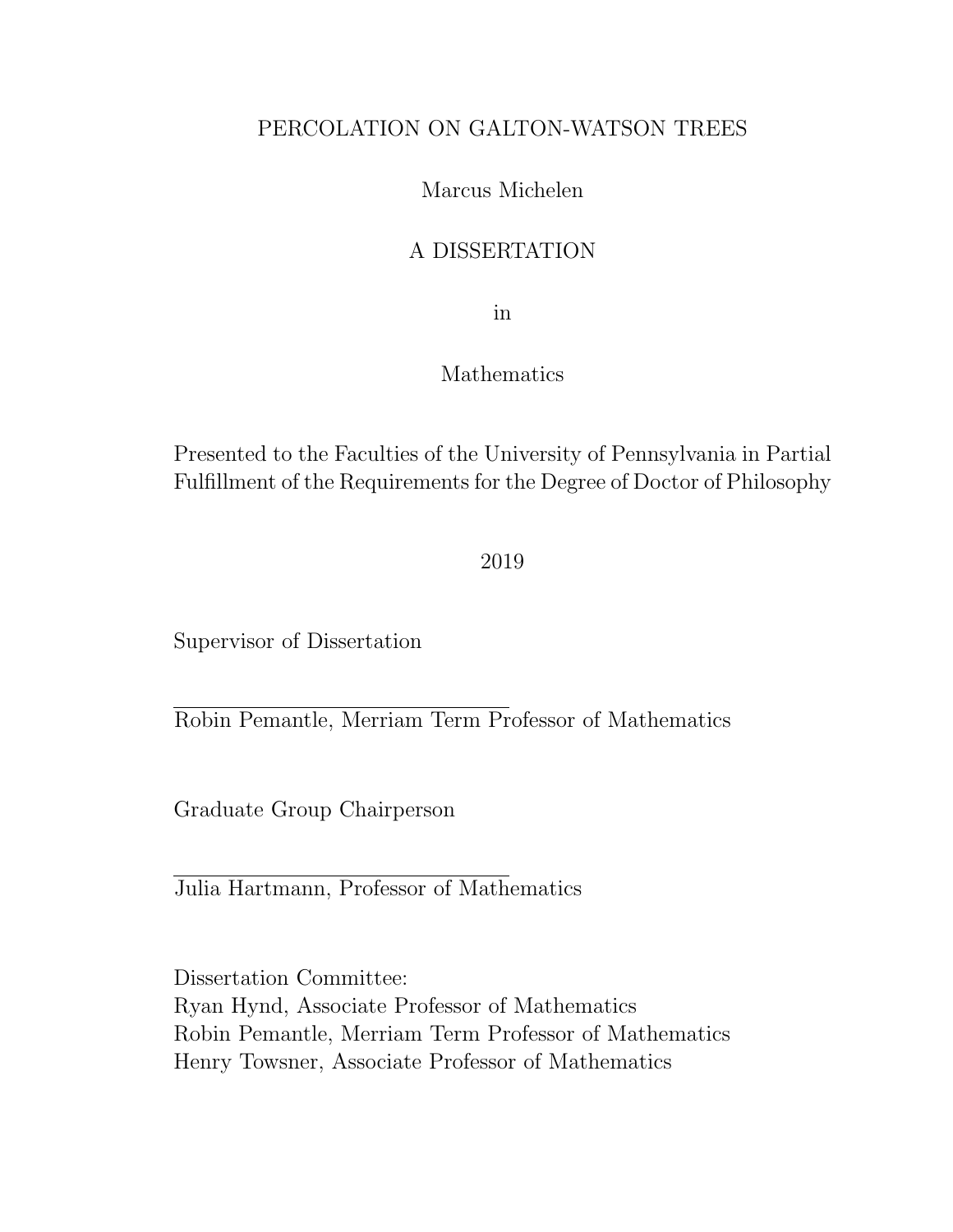# PERCOLATION ON GALTON-WATSON TREES

# Marcus Michelen

# A DISSERTATION

in

## Mathematics

Presented to the Faculties of the University of Pennsylvania in Partial Fulfillment of the Requirements for the Degree of Doctor of Philosophy

2019

Supervisor of Dissertation

Robin Pemantle, Merriam Term Professor of Mathematics

Graduate Group Chairperson

Julia Hartmann, Professor of Mathematics

Dissertation Committee: Ryan Hynd, Associate Professor of Mathematics Robin Pemantle, Merriam Term Professor of Mathematics Henry Towsner, Associate Professor of Mathematics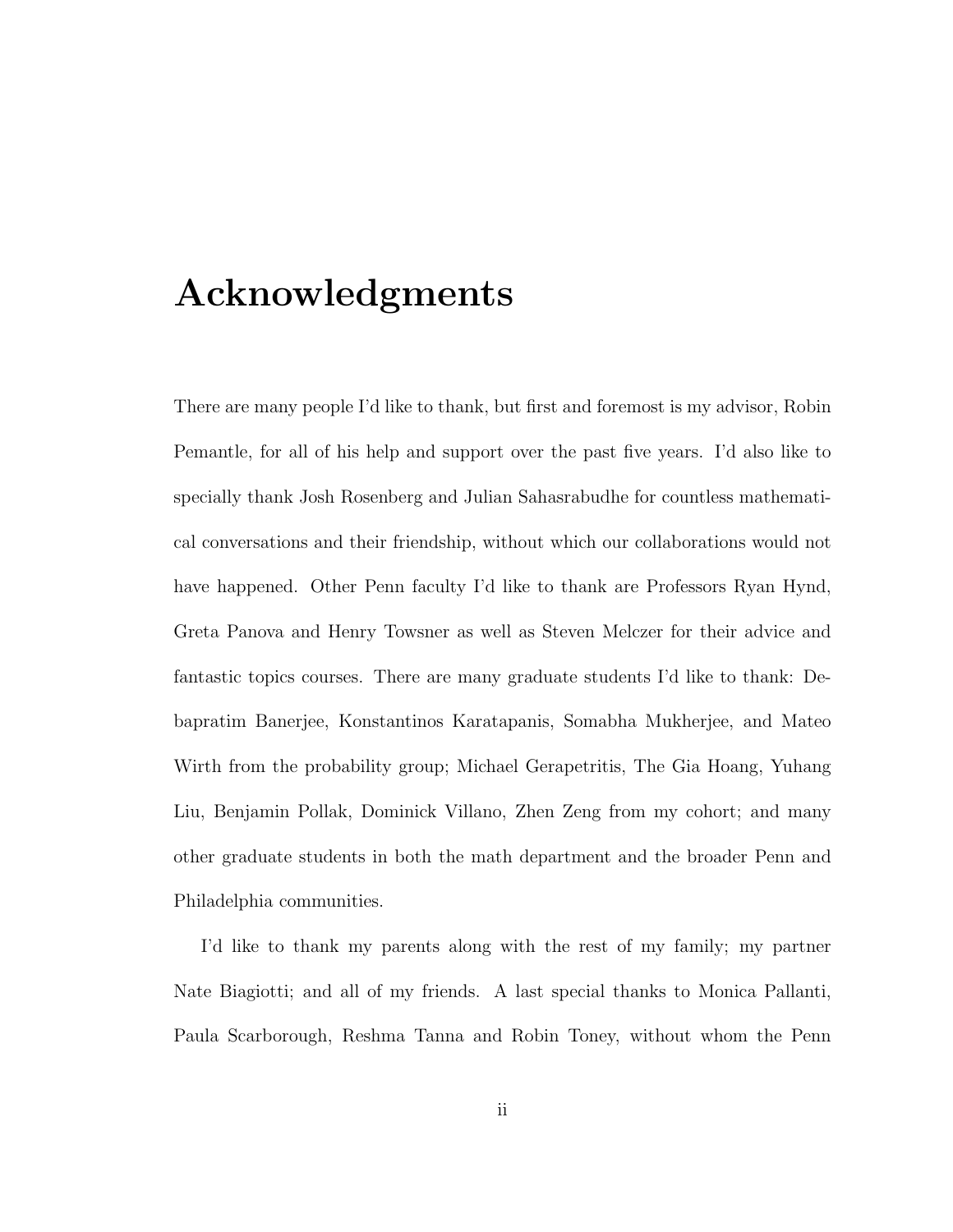# Acknowledgments

There are many people I'd like to thank, but first and foremost is my advisor, Robin Pemantle, for all of his help and support over the past five years. I'd also like to specially thank Josh Rosenberg and Julian Sahasrabudhe for countless mathematical conversations and their friendship, without which our collaborations would not have happened. Other Penn faculty I'd like to thank are Professors Ryan Hynd, Greta Panova and Henry Towsner as well as Steven Melczer for their advice and fantastic topics courses. There are many graduate students I'd like to thank: Debapratim Banerjee, Konstantinos Karatapanis, Somabha Mukherjee, and Mateo Wirth from the probability group; Michael Gerapetritis, The Gia Hoang, Yuhang Liu, Benjamin Pollak, Dominick Villano, Zhen Zeng from my cohort; and many other graduate students in both the math department and the broader Penn and Philadelphia communities.

I'd like to thank my parents along with the rest of my family; my partner Nate Biagiotti; and all of my friends. A last special thanks to Monica Pallanti, Paula Scarborough, Reshma Tanna and Robin Toney, without whom the Penn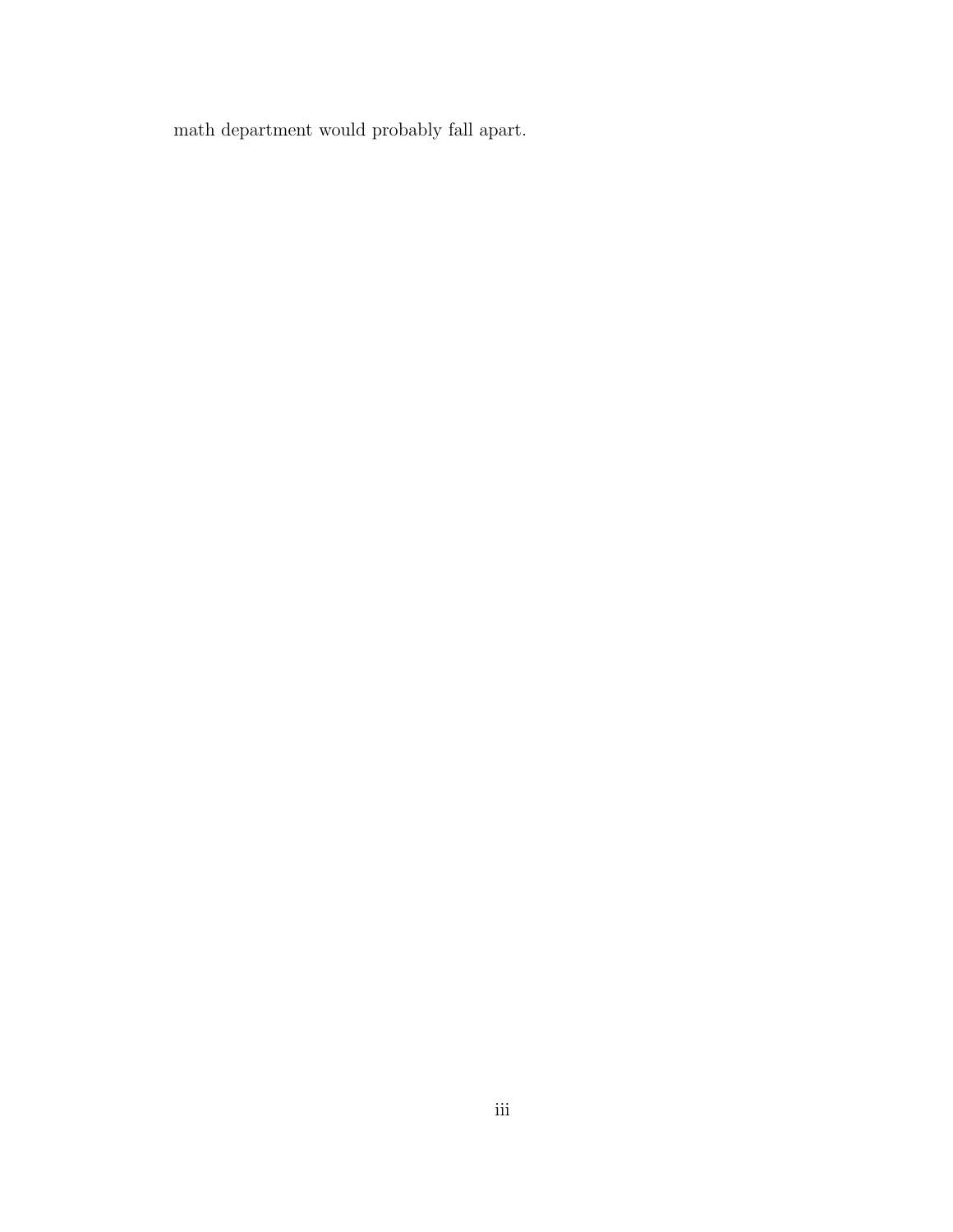math department would probably fall apart.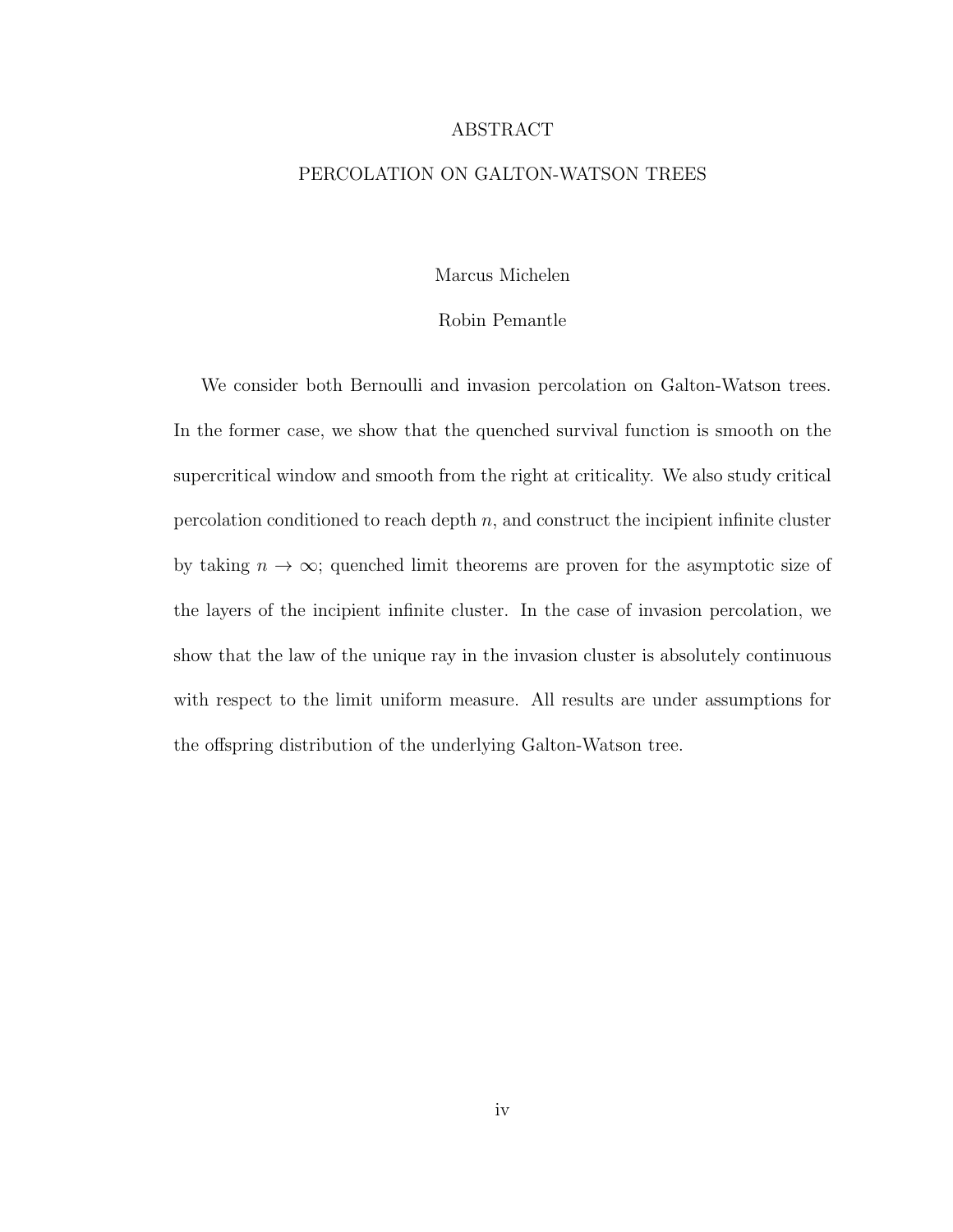#### ABSTRACT

### PERCOLATION ON GALTON-WATSON TREES

Marcus Michelen

#### Robin Pemantle

We consider both Bernoulli and invasion percolation on Galton-Watson trees. In the former case, we show that the quenched survival function is smooth on the supercritical window and smooth from the right at criticality. We also study critical percolation conditioned to reach depth  $n$ , and construct the incipient infinite cluster by taking  $n \to \infty$ ; quenched limit theorems are proven for the asymptotic size of the layers of the incipient infinite cluster. In the case of invasion percolation, we show that the law of the unique ray in the invasion cluster is absolutely continuous with respect to the limit uniform measure. All results are under assumptions for the offspring distribution of the underlying Galton-Watson tree.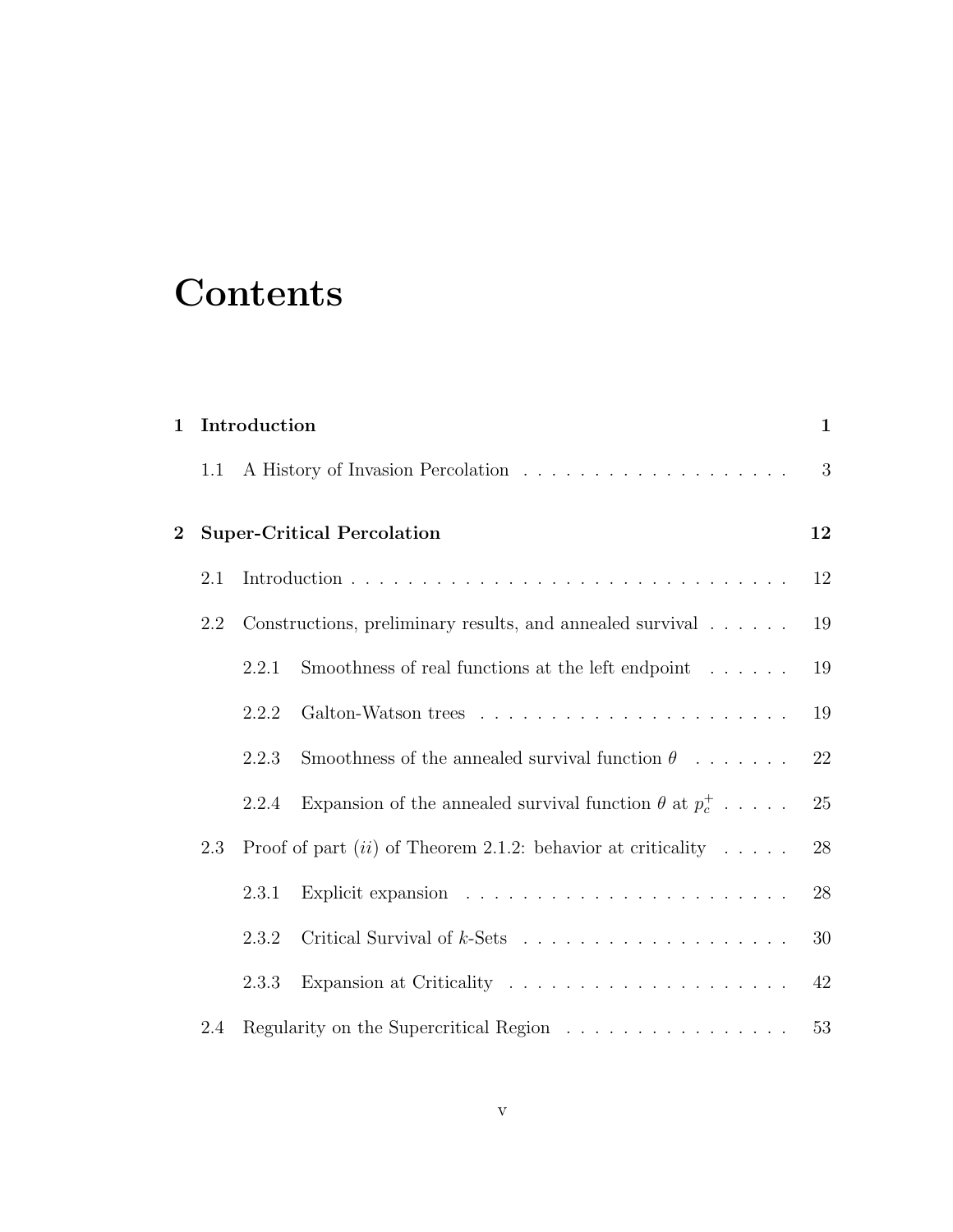# **Contents**

| $\mathbf 1$                                                                            |     | Introduction |                                                                 | $\mathbf{1}$ |
|----------------------------------------------------------------------------------------|-----|--------------|-----------------------------------------------------------------|--------------|
|                                                                                        | 1.1 |              |                                                                 | 3            |
| $\bf{2}$                                                                               |     |              | <b>Super-Critical Percolation</b>                               | 12           |
|                                                                                        | 2.1 |              |                                                                 | 12           |
|                                                                                        | 2.2 |              | Constructions, preliminary results, and annealed survival       | 19           |
|                                                                                        |     | 2.2.1        | Smoothness of real functions at the left endpoint               | 19           |
|                                                                                        |     | 2.2.2        |                                                                 | 19           |
|                                                                                        |     | 2.2.3        | Smoothness of the annealed survival function $\theta$           | 22           |
|                                                                                        |     | 2.2.4        | Expansion of the annealed survival function $\theta$ at $p_c^+$ | 25           |
| Proof of part ( <i>ii</i> ) of Theorem 2.1.2: behavior at criticality $\dots$ .<br>2.3 |     |              |                                                                 | 28           |
|                                                                                        |     | 2.3.1        |                                                                 | 28           |
|                                                                                        |     | 2.3.2        |                                                                 | 30           |
|                                                                                        |     | 2.3.3        |                                                                 | 42           |
|                                                                                        | 2.4 |              | Regularity on the Supercritical Region                          | 53           |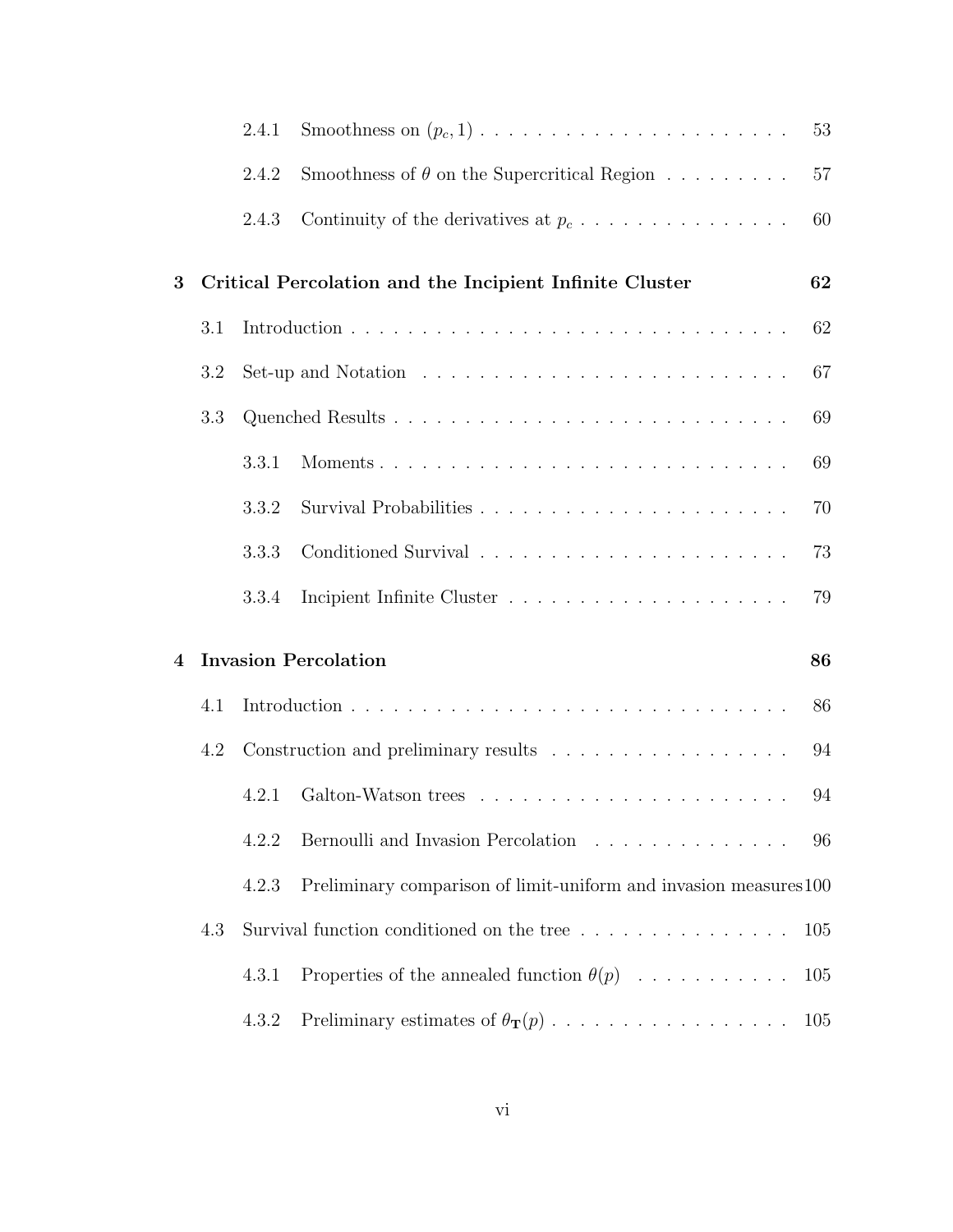|   |     | 2.4.1                                                                            |                                                                           | 53  |  |
|---|-----|----------------------------------------------------------------------------------|---------------------------------------------------------------------------|-----|--|
|   |     | 2.4.2                                                                            | Smoothness of $\theta$ on the Supercritical Region $\ldots \ldots \ldots$ | 57  |  |
|   |     | 2.4.3                                                                            | Continuity of the derivatives at $p_c \ldots \ldots \ldots \ldots \ldots$ | 60  |  |
| 3 |     |                                                                                  | Critical Percolation and the Incipient Infinite Cluster                   | 62  |  |
|   | 3.1 |                                                                                  | 62                                                                        |     |  |
|   | 3.2 |                                                                                  |                                                                           | 67  |  |
|   | 3.3 |                                                                                  |                                                                           | 69  |  |
|   |     | 3.3.1                                                                            |                                                                           | 69  |  |
|   |     | 3.3.2                                                                            |                                                                           | 70  |  |
|   |     | 3.3.3                                                                            |                                                                           | 73  |  |
|   |     | 3.3.4                                                                            |                                                                           | 79  |  |
| 4 |     | <b>Invasion Percolation</b><br>86                                                |                                                                           |     |  |
|   | 4.1 |                                                                                  |                                                                           |     |  |
|   | 4.2 |                                                                                  |                                                                           |     |  |
|   |     | 4.2.1                                                                            |                                                                           | 94  |  |
|   |     | 4.2.2                                                                            | Bernoulli and Invasion Percolation                                        | 96  |  |
|   |     | 4.2.3                                                                            | Preliminary comparison of limit-uniform and invasion measures 100         |     |  |
|   | 4.3 | Survival function conditioned on the tree $\dots \dots \dots \dots \dots$<br>105 |                                                                           |     |  |
|   |     | 4.3.1                                                                            | Properties of the annealed function $\theta(p)$                           | 105 |  |
|   |     | 4.3.2                                                                            |                                                                           | 105 |  |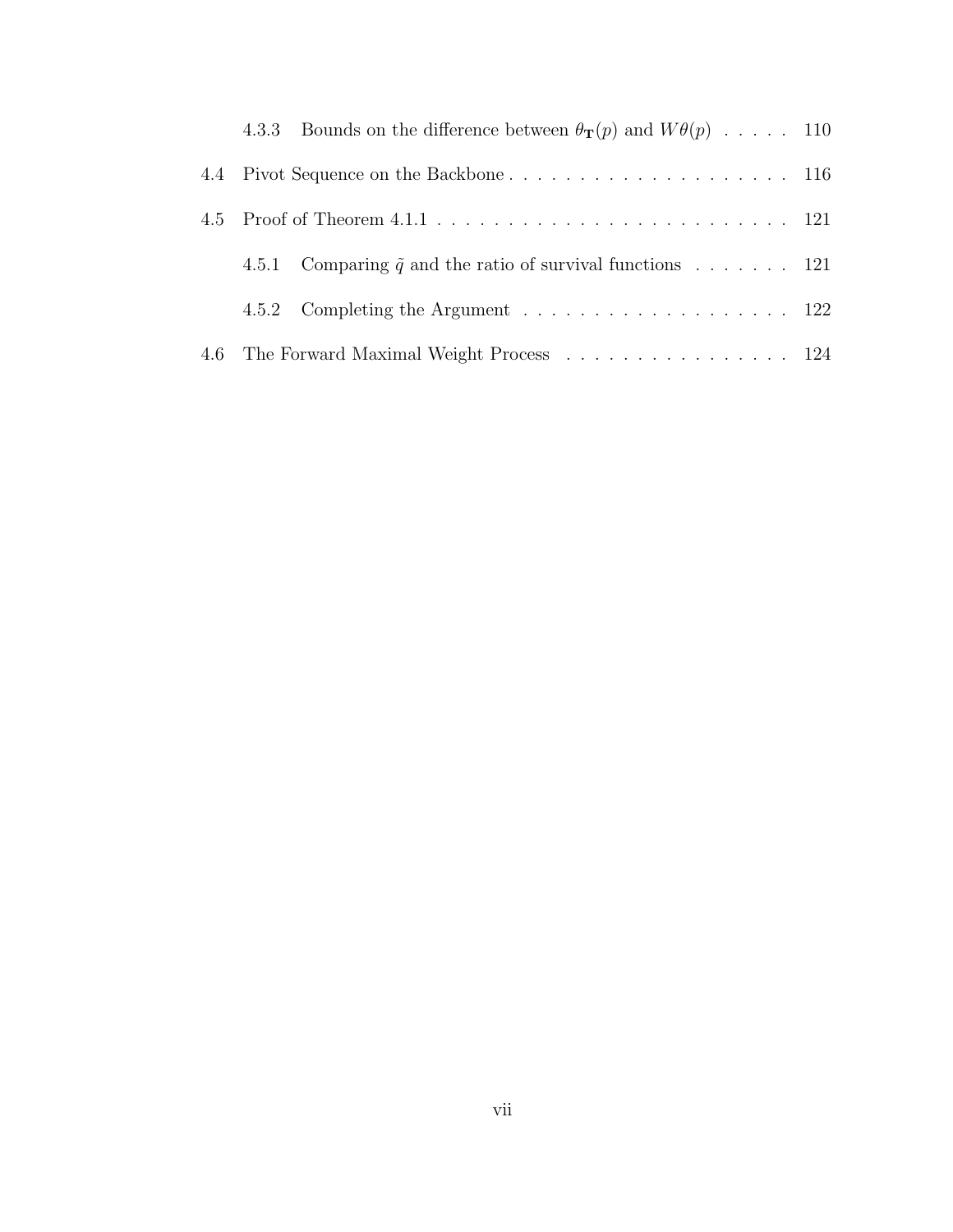|  | 4.3.3 Bounds on the difference between $\theta_{\mathbf{T}}(p)$ and $W\theta(p)$ 110 |  |
|--|--------------------------------------------------------------------------------------|--|
|  |                                                                                      |  |
|  |                                                                                      |  |
|  | 4.5.1 Comparing $\tilde{q}$ and the ratio of survival functions  121                 |  |
|  |                                                                                      |  |
|  | 4.6 The Forward Maximal Weight Process 124                                           |  |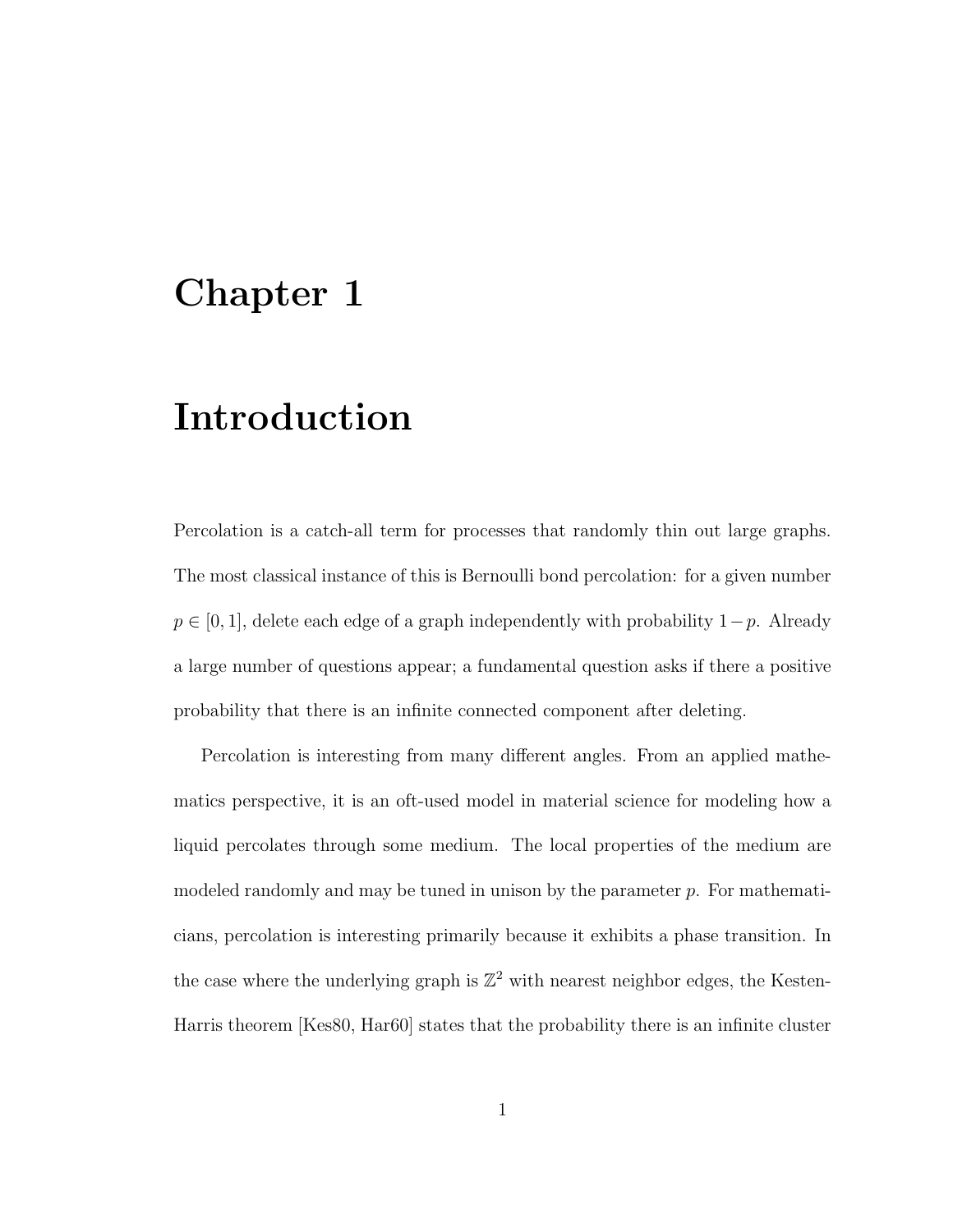# Chapter 1

# Introduction

Percolation is a catch-all term for processes that randomly thin out large graphs. The most classical instance of this is Bernoulli bond percolation: for a given number  $p \in [0, 1]$ , delete each edge of a graph independently with probability  $1-p$ . Already a large number of questions appear; a fundamental question asks if there a positive probability that there is an infinite connected component after deleting.

Percolation is interesting from many different angles. From an applied mathematics perspective, it is an oft-used model in material science for modeling how a liquid percolates through some medium. The local properties of the medium are modeled randomly and may be tuned in unison by the parameter  $p$ . For mathematicians, percolation is interesting primarily because it exhibits a phase transition. In the case where the underlying graph is  $\mathbb{Z}^2$  with nearest neighbor edges, the Kesten-Harris theorem [Kes80, Har60] states that the probability there is an infinite cluster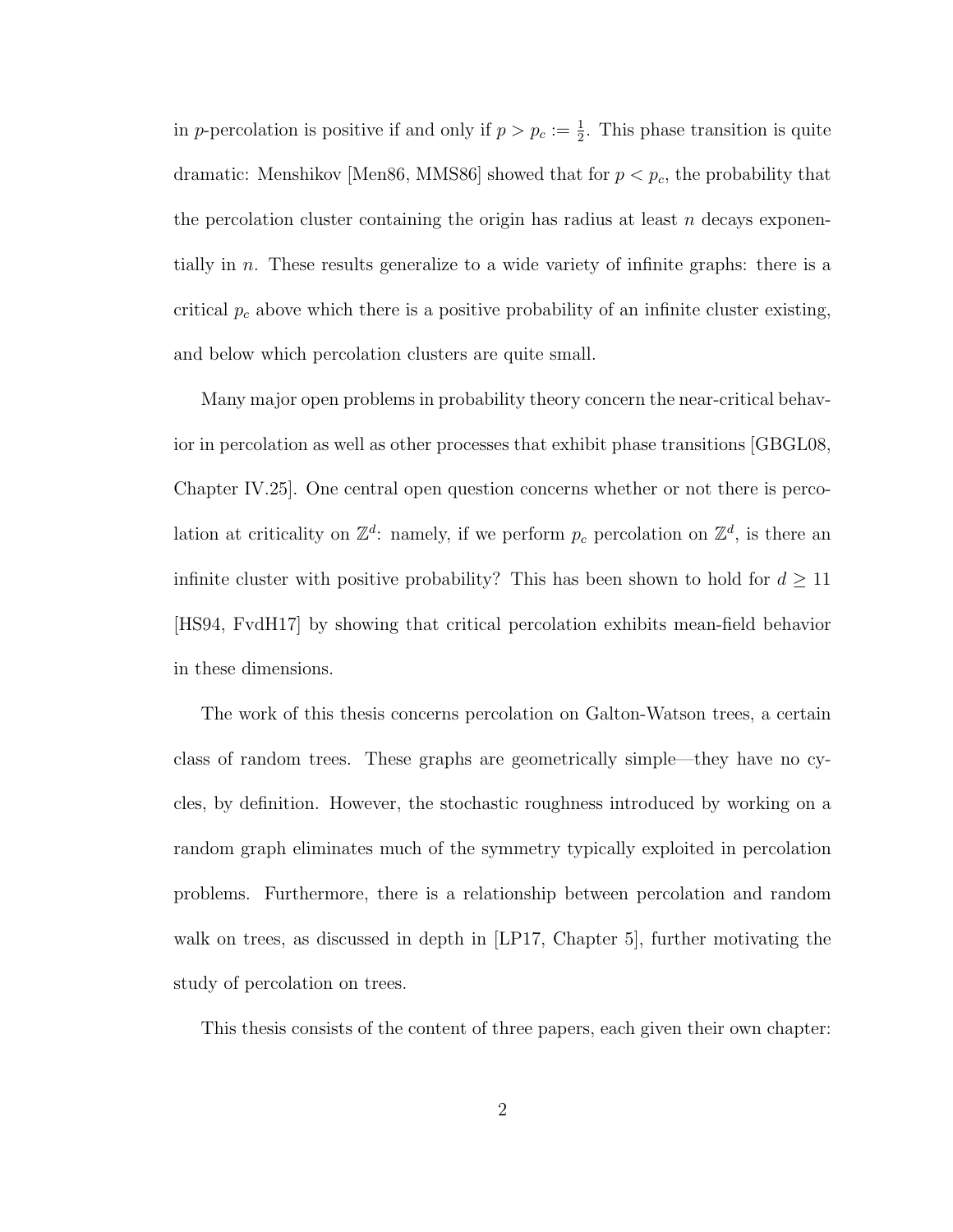in p-percolation is positive if and only if  $p > p_c := \frac{1}{2}$ . This phase transition is quite dramatic: Menshikov [Men86, MMS86] showed that for  $p < p_c$ , the probability that the percolation cluster containing the origin has radius at least  $n$  decays exponentially in n. These results generalize to a wide variety of infinite graphs: there is a critical  $p_c$  above which there is a positive probability of an infinite cluster existing, and below which percolation clusters are quite small.

Many major open problems in probability theory concern the near-critical behavior in percolation as well as other processes that exhibit phase transitions [GBGL08, Chapter IV.25]. One central open question concerns whether or not there is percolation at criticality on  $\mathbb{Z}^d$ : namely, if we perform  $p_c$  percolation on  $\mathbb{Z}^d$ , is there an infinite cluster with positive probability? This has been shown to hold for  $d \geq 11$ [HS94, FvdH17] by showing that critical percolation exhibits mean-field behavior in these dimensions.

The work of this thesis concerns percolation on Galton-Watson trees, a certain class of random trees. These graphs are geometrically simple—they have no cycles, by definition. However, the stochastic roughness introduced by working on a random graph eliminates much of the symmetry typically exploited in percolation problems. Furthermore, there is a relationship between percolation and random walk on trees, as discussed in depth in [LP17, Chapter 5], further motivating the study of percolation on trees.

This thesis consists of the content of three papers, each given their own chapter: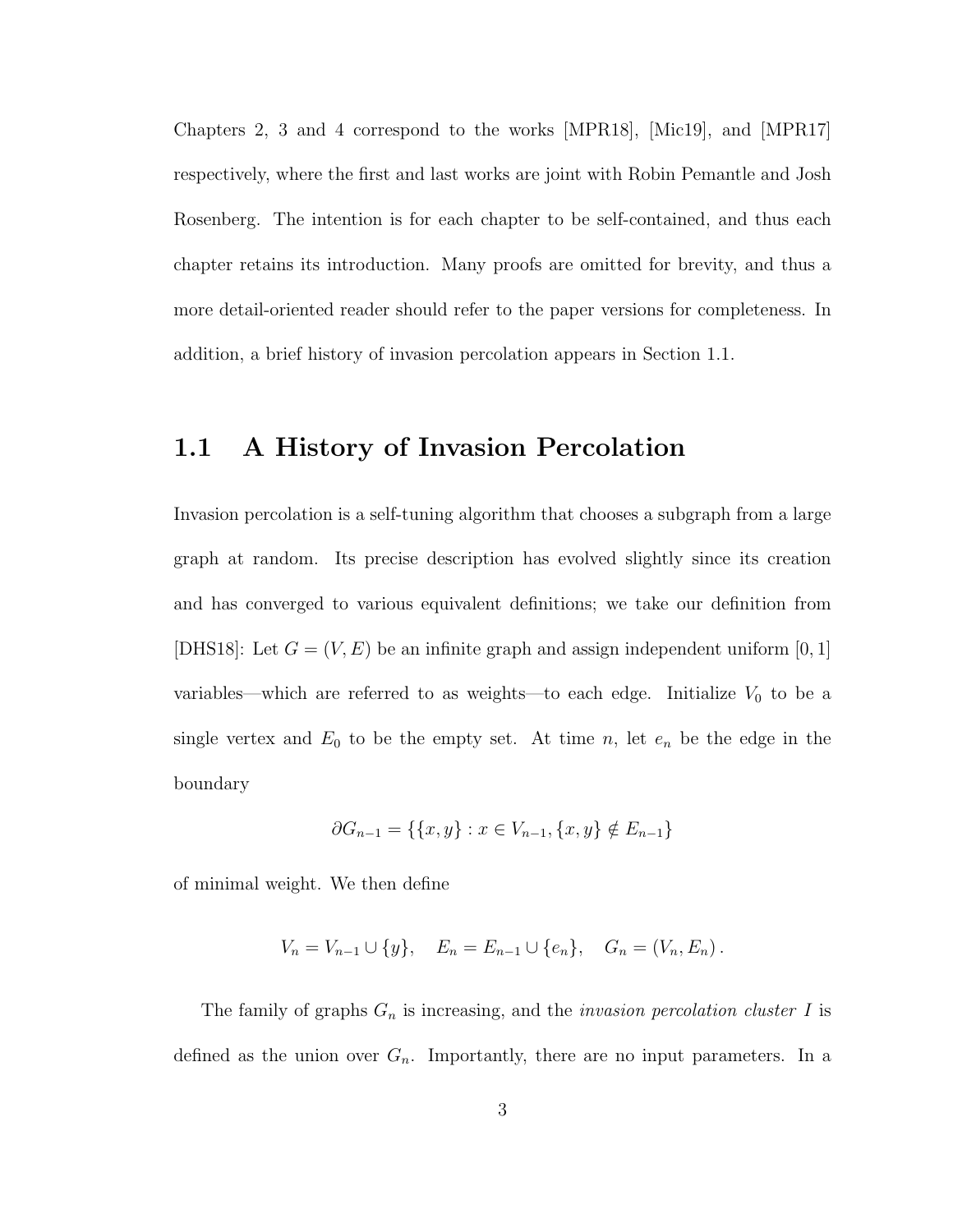Chapters 2, 3 and 4 correspond to the works [MPR18], [Mic19], and [MPR17] respectively, where the first and last works are joint with Robin Pemantle and Josh Rosenberg. The intention is for each chapter to be self-contained, and thus each chapter retains its introduction. Many proofs are omitted for brevity, and thus a more detail-oriented reader should refer to the paper versions for completeness. In addition, a brief history of invasion percolation appears in Section 1.1.

# 1.1 A History of Invasion Percolation

Invasion percolation is a self-tuning algorithm that chooses a subgraph from a large graph at random. Its precise description has evolved slightly since its creation and has converged to various equivalent definitions; we take our definition from [DHS18]: Let  $G = (V, E)$  be an infinite graph and assign independent uniform [0, 1] variables—which are referred to as weights—to each edge. Initialize  $V_0$  to be a single vertex and  $E_0$  to be the empty set. At time n, let  $e_n$  be the edge in the boundary

$$
\partial G_{n-1} = \{ \{x, y\} : x \in V_{n-1}, \{x, y\} \notin E_{n-1} \}
$$

of minimal weight. We then define

$$
V_n = V_{n-1} \cup \{y\}, \quad E_n = E_{n-1} \cup \{e_n\}, \quad G_n = (V_n, E_n).
$$

The family of graphs  $G_n$  is increasing, and the *invasion percolation cluster I* is defined as the union over  $G_n$ . Importantly, there are no input parameters. In a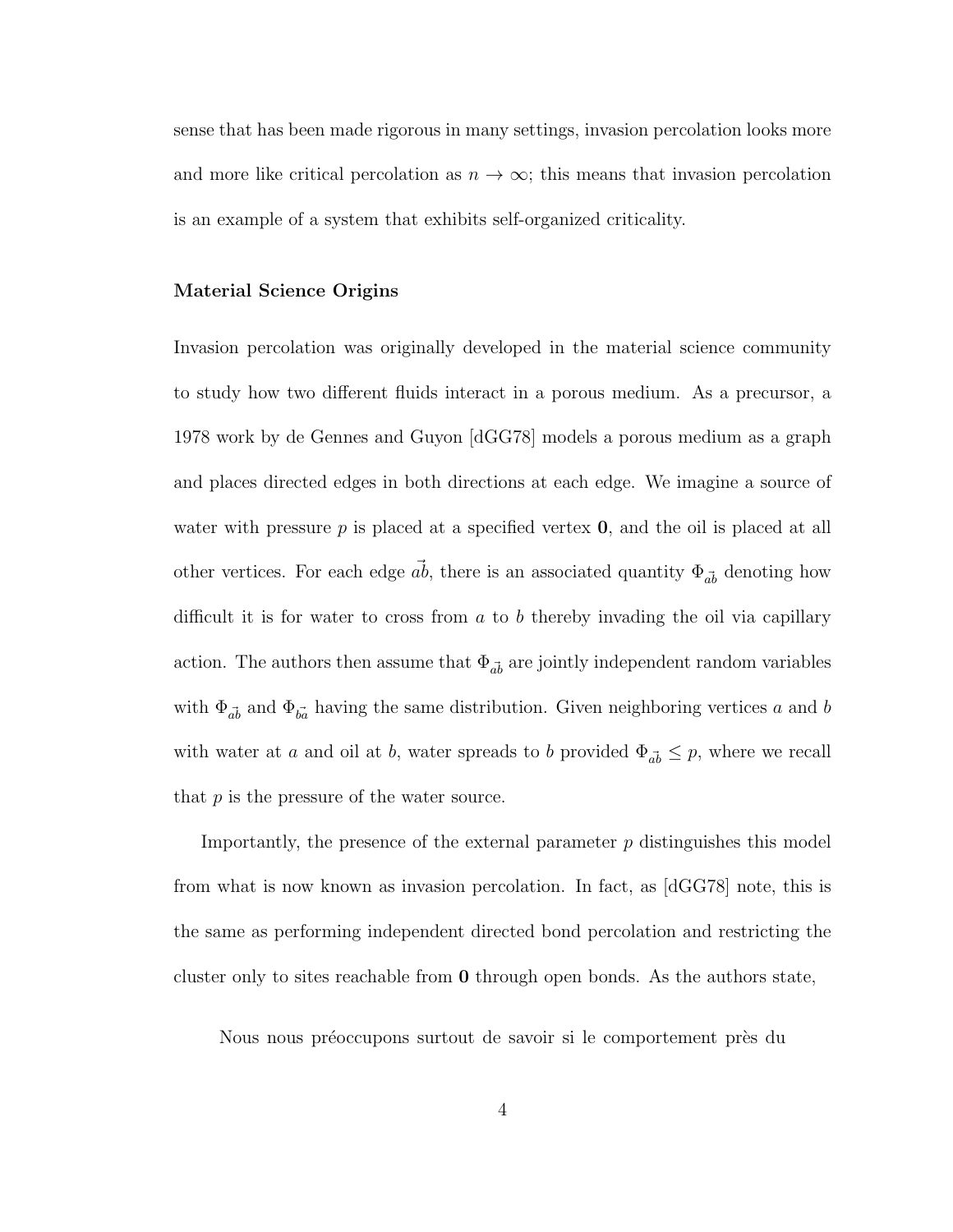sense that has been made rigorous in many settings, invasion percolation looks more and more like critical percolation as  $n \to \infty$ ; this means that invasion percolation is an example of a system that exhibits self-organized criticality.

#### Material Science Origins

Invasion percolation was originally developed in the material science community to study how two different fluids interact in a porous medium. As a precursor, a 1978 work by de Gennes and Guyon [dGG78] models a porous medium as a graph and places directed edges in both directions at each edge. We imagine a source of water with pressure  $p$  is placed at a specified vertex  $\bf{0}$ , and the oil is placed at all other vertices. For each edge  $\vec{ab}$ , there is an associated quantity  $\Phi_{\vec{ab}}$  denoting how difficult it is for water to cross from  $a$  to  $b$  thereby invading the oil via capillary action. The authors then assume that  $\Phi_{\vec{ab}}$  are jointly independent random variables with  $\Phi_{\vec{ab}}$  and  $\Phi_{\vec{ba}}$  having the same distribution. Given neighboring vertices a and b with water at a and oil at b, water spreads to b provided  $\Phi_{\vec{ab}} \leq p$ , where we recall that  $p$  is the pressure of the water source.

Importantly, the presence of the external parameter  $p$  distinguishes this model from what is now known as invasion percolation. In fact, as [dGG78] note, this is the same as performing independent directed bond percolation and restricting the cluster only to sites reachable from 0 through open bonds. As the authors state,

Nous nous préoccupons surtout de savoir si le comportement près du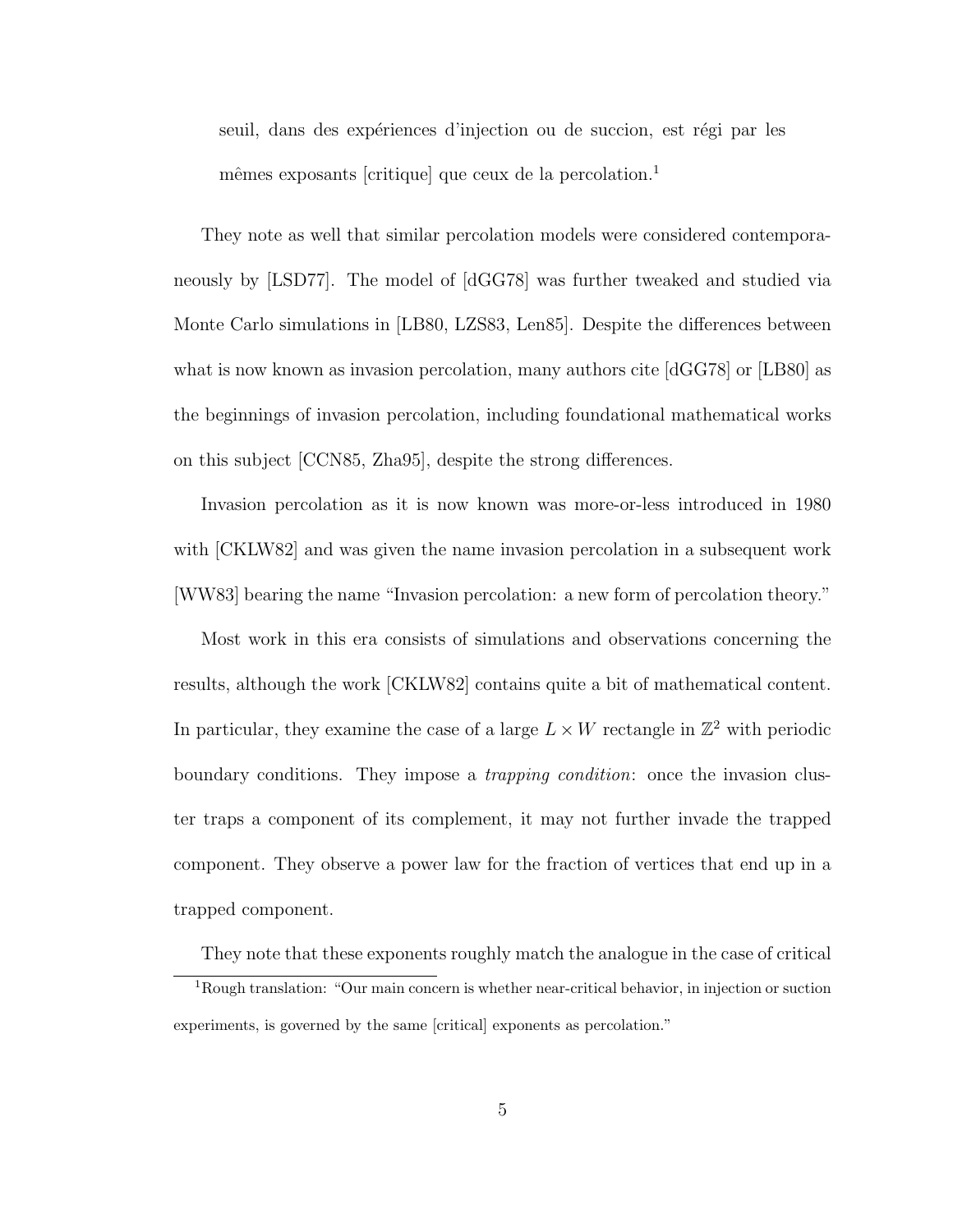seuil, dans des expériences d'injection ou de succion, est régi par les mêmes exposants [critique] que ceux de la percolation.<sup>1</sup>

They note as well that similar percolation models were considered contemporaneously by [LSD77]. The model of [dGG78] was further tweaked and studied via Monte Carlo simulations in [LB80, LZS83, Len85]. Despite the differences between what is now known as invasion percolation, many authors cite [dGG78] or [LB80] as the beginnings of invasion percolation, including foundational mathematical works on this subject [CCN85, Zha95], despite the strong differences.

Invasion percolation as it is now known was more-or-less introduced in 1980 with [CKLW82] and was given the name invasion percolation in a subsequent work [WW83] bearing the name "Invasion percolation: a new form of percolation theory."

Most work in this era consists of simulations and observations concerning the results, although the work [CKLW82] contains quite a bit of mathematical content. In particular, they examine the case of a large  $L \times W$  rectangle in  $\mathbb{Z}^2$  with periodic boundary conditions. They impose a trapping condition: once the invasion cluster traps a component of its complement, it may not further invade the trapped component. They observe a power law for the fraction of vertices that end up in a trapped component.

They note that these exponents roughly match the analogue in the case of critical <sup>1</sup>Rough translation: "Our main concern is whether near-critical behavior, in injection or suction experiments, is governed by the same [critical] exponents as percolation."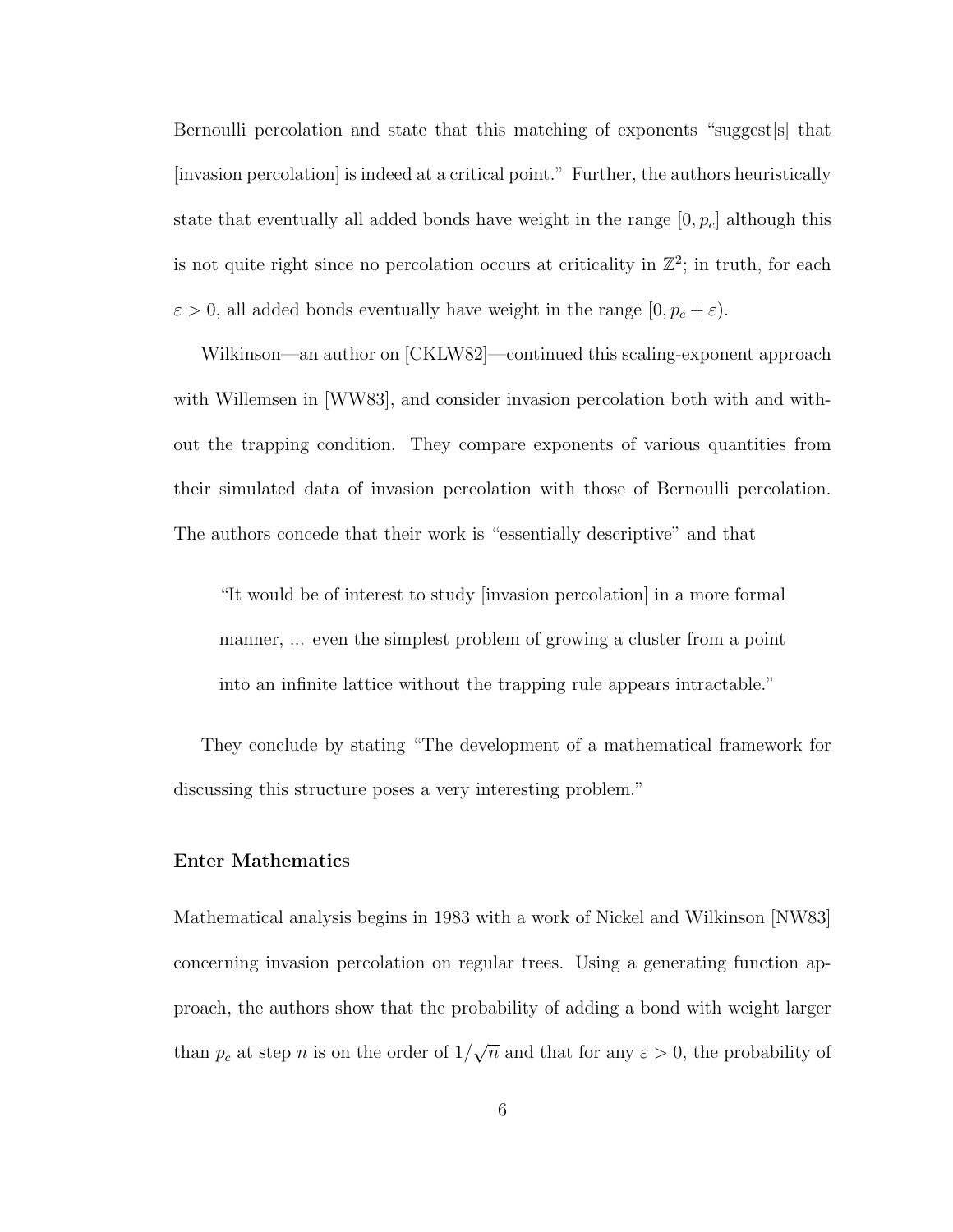Bernoulli percolation and state that this matching of exponents "suggest[s] that [invasion percolation] is indeed at a critical point." Further, the authors heuristically state that eventually all added bonds have weight in the range  $[0, p_c]$  although this is not quite right since no percolation occurs at criticality in  $\mathbb{Z}^2$ ; in truth, for each  $\varepsilon > 0$ , all added bonds eventually have weight in the range  $[0, p_c + \varepsilon)$ .

Wilkinson—an author on [CKLW82]—continued this scaling-exponent approach with Willemsen in [WW83], and consider invasion percolation both with and without the trapping condition. They compare exponents of various quantities from their simulated data of invasion percolation with those of Bernoulli percolation. The authors concede that their work is "essentially descriptive" and that

"It would be of interest to study [invasion percolation] in a more formal manner, ... even the simplest problem of growing a cluster from a point into an infinite lattice without the trapping rule appears intractable."

They conclude by stating "The development of a mathematical framework for discussing this structure poses a very interesting problem."

#### Enter Mathematics

Mathematical analysis begins in 1983 with a work of Nickel and Wilkinson [NW83] concerning invasion percolation on regular trees. Using a generating function approach, the authors show that the probability of adding a bond with weight larger than  $p_c$  at step n is on the order of  $1/$ √  $\overline{n}$  and that for any  $\varepsilon > 0$ , the probability of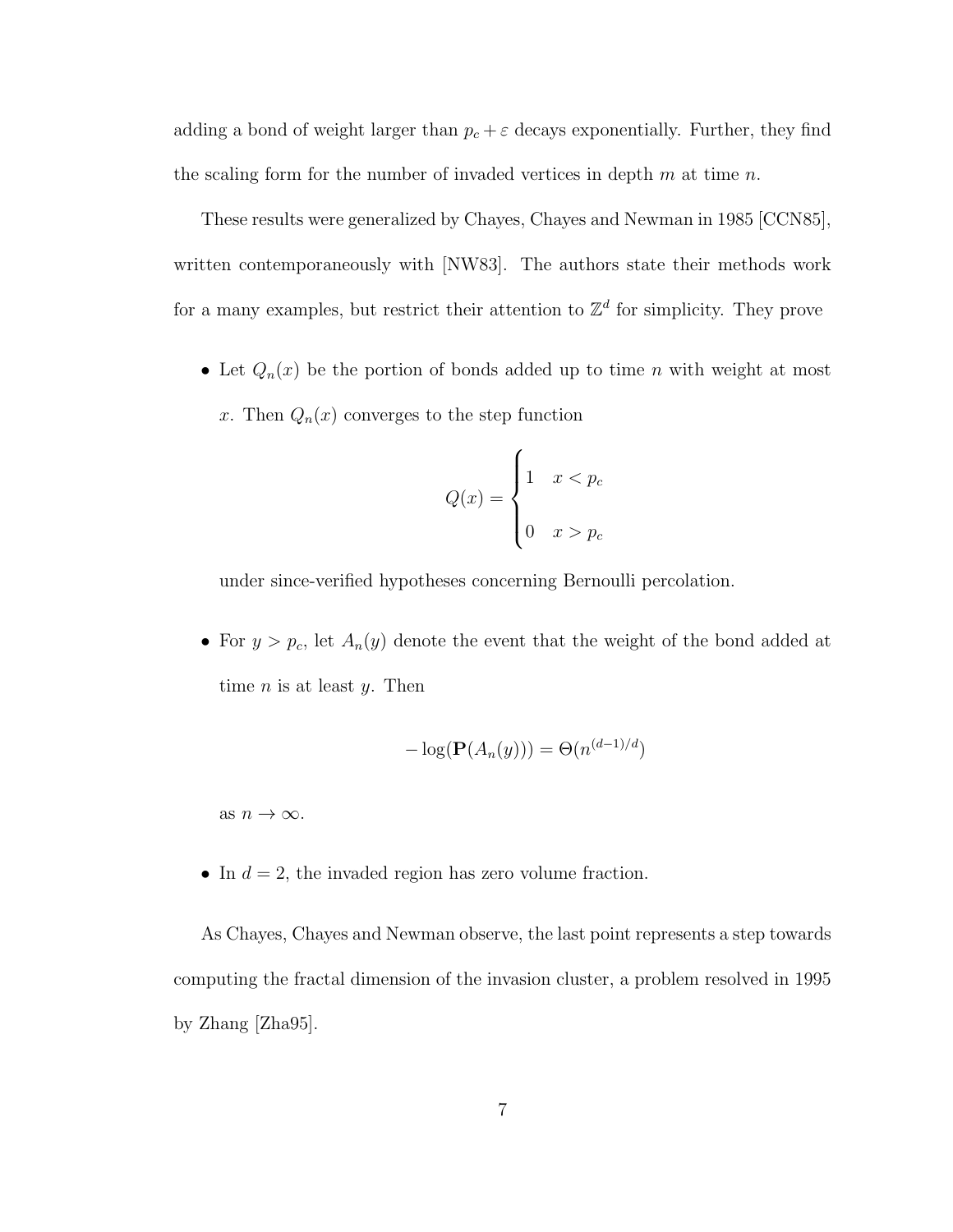adding a bond of weight larger than  $p_c + \varepsilon$  decays exponentially. Further, they find the scaling form for the number of invaded vertices in depth  $m$  at time  $n$ .

These results were generalized by Chayes, Chayes and Newman in 1985 [CCN85], written contemporaneously with [NW83]. The authors state their methods work for a many examples, but restrict their attention to  $\mathbb{Z}^d$  for simplicity. They prove

• Let  $Q_n(x)$  be the portion of bonds added up to time n with weight at most x. Then  $Q_n(x)$  converges to the step function

$$
Q(x) = \begin{cases} 1 & x < p_c \\ 0 & x > p_c \end{cases}
$$

under since-verified hypotheses concerning Bernoulli percolation.

• For  $y > p_c$ , let  $A_n(y)$  denote the event that the weight of the bond added at time  $n$  is at least  $y$ . Then

$$
-\log(\mathbf{P}(A_n(y))) = \Theta(n^{(d-1)/d})
$$

as  $n \to \infty$ .

• In  $d = 2$ , the invaded region has zero volume fraction.

As Chayes, Chayes and Newman observe, the last point represents a step towards computing the fractal dimension of the invasion cluster, a problem resolved in 1995 by Zhang [Zha95].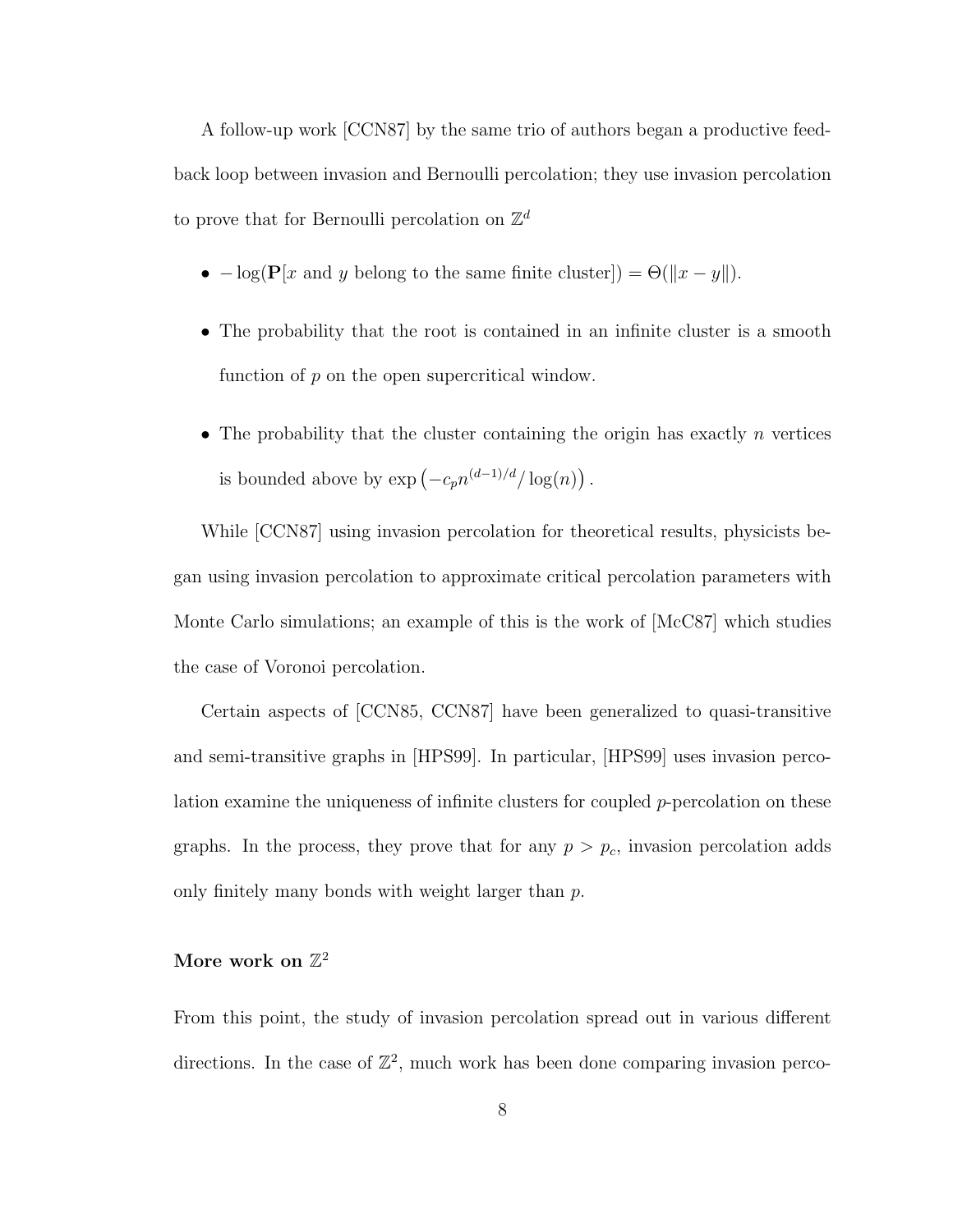A follow-up work [CCN87] by the same trio of authors began a productive feedback loop between invasion and Bernoulli percolation; they use invasion percolation to prove that for Bernoulli percolation on  $\mathbb{Z}^d$ 

- $-\log(\mathbf{P}[x \text{ and } y \text{ belong to the same finite cluster}]) = \Theta(||x y||).$
- The probability that the root is contained in an infinite cluster is a smooth function of  $p$  on the open supercritical window.
- The probability that the cluster containing the origin has exactly  $n$  vertices is bounded above by  $\exp(-c_p n^{(d-1)/d}/\log(n))$ .

While [CCN87] using invasion percolation for theoretical results, physicists began using invasion percolation to approximate critical percolation parameters with Monte Carlo simulations; an example of this is the work of [McC87] which studies the case of Voronoi percolation.

Certain aspects of [CCN85, CCN87] have been generalized to quasi-transitive and semi-transitive graphs in [HPS99]. In particular, [HPS99] uses invasion percolation examine the uniqueness of infinite clusters for coupled  $p$ -percolation on these graphs. In the process, they prove that for any  $p > p_c$ , invasion percolation adds only finitely many bonds with weight larger than  $p$ .

## More work on  $\mathbb{Z}^2$

From this point, the study of invasion percolation spread out in various different directions. In the case of  $\mathbb{Z}^2$ , much work has been done comparing invasion perco-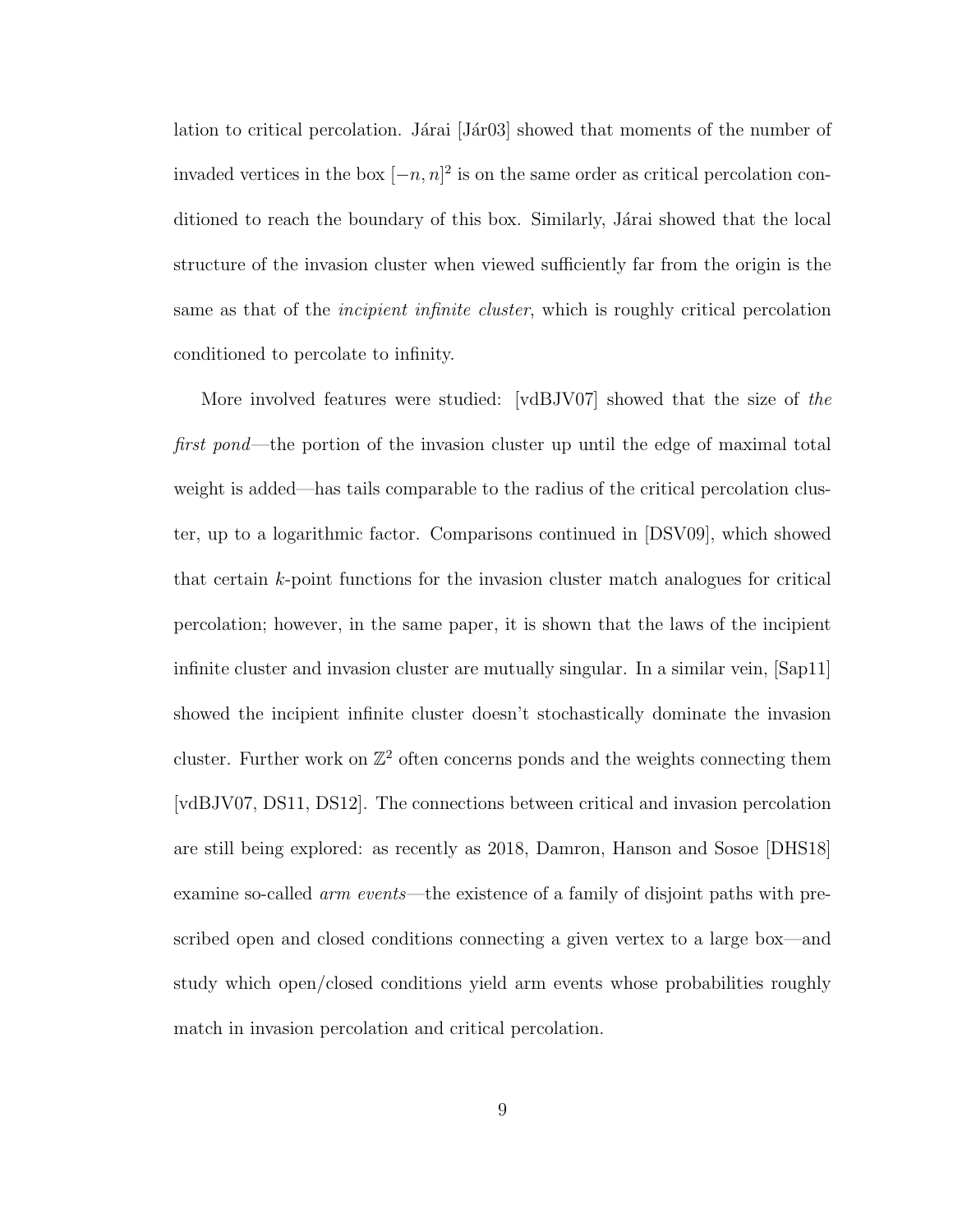lation to critical percolation. Járai  $[Jar03]$  showed that moments of the number of invaded vertices in the box  $[-n, n]^2$  is on the same order as critical percolation conditioned to reach the boundary of this box. Similarly, Járai showed that the local structure of the invasion cluster when viewed sufficiently far from the origin is the same as that of the *incipient infinite cluster*, which is roughly critical percolation conditioned to percolate to infinity.

More involved features were studied: [vdBJV07] showed that the size of the first pond—the portion of the invasion cluster up until the edge of maximal total weight is added—has tails comparable to the radius of the critical percolation cluster, up to a logarithmic factor. Comparisons continued in [DSV09], which showed that certain k-point functions for the invasion cluster match analogues for critical percolation; however, in the same paper, it is shown that the laws of the incipient infinite cluster and invasion cluster are mutually singular. In a similar vein, [Sap11] showed the incipient infinite cluster doesn't stochastically dominate the invasion cluster. Further work on  $\mathbb{Z}^2$  often concerns ponds and the weights connecting them [vdBJV07, DS11, DS12]. The connections between critical and invasion percolation are still being explored: as recently as 2018, Damron, Hanson and Sosoe [DHS18] examine so-called *arm events*—the existence of a family of disjoint paths with prescribed open and closed conditions connecting a given vertex to a large box—and study which open/closed conditions yield arm events whose probabilities roughly match in invasion percolation and critical percolation.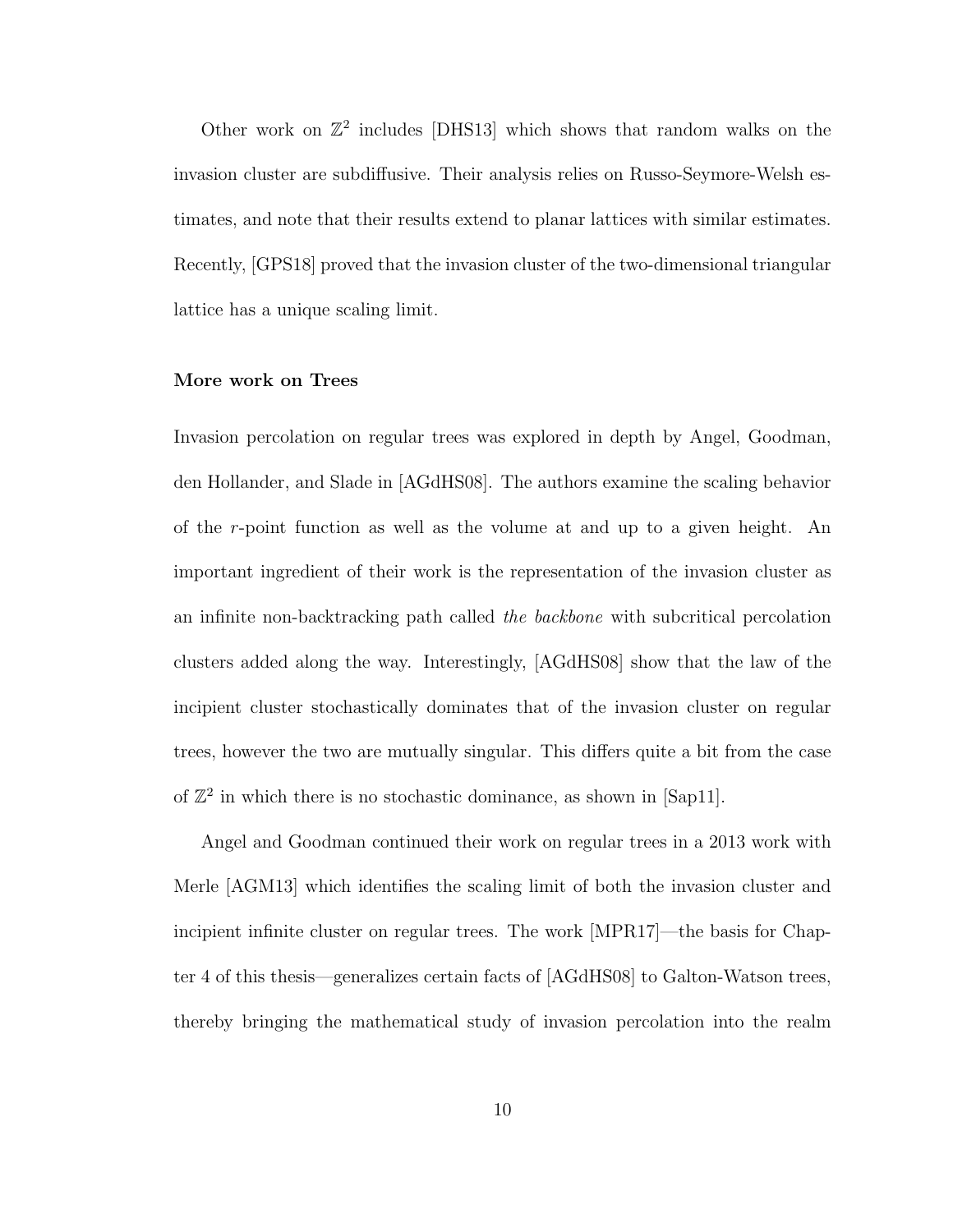Other work on  $\mathbb{Z}^2$  includes [DHS13] which shows that random walks on the invasion cluster are subdiffusive. Their analysis relies on Russo-Seymore-Welsh estimates, and note that their results extend to planar lattices with similar estimates. Recently, [GPS18] proved that the invasion cluster of the two-dimensional triangular lattice has a unique scaling limit.

#### More work on Trees

Invasion percolation on regular trees was explored in depth by Angel, Goodman, den Hollander, and Slade in [AGdHS08]. The authors examine the scaling behavior of the r-point function as well as the volume at and up to a given height. An important ingredient of their work is the representation of the invasion cluster as an infinite non-backtracking path called the backbone with subcritical percolation clusters added along the way. Interestingly, [AGdHS08] show that the law of the incipient cluster stochastically dominates that of the invasion cluster on regular trees, however the two are mutually singular. This differs quite a bit from the case of  $\mathbb{Z}^2$  in which there is no stochastic dominance, as shown in [Sap11].

Angel and Goodman continued their work on regular trees in a 2013 work with Merle [AGM13] which identifies the scaling limit of both the invasion cluster and incipient infinite cluster on regular trees. The work [MPR17]—the basis for Chapter 4 of this thesis—generalizes certain facts of [AGdHS08] to Galton-Watson trees, thereby bringing the mathematical study of invasion percolation into the realm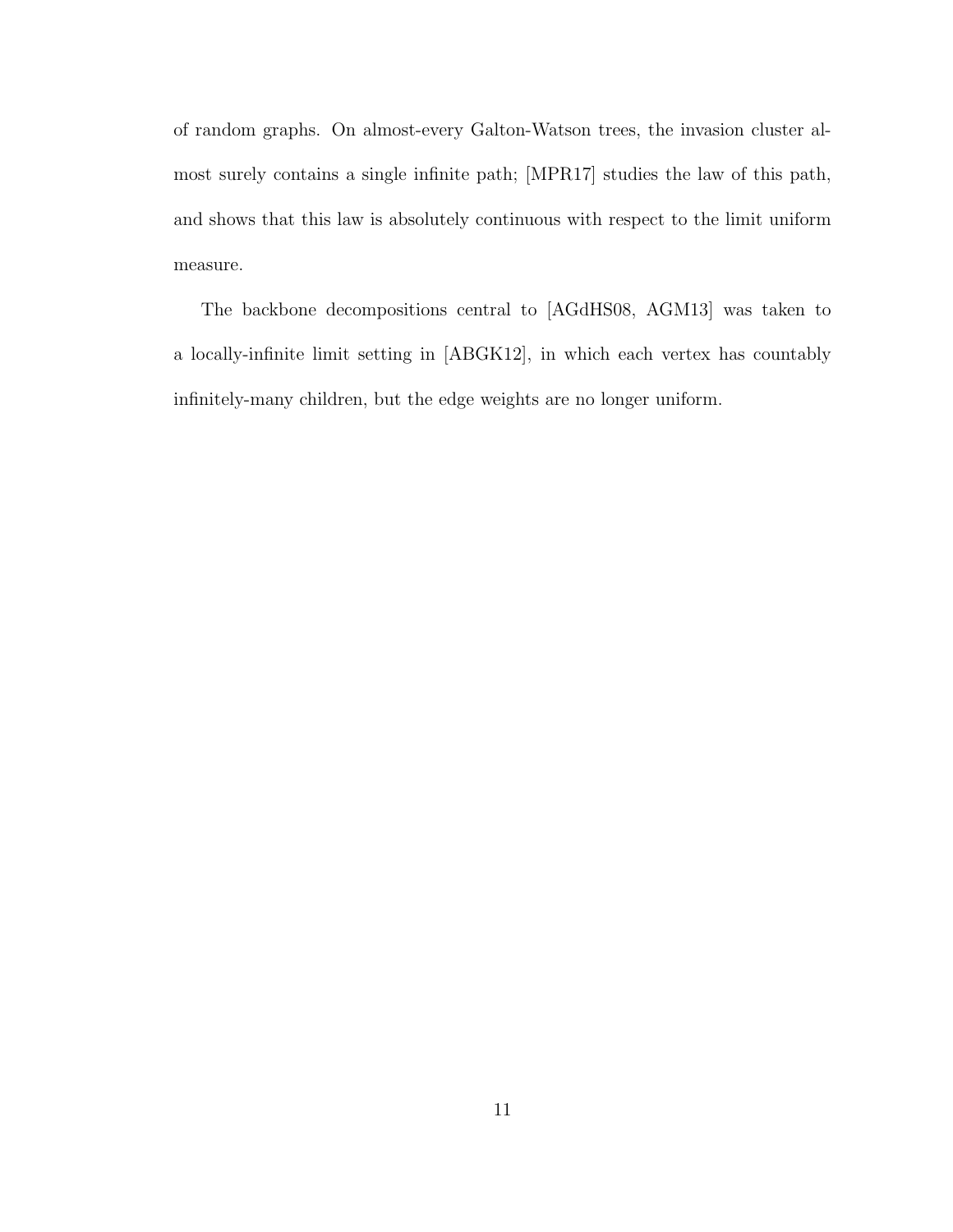of random graphs. On almost-every Galton-Watson trees, the invasion cluster almost surely contains a single infinite path; [MPR17] studies the law of this path, and shows that this law is absolutely continuous with respect to the limit uniform measure.

The backbone decompositions central to [AGdHS08, AGM13] was taken to a locally-infinite limit setting in [ABGK12], in which each vertex has countably infinitely-many children, but the edge weights are no longer uniform.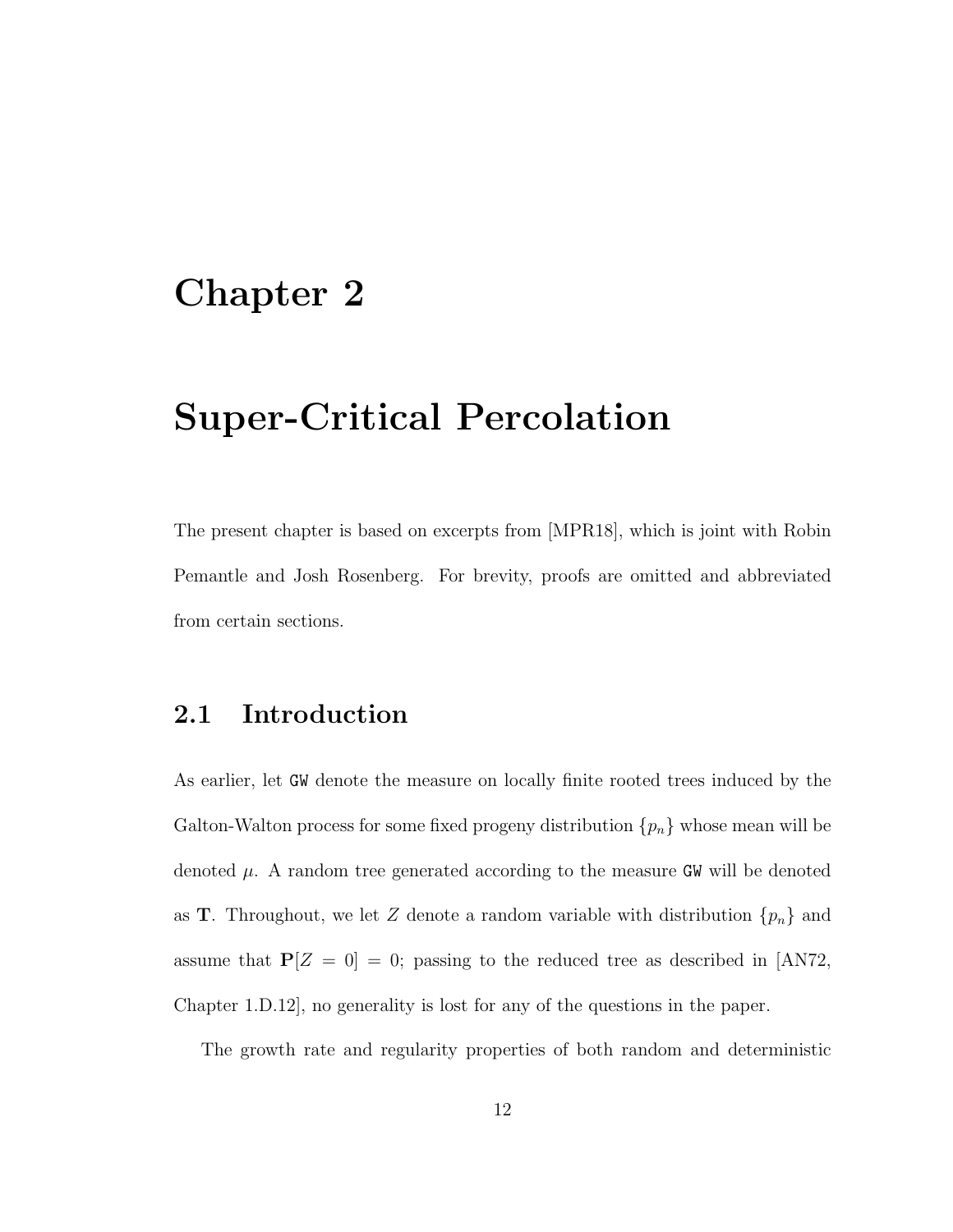# Chapter 2

# Super-Critical Percolation

The present chapter is based on excerpts from [MPR18], which is joint with Robin Pemantle and Josh Rosenberg. For brevity, proofs are omitted and abbreviated from certain sections.

# 2.1 Introduction

As earlier, let GW denote the measure on locally finite rooted trees induced by the Galton-Walton process for some fixed progeny distribution  $\{p_n\}$  whose mean will be denoted  $\mu$ . A random tree generated according to the measure GW will be denoted as **T**. Throughout, we let Z denote a random variable with distribution  $\{p_n\}$  and assume that  $P[Z = 0] = 0$ ; passing to the reduced tree as described in [AN72, Chapter 1.D.12], no generality is lost for any of the questions in the paper.

The growth rate and regularity properties of both random and deterministic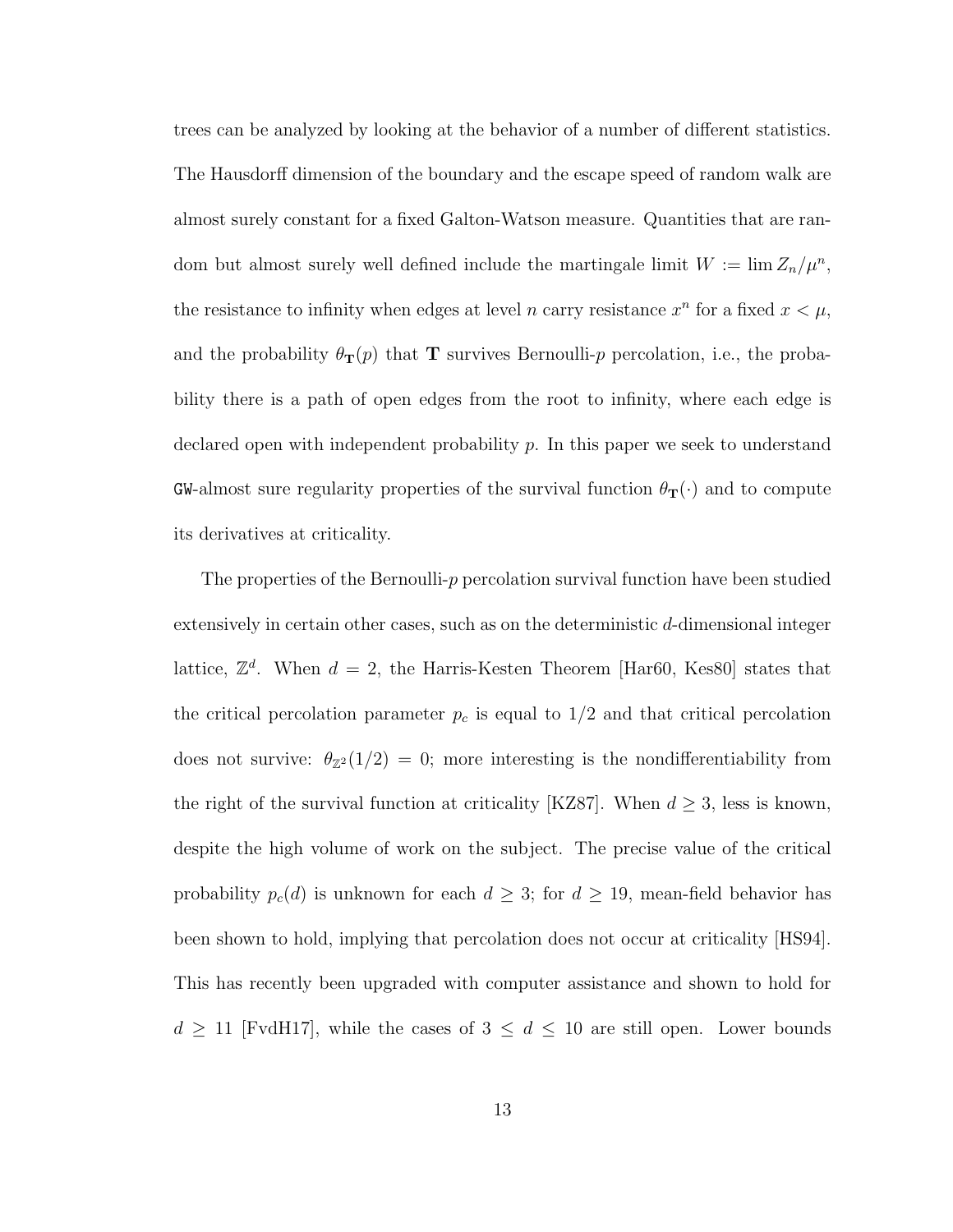trees can be analyzed by looking at the behavior of a number of different statistics. The Hausdorff dimension of the boundary and the escape speed of random walk are almost surely constant for a fixed Galton-Watson measure. Quantities that are random but almost surely well defined include the martingale limit  $W := \lim Z_n / \mu^n$ , the resistance to infinity when edges at level n carry resistance  $x^n$  for a fixed  $x < \mu$ , and the probability  $\theta_{\mathbf{T}}(p)$  that **T** survives Bernoulli-p percolation, i.e., the probability there is a path of open edges from the root to infinity, where each edge is declared open with independent probability  $p$ . In this paper we seek to understand  ${\tt GW\text{-}almost}$  sure regularity properties of the survival function  $\theta_{\rm \bf T}(\cdot)$  and to compute its derivatives at criticality.

The properties of the Bernoulli-p percolation survival function have been studied extensively in certain other cases, such as on the deterministic d-dimensional integer lattice,  $\mathbb{Z}^d$ . When  $d = 2$ , the Harris-Kesten Theorem [Har60, Kes80] states that the critical percolation parameter  $p_c$  is equal to  $1/2$  and that critical percolation does not survive:  $\theta_{\mathbb{Z}^2}(1/2) = 0$ ; more interesting is the nondifferentiability from the right of the survival function at criticality [KZ87]. When  $d \geq 3$ , less is known, despite the high volume of work on the subject. The precise value of the critical probability  $p_c(d)$  is unknown for each  $d \geq 3$ ; for  $d \geq 19$ , mean-field behavior has been shown to hold, implying that percolation does not occur at criticality [HS94]. This has recently been upgraded with computer assistance and shown to hold for  $d \geq 11$  [FvdH17], while the cases of  $3 \leq d \leq 10$  are still open. Lower bounds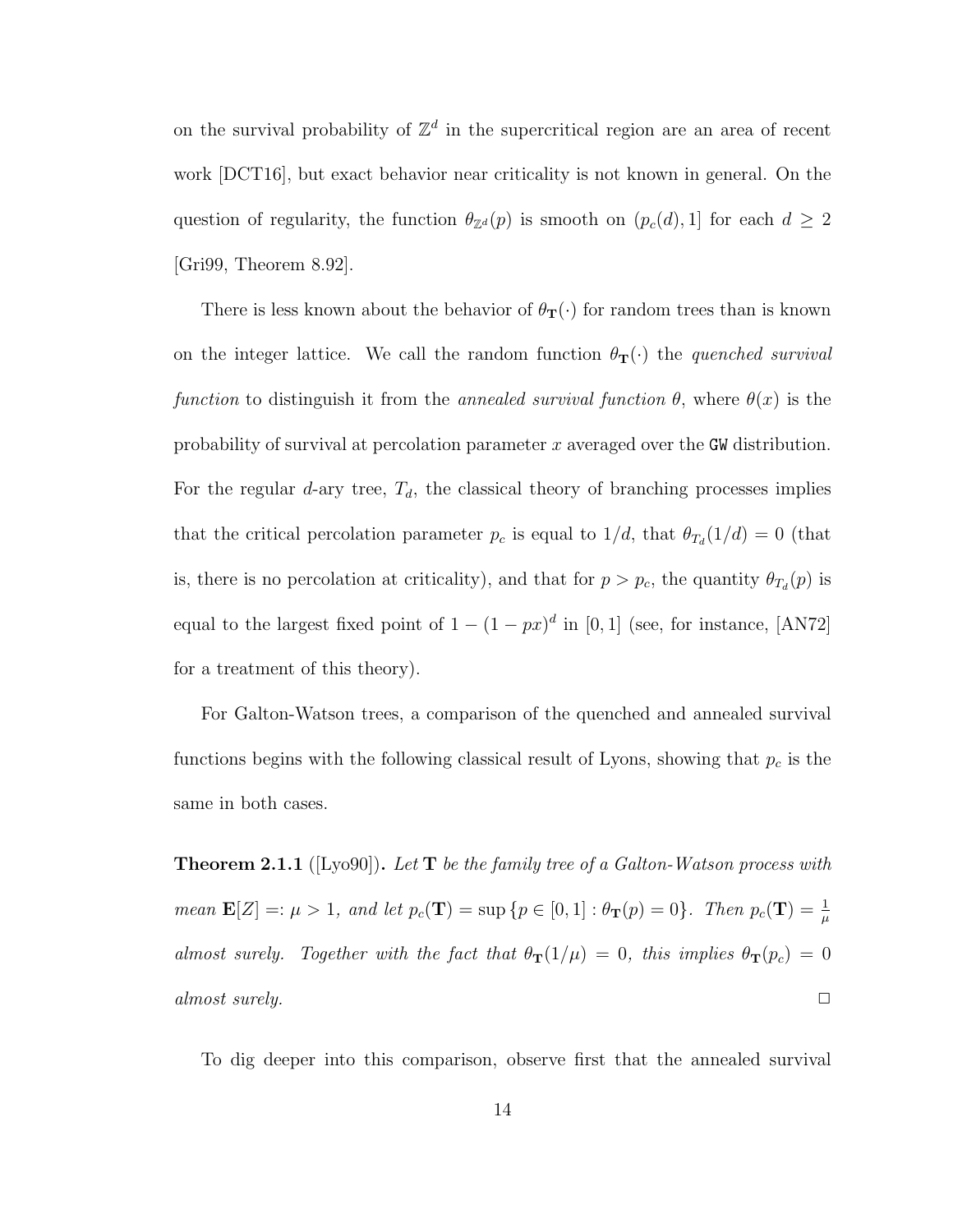on the survival probability of  $\mathbb{Z}^d$  in the supercritical region are an area of recent work [DCT16], but exact behavior near criticality is not known in general. On the question of regularity, the function  $\theta_{\mathbb{Z}^d}(p)$  is smooth on  $(p_c(d), 1]$  for each  $d \geq 2$ [Gri99, Theorem 8.92].

There is less known about the behavior of  $\theta_{\mathbf{T}}(\cdot)$  for random trees than is known on the integer lattice. We call the random function  $\theta_{\mathbf{T}}(\cdot)$  the quenched survival function to distinguish it from the annealed survival function  $\theta$ , where  $\theta(x)$  is the probability of survival at percolation parameter x averaged over the GW distribution. For the regular d-ary tree,  $T_d$ , the classical theory of branching processes implies that the critical percolation parameter  $p_c$  is equal to  $1/d$ , that  $\theta_{T_d}(1/d) = 0$  (that is, there is no percolation at criticality), and that for  $p > p_c$ , the quantity  $\theta_{T_d}(p)$  is equal to the largest fixed point of  $1 - (1 - px)^d$  in [0, 1] (see, for instance, [AN72] for a treatment of this theory).

For Galton-Watson trees, a comparison of the quenched and annealed survival functions begins with the following classical result of Lyons, showing that  $p_c$  is the same in both cases.

**Theorem 2.1.1** ([Lyo90]). Let  $T$  be the family tree of a Galton-Watson process with mean  $\mathbf{E}[Z] =: \mu > 1$ , and let  $p_c(\mathbf{T}) = \sup \{p \in [0,1]: \theta_{\mathbf{T}}(p) = 0\}$ . Then  $p_c(\mathbf{T}) = \frac{1}{\mu}$ almost surely. Together with the fact that  $\theta_{\bf T}(1/\mu) = 0$ , this implies  $\theta_{\bf T}(p_c) = 0$ almost surely.  $\Box$ 

To dig deeper into this comparison, observe first that the annealed survival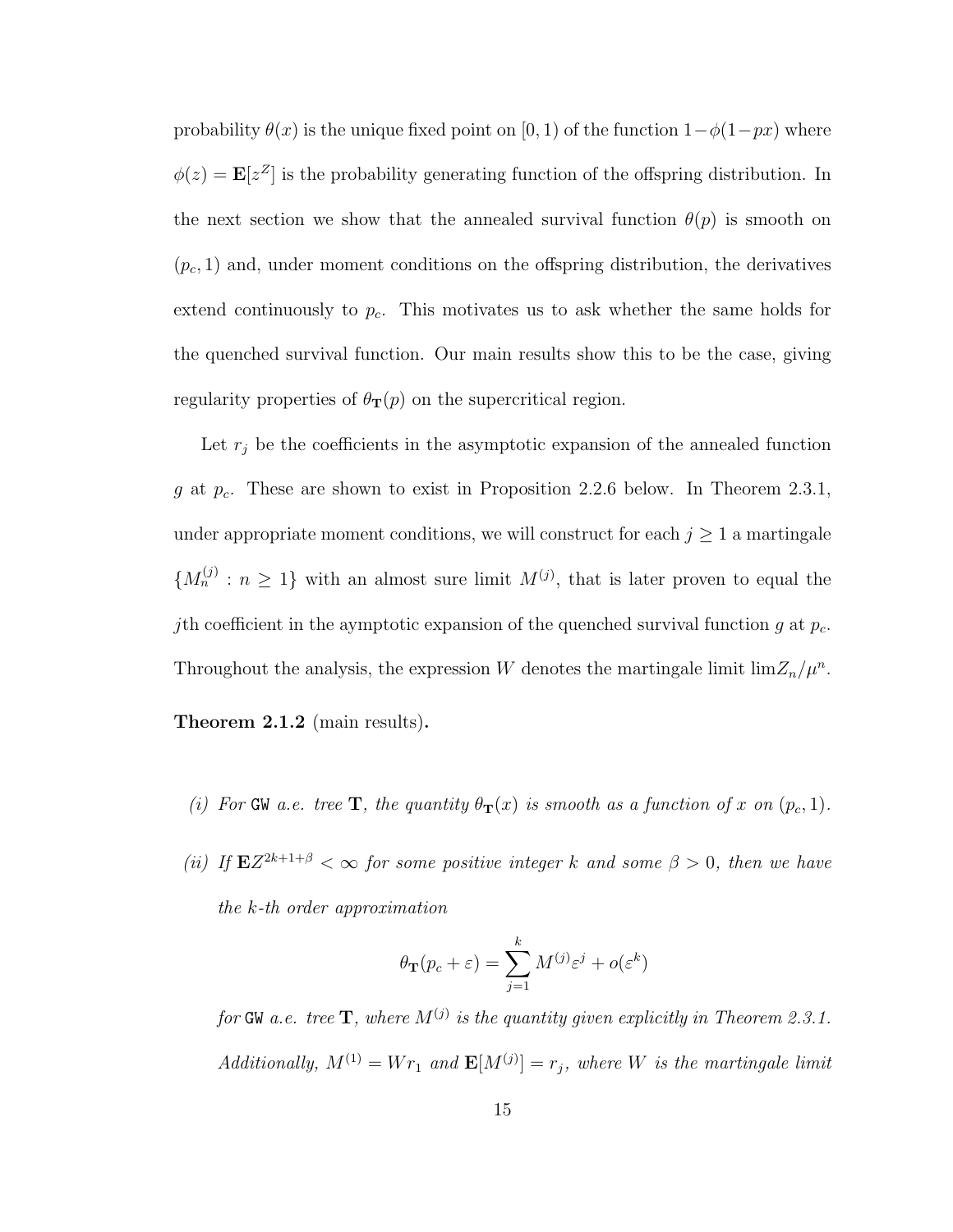probability  $\theta(x)$  is the unique fixed point on [0, 1) of the function  $1-\phi(1-px)$  where  $\phi(z) = \mathbf{E}[z^Z]$  is the probability generating function of the offspring distribution. In the next section we show that the annealed survival function  $\theta(p)$  is smooth on  $(p_c, 1)$  and, under moment conditions on the offspring distribution, the derivatives extend continuously to  $p_c$ . This motivates us to ask whether the same holds for the quenched survival function. Our main results show this to be the case, giving regularity properties of  $\theta_{\mathbf{T}}(p)$  on the supercritical region.

Let  $r_j$  be the coefficients in the asymptotic expansion of the annealed function g at  $p_c$ . These are shown to exist in Proposition 2.2.6 below. In Theorem 2.3.1, under appropriate moment conditions, we will construct for each  $j \geq 1$  a martingale  ${M_n^{(j)}: n \geq 1}$  with an almost sure limit  $M^{(j)}$ , that is later proven to equal the jth coefficient in the aymptotic expansion of the quenched survival function g at  $p_c$ . Throughout the analysis, the expression W denotes the martingale limit  $\lim_{n \to \infty} Z_n / \mu^n$ . Theorem 2.1.2 (main results).

- (i) For GW a.e. tree T, the quantity  $\theta_{\bf T}(x)$  is smooth as a function of x on  $(p_c, 1)$ .
- (ii) If  $EZ^{2k+1+\beta} < \infty$  for some positive integer k and some  $\beta > 0$ , then we have the k-th order approximation

$$
\theta_{\mathbf{T}}(p_c + \varepsilon) = \sum_{j=1}^{k} M^{(j)} \varepsilon^j + o(\varepsilon^k)
$$

for GW a.e. tree  $\mathbf{T},$  where  $M^{(j)}$  is the quantity given explicitly in Theorem 2.3.1.  $Additionally, M^{(1)} = Wr_1$  and  $\mathbf{E}[M^{(j)}] = r_j$ , where W is the martingale limit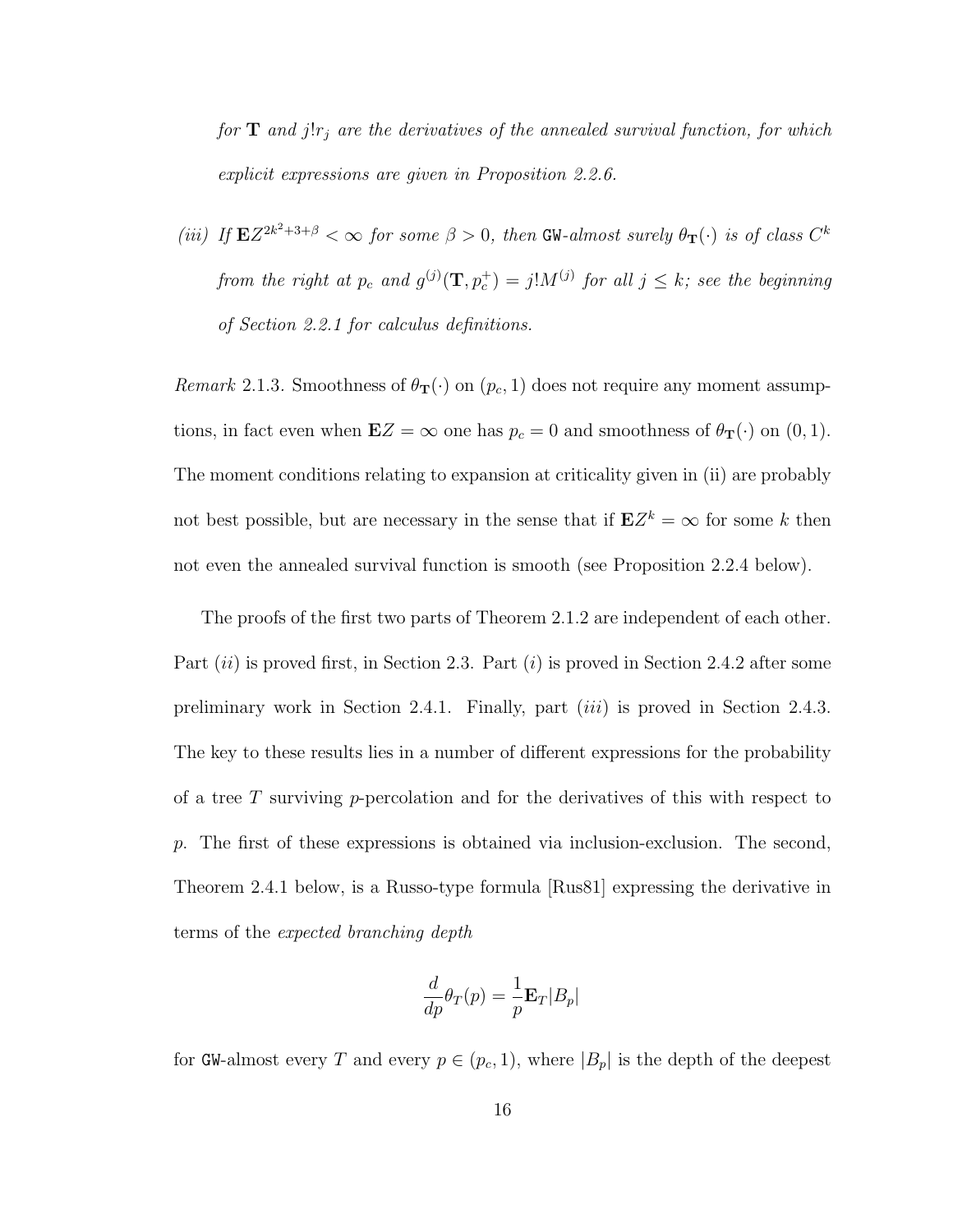for  $T$  and j!r<sub>j</sub> are the derivatives of the annealed survival function, for which explicit expressions are given in Proposition 2.2.6.

(iii) If  $EZ^{2k^2+3+\beta} < \infty$  for some  $\beta > 0$ , then GW-almost surely  $\theta_{\mathbf{T}}(\cdot)$  is of class  $C^k$ from the right at  $p_c$  and  $g^{(j)}(\mathbf{T}, p_c^+) = j! M^{(j)}$  for all  $j \leq k$ ; see the beginning of Section 2.2.1 for calculus definitions.

Remark 2.1.3. Smoothness of  $\theta_{\mathbf{T}}(\cdot)$  on  $(p_c, 1)$  does not require any moment assumptions, in fact even when  $\mathbf{E}Z = \infty$  one has  $p_c = 0$  and smoothness of  $\theta_{\mathbf{T}}(\cdot)$  on  $(0, 1)$ . The moment conditions relating to expansion at criticality given in (ii) are probably not best possible, but are necessary in the sense that if  $EZ^k = \infty$  for some k then not even the annealed survival function is smooth (see Proposition 2.2.4 below).

The proofs of the first two parts of Theorem 2.1.2 are independent of each other. Part  $(ii)$  is proved first, in Section 2.3. Part  $(i)$  is proved in Section 2.4.2 after some preliminary work in Section 2.4.1. Finally, part (iii) is proved in Section 2.4.3. The key to these results lies in a number of different expressions for the probability of a tree T surviving  $p$ -percolation and for the derivatives of this with respect to p. The first of these expressions is obtained via inclusion-exclusion. The second, Theorem 2.4.1 below, is a Russo-type formula [Rus81] expressing the derivative in terms of the expected branching depth

$$
\frac{d}{dp}\theta_T(p) = \frac{1}{p} \mathbf{E}_T |B_p|
$$

for GW-almost every T and every  $p \in (p_c, 1)$ , where  $|B_p|$  is the depth of the deepest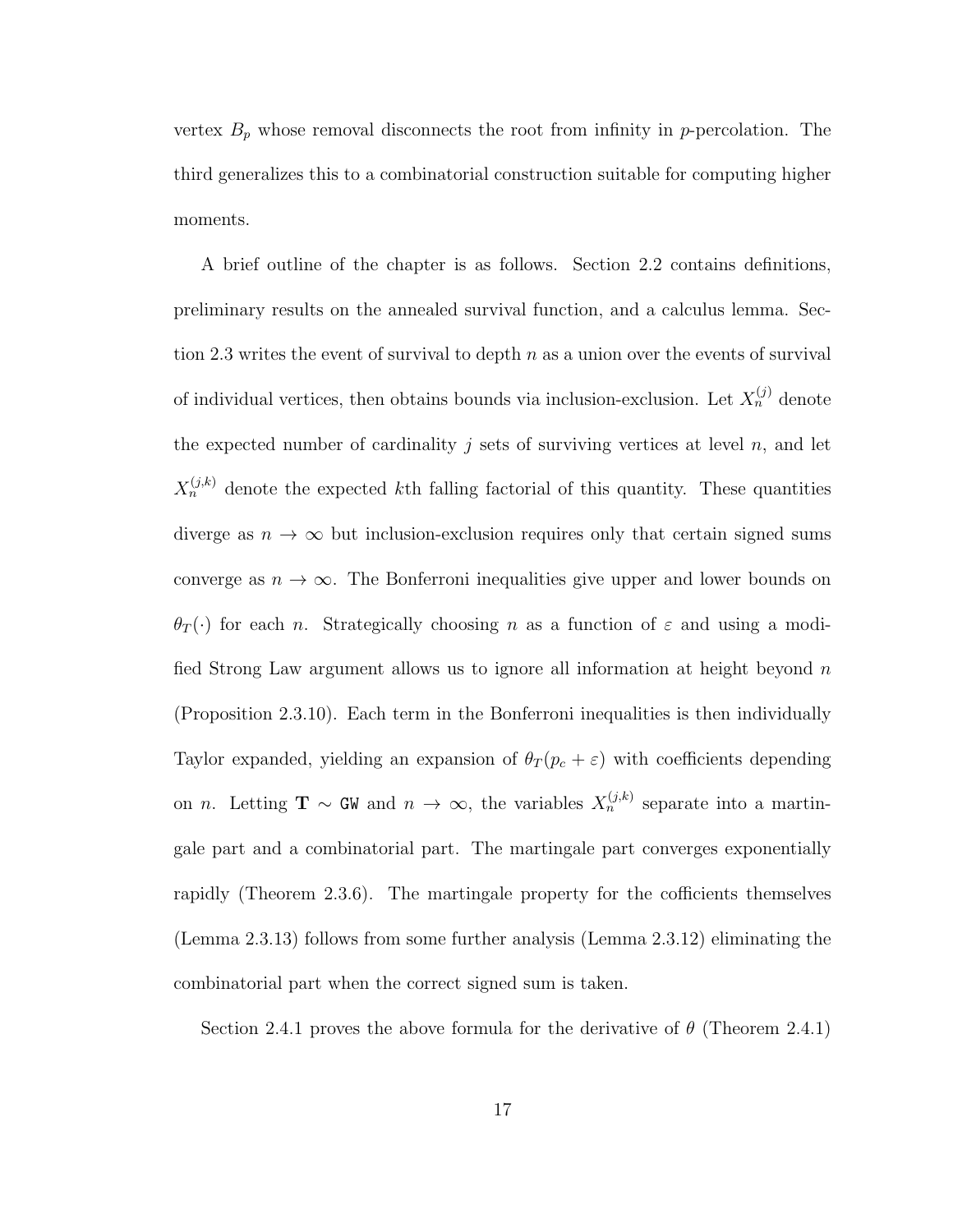vertex  $B_p$  whose removal disconnects the root from infinity in p-percolation. The third generalizes this to a combinatorial construction suitable for computing higher moments.

A brief outline of the chapter is as follows. Section 2.2 contains definitions, preliminary results on the annealed survival function, and a calculus lemma. Section 2.3 writes the event of survival to depth  $n$  as a union over the events of survival of individual vertices, then obtains bounds via inclusion-exclusion. Let  $X_n^{(j)}$  denote the expected number of cardinality  $j$  sets of surviving vertices at level  $n$ , and let  $X_n^{(j,k)}$  denote the expected kth falling factorial of this quantity. These quantities diverge as  $n \to \infty$  but inclusion-exclusion requires only that certain signed sums converge as  $n \to \infty$ . The Bonferroni inequalities give upper and lower bounds on  $\theta_T(\cdot)$  for each n. Strategically choosing n as a function of  $\varepsilon$  and using a modified Strong Law argument allows us to ignore all information at height beyond  $n$ (Proposition 2.3.10). Each term in the Bonferroni inequalities is then individually Taylor expanded, yielding an expansion of  $\theta_T(p_c + \varepsilon)$  with coefficients depending on *n*. Letting **T** ~ GW and  $n \to \infty$ , the variables  $X_n^{(j,k)}$  separate into a martingale part and a combinatorial part. The martingale part converges exponentially rapidly (Theorem 2.3.6). The martingale property for the cofficients themselves (Lemma 2.3.13) follows from some further analysis (Lemma 2.3.12) eliminating the combinatorial part when the correct signed sum is taken.

Section 2.4.1 proves the above formula for the derivative of  $\theta$  (Theorem 2.4.1)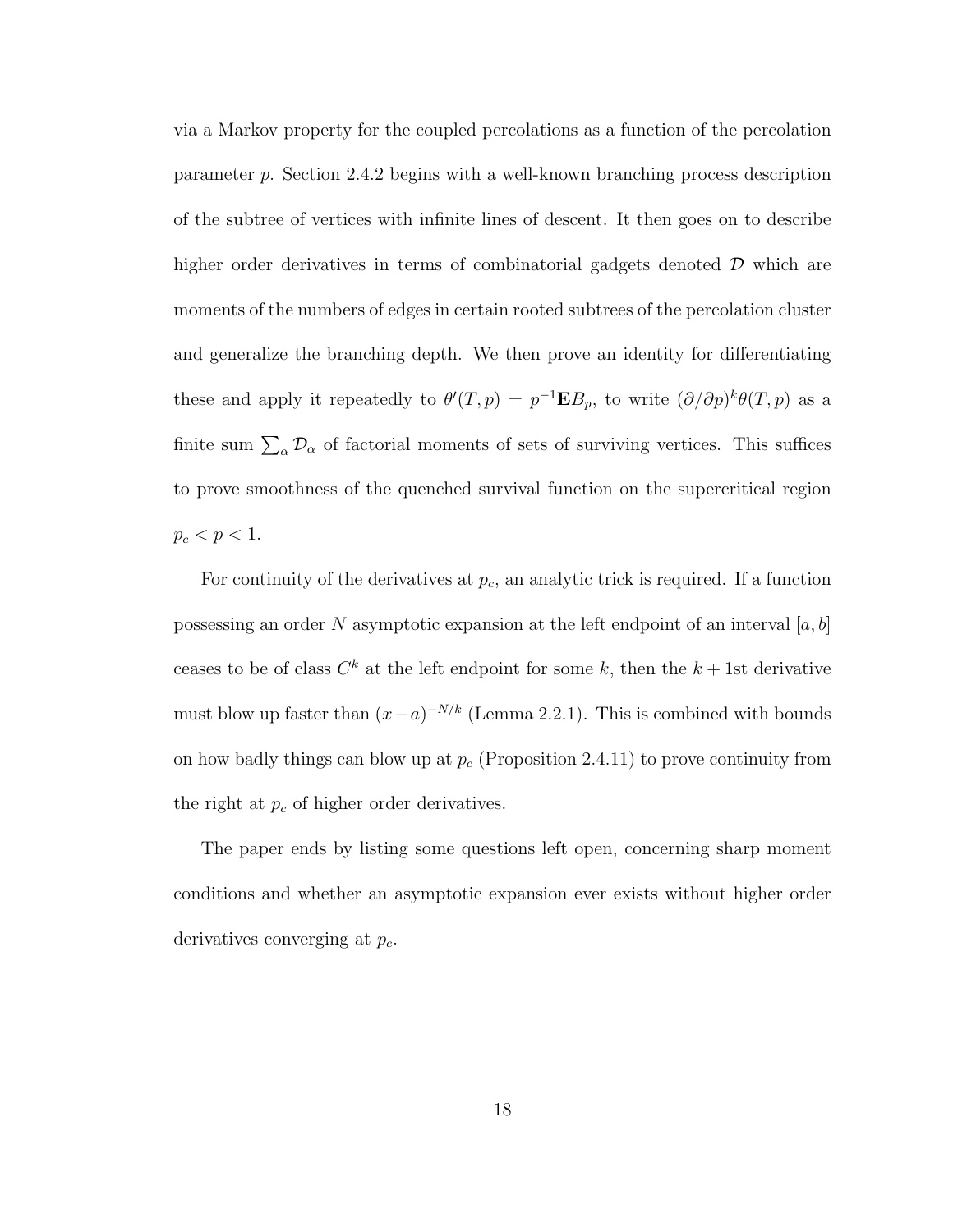via a Markov property for the coupled percolations as a function of the percolation parameter p. Section 2.4.2 begins with a well-known branching process description of the subtree of vertices with infinite lines of descent. It then goes on to describe higher order derivatives in terms of combinatorial gadgets denoted  $\mathcal D$  which are moments of the numbers of edges in certain rooted subtrees of the percolation cluster and generalize the branching depth. We then prove an identity for differentiating these and apply it repeatedly to  $\theta'(T,p) = p^{-1} \mathbf{E} B_p$ , to write  $(\partial/\partial p)^k \theta(T,p)$  as a finite sum  $\sum_{\alpha} \mathcal{D}_{\alpha}$  of factorial moments of sets of surviving vertices. This suffices to prove smoothness of the quenched survival function on the supercritical region  $p_c < p < 1$ .

For continuity of the derivatives at  $p_c$ , an analytic trick is required. If a function possessing an order N asymptotic expansion at the left endpoint of an interval  $[a, b]$ ceases to be of class  $C^k$  at the left endpoint for some k, then the  $k + 1$ st derivative must blow up faster than  $(x-a)^{-N/k}$  (Lemma 2.2.1). This is combined with bounds on how badly things can blow up at  $p_c$  (Proposition 2.4.11) to prove continuity from the right at  $p_c$  of higher order derivatives.

The paper ends by listing some questions left open, concerning sharp moment conditions and whether an asymptotic expansion ever exists without higher order derivatives converging at  $p_c$ .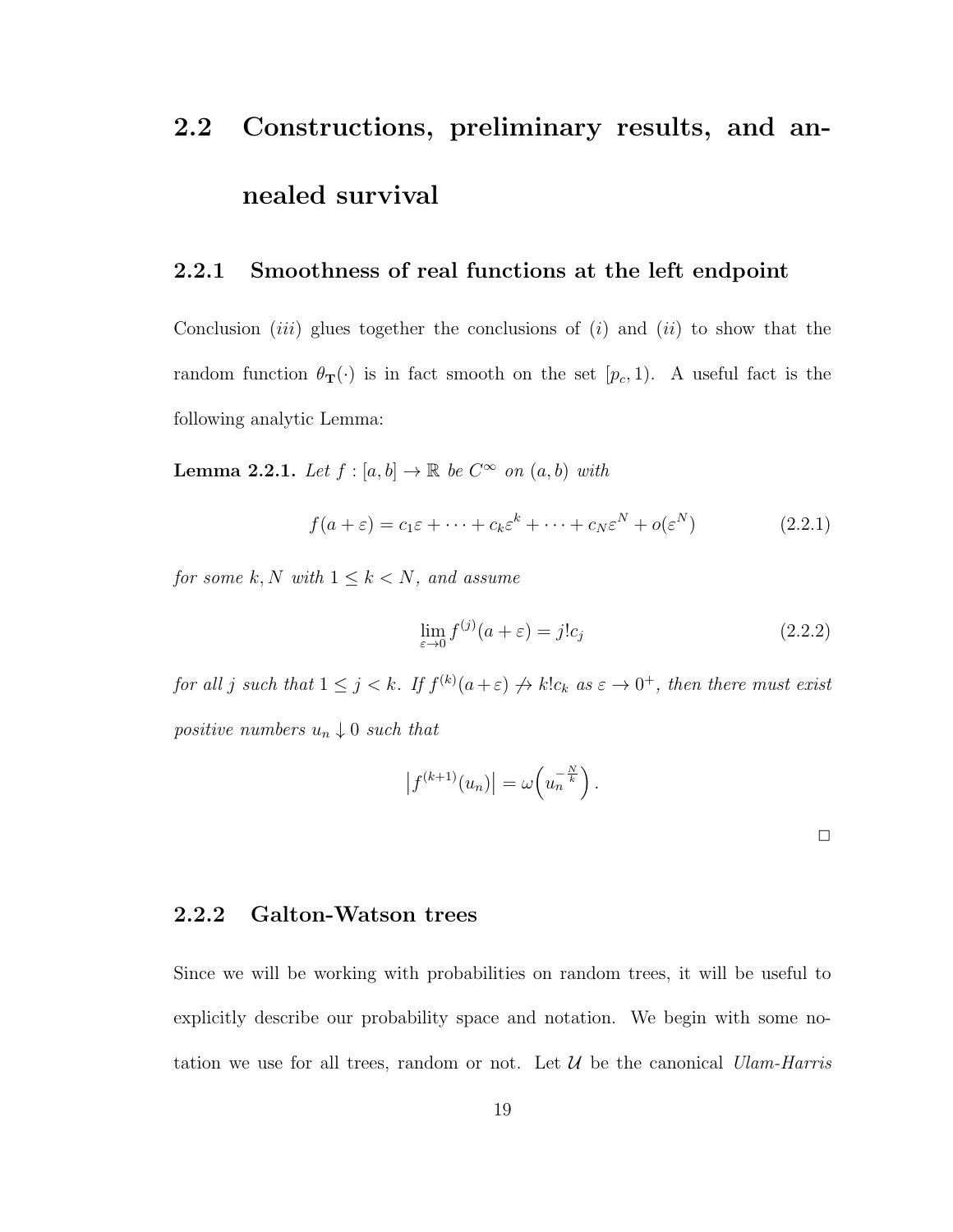# 2.2 Constructions, preliminary results, and annealed survival

## 2.2.1 Smoothness of real functions at the left endpoint

Conclusion *(iii)* glues together the conclusions of *(i)* and *(ii)* to show that the random function  $\theta_{\mathbf{T}}(\cdot)$  is in fact smooth on the set  $[p_c, 1)$ . A useful fact is the following analytic Lemma:

**Lemma 2.2.1.** Let  $f : [a, b] \to \mathbb{R}$  be  $C^{\infty}$  on  $(a, b)$  with

$$
f(a+\varepsilon) = c_1\varepsilon + \dots + c_k\varepsilon^k + \dots + c_N\varepsilon^N + o(\varepsilon^N)
$$
 (2.2.1)

for some  $k, N$  with  $1 \leq k < N$ , and assume

$$
\lim_{\varepsilon \to 0} f^{(j)}(a + \varepsilon) = j!c_j \tag{2.2.2}
$$

for all j such that  $1 \leq j < k$ . If  $f^{(k)}(a+\varepsilon) \nrightarrow k!c_k$  as  $\varepsilon \rightarrow 0^+$ , then there must exist positive numbers  $u_n \downarrow 0$  such that

$$
|f^{(k+1)}(u_n)| = \omega\left(u_n^{-\frac{N}{k}}\right).
$$

✷

### 2.2.2 Galton-Watson trees

Since we will be working with probabilities on random trees, it will be useful to explicitly describe our probability space and notation. We begin with some notation we use for all trees, random or not. Let  $\mathcal U$  be the canonical *Ulam-Harris*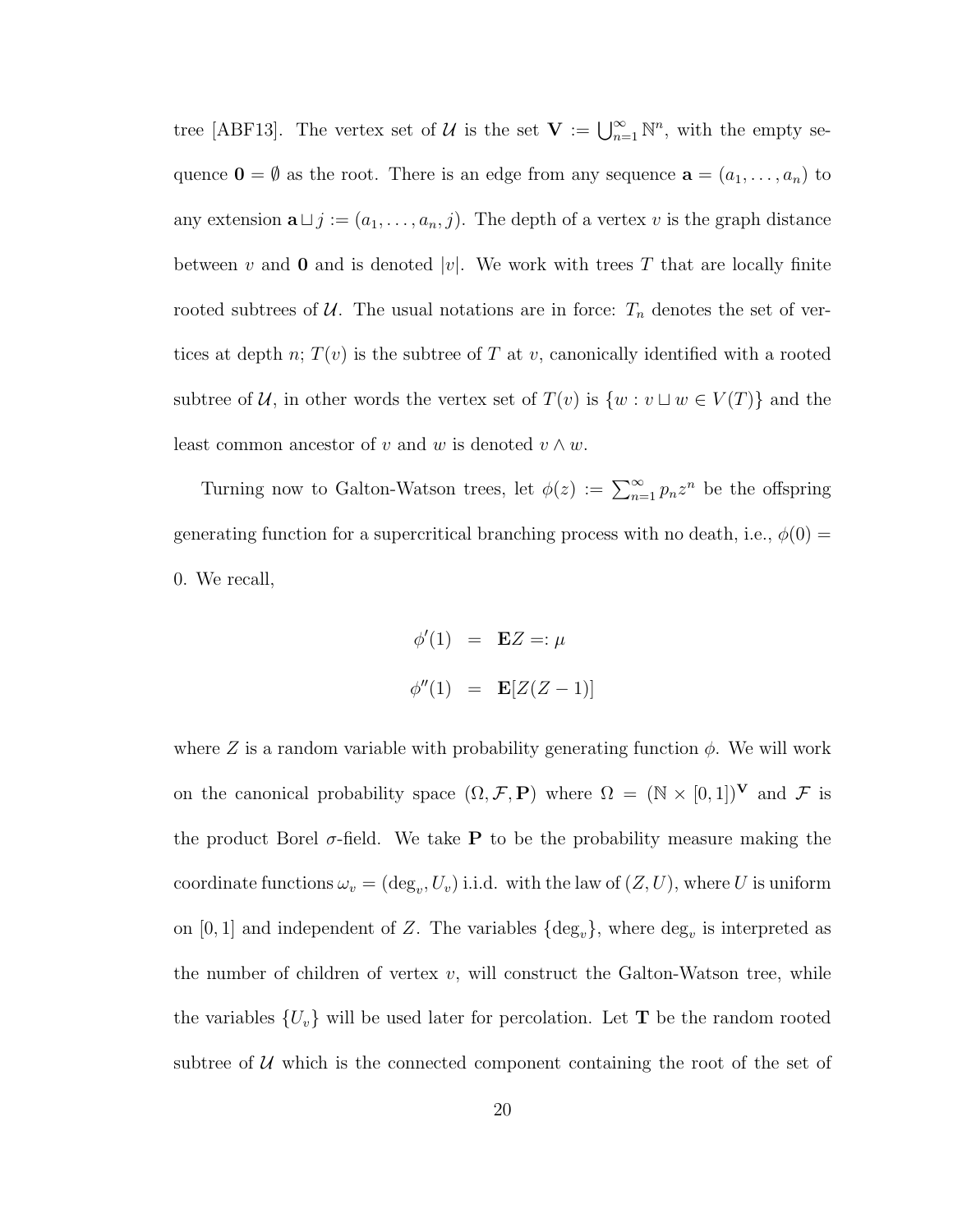tree [ABF13]. The vertex set of U is the set  $\mathbf{V} := \bigcup_{n=1}^{\infty} \mathbb{N}^n$ , with the empty sequence  $\mathbf{0} = \emptyset$  as the root. There is an edge from any sequence  $\mathbf{a} = (a_1, \ldots, a_n)$  to any extension  $\mathbf{a} \sqcup j := (a_1, \ldots, a_n, j)$ . The depth of a vertex v is the graph distance between v and **0** and is denoted |v|. We work with trees T that are locally finite rooted subtrees of  $U$ . The usual notations are in force:  $T_n$  denotes the set of vertices at depth  $n; T(v)$  is the subtree of T at v, canonically identified with a rooted subtree of U, in other words the vertex set of  $T(v)$  is  $\{w : v \sqcup w \in V(T)\}\)$  and the least common ancestor of v and w is denoted  $v \wedge w$ .

Turning now to Galton-Watson trees, let  $\phi(z) := \sum_{n=1}^{\infty} p_n z^n$  be the offspring generating function for a supercritical branching process with no death, i.e.,  $\phi(0)$  = 0. We recall,

$$
\phi'(1) = \mathbf{E}Z =: \mu
$$
  

$$
\phi''(1) = \mathbf{E}[Z(Z-1)]
$$

where Z is a random variable with probability generating function  $\phi$ . We will work on the canonical probability space  $(\Omega, \mathcal{F}, P)$  where  $\Omega = (\mathbb{N} \times [0, 1])^{\mathbf{V}}$  and  $\mathcal{F}$  is the product Borel  $\sigma$ -field. We take **P** to be the probability measure making the coordinate functions  $\omega_v = (\deg_v, U_v)$  i.i.d. with the law of  $(Z, U)$ , where U is uniform on [0, 1] and independent of Z. The variables  $\{\text{deg}_{v}\}\$ , where  $\text{deg}_{v}$  is interpreted as the number of children of vertex  $v$ , will construct the Galton-Watson tree, while the variables  $\{U_v\}$  will be used later for percolation. Let **T** be the random rooted subtree of  $U$  which is the connected component containing the root of the set of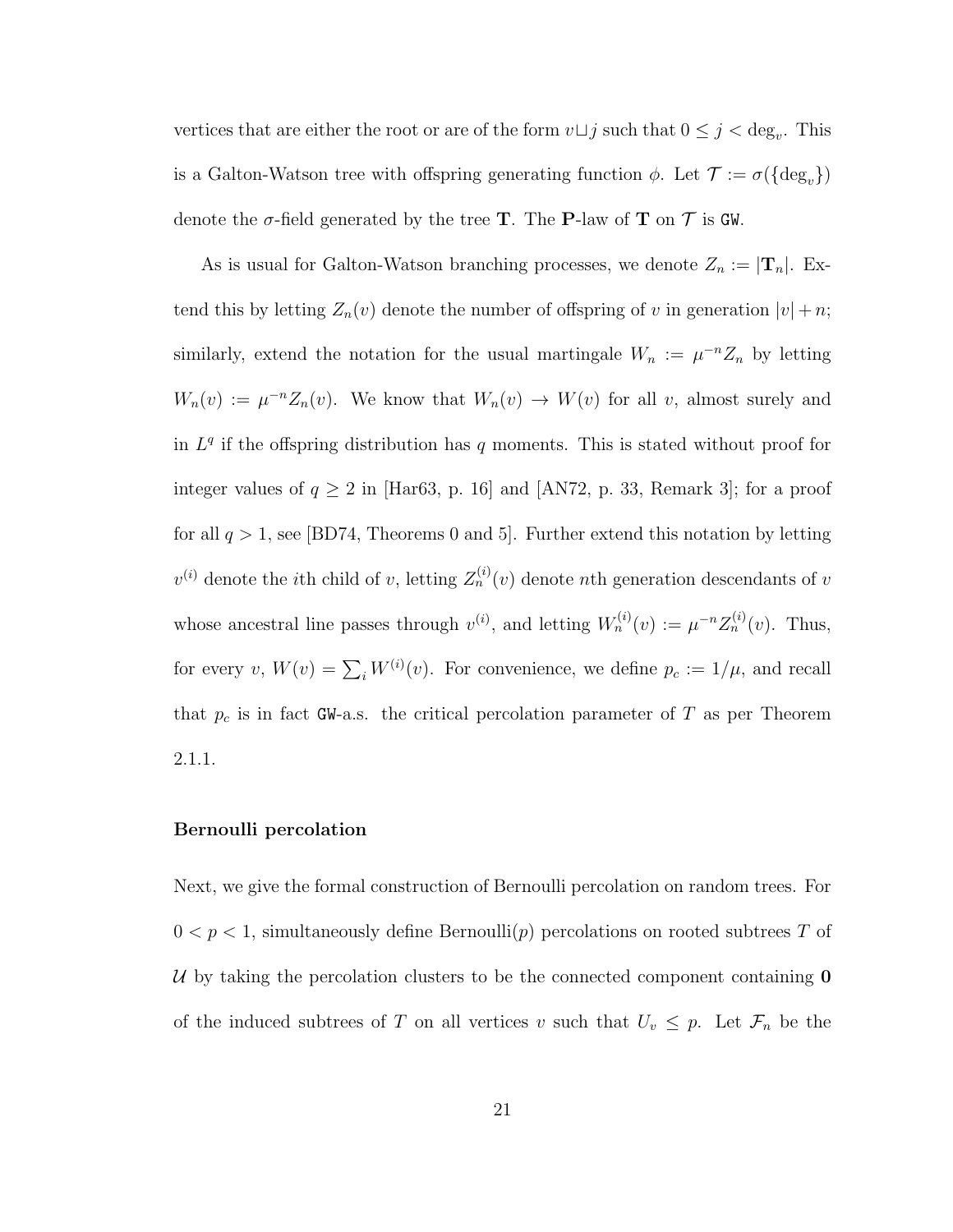vertices that are either the root or are of the form  $v \sqcup j$  such that  $0 \leq j < deg_v$ . This is a Galton-Watson tree with offspring generating function  $\phi$ . Let  $\mathcal{T} := \sigma({\deg_v})$ denote the  $\sigma$ -field generated by the tree **T**. The **P**-law of **T** on  $\mathcal{T}$  is GW.

As is usual for Galton-Watson branching processes, we denote  $Z_n := |\mathbf{T}_n|$ . Extend this by letting  $Z_n(v)$  denote the number of offspring of v in generation  $|v| + n$ ; similarly, extend the notation for the usual martingale  $W_n := \mu^{-n} Z_n$  by letting  $W_n(v) := \mu^{-n} Z_n(v)$ . We know that  $W_n(v) \to W(v)$  for all v, almost surely and in  $L<sup>q</sup>$  if the offspring distribution has q moments. This is stated without proof for integer values of  $q \ge 2$  in [Har63, p. 16] and [AN72, p. 33, Remark 3]; for a proof for all  $q > 1$ , see [BD74, Theorems 0 and 5]. Further extend this notation by letting  $v^{(i)}$  denote the *i*th child of v, letting  $Z_n^{(i)}(v)$  denote *n*th generation descendants of v whose ancestral line passes through  $v^{(i)}$ , and letting  $W_n^{(i)}(v) := \mu^{-n} Z_n^{(i)}(v)$ . Thus, for every  $v, W(v) = \sum_i W^{(i)}(v)$ . For convenience, we define  $p_c := 1/\mu$ , and recall that  $p_c$  is in fact GW-a.s. the critical percolation parameter of T as per Theorem 2.1.1.

#### Bernoulli percolation

Next, we give the formal construction of Bernoulli percolation on random trees. For  $0 < p < 1$ , simultaneously define Bernoulli $(p)$  percolations on rooted subtrees T of U by taking the percolation clusters to be the connected component containing  $\mathbf 0$ of the induced subtrees of T on all vertices v such that  $U_v \leq p$ . Let  $\mathcal{F}_n$  be the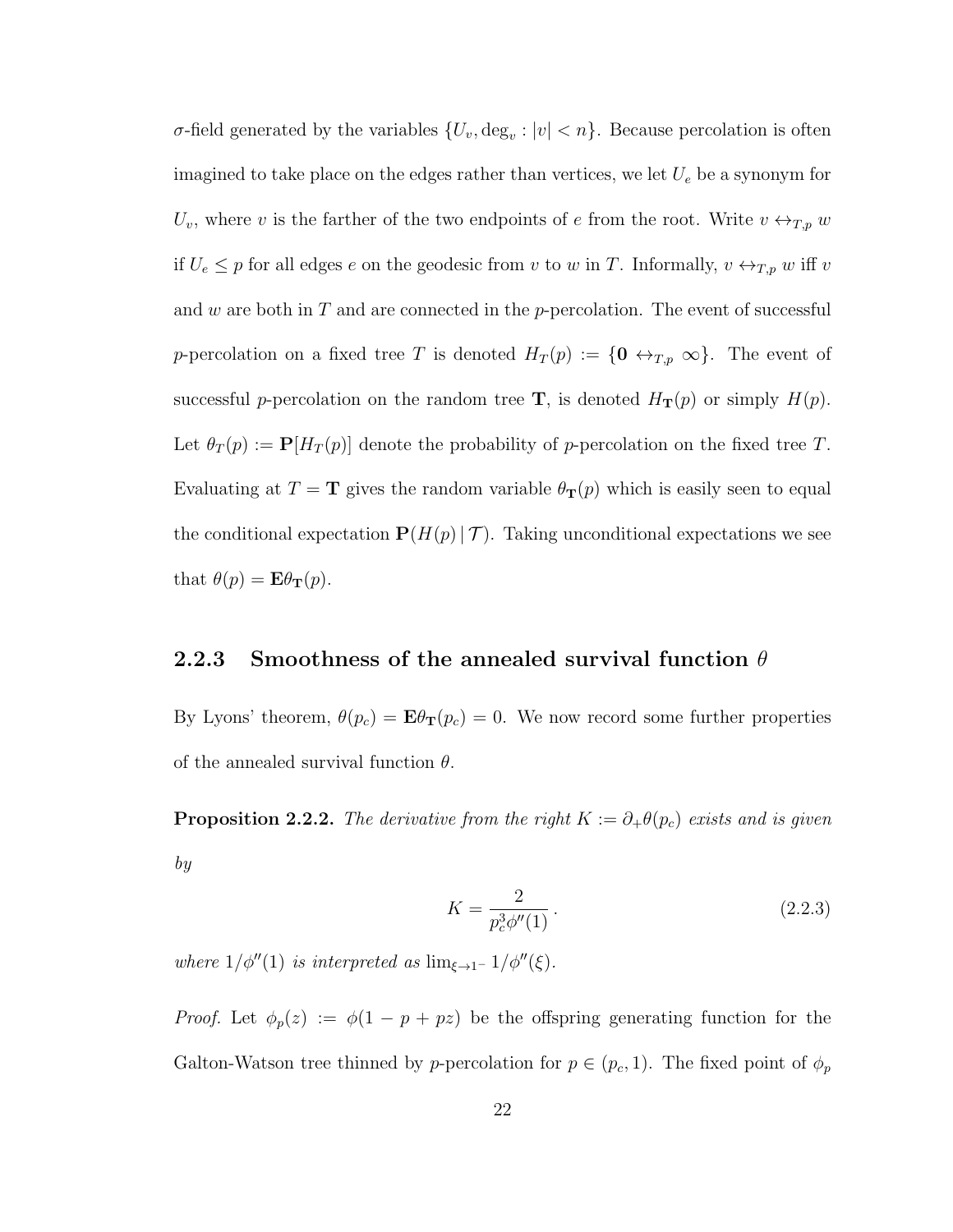σ-field generated by the variables  $\{U_v, \text{deg}_v : |v| < n\}$ . Because percolation is often imagined to take place on the edges rather than vertices, we let  $U_e$  be a synonym for  $U_v$ , where v is the farther of the two endpoints of e from the root. Write  $v \leftrightarrow_{T,p} w$ if  $U_e \leq p$  for all edges e on the geodesic from v to w in T. Informally,  $v \leftrightarrow_{T,p} w$  iff v and w are both in  $T$  and are connected in the p-percolation. The event of successful p-percolation on a fixed tree T is denoted  $H_T(p) := \{0 \leftrightarrow_{T,p} \infty\}$ . The event of successful p-percolation on the random tree **T**, is denoted  $H_T(p)$  or simply  $H(p)$ . Let  $\theta_T(p) := \mathbf{P}[H_T(p)]$  denote the probability of p-percolation on the fixed tree T. Evaluating at  $T = \mathbf{T}$  gives the random variable  $\theta_{\mathbf{T}}(p)$  which is easily seen to equal the conditional expectation  $\mathbf{P}(H(p) | T)$ . Taking unconditional expectations we see that  $\theta(p) = \mathbf{E}\theta_{\mathbf{T}}(p)$ .

## 2.2.3 Smoothness of the annealed survival function  $\theta$

By Lyons' theorem,  $\theta(p_c) = \mathbf{E}\theta_{\mathbf{T}}(p_c) = 0$ . We now record some further properties of the annealed survival function  $\theta$ .

**Proposition 2.2.2.** The derivative from the right  $K := \partial_{+} \theta(p_c)$  exists and is given by

$$
K = \frac{2}{p_c^3 \phi''(1)}.
$$
\n(2.2.3)

where  $1/\phi''(1)$  is interpreted as  $\lim_{\xi \to 1^-} 1/\phi''(\xi)$ .

*Proof.* Let  $\phi_p(z) := \phi(1 - p + pz)$  be the offspring generating function for the Galton-Watson tree thinned by p-percolation for  $p \in (p_c, 1)$ . The fixed point of  $\phi_p$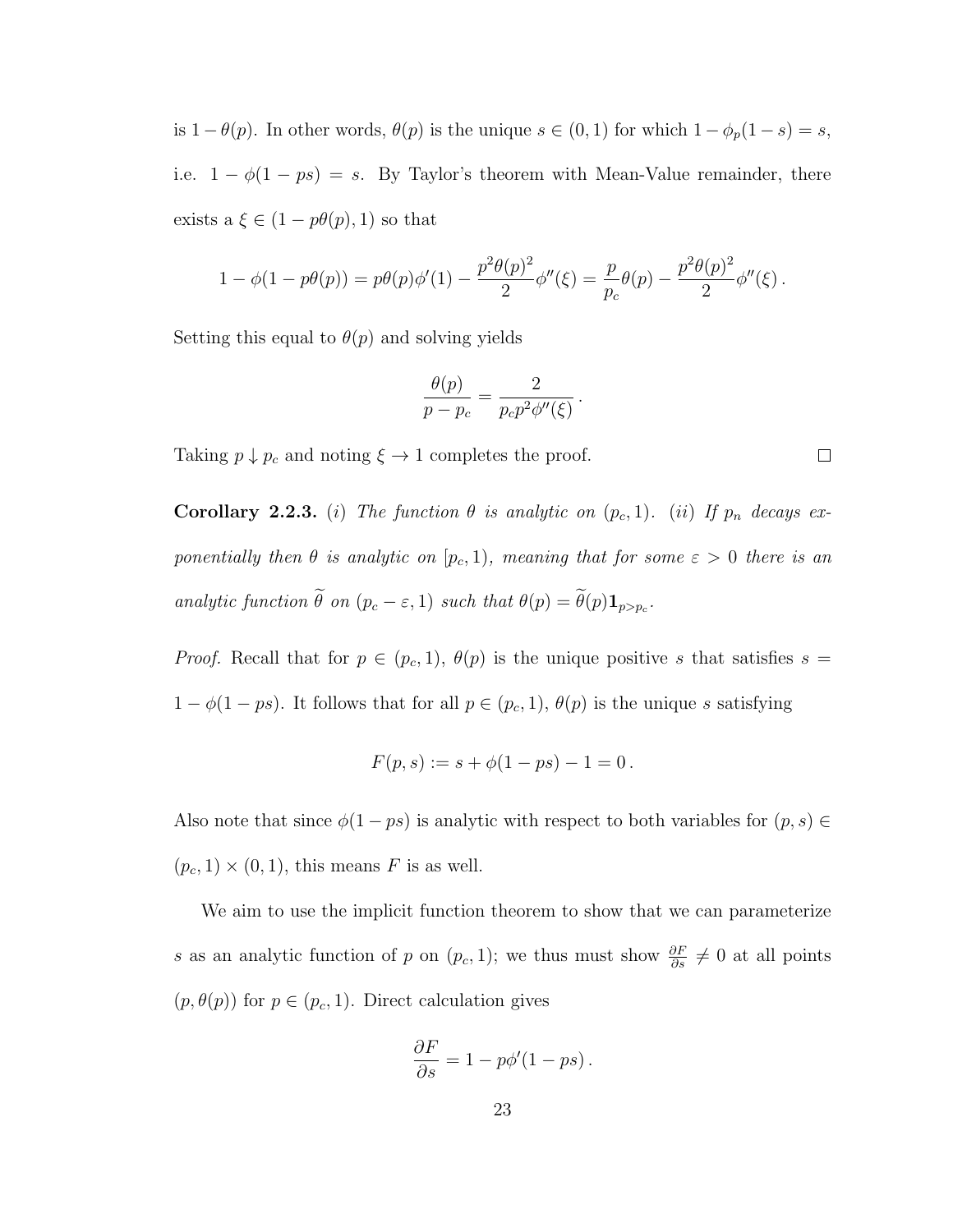is  $1 - \theta(p)$ . In other words,  $\theta(p)$  is the unique  $s \in (0, 1)$  for which  $1 - \phi_p(1 - s) = s$ , i.e.  $1 - \phi(1 - ps) = s$ . By Taylor's theorem with Mean-Value remainder, there exists a  $\xi \in (1 - p\theta(p), 1)$  so that

$$
1 - \phi(1 - p\theta(p)) = p\theta(p)\phi'(1) - \frac{p^2\theta(p)^2}{2}\phi''(\xi) = \frac{p}{p_c}\theta(p) - \frac{p^2\theta(p)^2}{2}\phi''(\xi).
$$

Setting this equal to  $\theta(p)$  and solving yields

$$
\frac{\theta(p)}{p-p_c} = \frac{2}{p_c p^2 \phi''(\xi)}.
$$

Taking  $p \downarrow p_c$  and noting  $\xi \rightarrow 1$  completes the proof.

**Corollary 2.2.3.** (i) The function  $\theta$  is analytic on  $(p_c, 1)$ . (ii) If  $p_n$  decays exponentially then  $\theta$  is analytic on  $[p_c, 1)$ , meaning that for some  $\varepsilon > 0$  there is an analytic function  $\theta$  on  $(p_c - \varepsilon, 1)$  such that  $\theta(p) = \theta(p) \mathbf{1}_{p > p_c}$ .

*Proof.* Recall that for  $p \in (p_c, 1)$ ,  $\theta(p)$  is the unique positive s that satisfies  $s =$  $1 - \phi(1 - ps)$ . It follows that for all  $p \in (p_c, 1), \theta(p)$  is the unique s satisfying

$$
F(p,s) := s + \phi(1 - ps) - 1 = 0.
$$

Also note that since  $\phi(1 - ps)$  is analytic with respect to both variables for  $(p, s) \in$  $(p_c, 1) \times (0, 1)$ , this means F is as well.

We aim to use the implicit function theorem to show that we can parameterize s as an analytic function of p on  $(p_c, 1)$ ; we thus must show  $\frac{\partial F}{\partial s} \neq 0$  at all points  $(p, \theta(p))$  for  $p \in (p_c, 1)$ . Direct calculation gives

$$
\frac{\partial F}{\partial s} = 1 - p\phi'(1 - ps).
$$

 $\Box$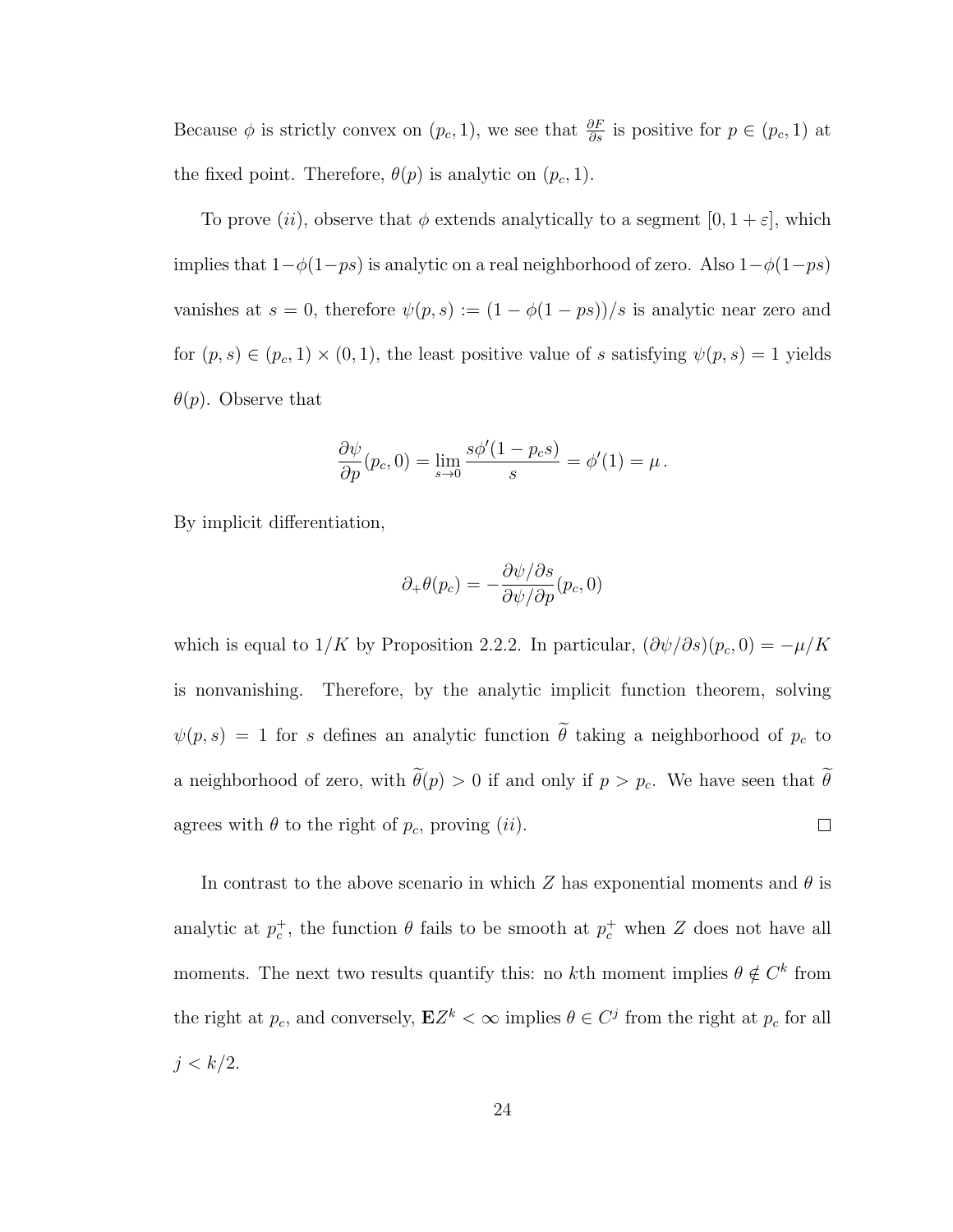Because  $\phi$  is strictly convex on  $(p_c, 1)$ , we see that  $\frac{\partial F}{\partial s}$  is positive for  $p \in (p_c, 1)$  at the fixed point. Therefore,  $\theta(p)$  is analytic on  $(p_c, 1)$ .

To prove (ii), observe that  $\phi$  extends analytically to a segment [0, 1 +  $\varepsilon$ ], which implies that  $1-\phi(1-ps)$  is analytic on a real neighborhood of zero. Also  $1-\phi(1-ps)$ vanishes at  $s = 0$ , therefore  $\psi(p, s) := (1 - \phi(1 - ps))/s$  is analytic near zero and for  $(p, s) \in (p_c, 1) \times (0, 1)$ , the least positive value of s satisfying  $\psi(p, s) = 1$  yields  $\theta(p)$ . Observe that

$$
\frac{\partial \psi}{\partial p}(p_c, 0) = \lim_{s \to 0} \frac{s\phi'(1 - p_c s)}{s} = \phi'(1) = \mu.
$$

By implicit differentiation,

$$
\partial_+\theta(p_c)=-\frac{\partial\psi/\partial s}{\partial\psi/\partial p}(p_c,0)
$$

which is equal to  $1/K$  by Proposition 2.2.2. In particular,  $(\partial \psi/\partial s)(p_c, 0) = -\mu/K$ is nonvanishing. Therefore, by the analytic implicit function theorem, solving  $\psi(p,s) = 1$  for s defines an analytic function  $\tilde{\theta}$  taking a neighborhood of  $p_c$  to a neighborhood of zero, with  $\tilde{\theta}(p) > 0$  if and only if  $p > p_c$ . We have seen that  $\tilde{\theta}$ agrees with  $\theta$  to the right of  $p_c$ , proving (ii).  $\Box$ 

In contrast to the above scenario in which Z has exponential moments and  $\theta$  is analytic at  $p_c^+$ , the function  $\theta$  fails to be smooth at  $p_c^+$  when Z does not have all moments. The next two results quantify this: no kth moment implies  $\theta \notin C^k$  from the right at  $p_c$ , and conversely,  $\mathbf{E}Z^k < \infty$  implies  $\theta \in C^j$  from the right at  $p_c$  for all  $j < k/2$ .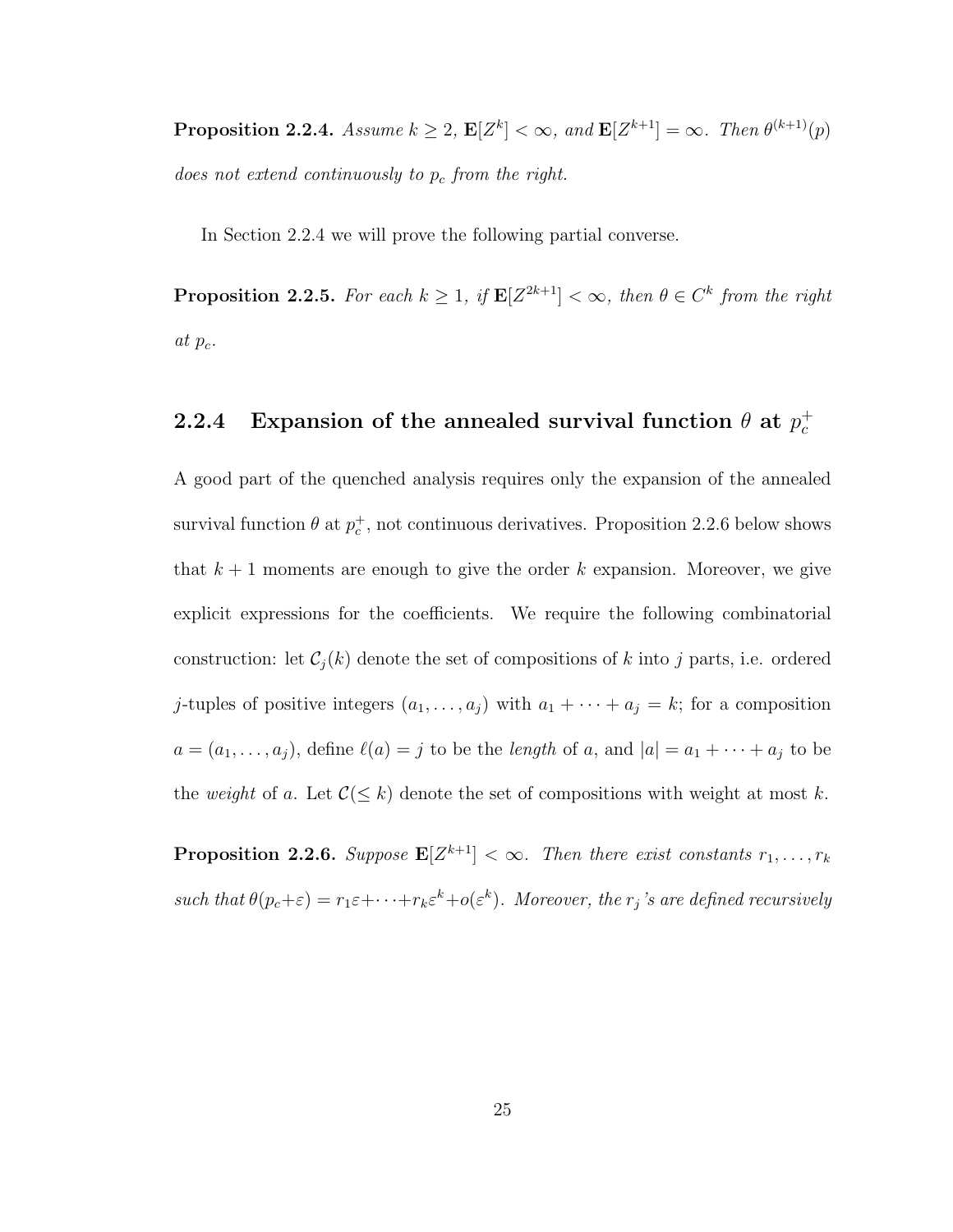**Proposition 2.2.4.** Assume  $k \geq 2$ ,  $\mathbf{E}[Z^k] < \infty$ , and  $\mathbf{E}[Z^{k+1}] = \infty$ . Then  $\theta^{(k+1)}(p)$ does not extend continuously to  $p_c$  from the right.

In Section 2.2.4 we will prove the following partial converse.

**Proposition 2.2.5.** For each  $k \geq 1$ , if  $\mathbf{E}[Z^{2k+1}] < \infty$ , then  $\theta \in C^k$  from the right at  $p_c$ .

#### 2.2.4 Expansion of the annealed survival function  $\theta$  at  $p_c^+$ c

A good part of the quenched analysis requires only the expansion of the annealed survival function  $\theta$  at  $p_c^+$ , not continuous derivatives. Proposition 2.2.6 below shows that  $k + 1$  moments are enough to give the order k expansion. Moreover, we give explicit expressions for the coefficients. We require the following combinatorial construction: let  $C_i(k)$  denote the set of compositions of k into j parts, i.e. ordered j-tuples of positive integers  $(a_1, \ldots, a_j)$  with  $a_1 + \cdots + a_j = k$ ; for a composition  $a = (a_1, \ldots, a_j)$ , define  $\ell(a) = j$  to be the length of a, and  $|a| = a_1 + \cdots + a_j$  to be the weight of a. Let  $\mathcal{C}(\leq k)$  denote the set of compositions with weight at most k.

**Proposition 2.2.6.** Suppose  $\mathbf{E}[Z^{k+1}] < \infty$ . Then there exist constants  $r_1, \ldots, r_k$ such that  $\theta(p_c+\varepsilon) = r_1\varepsilon + \cdots + r_k\varepsilon^k + o(\varepsilon^k)$ . Moreover, the  $r_j$ 's are defined recursively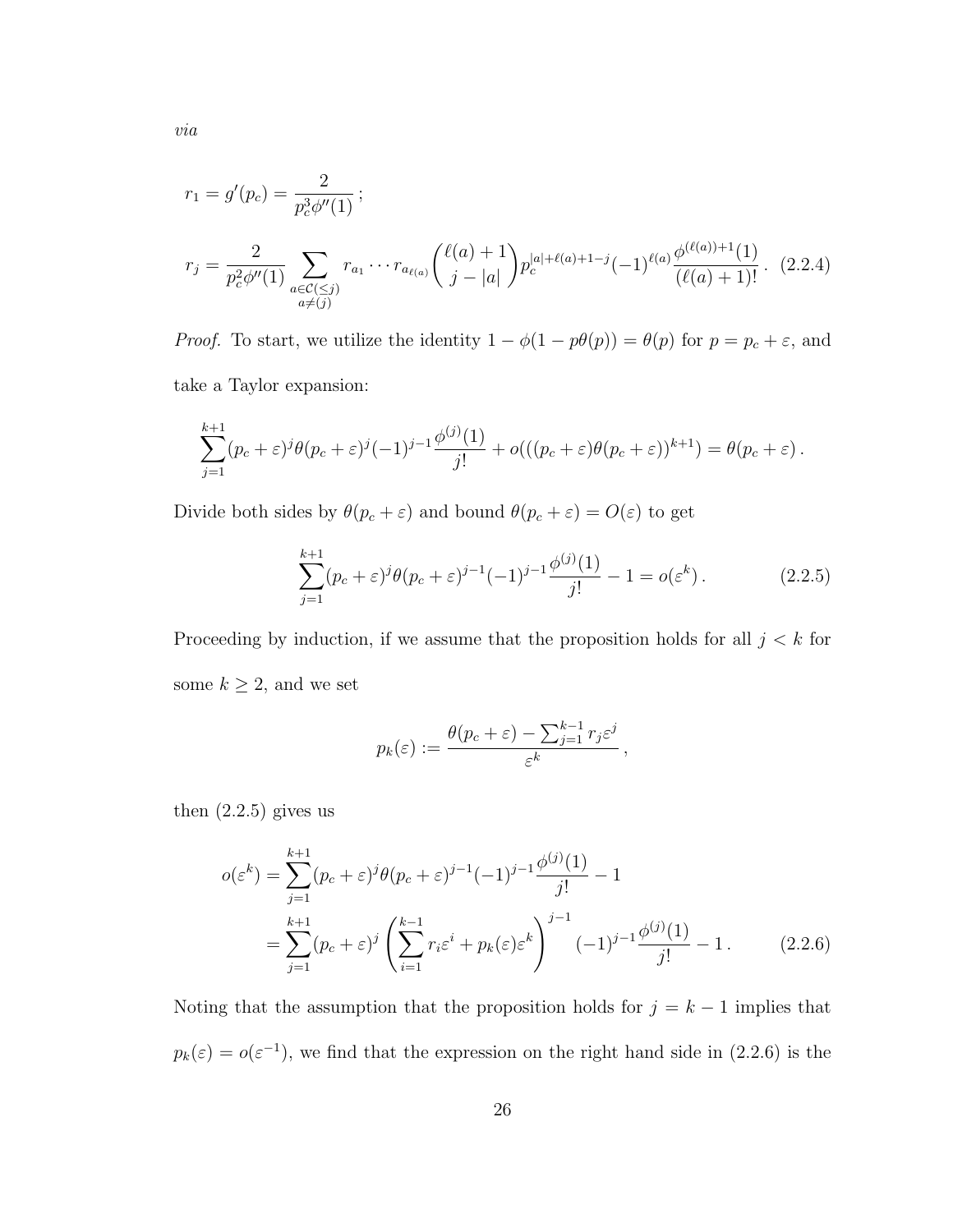$$
r_1 = g'(p_c) = \frac{2}{p_c^3 \phi''(1)};
$$
  
\n
$$
r_j = \frac{2}{p_c^2 \phi''(1)} \sum_{\substack{a \in \mathcal{C}(\leq j) \\ a \neq (j)}} r_{a_1} \cdots r_{a_{\ell(a)}} \binom{\ell(a) + 1}{j - |a|} p_c^{|a| + \ell(a) + 1 - j} (-1)^{\ell(a)} \frac{\phi^{(\ell(a)) + 1}(1)}{(\ell(a) + 1)!}.
$$
 (2.2.4)

*Proof.* To start, we utilize the identity  $1 - \phi(1 - p\theta(p)) = \theta(p)$  for  $p = p_c + \varepsilon$ , and take a Taylor expansion:

$$
\sum_{j=1}^{k+1} (p_c + \varepsilon)^j \theta(p_c + \varepsilon)^j (-1)^{j-1} \frac{\phi^{(j)}(1)}{j!} + o(((p_c + \varepsilon)\theta(p_c + \varepsilon))^{k+1}) = \theta(p_c + \varepsilon).
$$

Divide both sides by  $\theta(p_c + \varepsilon)$  and bound  $\theta(p_c + \varepsilon) = O(\varepsilon)$  to get

$$
\sum_{j=1}^{k+1} (p_c + \varepsilon)^j \theta(p_c + \varepsilon)^{j-1} (-1)^{j-1} \frac{\phi^{(j)}(1)}{j!} - 1 = o(\varepsilon^k).
$$
 (2.2.5)

Proceeding by induction, if we assume that the proposition holds for all  $j < k$  for some  $k\geq 2,$  and we set

$$
p_k(\varepsilon) := \frac{\theta(p_c + \varepsilon) - \sum_{j=1}^{k-1} r_j \varepsilon^j}{\varepsilon^k},
$$

then  $(2.2.5)$  gives us

$$
o(\varepsilon^k) = \sum_{j=1}^{k+1} (p_c + \varepsilon)^j \theta(p_c + \varepsilon)^{j-1} (-1)^{j-1} \frac{\phi^{(j)}(1)}{j!} - 1
$$
  
= 
$$
\sum_{j=1}^{k+1} (p_c + \varepsilon)^j \left( \sum_{i=1}^{k-1} r_i \varepsilon^i + p_k(\varepsilon) \varepsilon^k \right)^{j-1} (-1)^{j-1} \frac{\phi^{(j)}(1)}{j!} - 1.
$$
 (2.2.6)

Noting that the assumption that the proposition holds for  $j = k - 1$  implies that  $p_k(\varepsilon) = o(\varepsilon^{-1})$ , we find that the expression on the right hand side in (2.2.6) is the

via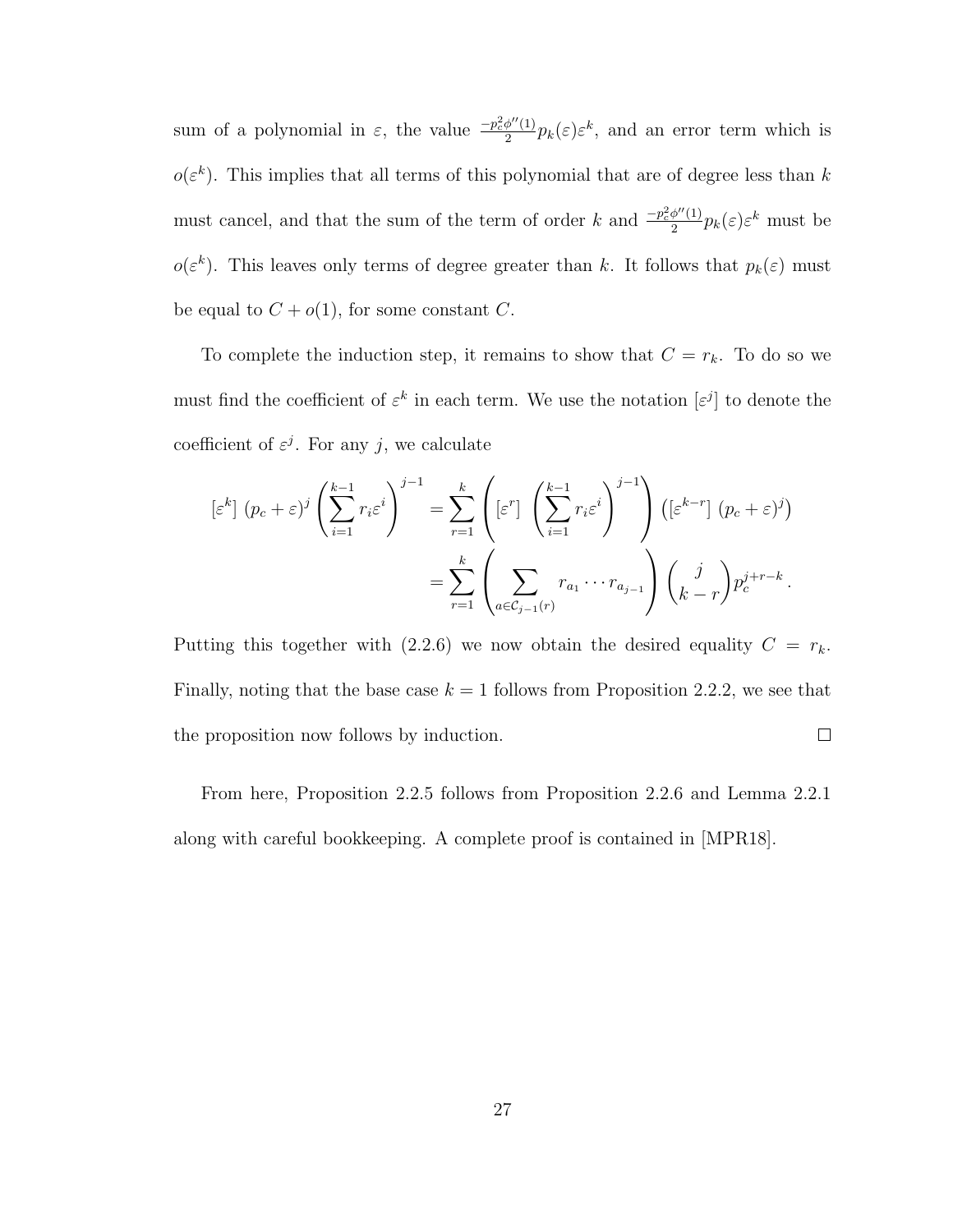sum of a polynomial in  $\varepsilon$ , the value  $\frac{-p_c^2\phi''(1)}{2}$  $\frac{\phi''(1)}{2}p_k(\varepsilon)\varepsilon^k$ , and an error term which is  $o(\varepsilon^k)$ . This implies that all terms of this polynomial that are of degree less than k must cancel, and that the sum of the term of order k and  $\frac{-p_c^2\phi''(1)}{2}$  $\frac{\phi''(1)}{2}p_k(\varepsilon)\varepsilon^k$  must be  $o(\varepsilon^k)$ . This leaves only terms of degree greater than k. It follows that  $p_k(\varepsilon)$  must be equal to  $C + o(1)$ , for some constant C.

To complete the induction step, it remains to show that  $C = r_k$ . To do so we must find the coefficient of  $\varepsilon^k$  in each term. We use the notation  $[\varepsilon^j]$  to denote the coefficient of  $\varepsilon^j$ . For any j, we calculate

$$
\begin{split} \left[\varepsilon^{k}\right](p_{c}+\varepsilon)^{j} \left(\sum_{i=1}^{k-1} r_{i}\varepsilon^{i}\right)^{j-1} &= \sum_{r=1}^{k} \left(\left[\varepsilon^{r}\right] \left(\sum_{i=1}^{k-1} r_{i}\varepsilon^{i}\right)^{j-1}\right) \left(\left[\varepsilon^{k-r}\right](p_{c}+\varepsilon)^{j}\right) \\ &= \sum_{r=1}^{k} \left(\sum_{a\in\mathcal{C}_{j-1}(r)} r_{a_{1}} \cdots r_{a_{j-1}}\right) \left(\sum_{k-r}^{j} p_{c}^{j+r-k}\right). \end{split}
$$

Putting this together with (2.2.6) we now obtain the desired equality  $C = r_k$ . Finally, noting that the base case  $k = 1$  follows from Proposition 2.2.2, we see that  $\Box$ the proposition now follows by induction.

From here, Proposition 2.2.5 follows from Proposition 2.2.6 and Lemma 2.2.1 along with careful bookkeeping. A complete proof is contained in [MPR18].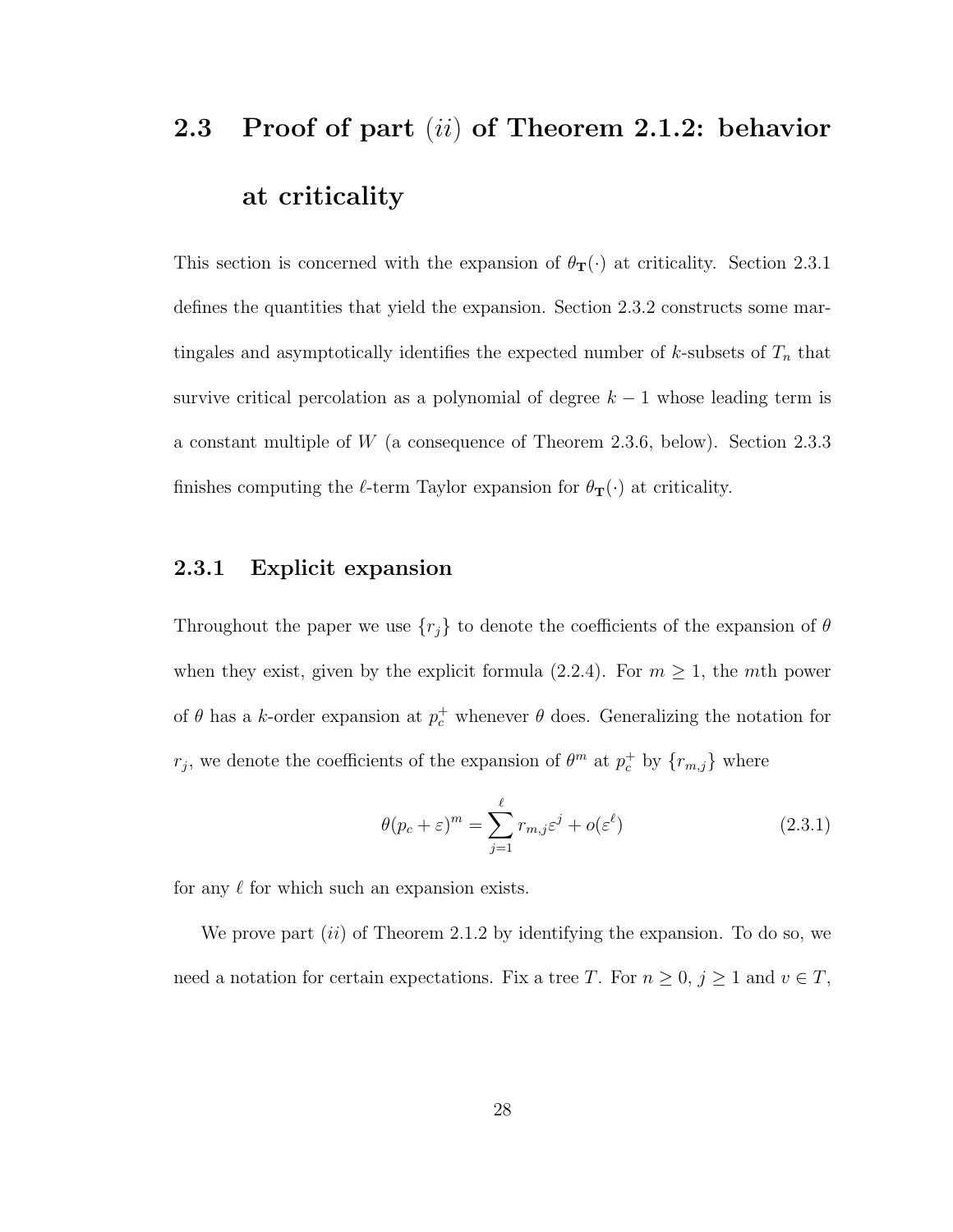# 2.3 Proof of part (ii) of Theorem 2.1.2: behavior at criticality

This section is concerned with the expansion of  $\theta_{\mathbf{T}}(\cdot)$  at criticality. Section 2.3.1 defines the quantities that yield the expansion. Section 2.3.2 constructs some martingales and asymptotically identifies the expected number of  $k$ -subsets of  $T_n$  that survive critical percolation as a polynomial of degree  $k - 1$  whose leading term is a constant multiple of W (a consequence of Theorem 2.3.6, below). Section 2.3.3 finishes computing the  $\ell$ -term Taylor expansion for  $\theta_{\mathbf{T}}(\cdot)$  at criticality.

## 2.3.1 Explicit expansion

Throughout the paper we use  $\{r_j\}$  to denote the coefficients of the expansion of  $\theta$ when they exist, given by the explicit formula (2.2.4). For  $m \ge 1$ , the mth power of  $\theta$  has a k-order expansion at  $p_c^+$  whenever  $\theta$  does. Generalizing the notation for  $r_j$ , we denote the coefficients of the expansion of  $\theta^m$  at  $p_c^+$  by  $\{r_{m,j}\}$  where

$$
\theta(p_c + \varepsilon)^m = \sum_{j=1}^{\ell} r_{m,j} \varepsilon^j + o(\varepsilon^{\ell})
$$
\n(2.3.1)

for any  $\ell$  for which such an expansion exists.

We prove part  $(ii)$  of Theorem 2.1.2 by identifying the expansion. To do so, we need a notation for certain expectations. Fix a tree T. For  $n \geq 0$ ,  $j \geq 1$  and  $v \in T$ ,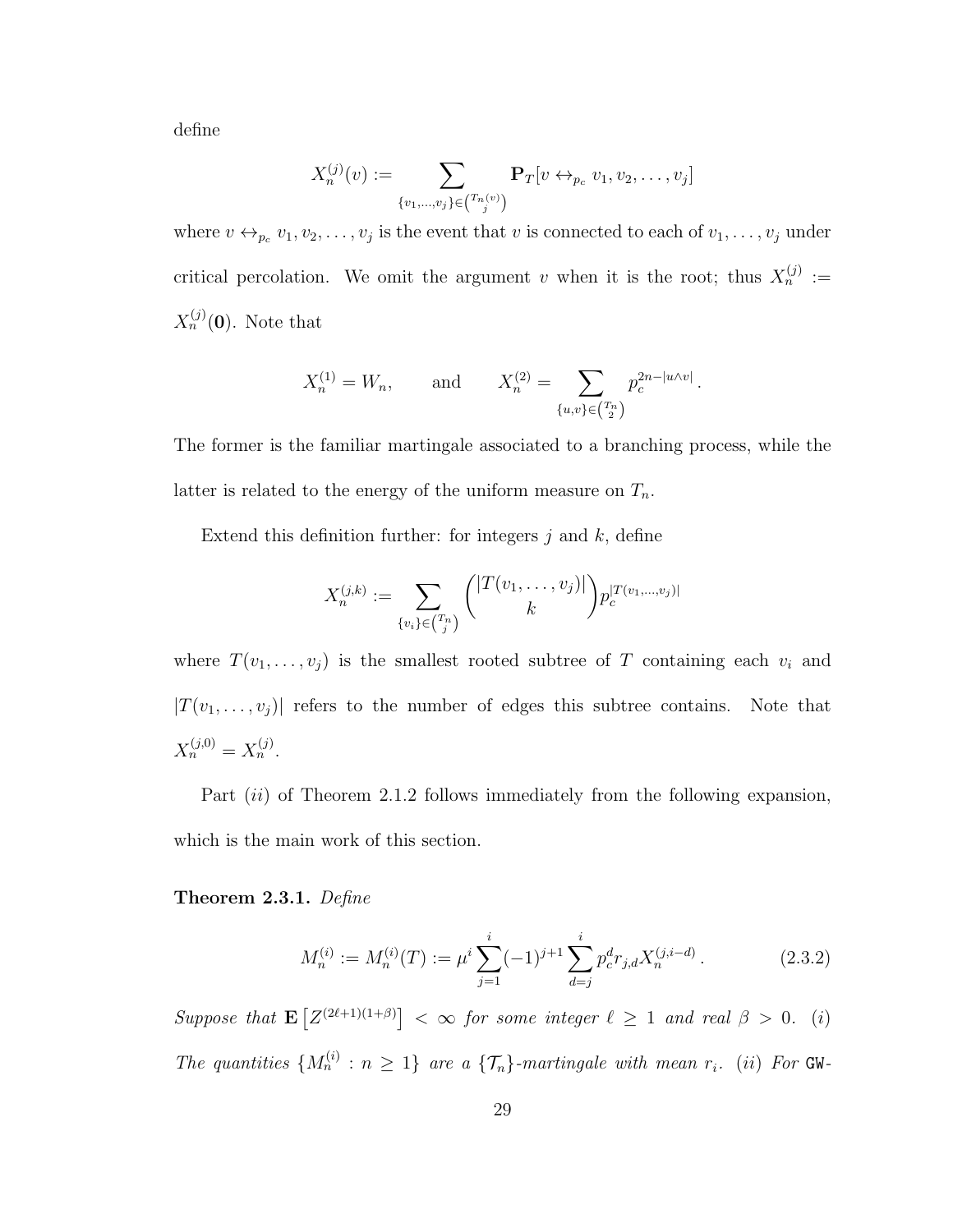define

$$
X_n^{(j)}(v) := \sum_{\{v_1,\dots,v_j\} \in {T_n(v) \choose j}} \mathbf{P}_T[v \leftrightarrow_{p_c} v_1,v_2,\dots,v_j]
$$

where  $v \leftrightarrow_{p_c} v_1, v_2, \ldots, v_j$  is the event that v is connected to each of  $v_1, \ldots, v_j$  under critical percolation. We omit the argument v when it is the root; thus  $X_n^{(j)} :=$  $X_n^{(j)}(0)$ . Note that

$$
X_n^{(1)} = W_n
$$
, and  $X_n^{(2)} = \sum_{\{u,v\} \in \binom{T_n}{2}} p_c^{2n - |u \wedge v|}$ .

The former is the familiar martingale associated to a branching process, while the latter is related to the energy of the uniform measure on  $T_n$ .

Extend this definition further: for integers  $j$  and  $k$ , define

$$
X_n^{(j,k)} := \sum_{\{v_i\} \in {T_n \choose j}} {\binom{|T(v_1,\ldots,v_j)|}{k}} p_c^{|T(v_1,\ldots,v_j)|}
$$

where  $T(v_1, \ldots, v_j)$  is the smallest rooted subtree of T containing each  $v_i$  and  $|T(v_1, \ldots, v_j)|$  refers to the number of edges this subtree contains. Note that  $X_n^{(j,0)} = X_n^{(j)}$ .

Part  $(ii)$  of Theorem 2.1.2 follows immediately from the following expansion, which is the main work of this section.

Theorem 2.3.1. Define

$$
M_n^{(i)} := M_n^{(i)}(T) := \mu^i \sum_{j=1}^i (-1)^{j+1} \sum_{d=j}^i p_c^d r_{j,d} X_n^{(j,i-d)}.
$$
 (2.3.2)

Suppose that  $\mathbf{E}\left[Z^{(2\ell+1)(1+\beta)}\right] < \infty$  for some integer  $\ell \geq 1$  and real  $\beta > 0$ . (i) The quantities  $\{M_n^{(i)} : n \geq 1\}$  are a  $\{\mathcal{T}_n\}$ -martingale with mean  $r_i$ . (ii) For GW-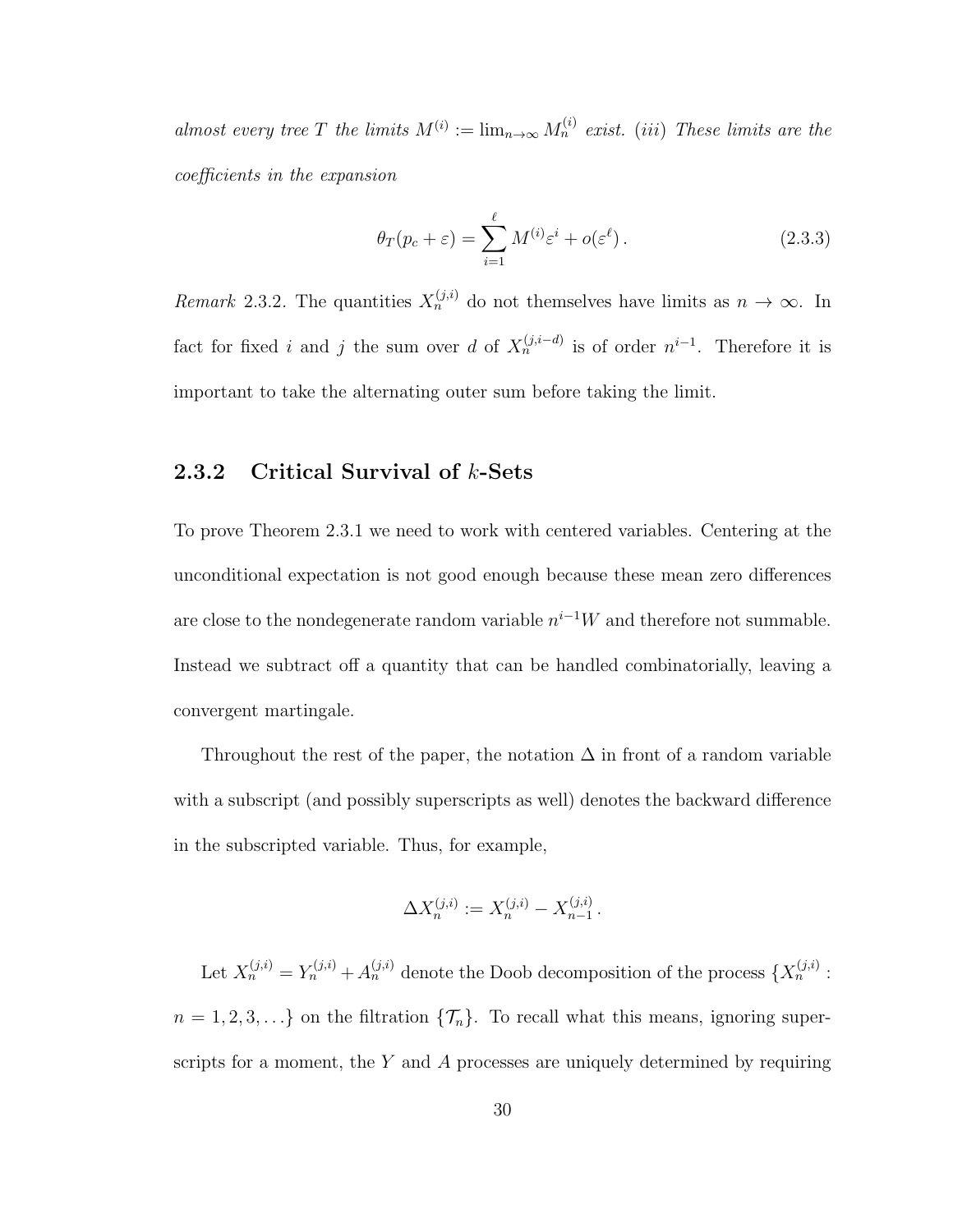almost every tree T the limits  $M^{(i)} := \lim_{n \to \infty} M_n^{(i)}$  exist. (iii) These limits are the coefficients in the expansion

$$
\theta_T(p_c + \varepsilon) = \sum_{i=1}^{\ell} M^{(i)} \varepsilon^i + o(\varepsilon^{\ell}). \tag{2.3.3}
$$

Remark 2.3.2. The quantities  $X_n^{(j,i)}$  do not themselves have limits as  $n \to \infty$ . In fact for fixed i and j the sum over d of  $X_n^{(j,i-d)}$  is of order  $n^{i-1}$ . Therefore it is important to take the alternating outer sum before taking the limit.

## 2.3.2 Critical Survival of k-Sets

To prove Theorem 2.3.1 we need to work with centered variables. Centering at the unconditional expectation is not good enough because these mean zero differences are close to the nondegenerate random variable  $n^{i-1}W$  and therefore not summable. Instead we subtract off a quantity that can be handled combinatorially, leaving a convergent martingale.

Throughout the rest of the paper, the notation  $\Delta$  in front of a random variable with a subscript (and possibly superscripts as well) denotes the backward difference in the subscripted variable. Thus, for example,

$$
\Delta X_n^{(j,i)} := X_n^{(j,i)} - X_{n-1}^{(j,i)}.
$$

Let  $X_n^{(j,i)} = Y_n^{(j,i)} + A_n^{(j,i)}$  denote the Doob decomposition of the process  $\{X_n^{(j,i)}\}$ :  $n = 1, 2, 3, \ldots$  on the filtration  $\{\mathcal{T}_n\}$ . To recall what this means, ignoring superscripts for a moment, the  $Y$  and  $A$  processes are uniquely determined by requiring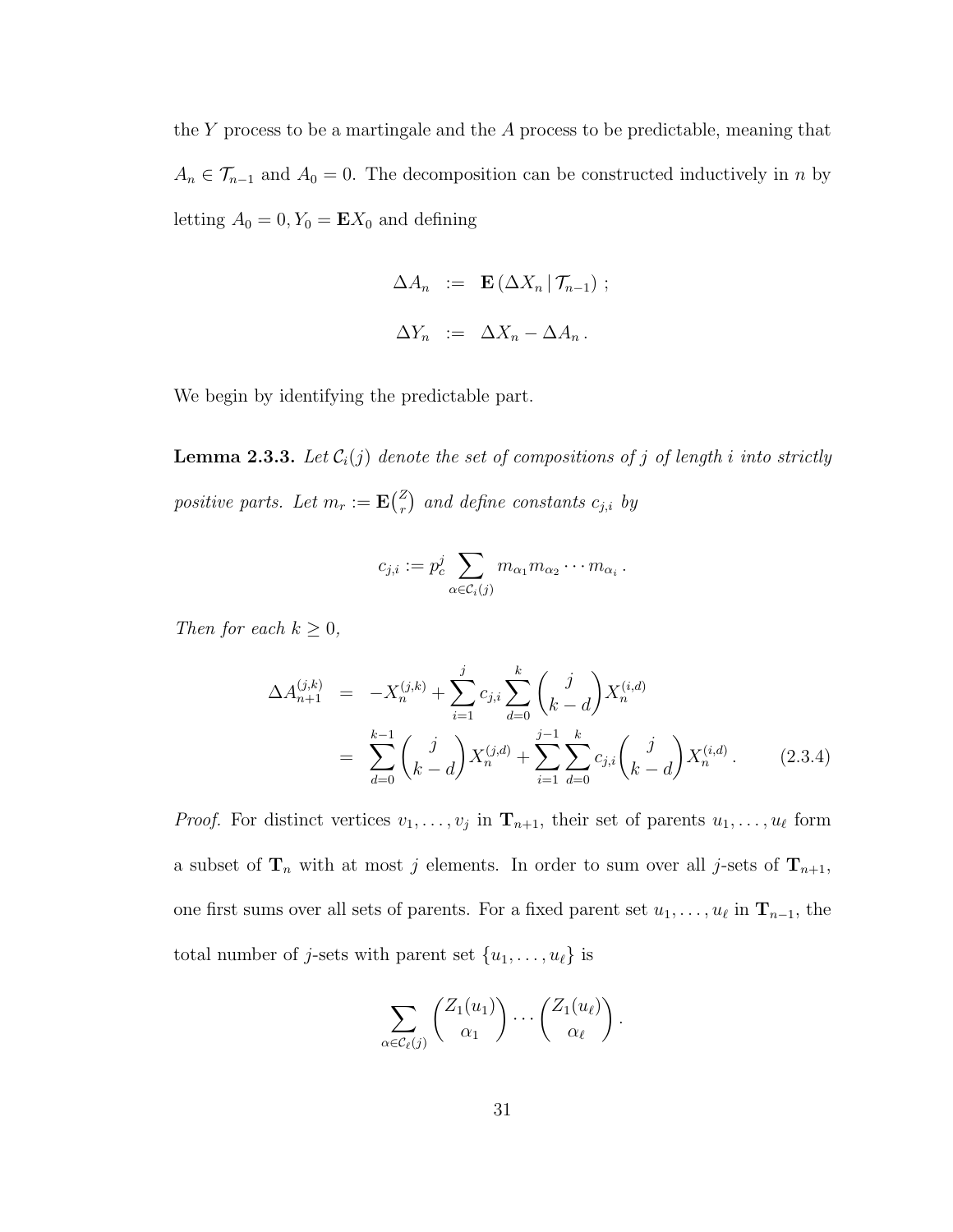the Y process to be a martingale and the  $A$  process to be predictable, meaning that  $A_n \in \mathcal{T}_{n-1}$  and  $A_0 = 0$ . The decomposition can be constructed inductively in n by letting  $A_0 = 0, Y_0 = \mathbf{E} X_0$  and defining

$$
\Delta A_n := \mathbf{E} \left( \Delta X_n \, | \, \mathcal{T}_{n-1} \right) ;
$$
  

$$
\Delta Y_n := \Delta X_n - \Delta A_n .
$$

We begin by identifying the predictable part.

**Lemma 2.3.3.** Let  $C_i(j)$  denote the set of compositions of j of length i into strictly positive parts. Let  $m_r := \mathbf{E} \begin{pmatrix} Z \\ r \end{pmatrix}$  $\binom{Z}{r}$  and define constants  $c_{j,i}$  by

$$
c_{j,i} := p_c^j \sum_{\alpha \in \mathcal{C}_i(j)} m_{\alpha_1} m_{\alpha_2} \cdots m_{\alpha_i}.
$$

Then for each  $k \geq 0$ ,

$$
\Delta A_{n+1}^{(j,k)} = -X_n^{(j,k)} + \sum_{i=1}^j c_{j,i} \sum_{d=0}^k {j \choose k-d} X_n^{(i,d)}
$$
  
= 
$$
\sum_{d=0}^{k-1} {j \choose k-d} X_n^{(j,d)} + \sum_{i=1}^{j-1} \sum_{d=0}^k c_{j,i} {j \choose k-d} X_n^{(i,d)}.
$$
 (2.3.4)

*Proof.* For distinct vertices  $v_1, \ldots, v_j$  in  $\mathbf{T}_{n+1}$ , their set of parents  $u_1, \ldots, u_\ell$  form a subset of  $\mathbf{T}_n$  with at most j elements. In order to sum over all j-sets of  $\mathbf{T}_{n+1}$ , one first sums over all sets of parents. For a fixed parent set  $u_1, \ldots, u_\ell$  in  $\mathbf{T}_{n-1}$ , the total number of *j*-sets with parent set  $\{u_1, \ldots, u_\ell\}$  is

$$
\sum_{\alpha \in \mathcal{C}_{\ell}(j)} \binom{Z_1(u_1)}{\alpha_1} \cdots \binom{Z_1(u_{\ell})}{\alpha_{\ell}}.
$$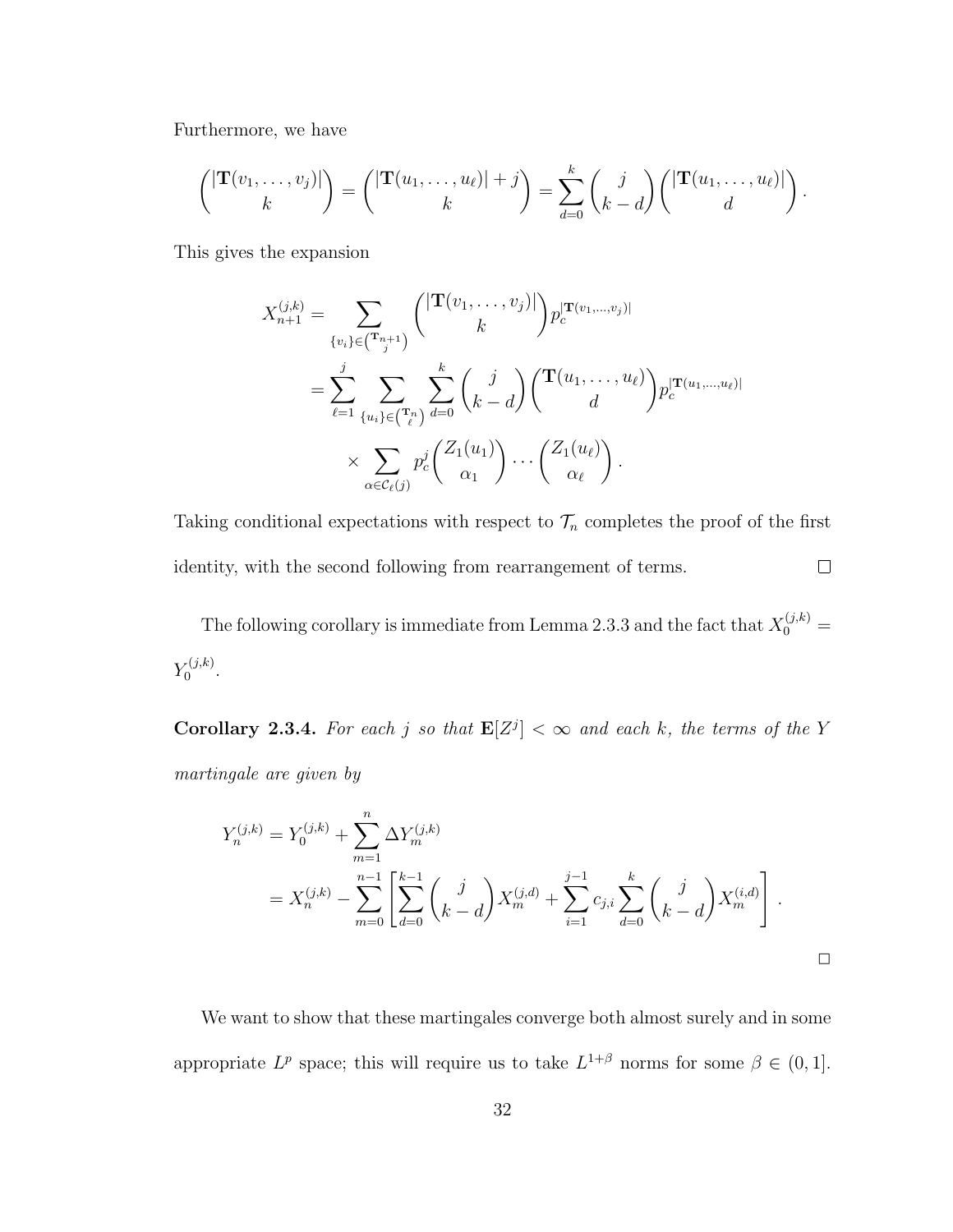Furthermore, we have

$$
\binom{|\mathbf{T}(v_1,\ldots,v_j)|}{k}=\binom{|\mathbf{T}(u_1,\ldots,u_\ell)|+j}{k}=\sum_{d=0}^k\binom{j}{k-d}\binom{|\mathbf{T}(u_1,\ldots,u_\ell)|}{d}.
$$

This gives the expansion

$$
X_{n+1}^{(j,k)} = \sum_{\{v_i\} \in (\mathbf{T}_{j+1}^{n+1})} \binom{|\mathbf{T}(v_1, \dots, v_j)|}{k} p_c^{|\mathbf{T}(v_1, \dots, v_j)|}
$$
  
= 
$$
\sum_{\ell=1}^j \sum_{\{u_i\} \in (\mathbf{T}_{\ell}^{n})} \sum_{d=0}^k \binom{j}{k-d} \binom{\mathbf{T}(u_1, \dots, u_{\ell})}{d} p_c^{|\mathbf{T}(u_1, \dots, u_{\ell})|}
$$
  

$$
\times \sum_{\alpha \in C_{\ell}(j)} p_c^{j} \binom{Z_1(u_1)}{\alpha_1} \cdots \binom{Z_1(u_{\ell})}{\alpha_{\ell}}.
$$

Taking conditional expectations with respect to  $\mathcal{T}_n$  completes the proof of the first  $\Box$ identity, with the second following from rearrangement of terms.

The following corollary is immediate from Lemma 2.3.3 and the fact that  $X_0^{(j,k)}$  =  $Y_0^{(j,k)}$  $\stackrel{r(j,k)}{0}$ .

**Corollary 2.3.4.** For each j so that  $\mathbf{E}[Z^j] < \infty$  and each k, the terms of the Y martingale are given by

$$
Y_n^{(j,k)} = Y_0^{(j,k)} + \sum_{m=1}^n \Delta Y_m^{(j,k)}
$$
  
=  $X_n^{(j,k)} - \sum_{m=0}^{n-1} \left[ \sum_{d=0}^{k-1} {j \choose k-d} X_m^{(j,d)} + \sum_{i=1}^{j-1} c_{j,i} \sum_{d=0}^k {j \choose k-d} X_m^{(i,d)} \right].$ 

We want to show that these martingales converge both almost surely and in some appropriate  $L^p$  space; this will require us to take  $L^{1+\beta}$  norms for some  $\beta \in (0,1]$ .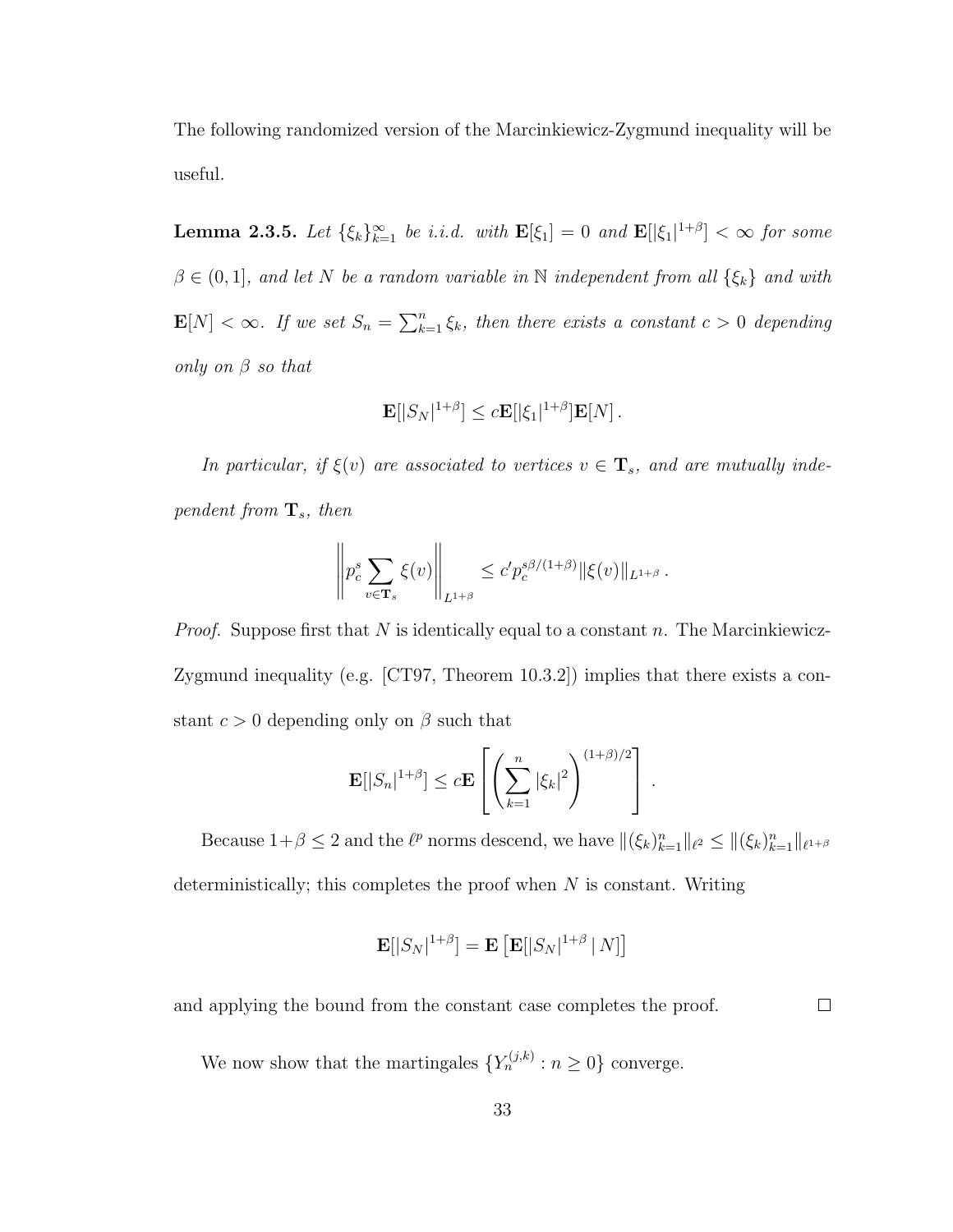The following randomized version of the Marcinkiewicz-Zygmund inequality will be useful.

**Lemma 2.3.5.** Let  $\{\xi_k\}_{k=1}^{\infty}$  be i.i.d. with  $\mathbf{E}[\xi_1] = 0$  and  $\mathbf{E}[|\xi_1|^{1+\beta}] < \infty$  for some  $\beta \in (0,1]$ , and let N be a random variable in N independent from all  $\{\xi_k\}$  and with  $\mathbf{E}[N] < \infty$ . If we set  $S_n = \sum_{k=1}^n \xi_k$ , then there exists a constant  $c > 0$  depending only on  $\beta$  so that

$$
\mathbf{E}[|S_N|^{1+\beta}] \le c \mathbf{E}[|\xi_1|^{1+\beta}] \mathbf{E}[N].
$$

In particular, if  $\xi(v)$  are associated to vertices  $v \in \mathbf{T}_s$ , and are mutually independent from  $\mathbf{T}_s$ , then

$$
\left\| p_c^s \sum_{v \in \mathbf{T}_s} \xi(v) \right\|_{L^{1+\beta}} \leq c' p_c^{s\beta/(1+\beta)} \|\xi(v)\|_{L^{1+\beta}}.
$$

*Proof.* Suppose first that N is identically equal to a constant n. The Marcinkiewicz-Zygmund inequality (e.g. [CT97, Theorem 10.3.2]) implies that there exists a constant  $c > 0$  depending only on  $\beta$  such that

$$
\mathbf{E}[|S_n|^{1+\beta}] \le c \mathbf{E}\left[\left(\sum_{k=1}^n |\xi_k|^2\right)^{(1+\beta)/2}\right].
$$

Because  $1+\beta \leq 2$  and the  $\ell^p$  norms descend, we have  $\|(\xi_k)_{k=1}^n\|_{\ell^2} \leq \|(\xi_k)_{k=1}^n\|_{\ell^{1+\beta}}$ deterministically; this completes the proof when  $N$  is constant. Writing

$$
\mathbf{E}[|S_N|^{1+\beta}] = \mathbf{E}\left[\mathbf{E}[|S_N|^{1+\beta} | N]\right]
$$

and applying the bound from the constant case completes the proof.

 $\Box$ 

We now show that the martingales  $\{Y_n^{(j,k)} : n \geq 0\}$  converge.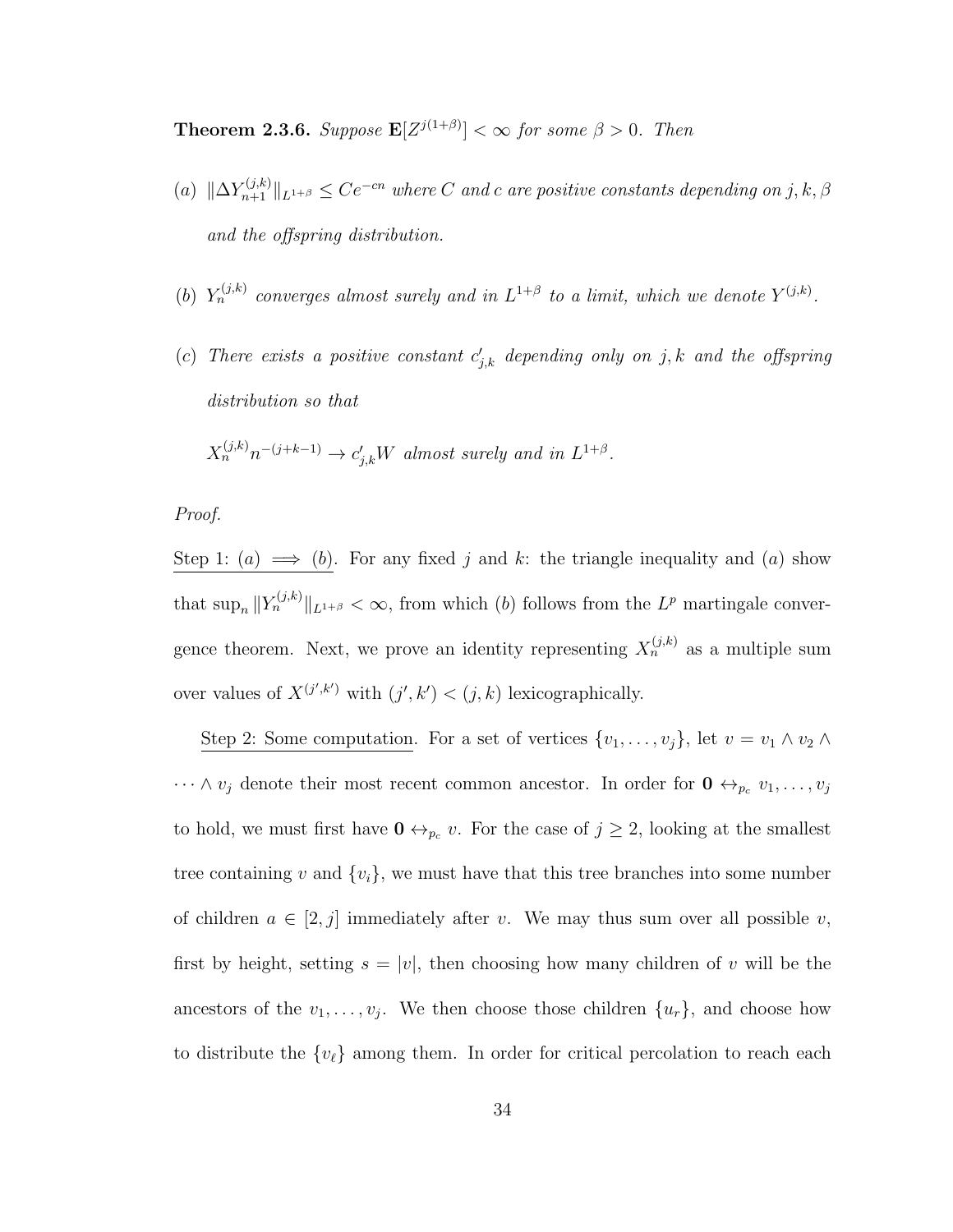**Theorem 2.3.6.** Suppose  $\mathbf{E}[Z^{j(1+\beta)}] < \infty$  for some  $\beta > 0$ . Then

- (a)  $\|\Delta Y^{(j,k)}_{n+1}\|_{L^{1+\beta}} \leq Ce^{-cn}$  where C and c are positive constants depending on j, k,  $\beta$ and the offspring distribution.
- (b)  $Y_n^{(j,k)}$  converges almost surely and in  $L^{1+\beta}$  to a limit, which we denote  $Y^{(j,k)}$ .
- (c) There exists a positive constant  $c'_{j,k}$  depending only on j, k and the offspring distribution so that

$$
X_n^{(j,k)}n^{-(j+k-1)} \to c'_{j,k}W \text{ almost surely and in } L^{1+\beta}.
$$

Proof.

Step 1: (a)  $\implies$  (b). For any fixed j and k: the triangle inequality and (a) show that  $\sup_n ||Y_n^{(j,k)}||_{L^{1+\beta}} < \infty$ , from which (b) follows from the  $L^p$  martingale convergence theorem. Next, we prove an identity representing  $X_n^{(j,k)}$  as a multiple sum over values of  $X^{(j',k')}$  with  $(j',k') < (j,k)$  lexicographically.

Step 2: Some computation. For a set of vertices  $\{v_1, \ldots, v_j\}$ , let  $v = v_1 \wedge v_2 \wedge v_1$  $\cdots \wedge v_j$  denote their most recent common ancestor. In order for  $\mathbf{0} \leftrightarrow_{p_c} v_1, \ldots, v_j$ to hold, we must first have  $\mathbf{0} \leftrightarrow_{p_c} v$ . For the case of  $j \geq 2$ , looking at the smallest tree containing v and  $\{v_i\}$ , we must have that this tree branches into some number of children  $a \in [2, j]$  immediately after v. We may thus sum over all possible v, first by height, setting  $s = |v|$ , then choosing how many children of v will be the ancestors of the  $v_1, \ldots, v_j$ . We then choose those children  $\{u_r\}$ , and choose how to distribute the  $\{v_{\ell}\}\$ among them. In order for critical percolation to reach each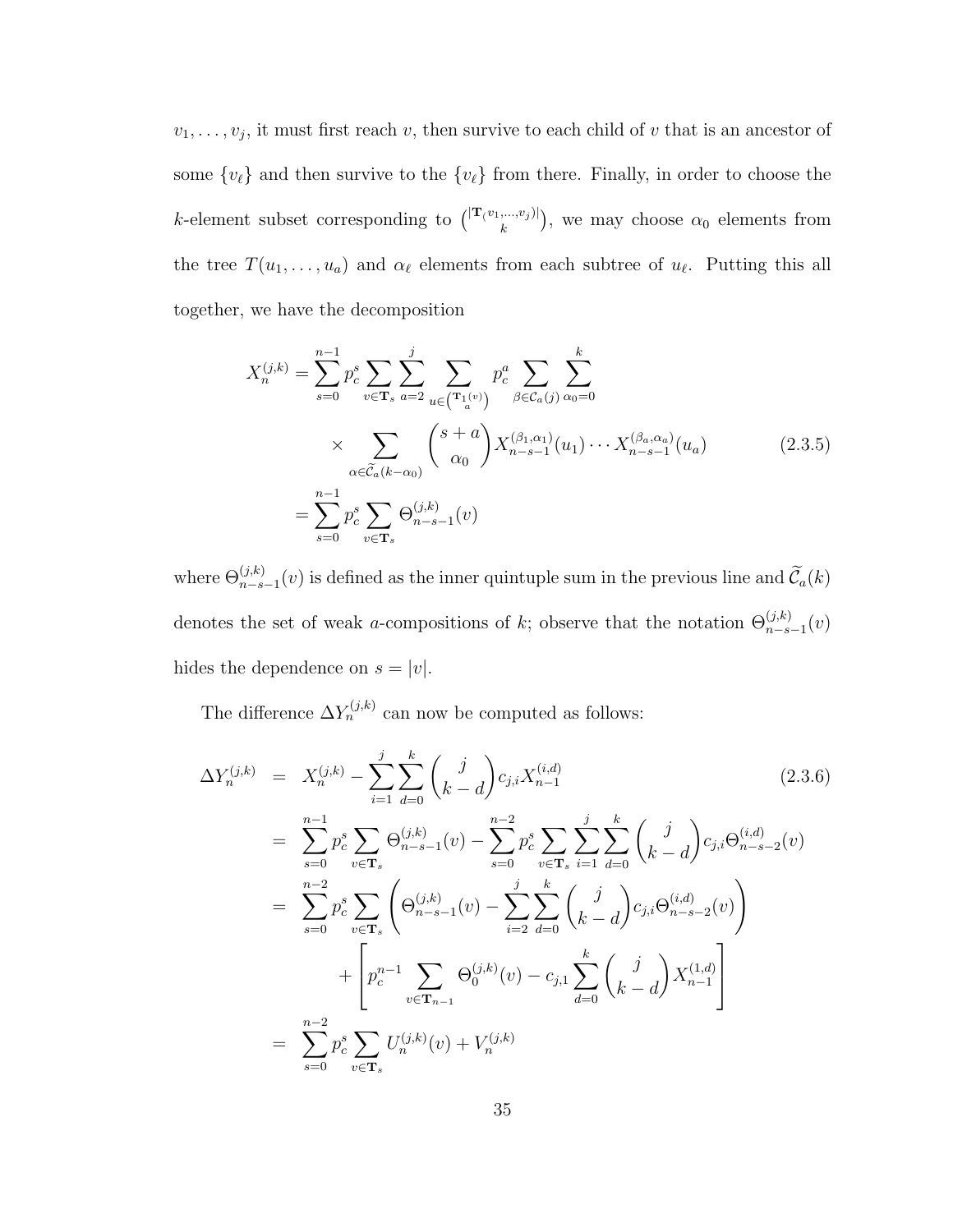$v_1, \ldots, v_j$ , it must first reach v, then survive to each child of v that is an ancestor of some  ${v_{\ell}}$  and then survive to the  ${v_{\ell}}$  from there. Finally, in order to choose the k-element subset corresponding to  $\binom{|\mathbf{T}(v_1,...,v_j)|}{k}$ , we may choose  $\alpha_0$  elements from the tree  $T(u_1, \ldots, u_a)$  and  $\alpha_\ell$  elements from each subtree of  $u_\ell$ . Putting this all together, we have the decomposition

$$
X_n^{(j,k)} = \sum_{s=0}^{n-1} p_s^s \sum_{v \in \mathbf{T}_s} \sum_{a=2}^j \sum_{u \in (\mathbf{T}_1^{(v)})} p_c^a \sum_{\beta \in \mathcal{C}_a(j)} \sum_{\alpha_0=0}^k
$$
  
 
$$
\times \sum_{\alpha \in \tilde{\mathcal{C}}_a(k-\alpha_0)} {s+a \choose \alpha_0} X_{n-s-1}^{(\beta_1,\alpha_1)}(u_1) \cdots X_{n-s-1}^{(\beta_a,\alpha_a)}(u_a)
$$
(2.3.5)  

$$
= \sum_{s=0}^{n-1} p_c^s \sum_{v \in \mathbf{T}_s} \Theta_{n-s-1}^{(j,k)}(v)
$$

where  $\Theta_{n-s-1}^{(j,k)}(v)$  is defined as the inner quintuple sum in the previous line and  $\tilde{\mathcal{C}}_a(k)$ denotes the set of weak a-compositions of k; observe that the notation  $\Theta_{n-s-1}^{(j,k)}(v)$ hides the dependence on  $s = |v|$ .

The difference  $\Delta Y_n^{(j,k)}$  can now be computed as follows:

$$
\Delta Y_n^{(j,k)} = X_n^{(j,k)} - \sum_{i=1}^j \sum_{d=0}^k {j \choose k-d} c_{j,i} X_{n-1}^{(i,d)}
$$
(2.3.6)  
\n
$$
= \sum_{s=0}^{n-1} p_c^s \sum_{v \in \mathbf{T}_s} \Theta_{n-s-1}^{(j,k)}(v) - \sum_{s=0}^{n-2} p_c^s \sum_{v \in \mathbf{T}_s} \sum_{i=1}^j \sum_{d=0}^k {j \choose k-d} c_{j,i} \Theta_{n-s-2}^{(i,d)}(v)
$$
  
\n
$$
= \sum_{s=0}^{n-2} p_c^s \sum_{v \in \mathbf{T}_s} \left( \Theta_{n-s-1}^{(j,k)}(v) - \sum_{i=2}^j \sum_{d=0}^k {j \choose k-d} c_{j,i} \Theta_{n-s-2}^{(i,d)}(v) \right)
$$
  
\n
$$
+ \left[ p_c^{n-1} \sum_{v \in \mathbf{T}_{n-1}} \Theta_0^{(j,k)}(v) - c_{j,1} \sum_{d=0}^k {j \choose k-d} X_{n-1}^{(1,d)} \right]
$$
  
\n
$$
= \sum_{s=0}^{n-2} p_c^s \sum_{v \in \mathbf{T}_s} U_n^{(j,k)}(v) + V_n^{(j,k)}
$$
(2.3.6)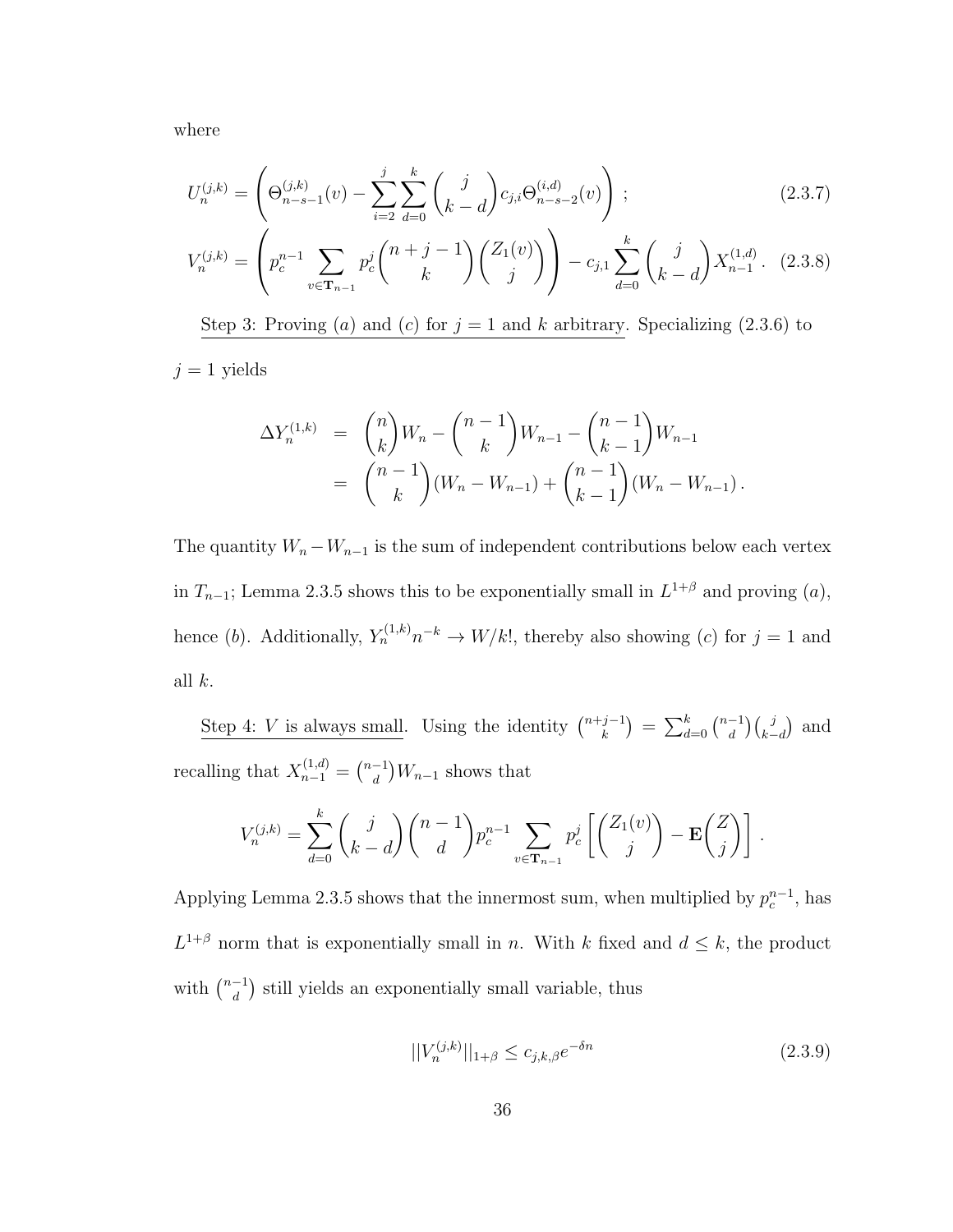where

$$
U_n^{(j,k)} = \left(\Theta_{n-s-1}^{(j,k)}(v) - \sum_{i=2}^j \sum_{d=0}^k \binom{j}{k-d} c_{j,i} \Theta_{n-s-2}^{(i,d)}(v)\right);
$$
\n(2.3.7)

$$
V_n^{(j,k)} = \left(p_c^{n-1} \sum_{v \in \mathbf{T}_{n-1}} p_c^j \binom{n+j-1}{k} \binom{Z_1(v)}{j} - c_{j,1} \sum_{d=0}^k \binom{j}{k-d} X_{n-1}^{(1,d)}.\tag{2.3.8}
$$

Step 3: Proving (a) and (c) for  $j = 1$  and k arbitrary. Specializing (2.3.6) to

 $j = 1$  yields

$$
\Delta Y_n^{(1,k)} = {n \choose k} W_n - {n-1 \choose k} W_{n-1} - {n-1 \choose k-1} W_{n-1}
$$
  
= 
$$
{n-1 \choose k} (W_n - W_{n-1}) + {n-1 \choose k-1} (W_n - W_{n-1}).
$$

The quantity  $W_n - W_{n-1}$  is the sum of independent contributions below each vertex in  $T_{n-1}$ ; Lemma 2.3.5 shows this to be exponentially small in  $L^{1+\beta}$  and proving  $(a)$ , hence (b). Additionally,  $Y_n^{(1,k)}n^{-k} \to W/k!$ , thereby also showing (c) for  $j = 1$  and all  $k$ .

Step 4: V is always small. Using the identity  $\binom{n+j-1}{k}$  $\binom{m-1}{k} = \sum_{d=0}^{k} \binom{n-1}{d}$  $\binom{-1}{d}\binom{j}{k-d}$  and recalling that  $X_{n-1}^{(1,d)} = \binom{n-1}{d}$  $\binom{-1}{d}W_{n-1}$  shows that

$$
V_n^{(j,k)} = \sum_{d=0}^k {j \choose k-d} {n-1 \choose d} p_c^{n-1} \sum_{v \in \mathbf{T}_{n-1}} p_c^j \left[ {Z_1(v) \choose j} - \mathbf{E} {Z \choose j} \right].
$$

Applying Lemma 2.3.5 shows that the innermost sum, when multiplied by  $p_c^{n-1}$ , has  $L^{1+\beta}$  norm that is exponentially small in n. With k fixed and  $d \leq k$ , the product with  $\binom{n-1}{d}$  $\binom{-1}{d}$  still yields an exponentially small variable, thus

$$
||V_n^{(j,k)}||_{1+\beta} \le c_{j,k,\beta} e^{-\delta n} \tag{2.3.9}
$$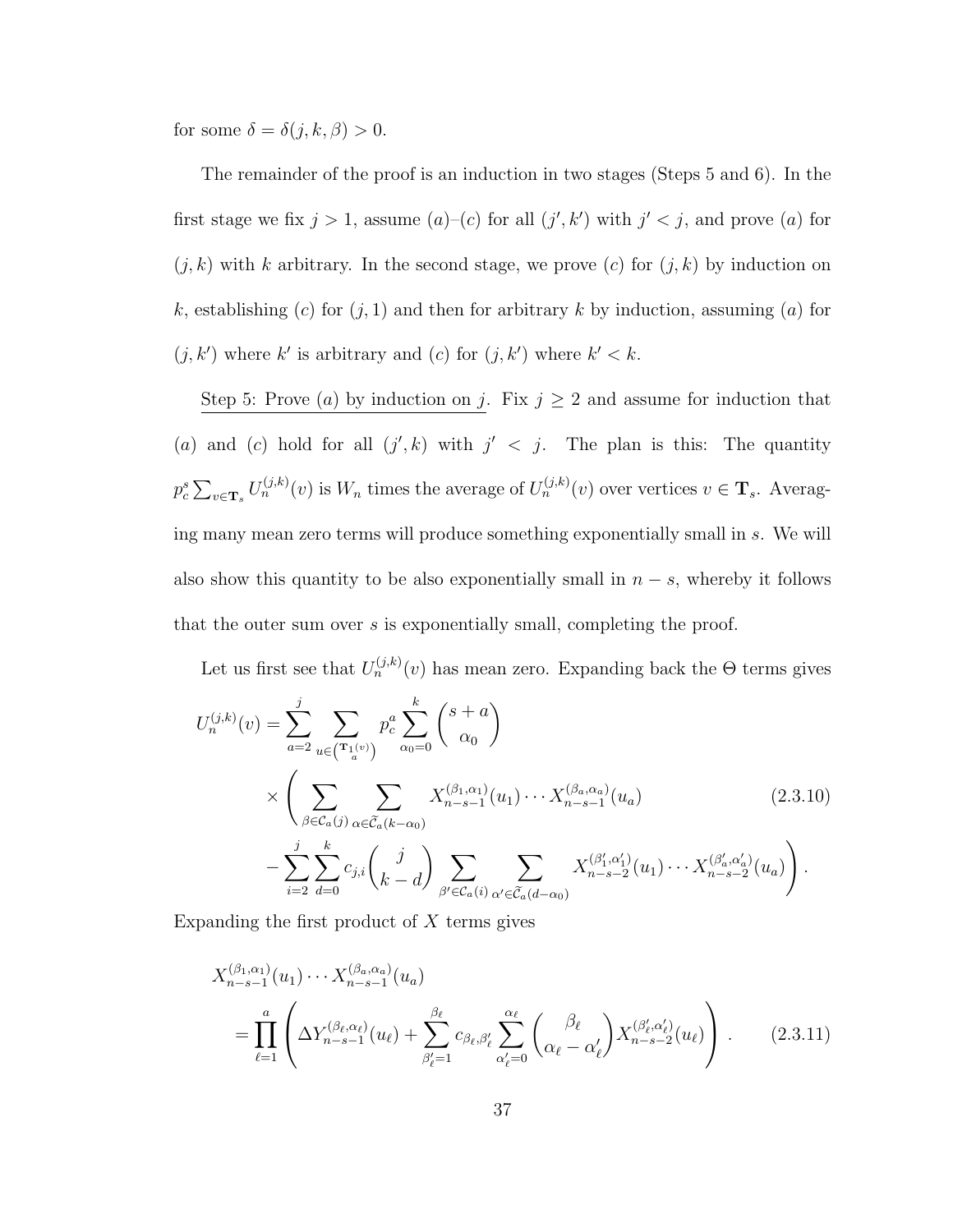for some  $\delta = \delta(j,k,\beta) > 0$ .

The remainder of the proof is an induction in two stages (Steps 5 and 6). In the first stage we fix  $j > 1$ , assume  $(a)-(c)$  for all  $(j', k')$  with  $j' < j$ , and prove  $(a)$  for  $(j, k)$  with k arbitrary. In the second stage, we prove  $(c)$  for  $(j, k)$  by induction on k, establishing (c) for  $(j, 1)$  and then for arbitrary k by induction, assuming (a) for  $(j, k')$  where k' is arbitrary and (c) for  $(j, k')$  where  $k' < k$ .

Step 5: Prove (a) by induction on j. Fix  $j \geq 2$  and assume for induction that (a) and (c) hold for all  $(j', k)$  with  $j' < j$ . The plan is this: The quantity  $p_c^s \sum_{v \in \mathbf{T}_s} U_n^{(j,k)}(v)$  is  $W_n$  times the average of  $U_n^{(j,k)}(v)$  over vertices  $v \in \mathbf{T}_s$ . Averaging many mean zero terms will produce something exponentially small in s. We will also show this quantity to be also exponentially small in  $n - s$ , whereby it follows that the outer sum over s is exponentially small, completing the proof.

Let us first see that  $U_n^{(j,k)}(v)$  has mean zero. Expanding back the  $\Theta$  terms gives

$$
U_n^{(j,k)}(v) = \sum_{a=2}^j \sum_{u \in (\mathbf{T}_1(v))} p_c^a \sum_{\alpha_0=0}^k {s+a \choose \alpha_0}
$$
  
 
$$
\times \left( \sum_{\beta \in \mathcal{C}_a(j)} \sum_{\alpha \in \widetilde{\mathcal{C}}_a(k-\alpha_0)} X_{n-s-1}^{(\beta_1, \alpha_1)}(u_1) \cdots X_{n-s-1}^{(\beta_a, \alpha_a)}(u_a) - \sum_{i=2}^j \sum_{d=0}^k c_{j,i} {j \choose k-d} \sum_{\beta' \in \mathcal{C}_a(i)} \sum_{\alpha' \in \widetilde{\mathcal{C}}_a(d-\alpha_0)} X_{n-s-2}^{(\beta'_1, \alpha'_1)}(u_1) \cdots X_{n-s-2}^{(\beta'_d, \alpha'_d)}(u_a) \right).
$$
 (2.3.10)

Expanding the first product of  $X$  terms gives

$$
X_{n-s-1}^{(\beta_1,\alpha_1)}(u_1)\cdots X_{n-s-1}^{(\beta_a,\alpha_a)}(u_a)
$$
  
= 
$$
\prod_{\ell=1}^a \left( \Delta Y_{n-s-1}^{(\beta_\ell,\alpha_\ell)}(u_\ell) + \sum_{\beta'_\ell=1}^{\beta_\ell} c_{\beta_\ell,\beta'_\ell} \sum_{\alpha'_\ell=0}^{\alpha_\ell} \left( \frac{\beta_\ell}{\alpha_\ell - \alpha'_\ell} \right) X_{n-s-2}^{(\beta'_\ell,\alpha'_\ell)}(u_\ell) \right).
$$
 (2.3.11)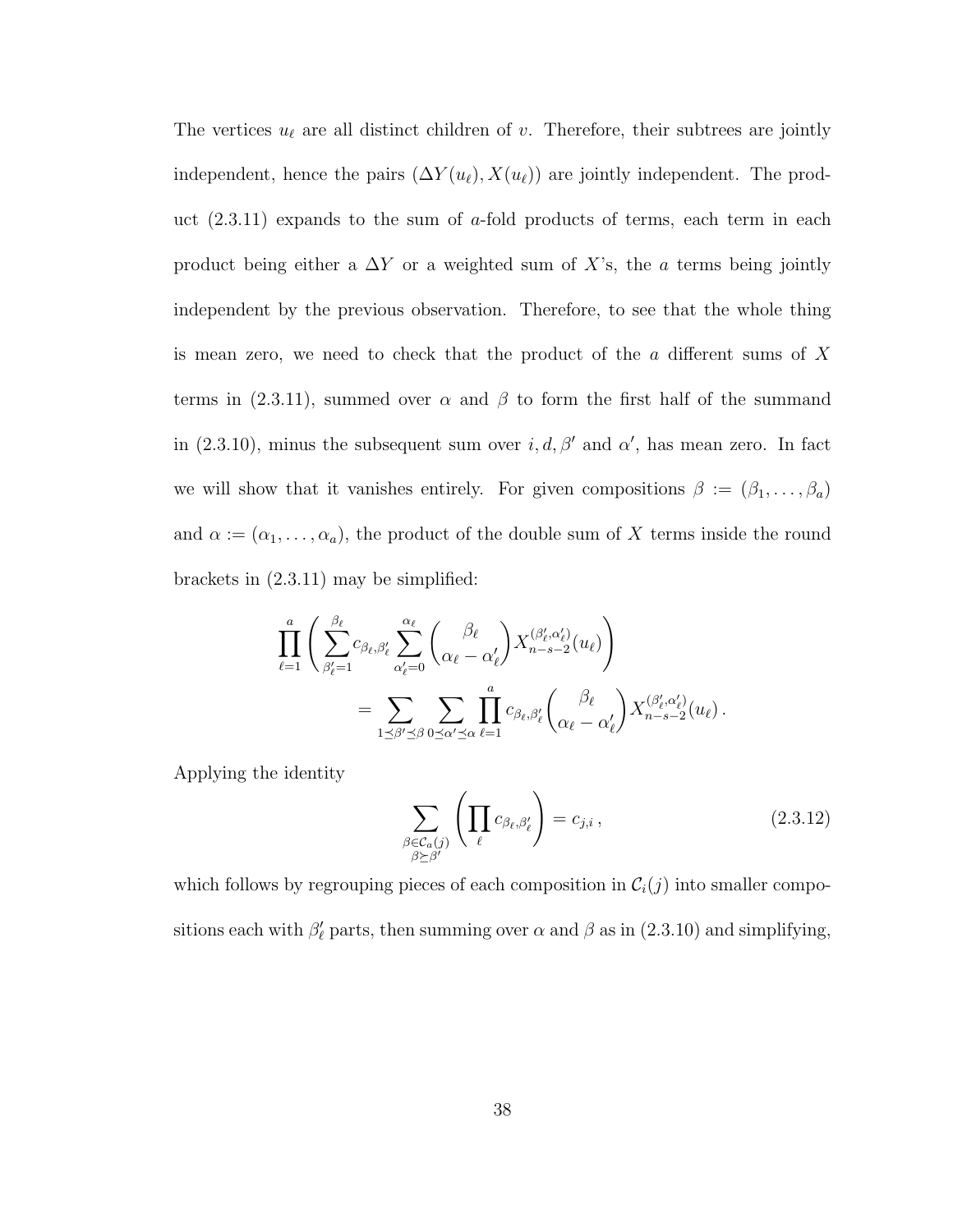The vertices  $u_{\ell}$  are all distinct children of v. Therefore, their subtrees are jointly independent, hence the pairs  $(\Delta Y(u_\ell), X(u_\ell))$  are jointly independent. The product  $(2.3.11)$  expands to the sum of a-fold products of terms, each term in each product being either a  $\Delta Y$  or a weighted sum of X's, the a terms being jointly independent by the previous observation. Therefore, to see that the whole thing is mean zero, we need to check that the product of the a different sums of X terms in (2.3.11), summed over  $\alpha$  and  $\beta$  to form the first half of the summand in (2.3.10), minus the subsequent sum over  $i, d, \beta'$  and  $\alpha'$ , has mean zero. In fact we will show that it vanishes entirely. For given compositions  $\beta := (\beta_1, \ldots, \beta_a)$ and  $\alpha := (\alpha_1, \ldots, \alpha_a)$ , the product of the double sum of X terms inside the round brackets in (2.3.11) may be simplified:

$$
\prod_{\ell=1}^{a} \left( \sum_{\beta_{\ell}'=1}^{\beta_{\ell}} c_{\beta_{\ell},\beta_{\ell}'} \sum_{\alpha_{\ell}'=0}^{\alpha_{\ell}} \binom{\beta_{\ell}}{\alpha_{\ell}-\alpha_{\ell}'} X_{n-s-2}^{(\beta_{\ell}',\alpha_{\ell}')} (u_{\ell}) \right)
$$
  

$$
= \sum_{1 \leq \beta' \leq \beta} \sum_{0 \leq \alpha' \leq \alpha} \prod_{\ell=1}^{a} c_{\beta_{\ell},\beta_{\ell}'} \binom{\beta_{\ell}}{\alpha_{\ell}-\alpha_{\ell}'} X_{n-s-2}^{(\beta_{\ell}',\alpha_{\ell}')} (u_{\ell}).
$$

Applying the identity

$$
\sum_{\substack{\beta \in \mathcal{C}_a(j) \\ \beta \succeq \beta'}} \left( \prod_{\ell} c_{\beta_\ell, \beta'_\ell} \right) = c_{j,i},\tag{2.3.12}
$$

which follows by regrouping pieces of each composition in  $C_i(j)$  into smaller compositions each with  $\beta'_{\ell}$  parts, then summing over  $\alpha$  and  $\beta$  as in (2.3.10) and simplifying,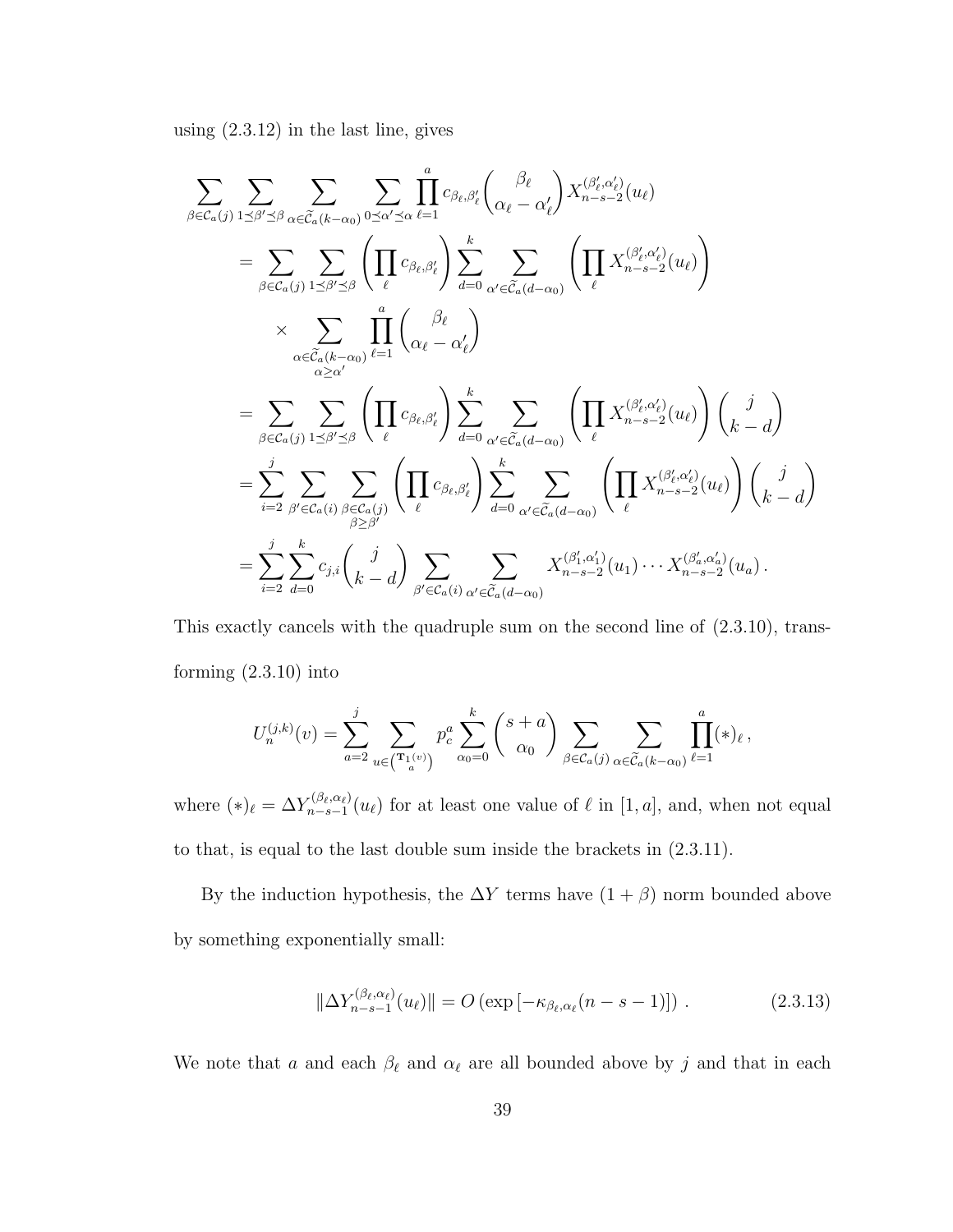using (2.3.12) in the last line, gives

$$
\sum_{\beta \in C_a(j)} \sum_{1 \leq \beta' \leq \beta} \sum_{\alpha \in \widetilde{C}_a(k-\alpha_0)} \sum_{0 \leq \alpha' \leq \alpha} \prod_{\ell=1}^a c_{\beta_\ell, \beta'_\ell} {\beta_\ell \choose \alpha_\ell - \alpha'_\ell} X_{n-s-2}^{(\beta'_\ell, \alpha'_\ell)}(u_\ell)
$$
\n
$$
= \sum_{\beta \in C_a(j)} \sum_{1 \leq \beta' \leq \beta} \left( \prod_{\ell} c_{\beta_\ell, \beta'_\ell} \right) \sum_{d=0}^k \sum_{\alpha' \in \widetilde{C}_a(d-\alpha_0)} \left( \prod_{\ell} X_{n-s-2}^{(\beta'_\ell, \alpha'_\ell)}(u_\ell) \right)
$$
\n
$$
\times \sum_{\alpha \in \widetilde{C}_a(k-\alpha_0)} \prod_{\ell=1}^a {\alpha_\ell - \alpha'_\ell}
$$
\n
$$
= \sum_{\beta \in C_a(j)} \sum_{1 \leq \beta' \leq \beta} \left( \prod_{\ell} c_{\beta_\ell, \beta'_\ell} \right) \sum_{d=0}^k \sum_{\alpha' \in \widetilde{C}_a(d-\alpha_0)} \left( \prod_{\ell} X_{n-s-2}^{(\beta'_\ell, \alpha'_\ell)}(u_\ell) \right) {\binom{\beta}{k-d}}
$$
\n
$$
= \sum_{i=2}^j \sum_{\beta' \in C_a(i)} \sum_{\beta \leq \beta'} \left( \prod_{\ell} c_{\beta_\ell, \beta'_\ell} \right) \sum_{d=0}^k \sum_{\alpha' \in \widetilde{C}_a(d-\alpha_0)} \left( \prod_{\ell} X_{n-s-2}^{(\beta'_\ell, \alpha'_\ell)}(u_\ell) \right) {\binom{\beta}{k-d}}
$$
\n
$$
= \sum_{i=2}^j \sum_{d=0}^k c_{j,i} {\binom{\beta}{k-d}} \sum_{\beta' \in C_a(i)} \sum_{\alpha' \in \widetilde{C}_a(d-\alpha_0)} X_{n-s-2}^{(\beta'_1, \alpha'_1)}(u_1) \cdots X_{n-s-2}^{(\beta'_a, \alpha'_a)}(u_a).
$$

This exactly cancels with the quadruple sum on the second line of (2.3.10), transforming (2.3.10) into

$$
U_n^{(j,k)}(v) = \sum_{a=2}^j \sum_{u \in \binom{\mathbf{T}_1(v)}{a}} p_c^a \sum_{\alpha_0=0}^k {s+a \choose \alpha_0} \sum_{\beta \in \mathcal{C}_a(j)} \sum_{\alpha \in \widetilde{\mathcal{C}}_a(k-\alpha_0)} \prod_{\ell=1}^a (*)_{\ell},
$$

where  $(*)_l = \Delta Y_{n-s-1}^{(\beta_{\ell}, \alpha_{\ell})}$  $\sum_{n-s-1}^{(\beta_\ell,\alpha_\ell)}(u_\ell)$  for at least one value of  $\ell$  in [1, a], and, when not equal to that, is equal to the last double sum inside the brackets in (2.3.11).

By the induction hypothesis, the  $\Delta Y$  terms have  $(1+\beta)$  norm bounded above by something exponentially small:

$$
\|\Delta Y_{n-s-1}^{(\beta_{\ell},\alpha_{\ell})}(u_{\ell})\| = O\left(\exp\left[-\kappa_{\beta_{\ell},\alpha_{\ell}}(n-s-1)\right]\right). \tag{2.3.13}
$$

We note that  $a$  and each  $\beta_\ell$  and  $\alpha_\ell$  are all bounded above by  $j$  and that in each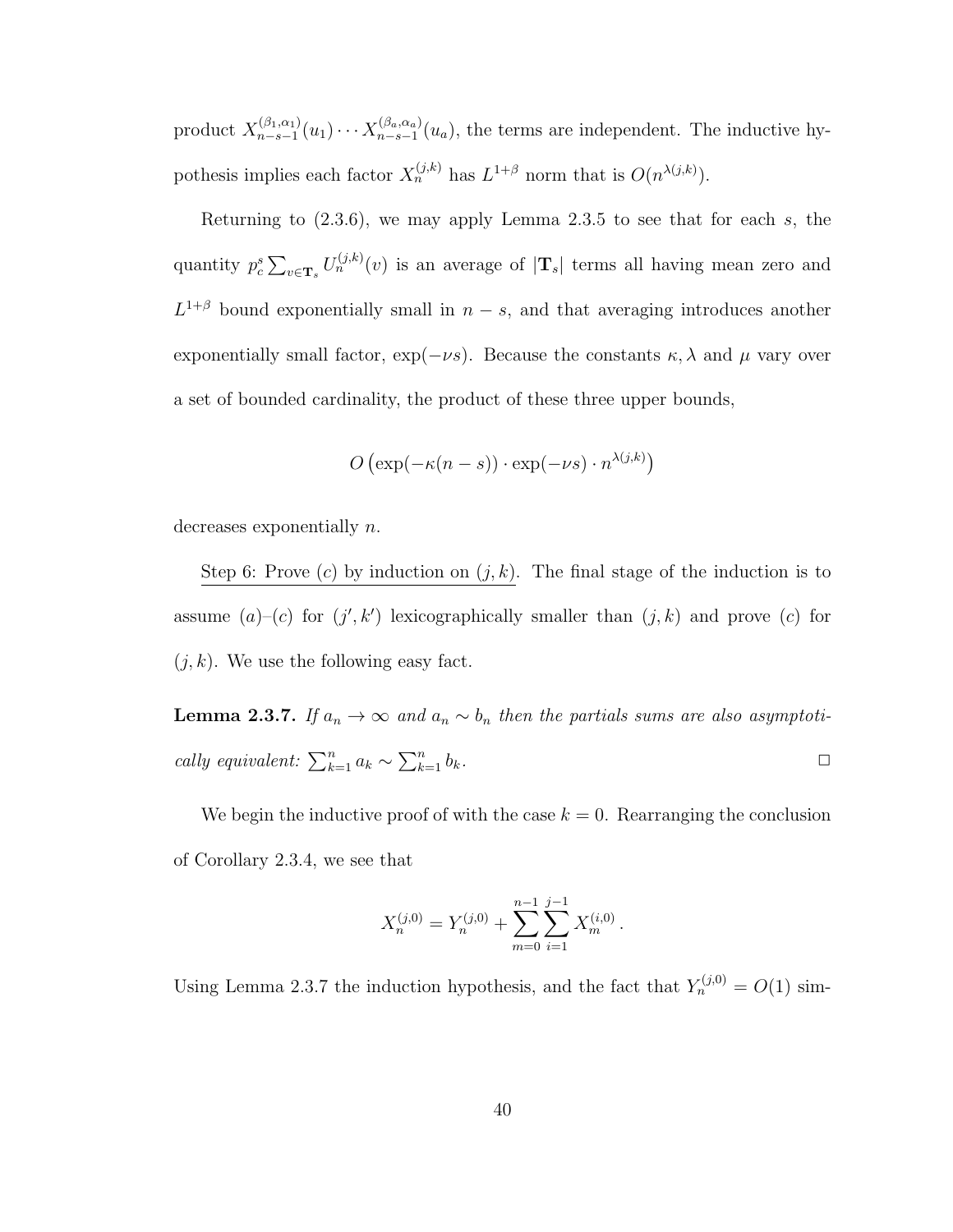product  $X_{n-s-1}^{(\beta_1,\alpha_1)}$  $\chi_{n-s-1}^{(\beta_1,\alpha_1)}(u_1)\cdots\chi_{n-s-1}^{(\beta_a,\alpha_a)}$  $n_{n-s-1}(u_a)$ , the terms are independent. The inductive hypothesis implies each factor  $X_n^{(j,k)}$  has  $L^{1+\beta}$  norm that is  $O(n^{\lambda(j,k)})$ .

Returning to  $(2.3.6)$ , we may apply Lemma 2.3.5 to see that for each s, the quantity  $p_c^s \sum_{v \in \mathbf{T}_s} U_n^{(j,k)}(v)$  is an average of  $|\mathbf{T}_s|$  terms all having mean zero and  $L^{1+\beta}$  bound exponentially small in  $n-s$ , and that averaging introduces another exponentially small factor,  $\exp(-\nu s)$ . Because the constants  $\kappa, \lambda$  and  $\mu$  vary over a set of bounded cardinality, the product of these three upper bounds,

$$
O\left(\exp(-\kappa(n-s)) \cdot \exp(-\nu s) \cdot n^{\lambda(j,k)}\right)
$$

decreases exponentially n.

Step 6: Prove (c) by induction on  $(j, k)$ . The final stage of the induction is to assume  $(a)$ - $(c)$  for  $(j', k')$  lexicographically smaller than  $(j, k)$  and prove  $(c)$  for  $(j, k)$ . We use the following easy fact.

**Lemma 2.3.7.** If  $a_n \to \infty$  and  $a_n \sim b_n$  then the partials sums are also asymptotically equivalent:  $\sum_{k=1}^{n} a_k \sim \sum_{k=1}^{n} b_k$ .

We begin the inductive proof of with the case  $k = 0$ . Rearranging the conclusion of Corollary 2.3.4, we see that

$$
X_n^{(j,0)} = Y_n^{(j,0)} + \sum_{m=0}^{n-1} \sum_{i=1}^{j-1} X_m^{(i,0)}.
$$

Using Lemma 2.3.7 the induction hypothesis, and the fact that  $Y_n^{(j,0)} = O(1)$  sim-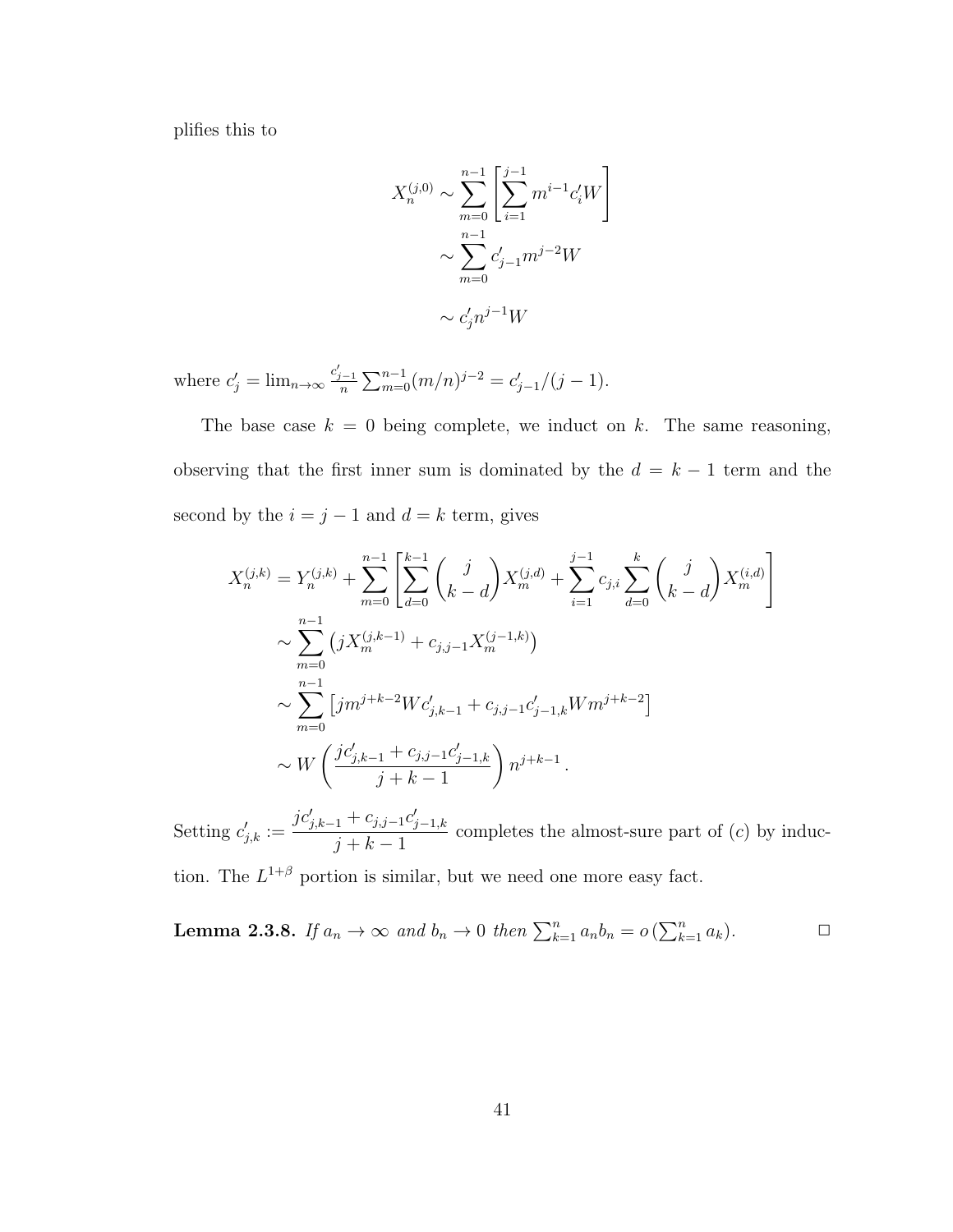plifies this to

$$
X_n^{(j,0)} \sim \sum_{m=0}^{n-1} \left[ \sum_{i=1}^{j-1} m^{i-1} c'_i W \right]
$$

$$
\sim \sum_{m=0}^{n-1} c'_{j-1} m^{j-2} W
$$

$$
\sim c'_j n^{j-1} W
$$

where  $c'_{j} = \lim_{n \to \infty} \frac{c'_{j-1}}{n} \sum_{m=0}^{n-1} (m/n)^{j-2} = c'_{j-1}/(j-1)$ .

The base case  $k = 0$  being complete, we induct on k. The same reasoning, observing that the first inner sum is dominated by the  $d = k - 1$  term and the second by the  $i = j - 1$  and  $d = k$  term, gives

$$
X_n^{(j,k)} = Y_n^{(j,k)} + \sum_{m=0}^{n-1} \left[ \sum_{d=0}^{k-1} {j \choose k-d} X_m^{(j,d)} + \sum_{i=1}^{j-1} c_{j,i} \sum_{d=0}^k {j \choose k-d} X_m^{(i,d)} \right]
$$
  

$$
\sim \sum_{m=0}^{n-1} (j X_m^{(j,k-1)} + c_{j,j-1} X_m^{(j-1,k)})
$$
  

$$
\sim \sum_{m=0}^{n-1} [jm^{j+k-2} W c'_{j,k-1} + c_{j,j-1} c'_{j-1,k} W m^{j+k-2}]
$$
  

$$
\sim W \left( \frac{j c'_{j,k-1} + c_{j,j-1} c'_{j-1,k}}{j+k-1} \right) n^{j+k-1}.
$$

Setting  $c'_{j,k} :=$  $jc'_{j,k-1} + c_{j,j-1}c'_{j-1,k}$  $j + k - 1$ completes the almost-sure part of  $(c)$  by induction. The  $L^{1+\beta}$  portion is similar, but we need one more easy fact.

**Lemma 2.3.8.** If 
$$
a_n \to \infty
$$
 and  $b_n \to 0$  then  $\sum_{k=1}^n a_n b_n = o(\sum_{k=1}^n a_k)$ .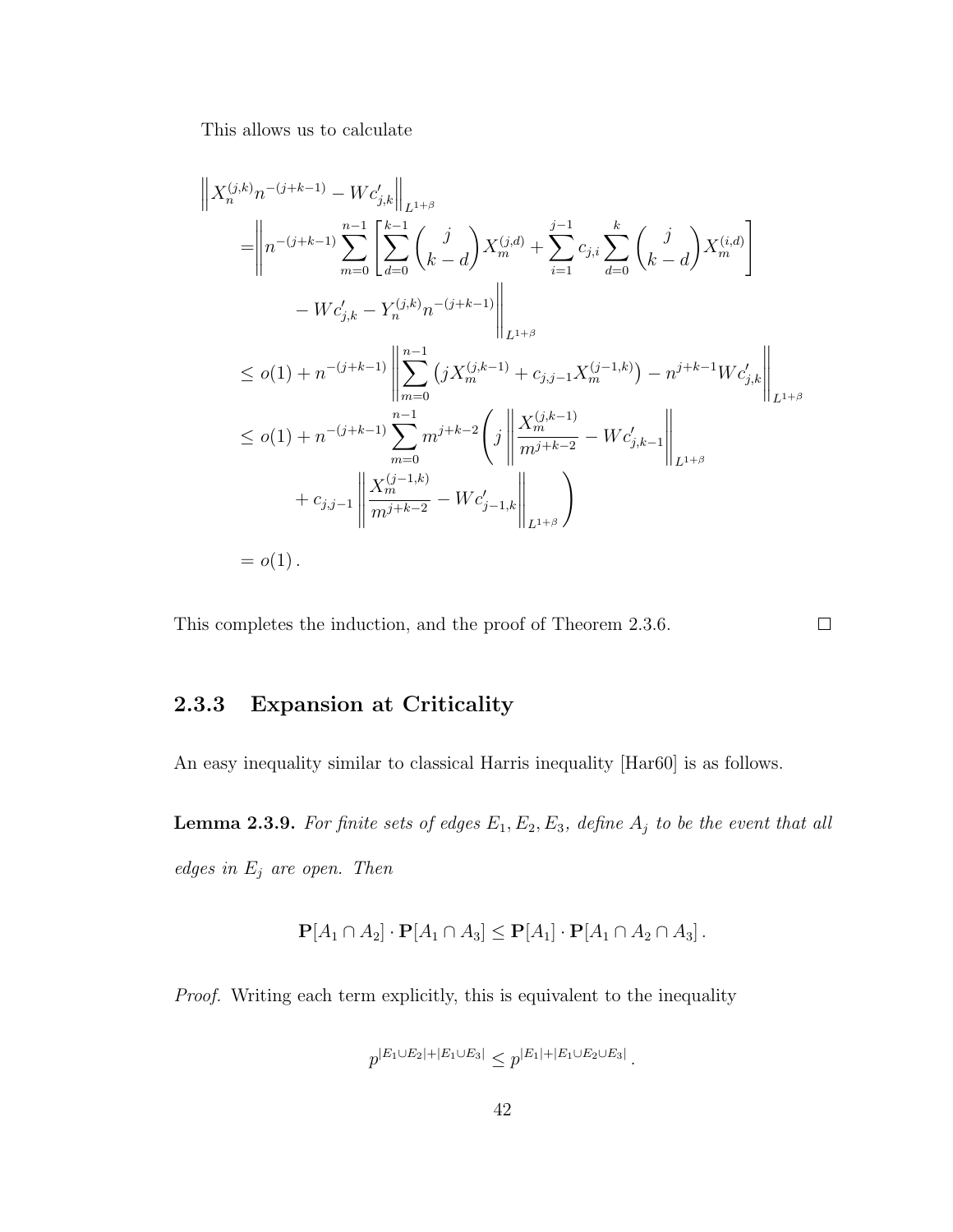This allows us to calculate

$$
\|X_n^{(j,k)}n^{-(j+k-1)} - Wc'_{j,k}\|_{L^{1+\beta}}\n= \left\| n^{-(j+k-1)} \sum_{m=0}^{n-1} \left[ \sum_{d=0}^{k-1} {j \choose k-d} X_m^{(j,d)} + \sum_{i=1}^{j-1} c_{j,i} \sum_{d=0}^k {j \choose k-d} X_m^{(i,d)} \right] \right\|_{L^{1+\beta}}\n- Wc'_{j,k} - Y_n^{(j,k)}n^{-(j+k-1)} \left\| \sum_{m=0}^{n-1} (jX_m^{(j,k-1)} + c_{j,j-1}X_m^{(j-1,k)}) - n^{j+k-1}Wc'_{j,k} \right\|_{L^{1+\beta}}\n\leq o(1) + n^{-(j+k-1)} \sum_{m=0}^{n-1} m^{j+k-2} \left( j \left\| \frac{X_m^{(j,k-1)}}{m^{j+k-2}} - Wc'_{j,k-1} \right\|_{L^{1+\beta}}\n+ c_{j,j-1} \left\| \frac{X_m^{(j-1,k)}}{m^{j+k-2}} - Wc'_{j-1,k} \right\|_{L^{1+\beta}} \right)
$$
\n
$$
= o(1).
$$

This completes the induction, and the proof of Theorem 2.3.6.

# 2.3.3 Expansion at Criticality

An easy inequality similar to classical Harris inequality [Har60] is as follows.

**Lemma 2.3.9.** For finite sets of edges  $E_1, E_2, E_3$ , define  $A_j$  to be the event that all edges in  $E_j$  are open. Then

 $\Box$ 

$$
\mathbf{P}[A_1 \cap A_2] \cdot \mathbf{P}[A_1 \cap A_3] \leq \mathbf{P}[A_1] \cdot \mathbf{P}[A_1 \cap A_2 \cap A_3].
$$

Proof. Writing each term explicitly, this is equivalent to the inequality

$$
p^{|E_1 \cup E_2| + |E_1 \cup E_3|} \leq p^{|E_1| + |E_1 \cup E_2 \cup E_3|}.
$$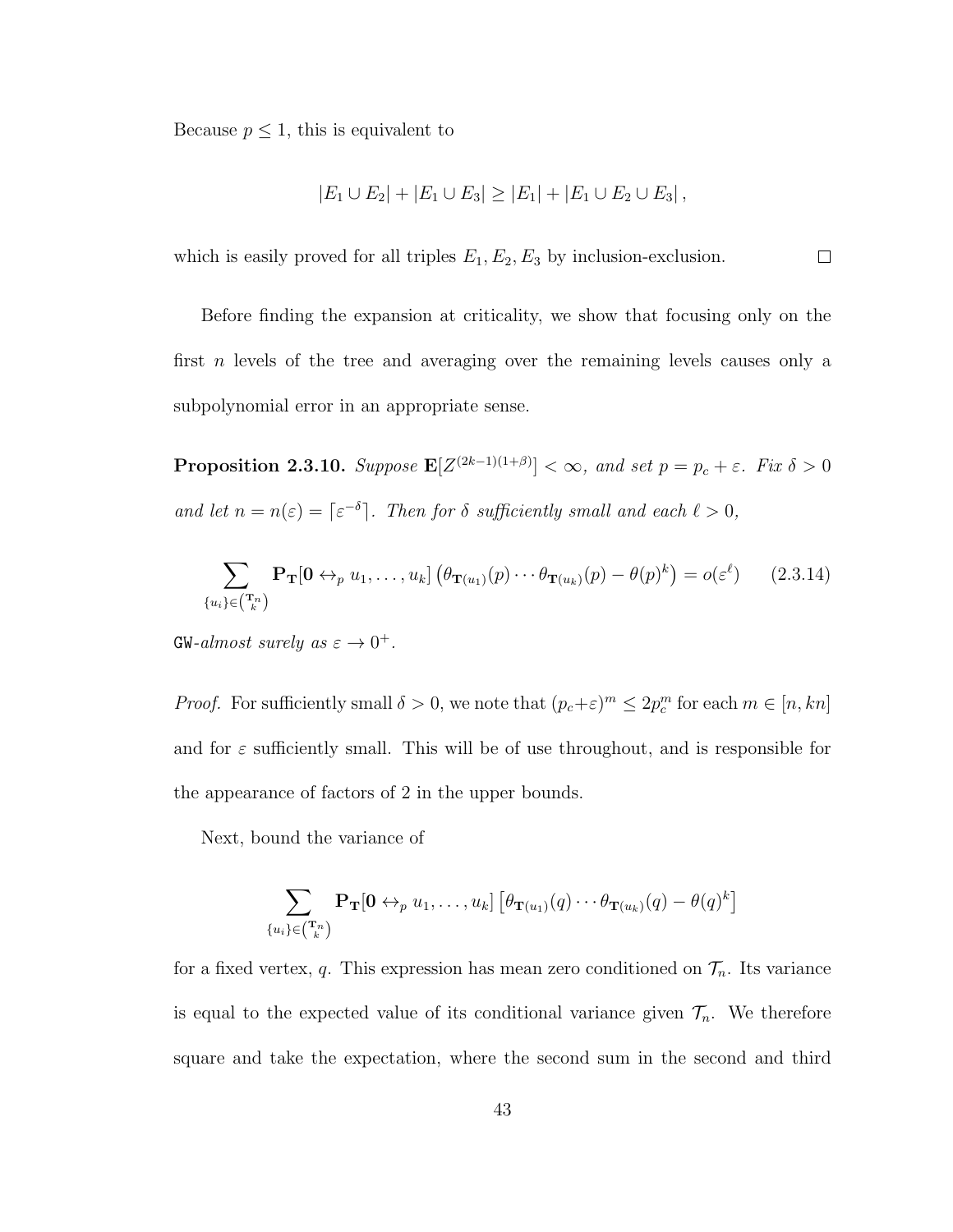Because  $p \leq 1$ , this is equivalent to

$$
|E_1 \cup E_2| + |E_1 \cup E_3| \ge |E_1| + |E_1 \cup E_2 \cup E_3|,
$$

which is easily proved for all triples  $E_1, E_2, E_3$  by inclusion-exclusion.  $\Box$ 

Before finding the expansion at criticality, we show that focusing only on the first n levels of the tree and averaging over the remaining levels causes only a subpolynomial error in an appropriate sense.

**Proposition 2.3.10.** Suppose  $\mathbf{E}[Z^{(2k-1)(1+\beta)}] < \infty$ , and set  $p = p_c + \varepsilon$ . Fix  $\delta > 0$ and let  $n = n(\varepsilon) = \lceil \varepsilon^{-\delta} \rceil$ . Then for  $\delta$  sufficiently small and each  $\ell > 0$ ,

$$
\sum_{\{u_i\} \in \binom{\mathbf{T}_n}{k}} \mathbf{P}_{\mathbf{T}}[\mathbf{0} \leftrightarrow_p u_1, \dots, u_k] \left( \theta_{\mathbf{T}(u_1)}(p) \cdots \theta_{\mathbf{T}(u_k)}(p) - \theta(p)^k \right) = o(\varepsilon^{\ell}) \qquad (2.3.14)
$$

 $\text{GW-}almost surely as \varepsilon \to 0^+.$ 

*Proof.* For sufficiently small  $\delta > 0$ , we note that  $(p_c + \varepsilon)^m \leq 2p_c^m$  for each  $m \in [n, kn]$ and for  $\varepsilon$  sufficiently small. This will be of use throughout, and is responsible for the appearance of factors of 2 in the upper bounds.

Next, bound the variance of

$$
\sum_{\{u_i\} \in (\mathbf{T}_k^n)} \mathbf{P}_{\mathbf{T}}[\mathbf{0} \leftrightarrow_p u_1, \dots, u_k] \left[ \theta_{\mathbf{T}(u_1)}(q) \cdots \theta_{\mathbf{T}(u_k)}(q) - \theta(q)^k \right]
$$

for a fixed vertex, q. This expression has mean zero conditioned on  $\mathcal{T}_n$ . Its variance is equal to the expected value of its conditional variance given  $\mathcal{T}_n$ . We therefore square and take the expectation, where the second sum in the second and third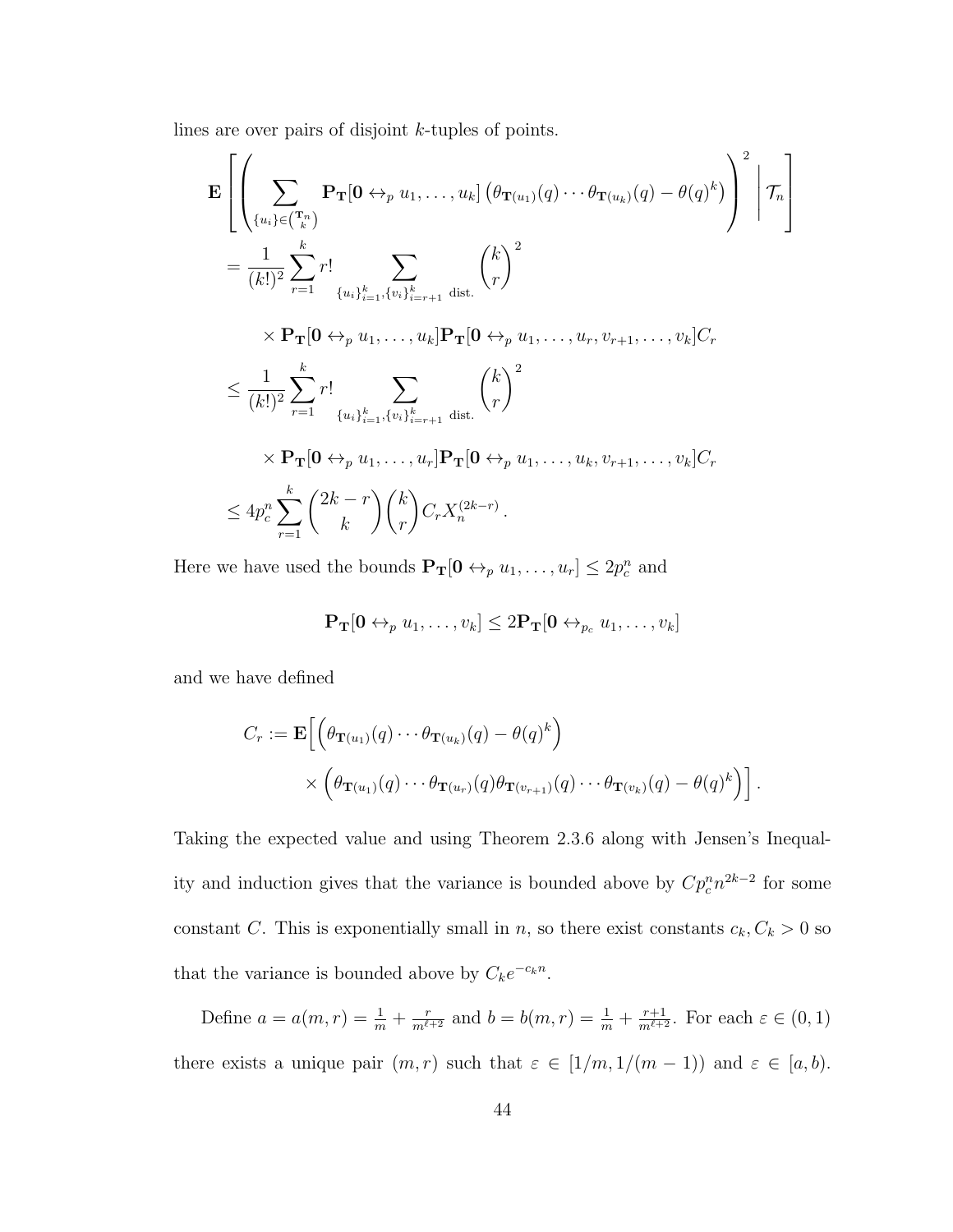lines are over pairs of disjoint k-tuples of points.

$$
\mathbf{E}\left[\left(\sum_{\{u_{i}\}\in\binom{\mathbf{T}_{n}}{k}}\mathbf{P}_{\mathbf{T}}[\mathbf{0}\leftrightarrow_{p}u_{1},\ldots,u_{k}]\left(\theta_{\mathbf{T}(u_{1})}(q)\cdots\theta_{\mathbf{T}(u_{k})}(q)-\theta(q)^{k}\right)\right)^{2}\bigg|\mathcal{T}_{n}\right]
$$
\n
$$
=\frac{1}{(k!)^{2}}\sum_{r=1}^{k}r!\sum_{\{u_{i}\}_{i=1}^{k},\{v_{i}\}_{i=r+1}^{k}\text{ dist.}}\binom{k}{r}^{2}
$$
\n
$$
\times\mathbf{P}_{\mathbf{T}}[\mathbf{0}\leftrightarrow_{p}u_{1},\ldots,u_{k}]\mathbf{P}_{\mathbf{T}}[\mathbf{0}\leftrightarrow_{p}u_{1},\ldots,u_{r},v_{r+1},\ldots,v_{k}]C_{r}
$$
\n
$$
\leq\frac{1}{(k!)^{2}}\sum_{r=1}^{k}r!\sum_{\{u_{i}\}_{i=1}^{k},\{v_{i}\}_{i=r+1}^{k}\text{ dist.}}\binom{k}{r}^{2}
$$
\n
$$
\times\mathbf{P}_{\mathbf{T}}[\mathbf{0}\leftrightarrow_{p}u_{1},\ldots,u_{r}]\mathbf{P}_{\mathbf{T}}[\mathbf{0}\leftrightarrow_{p}u_{1},\ldots,u_{k},v_{r+1},\ldots,v_{k}]C_{r}
$$
\n
$$
\leq 4p_{c}^{n}\sum_{r=1}^{k}\binom{2k-r}{k}\binom{k}{r}C_{r}X_{n}^{(2k-r)}.
$$

Here we have used the bounds  $\mathbf{P_T}[0 \leftrightarrow_p u_1, \dots, u_r] \leq 2p_c^n$  and

$$
\mathbf{P_T[0 \leftrightarrow_p u_1, \dots, v_k] \leq 2\mathbf{P_T[0 \leftrightarrow_{p_c} u_1, \dots, v_k]}
$$

and we have defined

$$
C_r := \mathbf{E}\Big[\Big(\theta_{\mathbf{T}(u_1)}(q)\cdots\theta_{\mathbf{T}(u_k)}(q) - \theta(q)^k\Big) \times \Big(\theta_{\mathbf{T}(u_1)}(q)\cdots\theta_{\mathbf{T}(u_r)}(q)\theta_{\mathbf{T}(v_{r+1})}(q)\cdots\theta_{\mathbf{T}(v_k)}(q) - \theta(q)^k\Big)\Big].
$$

Taking the expected value and using Theorem 2.3.6 along with Jensen's Inequality and induction gives that the variance is bounded above by  $Cp_c^n n^{2k-2}$  for some constant C. This is exponentially small in n, so there exist constants  $c_k, C_k > 0$  so that the variance is bounded above by  $C_k e^{-c_k n}$ .

Define  $a = a(m, r) = \frac{1}{m} + \frac{r}{m^{\ell+2}}$  and  $b = b(m, r) = \frac{1}{m} + \frac{r+1}{m^{\ell+2}}$ . For each  $\varepsilon \in (0, 1)$ there exists a unique pair  $(m, r)$  such that  $\varepsilon \in [1/m, 1/(m-1))$  and  $\varepsilon \in [a, b)$ .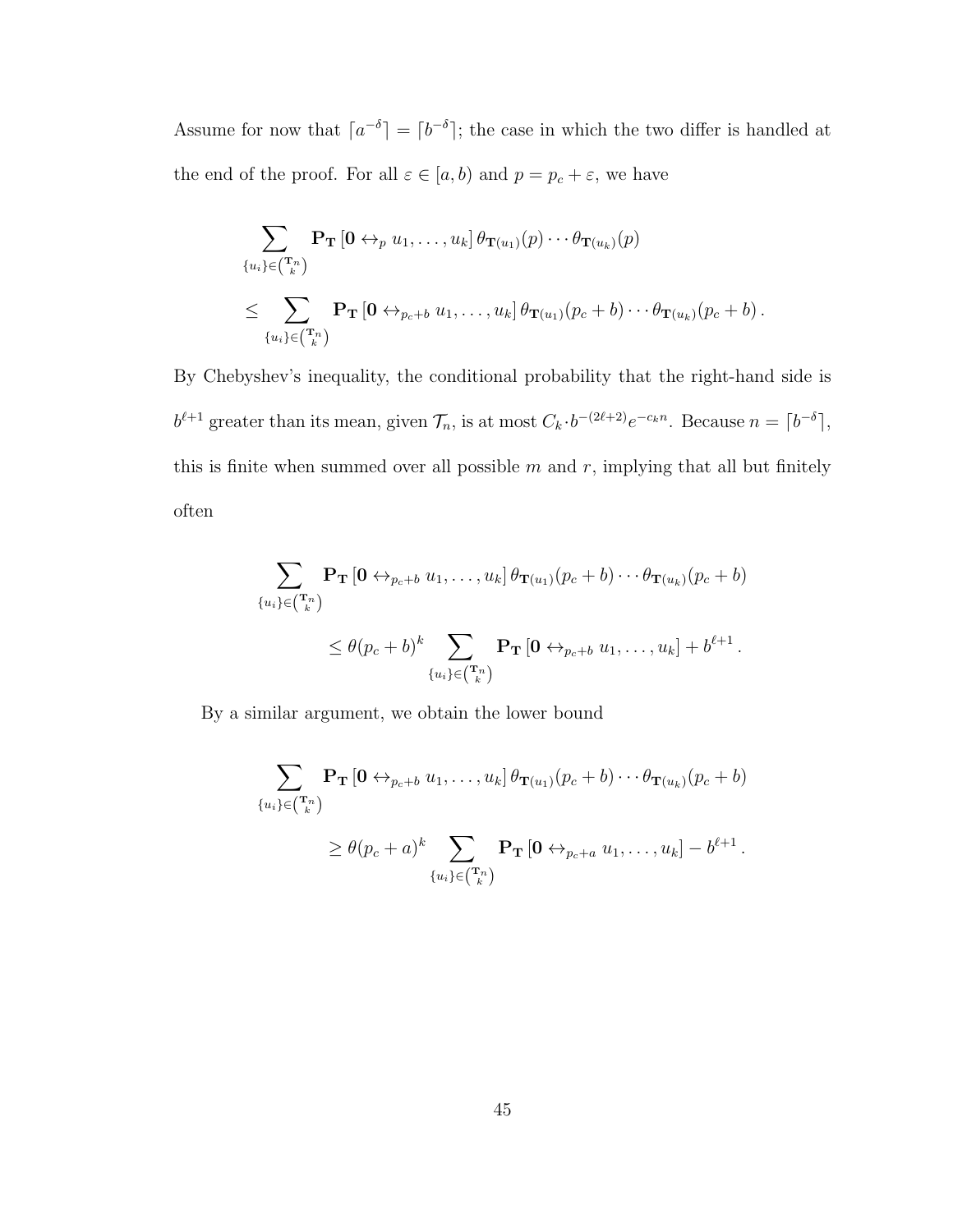Assume for now that  $a^{-\delta}$  =  $b^{-\delta}$ ; the case in which the two differ is handled at the end of the proof. For all  $\varepsilon \in [a, b)$  and  $p = p_c + \varepsilon$ , we have

$$
\sum_{\{u_i\} \in {(\mathbf{T}_n)\choose k}} \mathbf{P_T} \left[\mathbf{0} \leftrightarrow_p u_1, \dots, u_k\right] \theta_{\mathbf{T}(u_1)}(p) \cdots \theta_{\mathbf{T}(u_k)}(p)
$$
\n
$$
\leq \sum_{\{u_i\} \in {(\mathbf{T}_n)\choose k}} \mathbf{P_T} \left[\mathbf{0} \leftrightarrow_{p_c+b} u_1, \dots, u_k\right] \theta_{\mathbf{T}(u_1)}(p_c + b) \cdots \theta_{\mathbf{T}(u_k)}(p_c + b) \, .
$$

By Chebyshev's inequality, the conditional probability that the right-hand side is  $b^{\ell+1}$  greater than its mean, given  $\mathcal{T}_n$ , is at most  $C_k \cdot b^{-(2\ell+2)} e^{-c_k n}$ . Because  $n = \lceil b^{-\delta} \rceil$ , this is finite when summed over all possible  $m$  and  $r$ , implying that all but finitely often

$$
\sum_{\{u_i\} \in {(\mathbf{T}_n)\atop t\in {(\mathbf{T}_k)\atop t}} \mathbf{P_T}\left[\mathbf{0} \leftrightarrow_{p_c+b} u_1, \dots, u_k\right] \theta_{\mathbf{T}(u_1)}(p_c+b) \cdots \theta_{\mathbf{T}(u_k)}(p_c+b)
$$
\n
$$
\leq \theta(p_c+b)^k \sum_{\{u_i\} \in {(\mathbf{T}_k)\atop t}} \mathbf{P_T}\left[\mathbf{0} \leftrightarrow_{p_c+b} u_1, \dots, u_k\right] + b^{\ell+1}.
$$

By a similar argument, we obtain the lower bound

$$
\sum_{\{u_i\} \in {T_n \choose k}} \mathbf{P_T} \left[\mathbf{0} \leftrightarrow_{p_c+b} u_1, \dots, u_k\right] \theta_{\mathbf{T}(u_1)}(p_c + b) \cdots \theta_{\mathbf{T}(u_k)}(p_c + b)
$$
  

$$
\geq \theta(p_c + a)^k \sum_{\{u_i\} \in {T_n \choose k}} \mathbf{P_T} \left[\mathbf{0} \leftrightarrow_{p_c+a} u_1, \dots, u_k\right] - b^{\ell+1}.
$$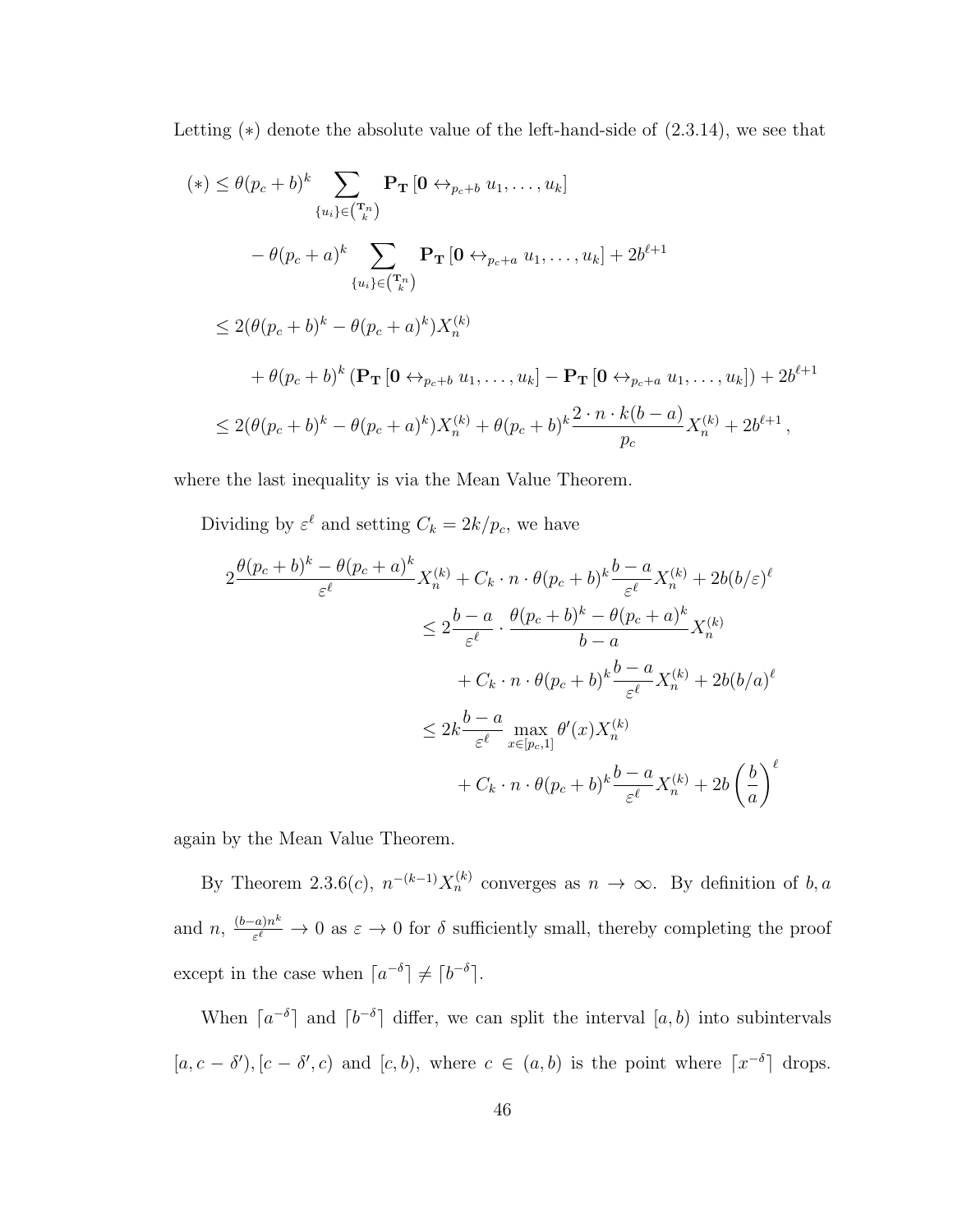Letting (∗) denote the absolute value of the left-hand-side of (2.3.14), we see that

$$
(*) \leq \theta(p_c + b)^k \sum_{\{u_i\} \in {T_n \choose k}} \mathbf{P_T} \left[ \mathbf{0} \leftrightarrow_{p_c+b} u_1, \dots, u_k \right]
$$
  
\n
$$
- \theta(p_c + a)^k \sum_{\{u_i\} \in {T_n \choose k}} \mathbf{P_T} \left[ \mathbf{0} \leftrightarrow_{p_c+a} u_1, \dots, u_k \right] + 2b^{\ell+1}
$$
  
\n
$$
\leq 2(\theta(p_c + b)^k - \theta(p_c + a)^k) X_n^{(k)}
$$
  
\n
$$
+ \theta(p_c + b)^k (\mathbf{P_T} \left[ \mathbf{0} \leftrightarrow_{p_c+b} u_1, \dots, u_k \right] - \mathbf{P_T} \left[ \mathbf{0} \leftrightarrow_{p_c+a} u_1, \dots, u_k \right]) + 2b^{\ell+1}
$$
  
\n
$$
\leq 2(\theta(p_c + b)^k - \theta(p_c + a)^k) X_n^{(k)} + \theta(p_c + b)^k \frac{2 \cdot n \cdot k(b-a)}{p_c} X_n^{(k)} + 2b^{\ell+1},
$$

where the last inequality is via the Mean Value Theorem.

Dividing by  $\varepsilon^{\ell}$  and setting  $C_k = 2k/p_c$ , we have

$$
2 \frac{\theta(p_c+b)^k - \theta(p_c+a)^k}{\varepsilon^{\ell}} X_n^{(k)} + C_k \cdot n \cdot \theta(p_c+b)^k \frac{b-a}{\varepsilon^{\ell}} X_n^{(k)} + 2b(b/\varepsilon)^{\ell}
$$
  

$$
\leq 2 \frac{b-a}{\varepsilon^{\ell}} \cdot \frac{\theta(p_c+b)^k - \theta(p_c+a)^k}{b-a} X_n^{(k)}
$$
  

$$
+ C_k \cdot n \cdot \theta(p_c+b)^k \frac{b-a}{\varepsilon^{\ell}} X_n^{(k)} + 2b(b/a)^{\ell}
$$
  

$$
\leq 2k \frac{b-a}{\varepsilon^{\ell}} \max_{x \in [p_c,1]} \theta'(x) X_n^{(k)}
$$
  

$$
+ C_k \cdot n \cdot \theta(p_c+b)^k \frac{b-a}{\varepsilon^{\ell}} X_n^{(k)} + 2b \left(\frac{b}{a}\right)^{\ell}
$$

again by the Mean Value Theorem.

By Theorem 2.3.6(*c*),  $n^{-(k-1)}X_n^{(k)}$  converges as  $n \to \infty$ . By definition of b, a and  $n, \frac{(b-a)n^k}{\epsilon^{\ell}}$  $\frac{f(a)n^{\alpha}}{\varepsilon^{\ell}} \to 0$  as  $\varepsilon \to 0$  for  $\delta$  sufficiently small, thereby completing the proof except in the case when  $[a^{-\delta}] \neq [b^{-\delta}]$ .

When  $[a^{-\delta}]$  and  $[b^{-\delta}]$  differ, we can split the interval  $[a, b)$  into subintervals  $[a, c - \delta', c]$  and  $[c, b)$ , where  $c \in (a, b)$  is the point where  $\lceil x^{-\delta} \rceil$  drops.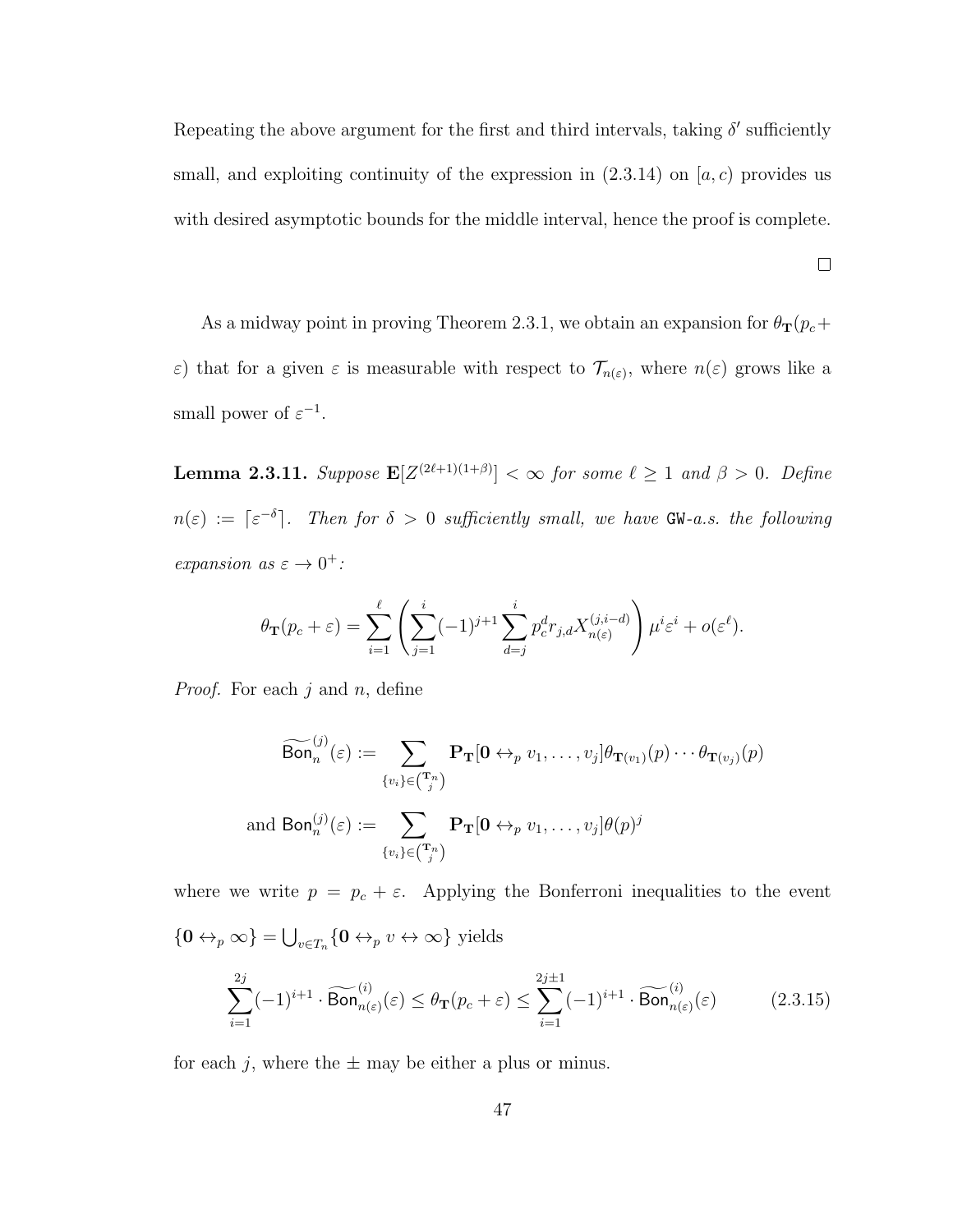Repeating the above argument for the first and third intervals, taking  $\delta'$  sufficiently small, and exploiting continuity of the expression in  $(2.3.14)$  on  $[a, c]$  provides us with desired asymptotic bounds for the middle interval, hence the proof is complete.

 $\Box$ 

As a midway point in proving Theorem 2.3.1, we obtain an expansion for  $\theta_{\mathbf{T}}(p_c+)$  $\varepsilon$ ) that for a given  $\varepsilon$  is measurable with respect to  $\mathcal{T}_{n(\varepsilon)}$ , where  $n(\varepsilon)$  grows like a small power of  $\varepsilon^{-1}$ .

**Lemma 2.3.11.** Suppose  $\mathbf{E}[Z^{(2\ell+1)(1+\beta)}] < \infty$  for some  $\ell \geq 1$  and  $\beta > 0$ . Define  $n(\varepsilon) := \lceil \varepsilon^{-\delta} \rceil$ . Then for  $\delta > 0$  sufficiently small, we have GW-a.s. the following expansion as  $\varepsilon \to 0^+$ :

$$
\theta_{\mathbf{T}}(p_c + \varepsilon) = \sum_{i=1}^{\ell} \left( \sum_{j=1}^{i} (-1)^{j+1} \sum_{d=j}^{i} p_c^d r_{j,d} X_{n(\varepsilon)}^{(j,i-d)} \right) \mu^i \varepsilon^i + o(\varepsilon^{\ell}).
$$

*Proof.* For each  $j$  and  $n$ , define

$$
\widetilde{\text{Bon}}_n^{(j)}(\varepsilon) := \sum_{\{v_i\} \in \binom{\mathbf{T}_n}{j}} \mathbf{P}_{\mathbf{T}}[\mathbf{0} \leftrightarrow_p v_1, \dots, v_j] \theta_{\mathbf{T}(v_1)}(p) \cdots \theta_{\mathbf{T}(v_j)}(p)
$$
\nand 
$$
\text{Bon}_n^{(j)}(\varepsilon) := \sum_{\{v_i\} \in \binom{\mathbf{T}_n}{j}} \mathbf{P}_{\mathbf{T}}[\mathbf{0} \leftrightarrow_p v_1, \dots, v_j] \theta(p)^j
$$

where we write  $p = p_c + \varepsilon$ . Applying the Bonferroni inequalities to the event  $\frac{1}{2}$ 

$$
\{ \mathbf{0} \leftrightarrow_{p} \infty \} = \bigcup_{v \in T_{n}} \{ \mathbf{0} \leftrightarrow_{p} v \leftrightarrow \infty \} \text{ yields}
$$

$$
\sum_{i=1}^{2j} (-1)^{i+1} \cdot \widetilde{\text{Bon}}_{n(\varepsilon)}^{(i)}(\varepsilon) \leq \theta_{\mathbf{T}}(p_{c} + \varepsilon) \leq \sum_{i=1}^{2j+1} (-1)^{i+1} \cdot \widetilde{\text{Bon}}_{n(\varepsilon)}^{(i)}(\varepsilon) \tag{2.3.15}
$$

for each j, where the  $\pm$  may be either a plus or minus.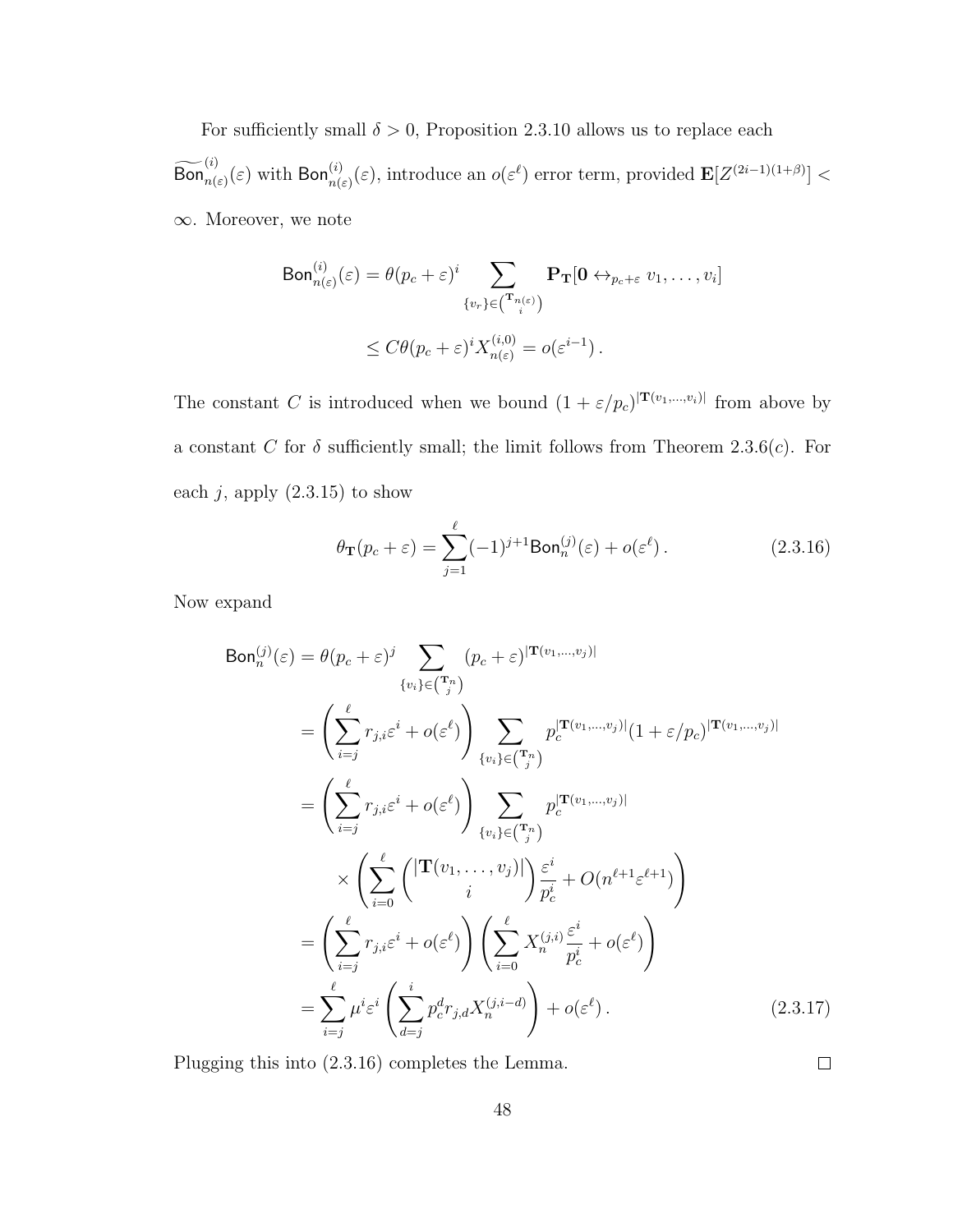For sufficiently small  $\delta > 0$ , Proposition 2.3.10 allows us to replace each  $\widetilde{\text{Bon}}_{n(\varepsilon)}^{(i)}(\varepsilon)$  with  $\text{Bon}_{n(\varepsilon)}^{(i)}(\varepsilon)$ , introduce an  $o(\varepsilon^{\ell})$  error term, provided  $\mathbf{E}[Z^{(2i-1)(1+\beta)}]$  < ∞. Moreover, we note

$$
\text{Bon}_{n(\varepsilon)}^{(i)}(\varepsilon) = \theta(p_c + \varepsilon)^i \sum_{\{v_r\} \in \binom{\mathbf{T}_{n(\varepsilon)}}{i}} \mathbf{P}_{\mathbf{T}}[\mathbf{0} \leftrightarrow_{p_c + \varepsilon} v_1, \dots, v_i]
$$

$$
\leq C\theta(p_c + \varepsilon)^i X_{n(\varepsilon)}^{(i,0)} = o(\varepsilon^{i-1}).
$$

The constant C is introduced when we bound  $(1 + \varepsilon/p_c)^{|\mathbf{T}(v_1,...,v_i)|}$  from above by a constant C for  $\delta$  sufficiently small; the limit follows from Theorem 2.3.6(c). For each  $j$ , apply  $(2.3.15)$  to show

$$
\theta_{\mathbf{T}}(p_c + \varepsilon) = \sum_{j=1}^{\ell} (-1)^{j+1} \text{Bon}_n^{(j)}(\varepsilon) + o(\varepsilon^{\ell}). \tag{2.3.16}
$$

Now expand

$$
\text{Bon}_{n}^{(j)}(\varepsilon) = \theta(p_c + \varepsilon)^j \sum_{\{v_i\} \in \binom{\tau_n}{j}} (p_c + \varepsilon)^{|\mathbf{T}(v_1, \dots, v_j)|}
$$
\n
$$
= \left(\sum_{i=j}^{\ell} r_{j,i} \varepsilon^i + o(\varepsilon^{\ell})\right) \sum_{\{v_i\} \in \binom{\tau_n}{j}} p_c^{|\mathbf{T}(v_1, \dots, v_j)|} (1 + \varepsilon/p_c)^{|\mathbf{T}(v_1, \dots, v_j)|}
$$
\n
$$
= \left(\sum_{i=j}^{\ell} r_{j,i} \varepsilon^i + o(\varepsilon^{\ell})\right) \sum_{\{v_i\} \in \binom{\tau_n}{j}} p_c^{|\mathbf{T}(v_1, \dots, v_j)|}
$$
\n
$$
\times \left(\sum_{i=0}^{\ell} \left(\frac{|\mathbf{T}(v_1, \dots, v_j)|}{i}\right) \frac{\varepsilon^i}{p_c^i} + O(n^{\ell+1} \varepsilon^{\ell+1})\right)
$$
\n
$$
= \left(\sum_{i=j}^{\ell} r_{j,i} \varepsilon^i + o(\varepsilon^{\ell})\right) \left(\sum_{i=0}^{\ell} X_{n}^{(j,i)} \frac{\varepsilon^i}{p_c^i} + o(\varepsilon^{\ell})\right)
$$
\n
$$
= \sum_{i=j}^{\ell} \mu^i \varepsilon^i \left(\sum_{d=j}^i p_c^d r_{j,d} X_{n}^{(j,i-d)}\right) + o(\varepsilon^{\ell}). \tag{2.3.17}
$$

Plugging this into (2.3.16) completes the Lemma.

 $\Box$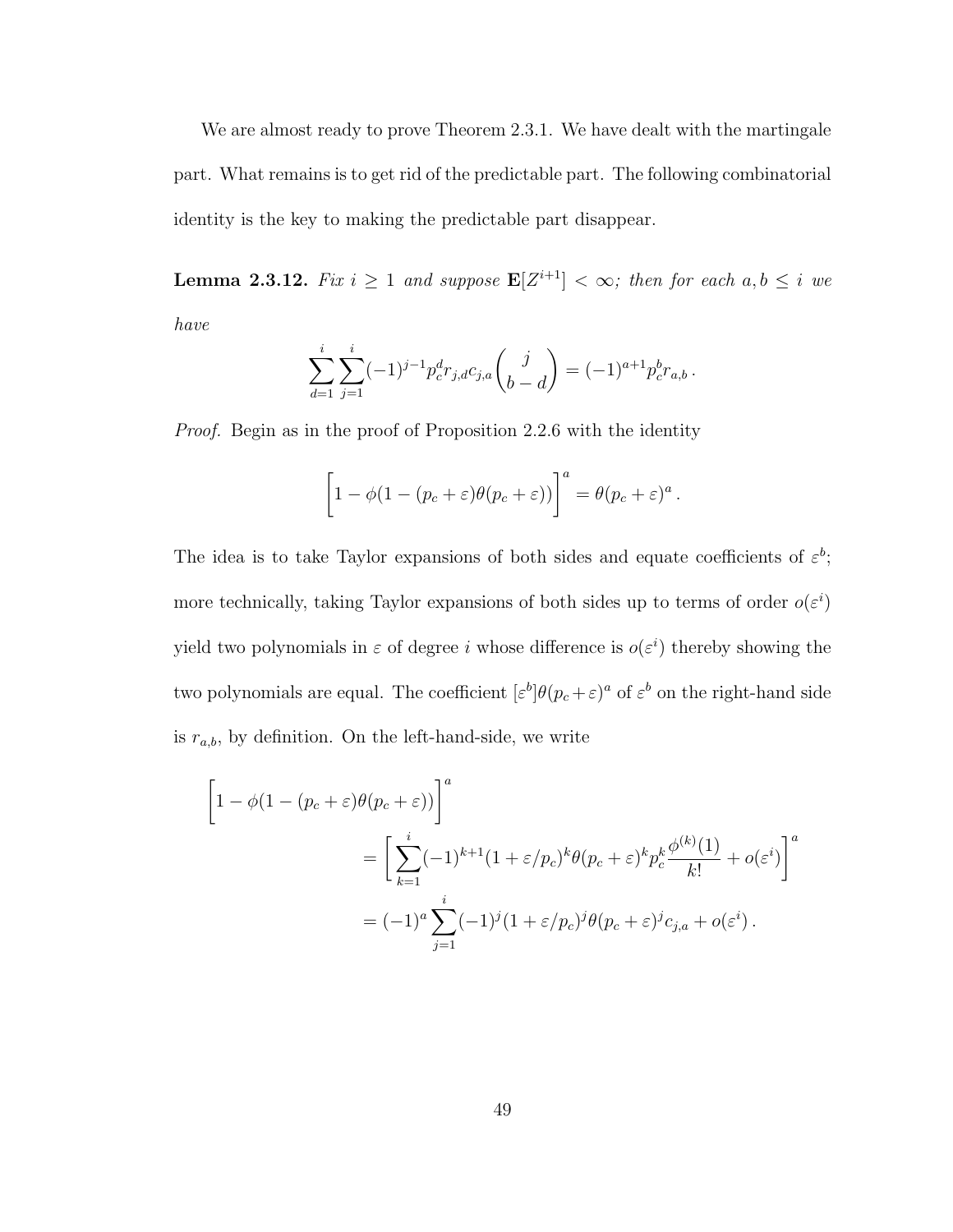We are almost ready to prove Theorem 2.3.1. We have dealt with the martingale part. What remains is to get rid of the predictable part. The following combinatorial identity is the key to making the predictable part disappear.

**Lemma 2.3.12.** Fix  $i \geq 1$  and suppose  $\mathbf{E}[Z^{i+1}] < \infty$ ; then for each  $a, b \leq i$  we have

$$
\sum_{d=1}^{i} \sum_{j=1}^{i} (-1)^{j-1} p_c^d r_{j,d} c_{j,a} {j \choose b-d} = (-1)^{a+1} p_c^b r_{a,b}.
$$

Proof. Begin as in the proof of Proposition 2.2.6 with the identity

$$
\[1 - \phi(1 - (p_c + \varepsilon)\theta(p_c + \varepsilon))\]^{a} = \theta(p_c + \varepsilon)^{a}.
$$

The idea is to take Taylor expansions of both sides and equate coefficients of  $\varepsilon^b$ ; more technically, taking Taylor expansions of both sides up to terms of order  $o(\varepsilon^i)$ yield two polynomials in  $\varepsilon$  of degree i whose difference is  $o(\varepsilon^i)$  thereby showing the two polynomials are equal. The coefficient  $[\varepsilon^b]\theta(p_c+\varepsilon)^a$  of  $\varepsilon^b$  on the right-hand side is  $r_{a,b}$ , by definition. On the left-hand-side, we write

$$
\begin{aligned}\n\left[1 - \phi(1 - (p_c + \varepsilon)\theta(p_c + \varepsilon))\right]^a \\
= \left[\sum_{k=1}^i (-1)^{k+1} (1 + \varepsilon/p_c)^k \theta(p_c + \varepsilon)^k p_c^k \frac{\phi^{(k)}(1)}{k!} + o(\varepsilon^i)\right]^a \\
= (-1)^a \sum_{j=1}^i (-1)^j (1 + \varepsilon/p_c)^j \theta(p_c + \varepsilon)^j c_{j,a} + o(\varepsilon^i)\n\end{aligned}
$$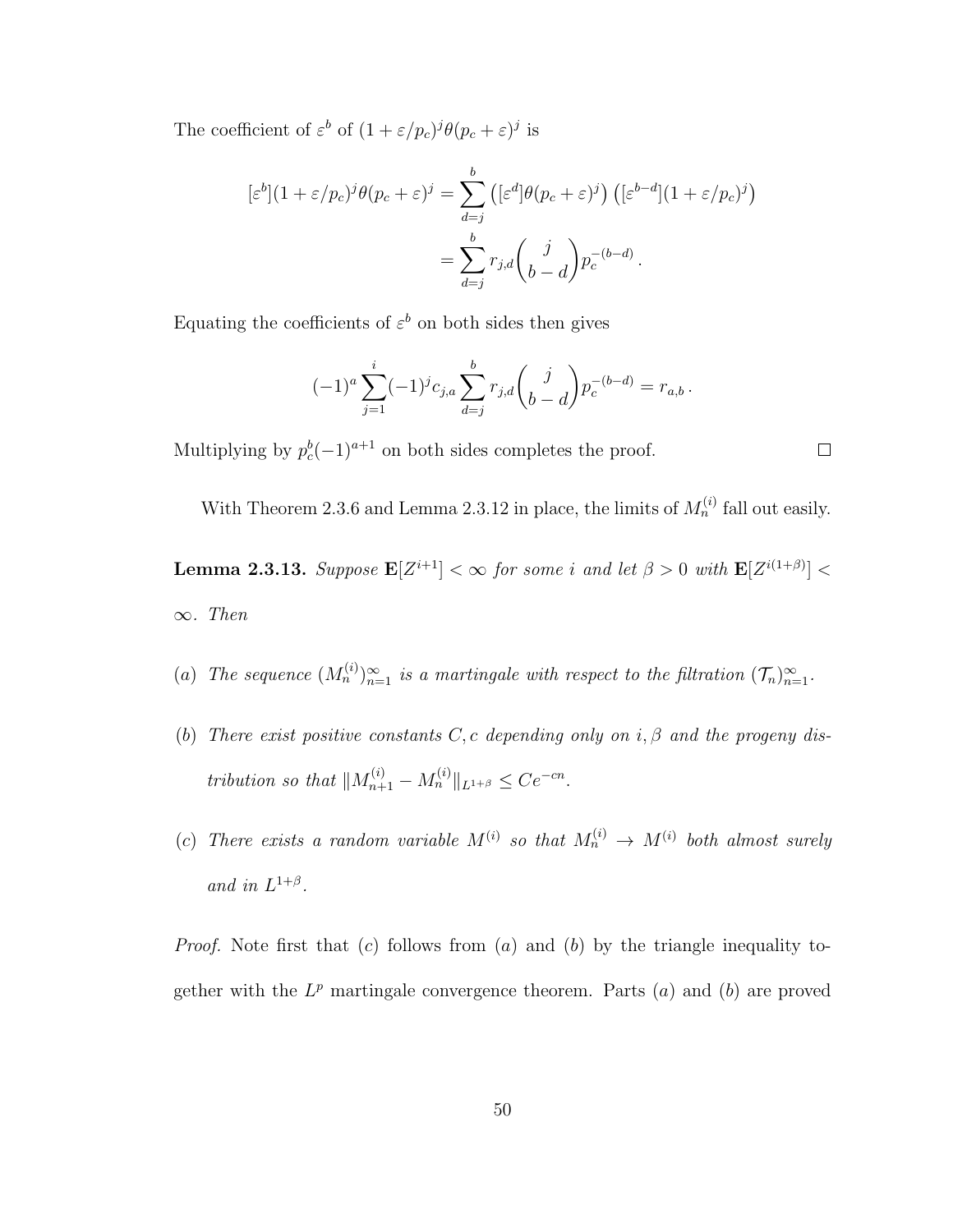The coefficient of  $\varepsilon^b$  of  $(1 + \varepsilon/p_c)^j \theta(p_c + \varepsilon)^j$  is

$$
\begin{aligned} [\varepsilon^b](1+\varepsilon/p_c)^j \theta(p_c+\varepsilon)^j &= \sum_{d=j}^b \left( [\varepsilon^d] \theta(p_c+\varepsilon)^j \right) \left( [\varepsilon^{b-d}] (1+\varepsilon/p_c)^j \right) \\ &= \sum_{d=j}^b r_{j,d} \binom{j}{b-d} p_c^{-(b-d)} \,. \end{aligned}
$$

Equating the coefficients of  $\varepsilon^b$  on both sides then gives

$$
(-1)^{a} \sum_{j=1}^{i} (-1)^{j} c_{j,a} \sum_{d=j}^{b} r_{j,d} {j \choose b-d} p_{c}^{-(b-d)} = r_{a,b}.
$$

Multiplying by  $p_c^b(-1)^{a+1}$  on both sides completes the proof.

With Theorem 2.3.6 and Lemma 2.3.12 in place, the limits of  $M_n^{(i)}$  fall out easily.

**Lemma 2.3.13.** Suppose  $\mathbf{E}[Z^{i+1}] < \infty$  for some i and let  $\beta > 0$  with  $\mathbf{E}[Z^{i(1+\beta)}] <$  $\infty$ . Then

(a) The sequence  $(M_n^{(i)})_{n=1}^{\infty}$  is a martingale with respect to the filtration  $(\mathcal{T}_n)_{n=1}^{\infty}$ .

- (b) There exist positive constants C, c depending only on i,  $\beta$  and the progeny distribution so that  $||M_{n+1}^{(i)} - M_n^{(i)}||_{L^{1+\beta}} \leq Ce^{-cn}$ .
- (c) There exists a random variable  $M^{(i)}$  so that  $M_n^{(i)} \to M^{(i)}$  both almost surely and in  $L^{1+\beta}$ .

*Proof.* Note first that (c) follows from (a) and (b) by the triangle inequality together with the  $L^p$  martingale convergence theorem. Parts  $(a)$  and  $(b)$  are proved

 $\Box$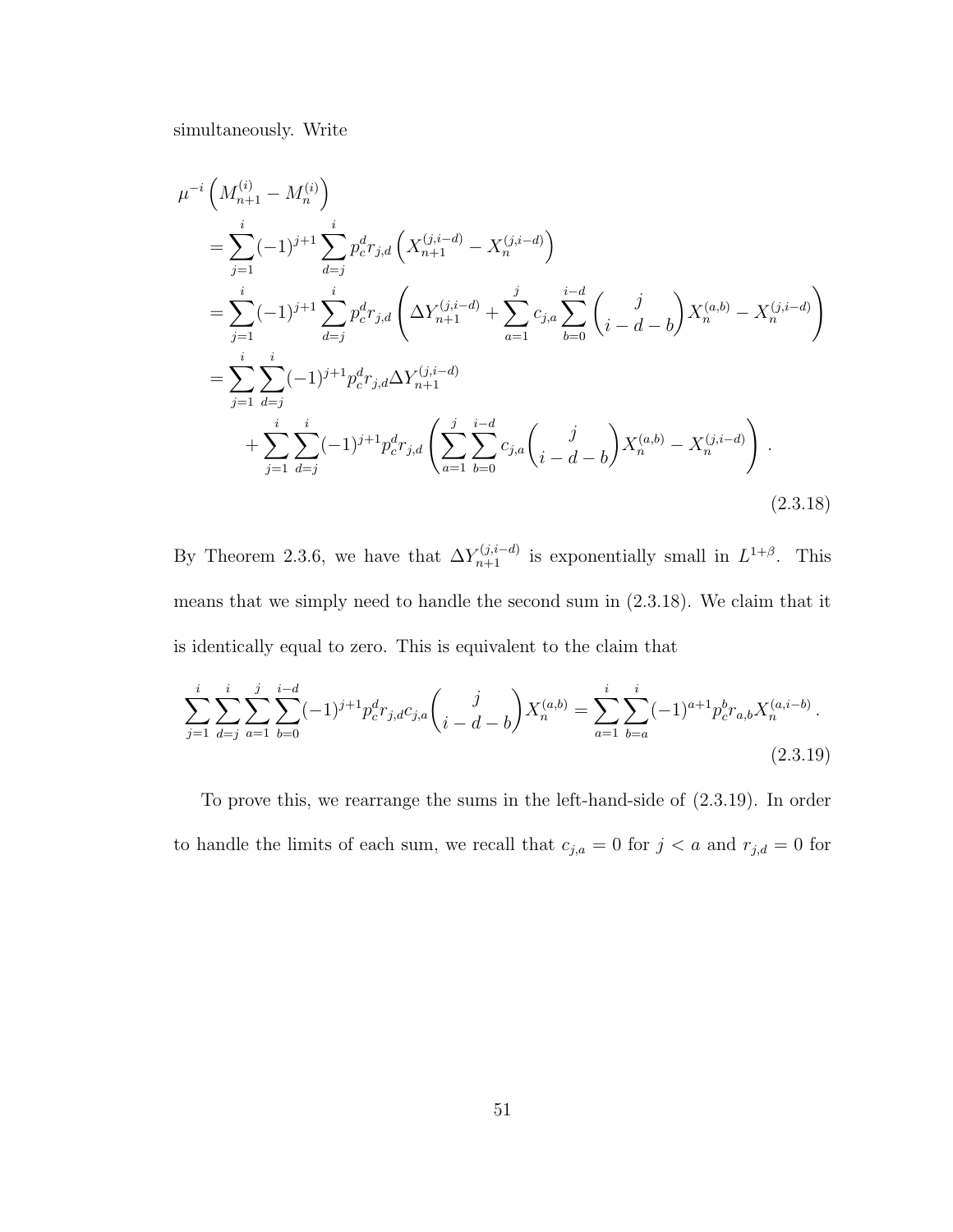simultaneously. Write

$$
\mu^{-i} \left( M_{n+1}^{(i)} - M_n^{(i)} \right)
$$
\n
$$
= \sum_{j=1}^i (-1)^{j+1} \sum_{d=j}^i p_c^d r_{j,d} \left( X_{n+1}^{(j,i-d)} - X_n^{(j,i-d)} \right)
$$
\n
$$
= \sum_{j=1}^i (-1)^{j+1} \sum_{d=j}^i p_c^d r_{j,d} \left( \Delta Y_{n+1}^{(j,i-d)} + \sum_{a=1}^j c_{j,a} \sum_{b=0}^{i-d} \left( \frac{j}{i-d-b} \right) X_n^{(a,b)} - X_n^{(j,i-d)} \right)
$$
\n
$$
= \sum_{j=1}^i \sum_{d=j}^i (-1)^{j+1} p_c^d r_{j,d} \Delta Y_{n+1}^{(j,i-d)}
$$
\n
$$
+ \sum_{j=1}^i \sum_{d=j}^i (-1)^{j+1} p_c^d r_{j,d} \left( \sum_{a=1}^j \sum_{b=0}^{i-d} c_{j,a} \left( \frac{j}{i-d-b} \right) X_n^{(a,b)} - X_n^{(j,i-d)} \right).
$$
\n(2.3.18)

By Theorem 2.3.6, we have that  $\Delta Y_{n+1}^{(j,i-d)}$  is exponentially small in  $L^{1+\beta}$ . This means that we simply need to handle the second sum in (2.3.18). We claim that it is identically equal to zero. This is equivalent to the claim that

$$
\sum_{j=1}^{i} \sum_{d=j}^{i} \sum_{a=1}^{j} \sum_{b=0}^{i-d} (-1)^{j+1} p_c^d r_{j,d} c_{j,a} \binom{j}{i-d-b} X_n^{(a,b)} = \sum_{a=1}^{i} \sum_{b=a}^{i} (-1)^{a+1} p_c^b r_{a,b} X_n^{(a,i-b)}.
$$
\n(2.3.19)

To prove this, we rearrange the sums in the left-hand-side of (2.3.19). In order to handle the limits of each sum, we recall that  $c_{j,a} = 0$  for  $j < a$  and  $r_{j,d} = 0$  for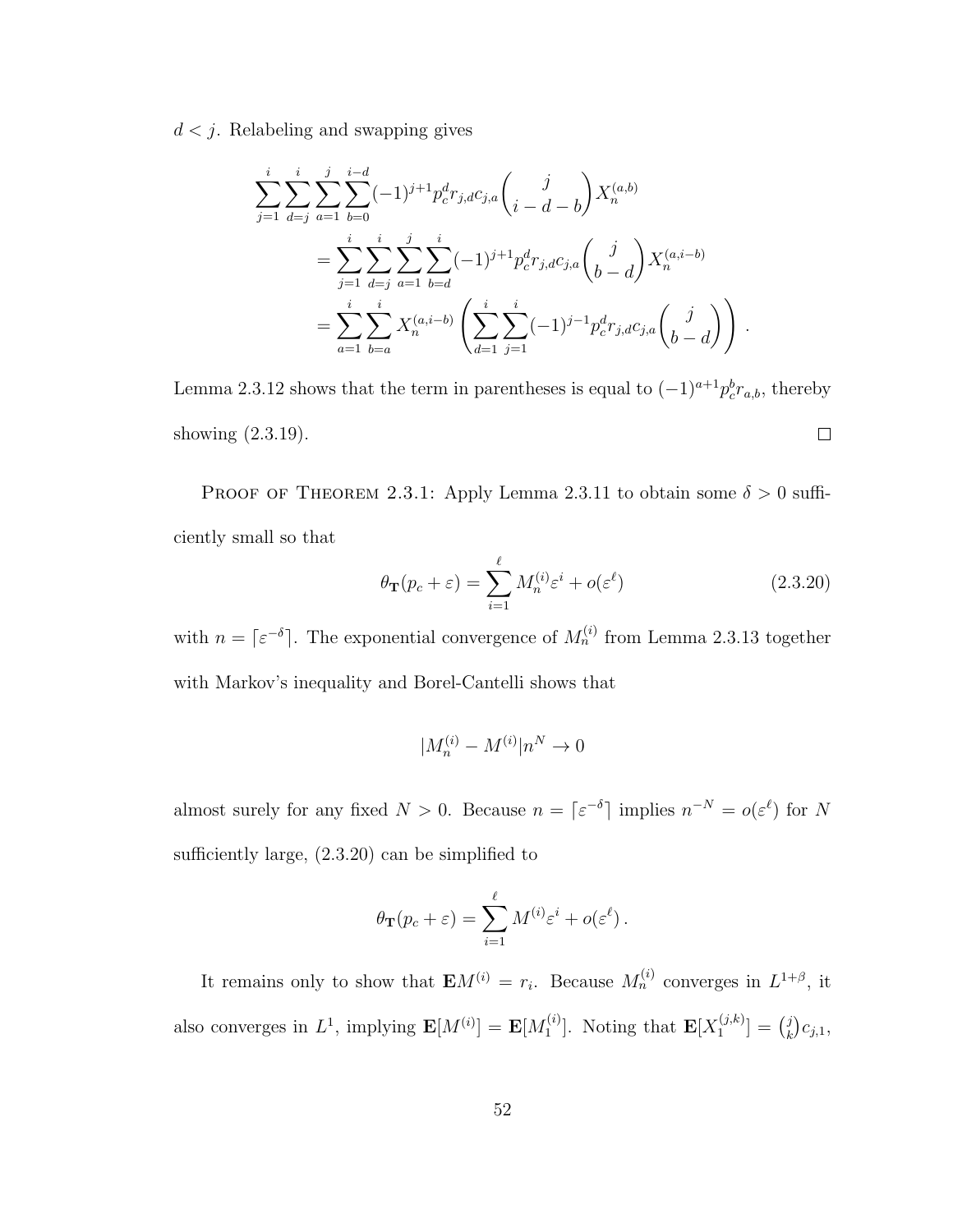$d < j$ . Relabeling and swapping gives

$$
\sum_{j=1}^{i} \sum_{d=j}^{i} \sum_{a=1}^{j} \sum_{b=0}^{i-d} (-1)^{j+1} p_c^d r_{j,d} c_{j,a} {j \choose i-d-b} X_n^{(a,b)}
$$
\n
$$
= \sum_{j=1}^{i} \sum_{d=j}^{i} \sum_{a=1}^{j} \sum_{b=d}^{j} (-1)^{j+1} p_c^d r_{j,d} c_{j,a} {j \choose b-d} X_n^{(a,i-b)}
$$
\n
$$
= \sum_{a=1}^{i} \sum_{b=a}^{i} X_n^{(a,i-b)} \left( \sum_{d=1}^{i} \sum_{j=1}^{i} (-1)^{j-1} p_c^d r_{j,d} c_{j,a} {j \choose b-d} \right).
$$

Lemma 2.3.12 shows that the term in parentheses is equal to  $(-1)^{a+1} p_c^b r_{a,b}$ , thereby  $\Box$ showing (2.3.19).

PROOF OF THEOREM 2.3.1: Apply Lemma 2.3.11 to obtain some  $\delta > 0$  sufficiently small so that

$$
\theta_{\mathbf{T}}(p_c + \varepsilon) = \sum_{i=1}^{\ell} M_n^{(i)} \varepsilon^i + o(\varepsilon^{\ell})
$$
\n(2.3.20)

with  $n = \lceil \varepsilon^{-\delta} \rceil$ . The exponential convergence of  $M_n^{(i)}$  from Lemma 2.3.13 together with Markov's inequality and Borel-Cantelli shows that

$$
|M_n^{(i)}-M^{(i)}|n^N\to 0
$$

almost surely for any fixed  $N > 0$ . Because  $n = \lceil \varepsilon^{-\delta} \rceil$  implies  $n^{-N} = o(\varepsilon^{\ell})$  for N sufficiently large, (2.3.20) can be simplified to

$$
\theta_{\mathbf{T}}(p_c + \varepsilon) = \sum_{i=1}^{\ell} M^{(i)} \varepsilon^i + o(\varepsilon^{\ell}).
$$

It remains only to show that  $\mathbf{E}M^{(i)} = r_i$ . Because  $M_n^{(i)}$  converges in  $L^{1+\beta}$ , it also converges in  $L^1$ , implying  $\mathbf{E}[M^{(i)}] = \mathbf{E}[M_1^{(i)}]$  $\mathbf{I}_{1}^{(i)}$ ]. Noting that  $\mathbf{E}[X_{1}^{(j,k)}]$  $\binom{(j,k)}{1} = \binom{j}{k}$  $_{k}^{j})c_{j,1},$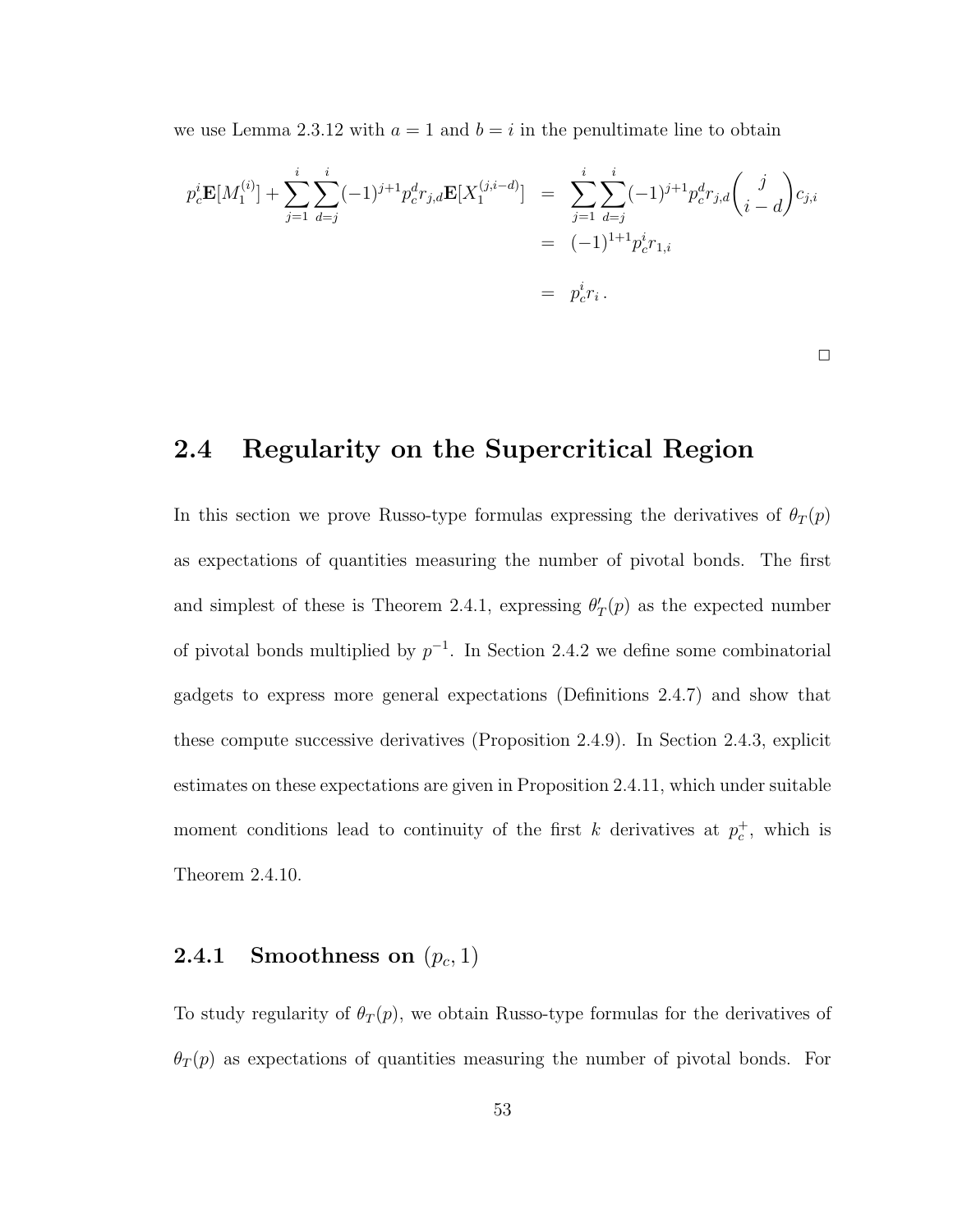we use Lemma 2.3.12 with  $a = 1$  and  $b = i$  in the penultimate line to obtain

$$
p_c^i \mathbf{E}[M_1^{(i)}] + \sum_{j=1}^i \sum_{d=j}^i (-1)^{j+1} p_c^d r_{j,d} \mathbf{E}[X_1^{(j,i-d)}] = \sum_{j=1}^i \sum_{d=j}^i (-1)^{j+1} p_c^d r_{j,d} {j \choose i-d} c_{j,i}
$$
  
=  $(-1)^{1+1} p_c^i r_{1,i}$   
=  $p_c^i r_i$ .

 $\Box$ 

# 2.4 Regularity on the Supercritical Region

In this section we prove Russo-type formulas expressing the derivatives of  $\theta_T(p)$ as expectations of quantities measuring the number of pivotal bonds. The first and simplest of these is Theorem 2.4.1, expressing  $\theta'_T(p)$  as the expected number of pivotal bonds multiplied by  $p^{-1}$ . In Section 2.4.2 we define some combinatorial gadgets to express more general expectations (Definitions 2.4.7) and show that these compute successive derivatives (Proposition 2.4.9). In Section 2.4.3, explicit estimates on these expectations are given in Proposition 2.4.11, which under suitable moment conditions lead to continuity of the first k derivatives at  $p_c^+$ , which is Theorem 2.4.10.

# $\mathbf{2.4.1} \quad \mathbf{Smoothness \, \, on} \, \, (p_c,1)$

To study regularity of  $\theta_T(p)$ , we obtain Russo-type formulas for the derivatives of  $\theta_T(p)$  as expectations of quantities measuring the number of pivotal bonds. For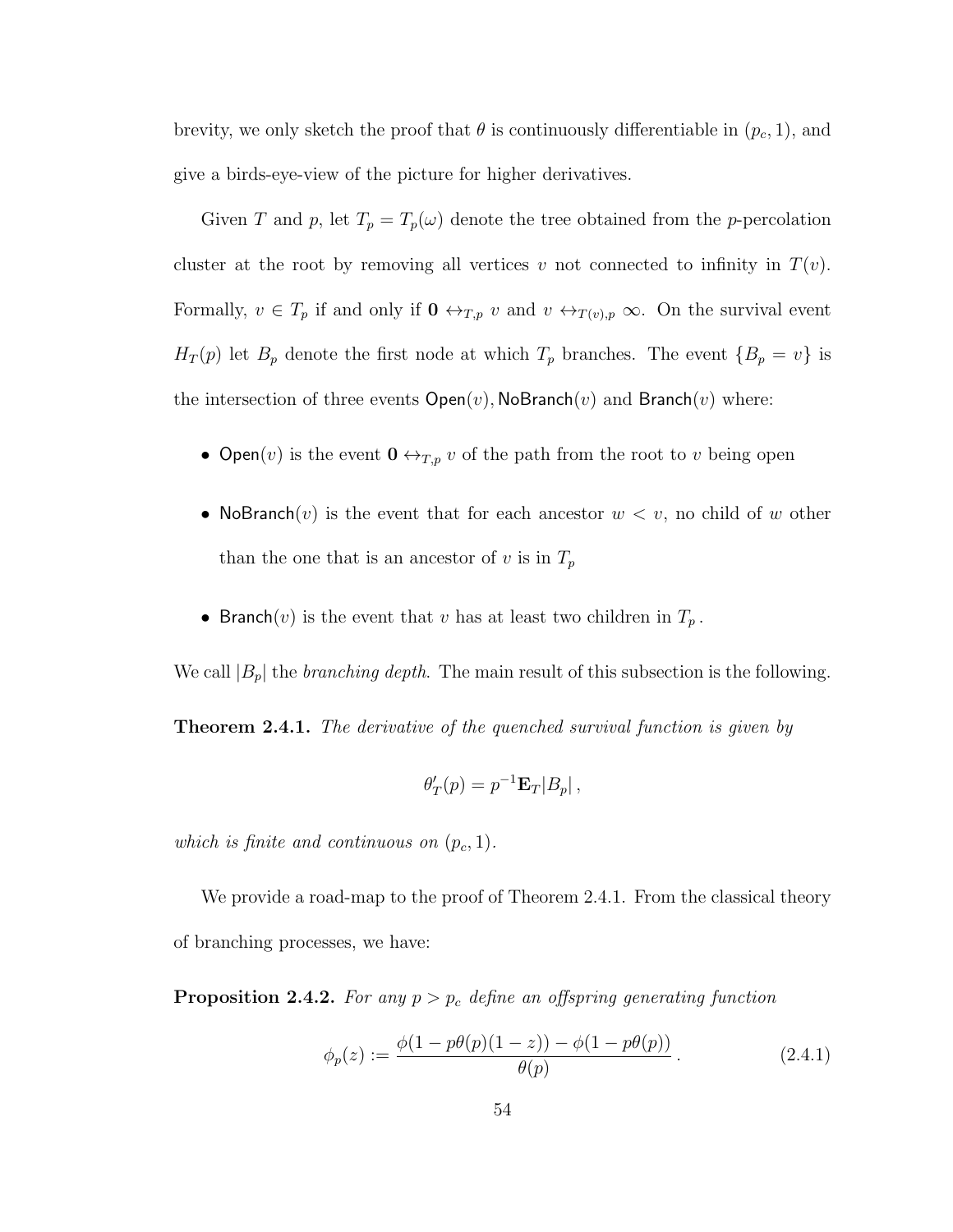brevity, we only sketch the proof that  $\theta$  is continuously differentiable in  $(p_c, 1)$ , and give a birds-eye-view of the picture for higher derivatives.

Given T and p, let  $T_p = T_p(\omega)$  denote the tree obtained from the p-percolation cluster at the root by removing all vertices v not connected to infinity in  $T(v)$ . Formally,  $v \in T_p$  if and only if  $\mathbf{0} \leftrightarrow_{T,p} v$  and  $v \leftrightarrow_{T(v),p} \infty$ . On the survival event  $H_T(p)$  let  $B_p$  denote the first node at which  $T_p$  branches. The event  $\{B_p = v\}$  is the intersection of three events  $Open(v)$ , NoBranch $(v)$  and Branch $(v)$  where:

- Open(*v*) is the event  $0 \leftrightarrow_{T,p} v$  of the path from the root to *v* being open
- NoBranch(v) is the event that for each ancestor  $w < v$ , no child of w other than the one that is an ancestor of  $v$  is in  $T_p$
- Branch(v) is the event that v has at least two children in  $T_p$ .

We call  $|B_p|$  the *branching depth*. The main result of this subsection is the following.

**Theorem 2.4.1.** The derivative of the quenched survival function is given by

$$
\theta'_T(p) = p^{-1} \mathbf{E}_T |B_p| \,,
$$

which is finite and continuous on  $(p_c, 1)$ .

We provide a road-map to the proof of Theorem 2.4.1. From the classical theory of branching processes, we have:

**Proposition 2.4.2.** For any  $p > p_c$  define an offspring generating function

$$
\phi_p(z) := \frac{\phi(1 - p\theta(p)(1 - z)) - \phi(1 - p\theta(p))}{\theta(p)}.
$$
\n(2.4.1)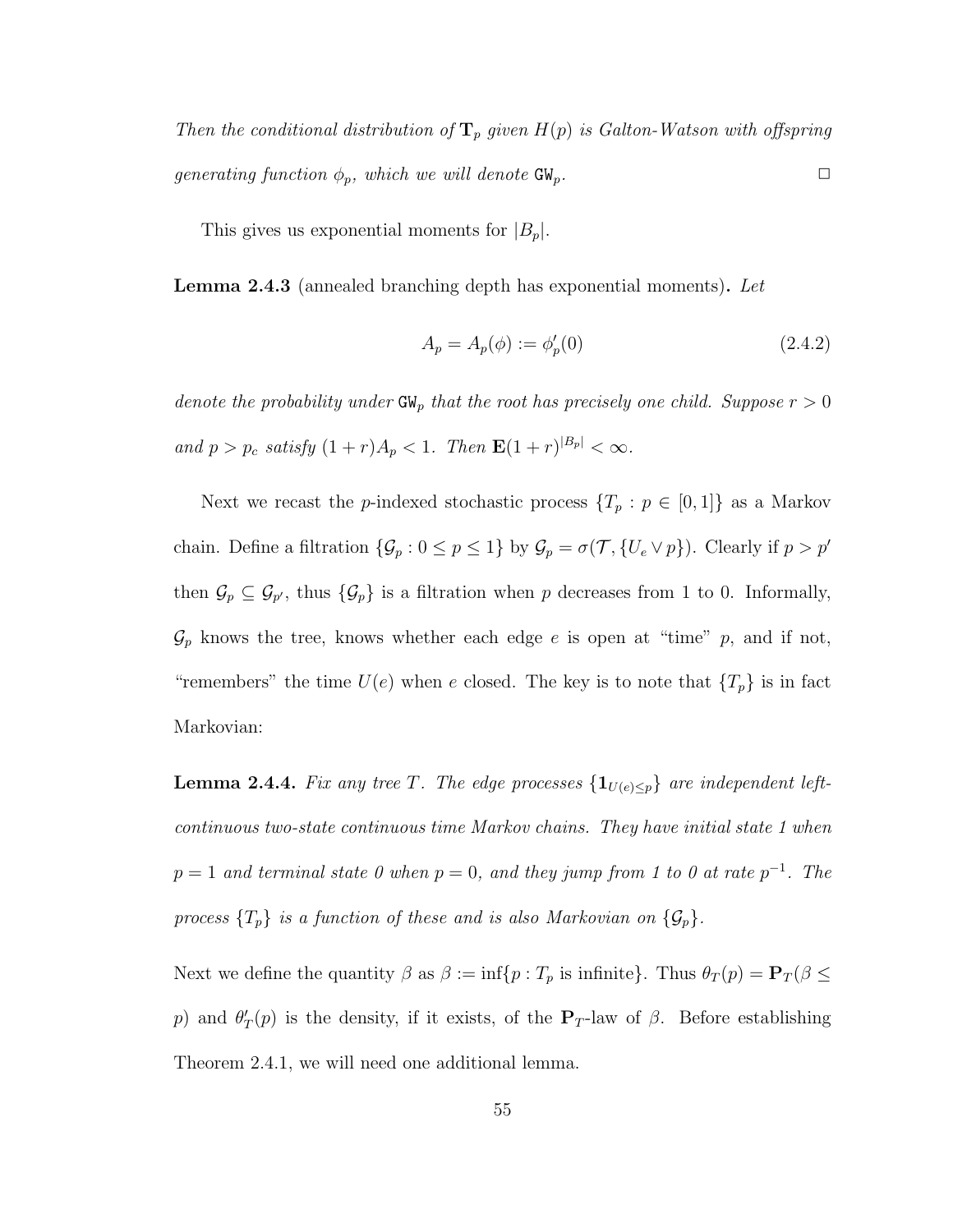Then the conditional distribution of  $\mathbf{T}_p$  given  $H(p)$  is Galton-Watson with offspring generating function  $\phi_p$ , which we will denote  $GW_p$ .

This gives us exponential moments for  $|B_p|$ .

Lemma 2.4.3 (annealed branching depth has exponential moments). Let

$$
A_p = A_p(\phi) := \phi'_p(0)
$$
\n(2.4.2)

denote the probability under  $GW_p$  that the root has precisely one child. Suppose  $r > 0$ and  $p > p_c$  satisfy  $(1+r)A_p < 1$ . Then  $\mathbf{E}(1+r)^{|B_p|} < \infty$ .

Next we recast the *p*-indexed stochastic process  $\{T_p : p \in [0,1]\}$  as a Markov chain. Define a filtration  $\{\mathcal{G}_p : 0 \le p \le 1\}$  by  $\mathcal{G}_p = \sigma(\mathcal{T}, \{U_e \vee p\})$ . Clearly if  $p > p'$ then  $\mathcal{G}_p \subseteq \mathcal{G}_{p'}$ , thus  $\{\mathcal{G}_p\}$  is a filtration when p decreases from 1 to 0. Informally,  $\mathcal{G}_p$  knows the tree, knows whether each edge e is open at "time" p, and if not, "remembers" the time  $U(e)$  when e closed. The key is to note that  $\{T_p\}$  is in fact Markovian:

**Lemma 2.4.4.** Fix any tree T. The edge processes  $\{1_{U(e)\leq p}\}\$  are independent leftcontinuous two-state continuous time Markov chains. They have initial state 1 when  $p = 1$  and terminal state 0 when  $p = 0$ , and they jump from 1 to 0 at rate  $p^{-1}$ . The process  $\{T_p\}$  is a function of these and is also Markovian on  $\{\mathcal{G}_p\}$ .

Next we define the quantity  $\beta$  as  $\beta := \inf\{p : T_p \text{ is infinite}\}\)$ . Thus  $\theta_T(p) = \mathbf{P}_T(\beta \leq \beta)$ p) and  $\theta'_T(p)$  is the density, if it exists, of the  $P_T$ -law of  $\beta$ . Before establishing Theorem 2.4.1, we will need one additional lemma.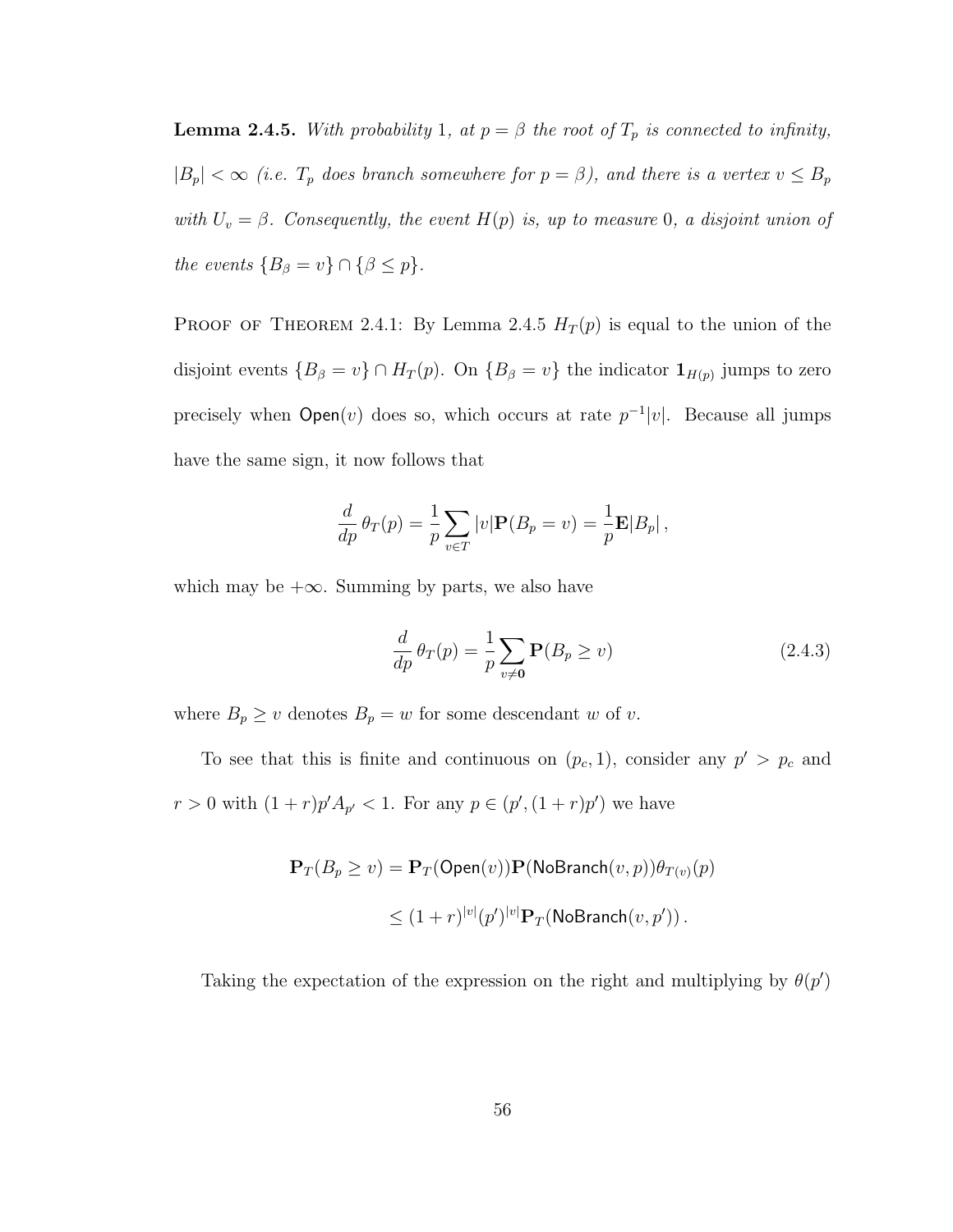**Lemma 2.4.5.** With probability 1, at  $p = \beta$  the root of  $T_p$  is connected to infinity,  $|B_p| < \infty$  (i.e.  $T_p$  does branch somewhere for  $p = \beta$ ), and there is a vertex  $v \le B_p$ with  $U_v = \beta$ . Consequently, the event  $H(p)$  is, up to measure 0, a disjoint union of the events  ${B_{\beta} = v} \cap {\beta \le p}.$ 

PROOF OF THEOREM 2.4.1: By Lemma 2.4.5  $H_T(p)$  is equal to the union of the disjoint events  ${B_\beta = v} \cap H_T(p)$ . On  ${B_\beta = v}$  the indicator  $\mathbf{1}_{H(p)}$  jumps to zero precisely when  $Open(v)$  does so, which occurs at rate  $p^{-1}|v|$ . Because all jumps have the same sign, it now follows that

$$
\frac{d}{dp}\theta_T(p) = \frac{1}{p}\sum_{v \in T} |v| \mathbf{P}(B_p = v) = \frac{1}{p} \mathbf{E}|B_p|,
$$

which may be  $+\infty$ . Summing by parts, we also have

$$
\frac{d}{dp}\theta_T(p) = \frac{1}{p} \sum_{v \neq 0} \mathbf{P}(B_p \ge v)
$$
\n(2.4.3)

where  $B_p \ge v$  denotes  $B_p = w$  for some descendant w of v.

To see that this is finite and continuous on  $(p_c, 1)$ , consider any  $p' > p_c$  and  $r > 0$  with  $(1+r)p' A_{p'} < 1$ . For any  $p \in (p', (1+r)p')$  we have

$$
\mathbf{P}_T(B_p \ge v) = \mathbf{P}_T(\mathsf{Open}(v))\mathbf{P}(\mathsf{NoBranch}(v, p))\theta_{T(v)}(p)
$$
  

$$
\le (1+r)^{|v|}(p')^{|v|}\mathbf{P}_T(\mathsf{NoBranch}(v, p')).
$$

Taking the expectation of the expression on the right and multiplying by  $\theta(p')$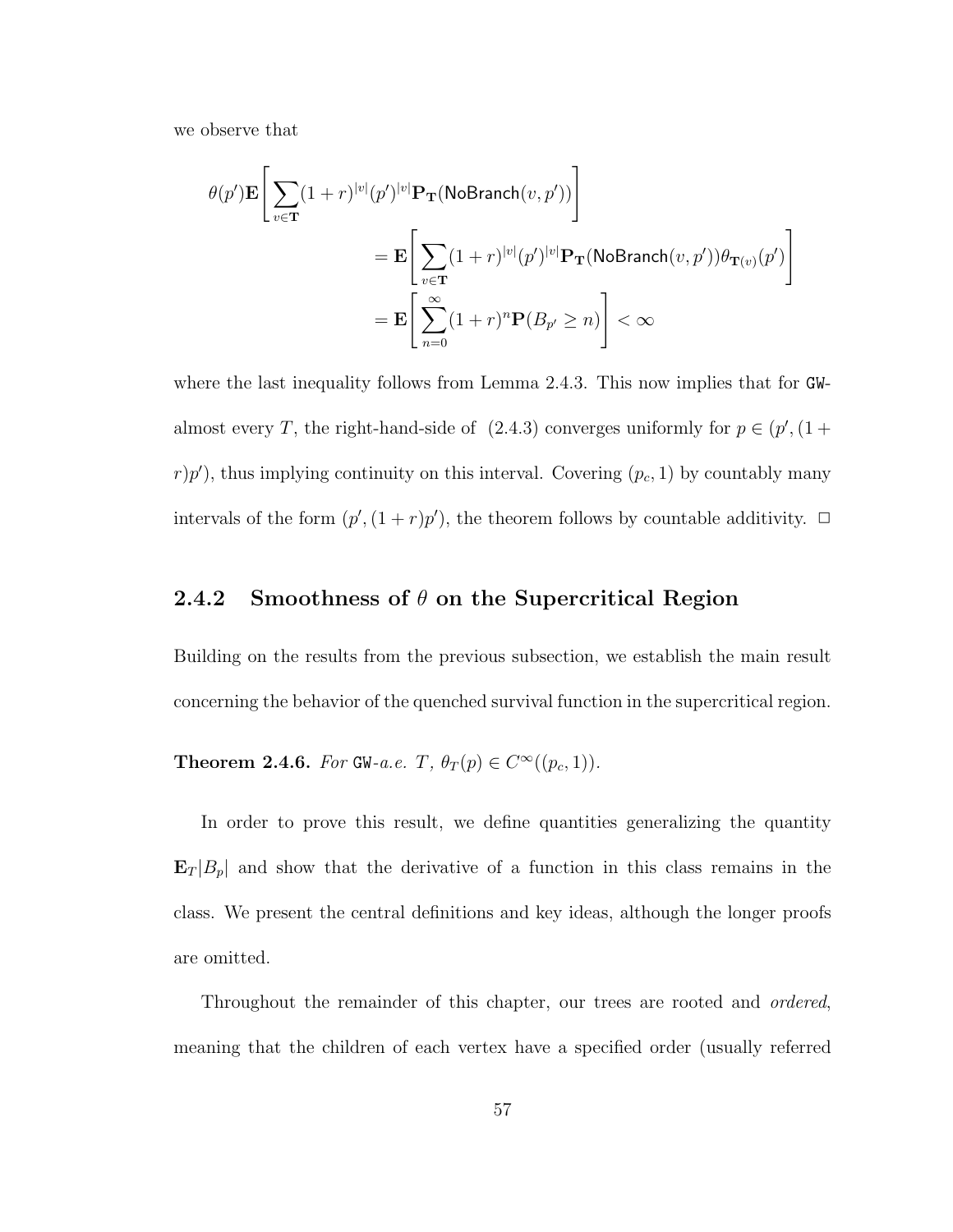we observe that

$$
\begin{aligned} \theta(p') \mathbf{E} \Bigg[ \sum_{v \in \mathbf{T}} (1+r)^{|v|} (p')^{|v|} \mathbf{P}_{\mathbf{T}}(\text{NoBranch}(v, p')) \Bigg] \\ & = \mathbf{E} \Bigg[ \sum_{v \in \mathbf{T}} (1+r)^{|v|} (p')^{|v|} \mathbf{P}_{\mathbf{T}}(\text{NoBranch}(v, p')) \theta_{\mathbf{T}(v)}(p') \Bigg] \\ & = \mathbf{E} \Bigg[ \sum_{n=0}^{\infty} (1+r)^n \mathbf{P}(B_{p'} \ge n) \Bigg] < \infty \end{aligned}
$$

where the last inequality follows from Lemma 2.4.3. This now implies that for GWalmost every T, the right-hand-side of  $(2.4.3)$  converges uniformly for  $p \in (p', (1 +$  $(r)p'$ , thus implying continuity on this interval. Covering  $(p_c, 1)$  by countably many intervals of the form  $(p', (1+r)p')$ , the theorem follows by countable additivity.  $\Box$ 

## 2.4.2 Smoothness of  $\theta$  on the Supercritical Region

Building on the results from the previous subsection, we establish the main result concerning the behavior of the quenched survival function in the supercritical region.

**Theorem 2.4.6.** For GW-a.e.  $T$ ,  $\theta_T(p) \in C^\infty((p_c, 1))$ .

In order to prove this result, we define quantities generalizing the quantity  $\mathbf{E}_T |B_p|$  and show that the derivative of a function in this class remains in the class. We present the central definitions and key ideas, although the longer proofs are omitted.

Throughout the remainder of this chapter, our trees are rooted and ordered, meaning that the children of each vertex have a specified order (usually referred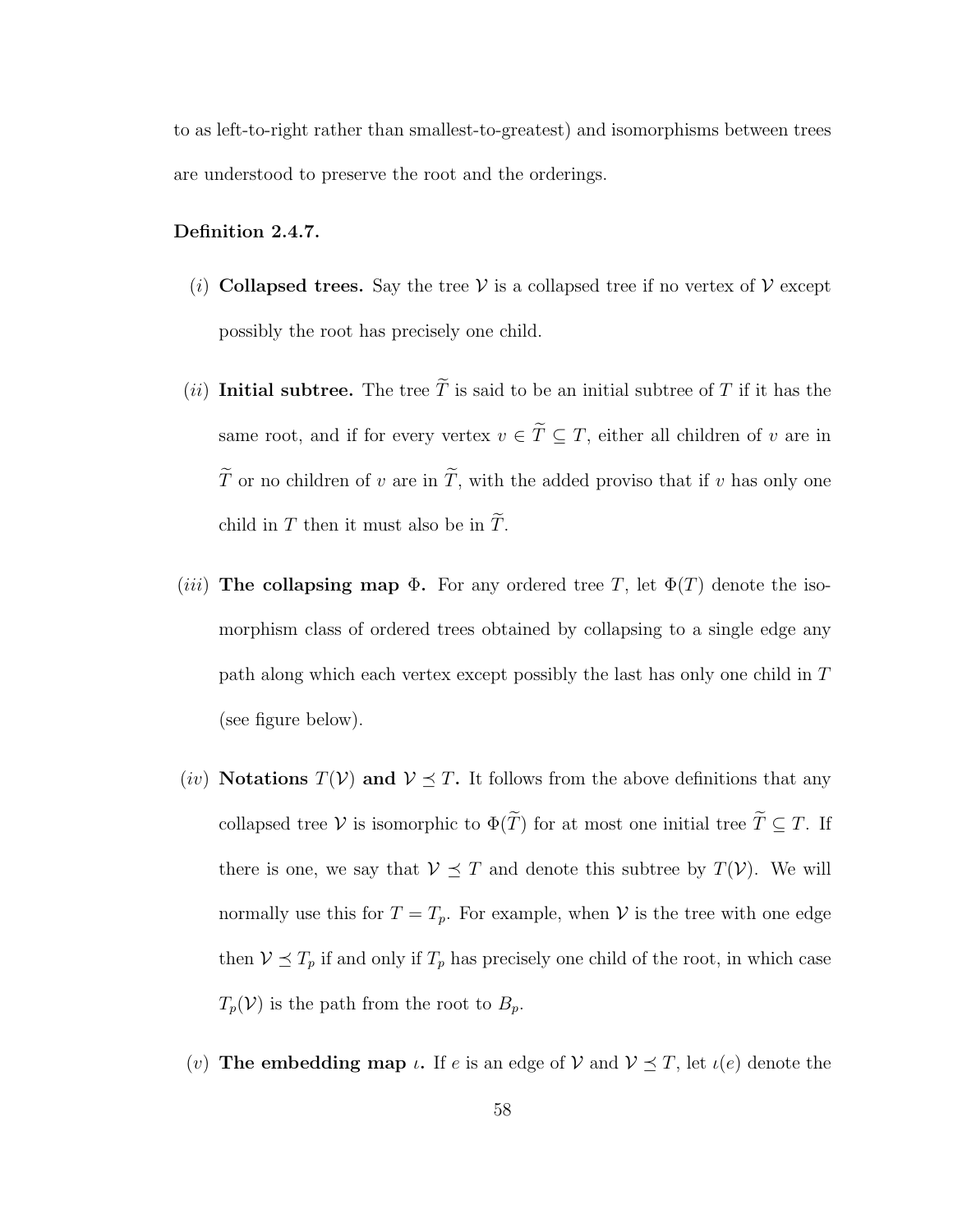to as left-to-right rather than smallest-to-greatest) and isomorphisms between trees are understood to preserve the root and the orderings.

#### Definition 2.4.7.

- (i) Collapsed trees. Say the tree V is a collapsed tree if no vertex of V except possibly the root has precisely one child.
- (ii) Initial subtree. The tree  $\widetilde{T}$  is said to be an initial subtree of T if it has the same root, and if for every vertex  $v \in \tilde{T} \subseteq T$ , either all children of v are in  $\widetilde{T}$  or no children of  $v$  are in  $\widetilde{T},$  with the added proviso that if  $v$  has only one child in T then it must also be in  $\widetilde{T}$ .
- (*iii*) The collapsing map  $\Phi$ . For any ordered tree T, let  $\Phi(T)$  denote the isomorphism class of ordered trees obtained by collapsing to a single edge any path along which each vertex except possibly the last has only one child in T (see figure below).
- (iv) Notations  $T(V)$  and  $V \leq T$ . It follows from the above definitions that any collapsed tree V is isomorphic to  $\Phi(\widetilde{T})$  for at most one initial tree  $\widetilde{T} \subseteq T$ . If there is one, we say that  $V \preceq T$  and denote this subtree by  $T(V)$ . We will normally use this for  $T = T_p$ . For example, when V is the tree with one edge then  $V \preceq T_p$  if and only if  $T_p$  has precisely one child of the root, in which case  $T_p(\mathcal{V})$  is the path from the root to  $B_p$ .
- (v) The embedding map  $\iota$ . If  $e$  is an edge of  $\mathcal V$  and  $\mathcal V \preceq T$ , let  $\iota(e)$  denote the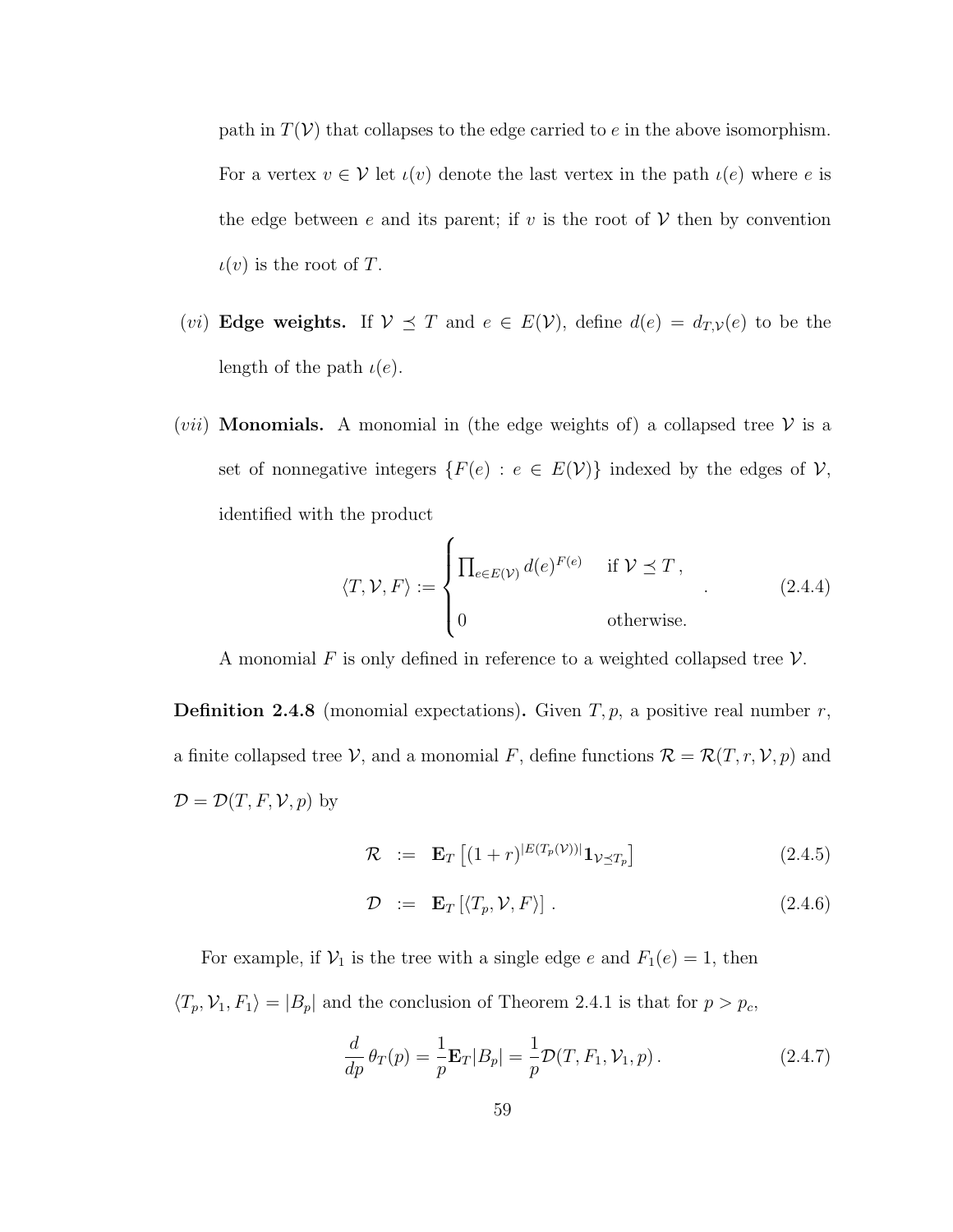path in  $T(V)$  that collapses to the edge carried to e in the above isomorphism. For a vertex  $v \in V$  let  $\iota(v)$  denote the last vertex in the path  $\iota(e)$  where e is the edge between e and its parent; if v is the root of  $V$  then by convention  $\iota(v)$  is the root of T.

- (*vi*) **Edge weights.** If  $V \preceq T$  and  $e \in E(V)$ , define  $d(e) = d_{T,V}(e)$  to be the length of the path  $\iota(e)$ .
- (*vii*) **Monomials.** A monomial in (the edge weights of) a collapsed tree  $V$  is a set of nonnegative integers  $\{F(e) : e \in E(V)\}$  indexed by the edges of  $V$ , identified with the product

$$
\langle T, \mathcal{V}, F \rangle := \begin{cases} \prod_{e \in E(\mathcal{V})} d(e)^{F(e)} & \text{if } \mathcal{V} \preceq T, \\ 0 & \text{otherwise.} \end{cases}
$$
 (2.4.4)

A monomial F is only defined in reference to a weighted collapsed tree  $\mathcal V$ .

**Definition 2.4.8** (monomial expectations). Given  $T, p$ , a positive real number  $r$ , a finite collapsed tree  $\mathcal V$ , and a monomial F, define functions  $\mathcal R = \mathcal R(T,r,\mathcal V,p)$  and  $\mathcal{D} = \mathcal{D}(T, F, \mathcal{V}, p)$  by

$$
\mathcal{R} \quad := \quad \mathbf{E}_T \left[ (1+r)^{|E(T_p(V))|} \mathbf{1}_{\mathcal{V} \preceq T_p} \right] \tag{2.4.5}
$$

$$
\mathcal{D} := \mathbf{E}_T \left[ \langle T_p, \mathcal{V}, F \rangle \right]. \tag{2.4.6}
$$

For example, if  $V_1$  is the tree with a single edge e and  $F_1(e) = 1$ , then  $\langle T_p, V_1, F_1 \rangle = |B_p|$  and the conclusion of Theorem 2.4.1 is that for  $p > p_c$ ,

$$
\frac{d}{dp}\theta_T(p) = \frac{1}{p}\mathbf{E}_T|B_p| = \frac{1}{p}\mathcal{D}(T, F_1, \mathcal{V}_1, p).
$$
\n(2.4.7)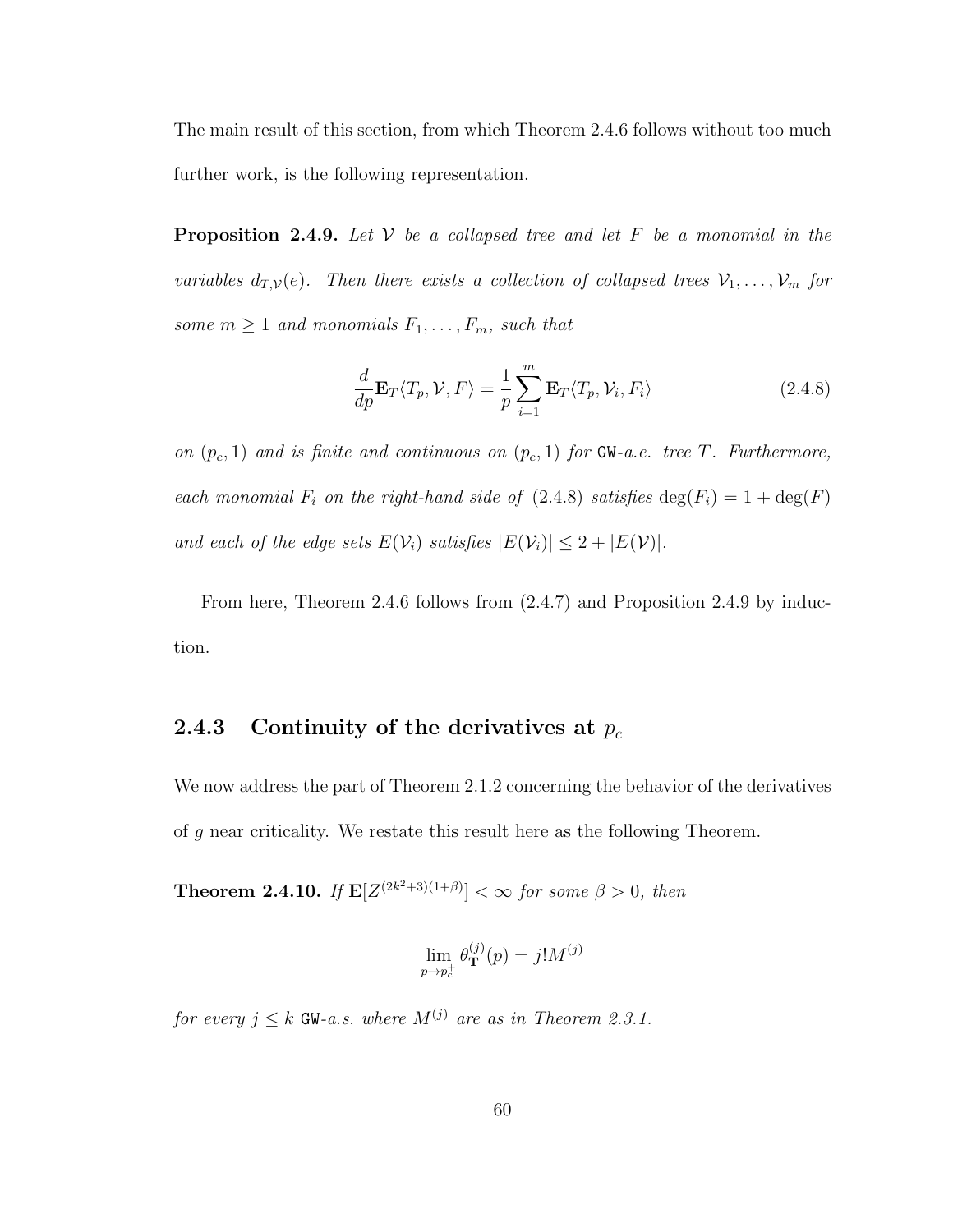The main result of this section, from which Theorem 2.4.6 follows without too much further work, is the following representation.

**Proposition 2.4.9.** Let  $V$  be a collapsed tree and let  $F$  be a monomial in the variables  $d_{T,V}(e)$ . Then there exists a collection of collapsed trees  $V_1, \ldots, V_m$  for some  $m \geq 1$  and monomials  $F_1, \ldots, F_m$ , such that

$$
\frac{d}{dp}\mathbf{E}_T\langle T_p, \mathcal{V}, F \rangle = \frac{1}{p} \sum_{i=1}^m \mathbf{E}_T\langle T_p, \mathcal{V}_i, F_i \rangle \tag{2.4.8}
$$

on  $(p_c, 1)$  and is finite and continuous on  $(p_c, 1)$  for GW-a.e. tree T. Furthermore, each monomial  $F_i$  on the right-hand side of (2.4.8) satisfies  $\deg(F_i) = 1 + \deg(F)$ and each of the edge sets  $E(\mathcal{V}_i)$  satisfies  $|E(\mathcal{V}_i)| \leq 2 + |E(\mathcal{V})|$ .

From here, Theorem 2.4.6 follows from (2.4.7) and Proposition 2.4.9 by induction.

# 2.4.3 Continuity of the derivatives at  $p_c$

We now address the part of Theorem 2.1.2 concerning the behavior of the derivatives of g near criticality. We restate this result here as the following Theorem.

**Theorem 2.4.10.** If  $\mathbf{E}[Z^{(2k^2+3)(1+\beta)}] < \infty$  for some  $\beta > 0$ , then

$$
\lim_{p \to p_c^+} \theta_{\mathbf{T}}^{(j)}(p) = j! M^{(j)}
$$

for every  $j \leq k$  GW-a.s. where  $M^{(j)}$  are as in Theorem 2.3.1.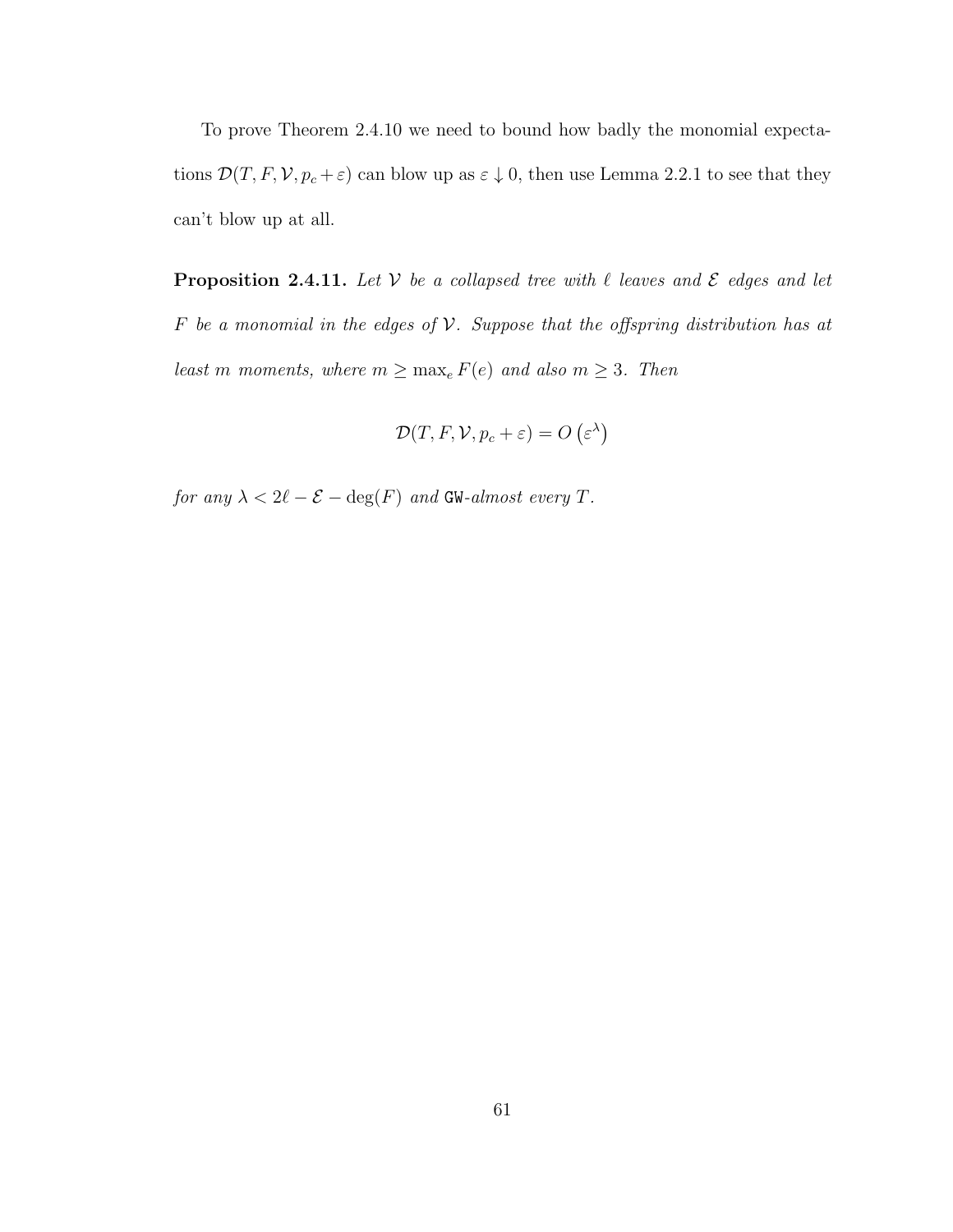To prove Theorem 2.4.10 we need to bound how badly the monomial expectations  $\mathcal{D}(T, F, V, p_c + \varepsilon)$  can blow up as  $\varepsilon \downarrow 0$ , then use Lemma 2.2.1 to see that they can't blow up at all.

**Proposition 2.4.11.** Let  $V$  be a collapsed tree with  $\ell$  leaves and  $\mathcal{E}$  edges and let F be a monomial in the edges of  $V$ . Suppose that the offspring distribution has at least m moments, where  $m \ge \max_e F(e)$  and also  $m \ge 3$ . Then

$$
\mathcal{D}(T, F, \mathcal{V}, p_c + \varepsilon) = O\left(\varepsilon^{\lambda}\right)
$$

 $\label{eq:1} \textit{for any} \; \lambda < 2\ell - \mathcal{E} - \deg(F) \; \, \textit{and} \; \textit{GW-almost every} \; T.$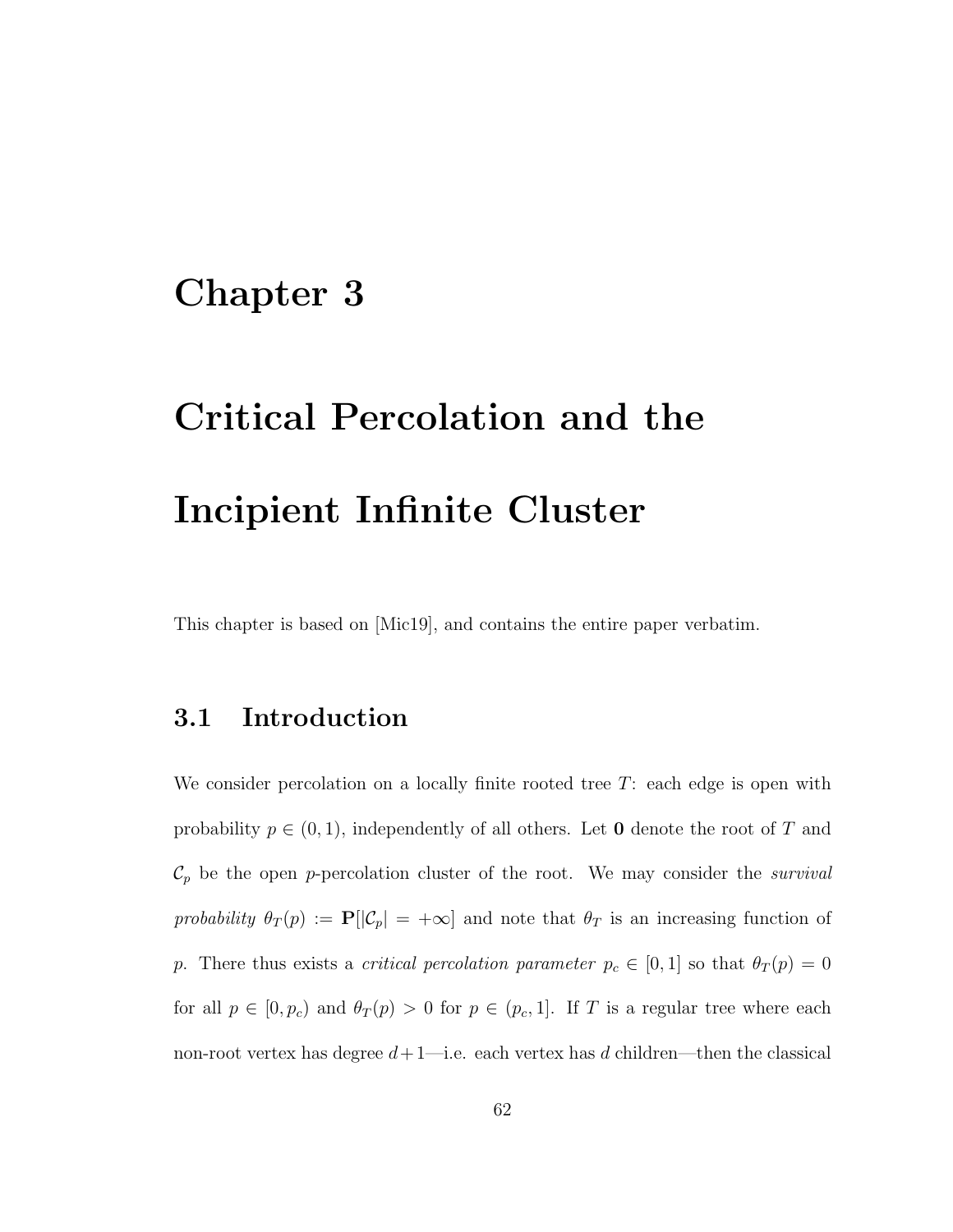# Chapter 3

# Critical Percolation and the Incipient Infinite Cluster

This chapter is based on [Mic19], and contains the entire paper verbatim.

# 3.1 Introduction

We consider percolation on a locally finite rooted tree T: each edge is open with probability  $p \in (0, 1)$ , independently of all others. Let **0** denote the root of T and  $\mathcal{C}_p$  be the open p-percolation cluster of the root. We may consider the *survival* probability  $\theta_T(p) := \mathbf{P}[\mathcal{C}_p] = +\infty]$  and note that  $\theta_T$  is an increasing function of p. There thus exists a *critical percolation parameter*  $p_c \in [0, 1]$  so that  $\theta_T(p) = 0$ for all  $p \in [0, p_c)$  and  $\theta_T(p) > 0$  for  $p \in (p_c, 1]$ . If T is a regular tree where each non-root vertex has degree  $d+1$ —i.e. each vertex has d children—then the classical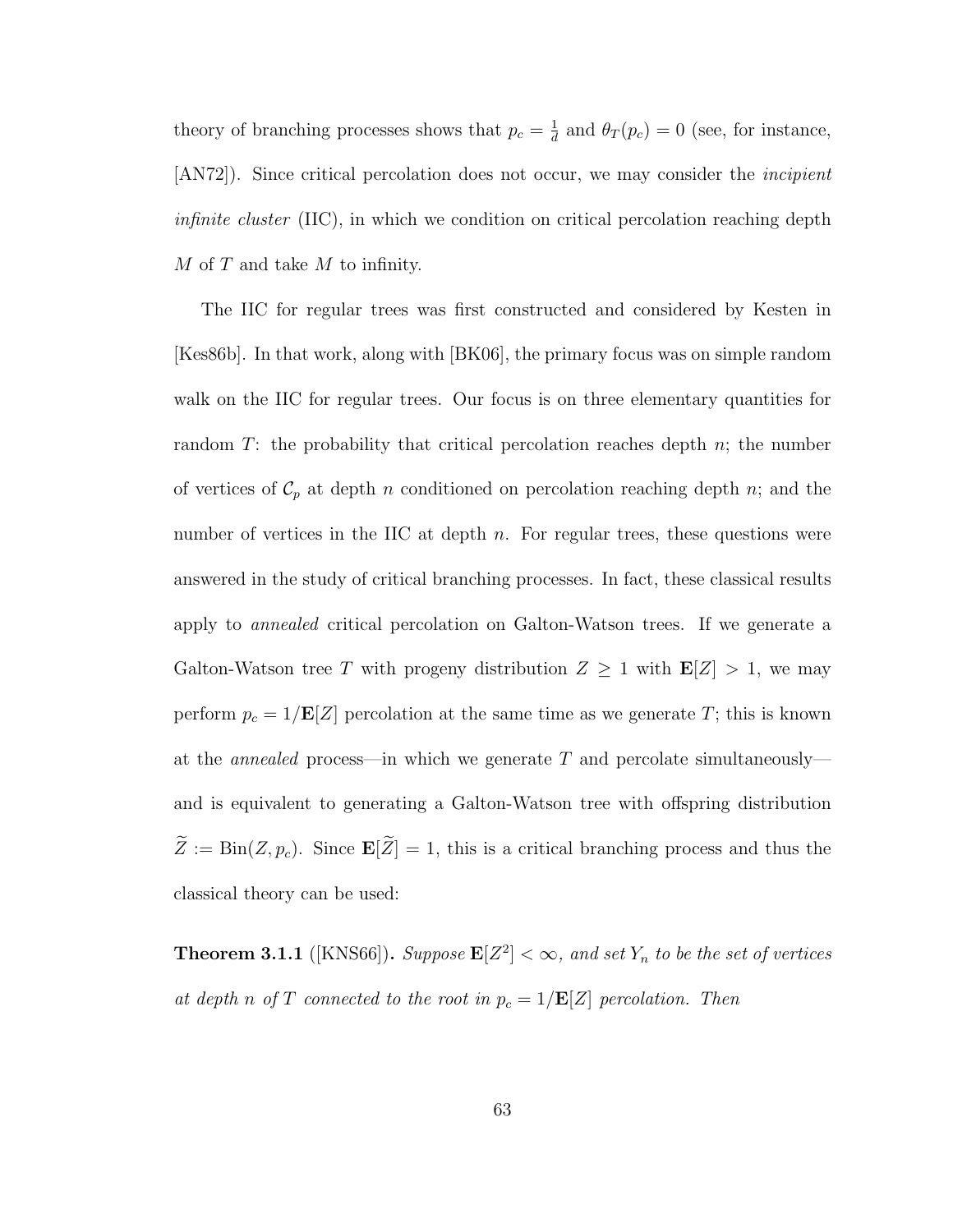theory of branching processes shows that  $p_c = \frac{1}{d}$  $\frac{1}{d}$  and  $\theta_T(p_c) = 0$  (see, for instance, [AN72]). Since critical percolation does not occur, we may consider the *incipient* infinite cluster (IIC), in which we condition on critical percolation reaching depth  $M$  of  $T$  and take  $M$  to infinity.

The IIC for regular trees was first constructed and considered by Kesten in [Kes86b]. In that work, along with [BK06], the primary focus was on simple random walk on the IIC for regular trees. Our focus is on three elementary quantities for random  $T$ : the probability that critical percolation reaches depth  $n$ ; the number of vertices of  $C_p$  at depth n conditioned on percolation reaching depth n; and the number of vertices in the IIC at depth  $n$ . For regular trees, these questions were answered in the study of critical branching processes. In fact, these classical results apply to *annealed* critical percolation on Galton-Watson trees. If we generate a Galton-Watson tree T with progeny distribution  $Z \geq 1$  with  $\mathbf{E}[Z] > 1$ , we may perform  $p_c = 1/\mathbf{E}[Z]$  percolation at the same time as we generate T; this is known at the *annealed* process—in which we generate  $T$  and percolate simultaneously and is equivalent to generating a Galton-Watson tree with offspring distribution  $\widetilde{Z} := \text{Bin}(Z, p_c)$ . Since  $\mathbf{E}[\widetilde{Z}] = 1$ , this is a critical branching process and thus the classical theory can be used:

**Theorem 3.1.1** ([KNS66]). Suppose  $\mathbf{E}[Z^2] < \infty$ , and set  $Y_n$  to be the set of vertices at depth n of T connected to the root in  $p_c = 1/\mathbf{E}[Z]$  percolation. Then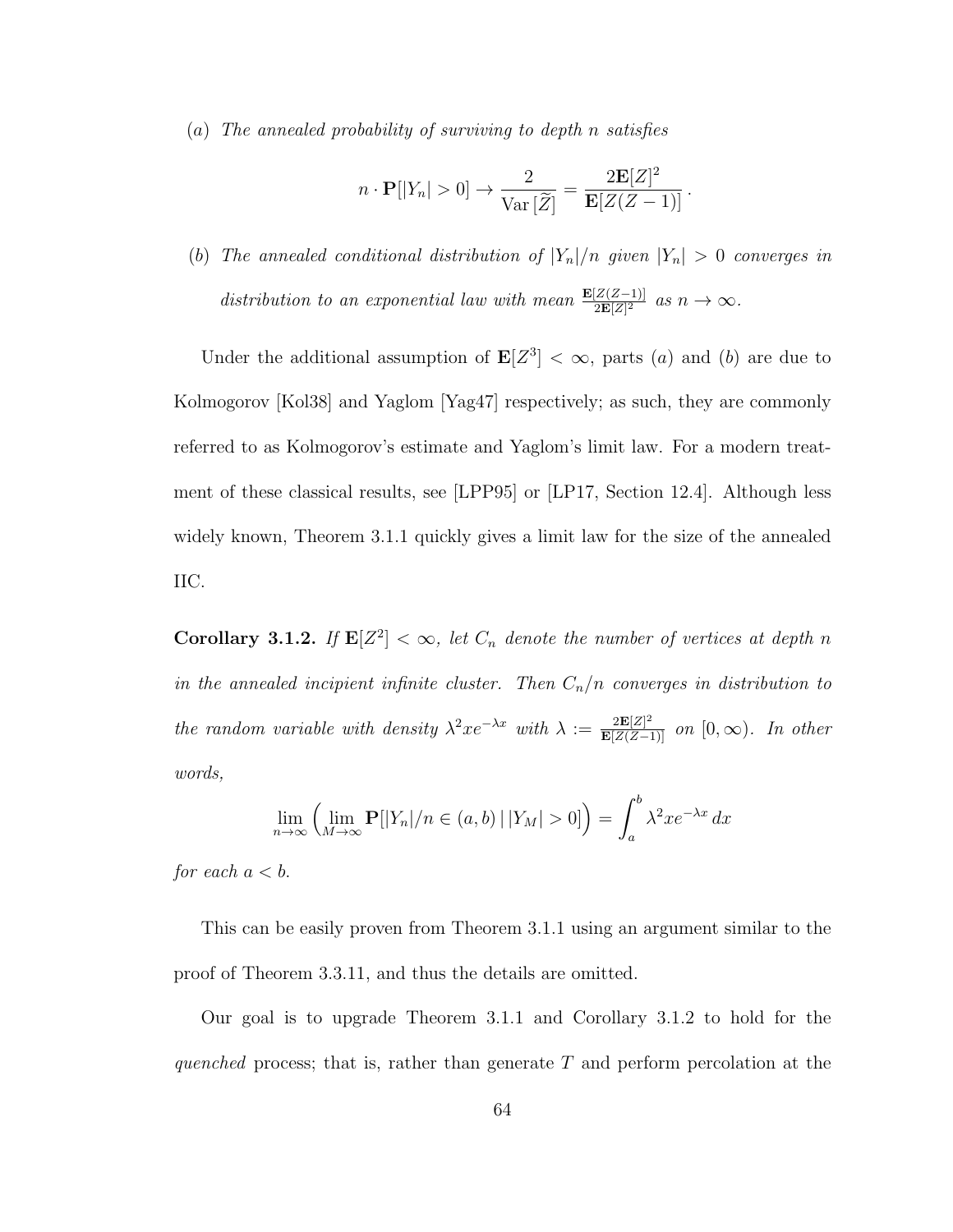(a) The annealed probability of surviving to depth n satisfies

$$
n \cdot \mathbf{P}[|Y_n| > 0] \to \frac{2}{\text{Var}[\widetilde{Z}]} = \frac{2\mathbf{E}[Z]^2}{\mathbf{E}[Z(Z-1)]}.
$$

(b) The annealed conditional distribution of  $|Y_n|/n$  given  $|Y_n| > 0$  converges in distribution to an exponential law with mean  $\frac{\mathbf{E}[Z(Z-1)]}{2\mathbf{E}[Z]^2}$  as  $n \to \infty$ .

Under the additional assumption of  $\mathbf{E}[Z^3] < \infty$ , parts (a) and (b) are due to Kolmogorov [Kol38] and Yaglom [Yag47] respectively; as such, they are commonly referred to as Kolmogorov's estimate and Yaglom's limit law. For a modern treatment of these classical results, see [LPP95] or [LP17, Section 12.4]. Although less widely known, Theorem 3.1.1 quickly gives a limit law for the size of the annealed IIC.

**Corollary 3.1.2.** If  $\mathbf{E}[Z^2] < \infty$ , let  $C_n$  denote the number of vertices at depth n in the annealed incipient infinite cluster. Then  $C_n/n$  converges in distribution to the random variable with density  $\lambda^2 x e^{-\lambda x}$  with  $\lambda := \frac{2 \mathbf{E}[Z]^2}{\mathbf{E}[Z(Z-1)]}$  on  $[0, \infty)$ . In other words,

$$
\lim_{n \to \infty} \left( \lim_{M \to \infty} \mathbf{P}[|Y_n|/n \in (a, b) | |Y_M| > 0] \right) = \int_a^b \lambda^2 x e^{-\lambda x} dx
$$

for each  $a < b$ .

This can be easily proven from Theorem 3.1.1 using an argument similar to the proof of Theorem 3.3.11, and thus the details are omitted.

Our goal is to upgrade Theorem 3.1.1 and Corollary 3.1.2 to hold for the quenched process; that is, rather than generate  $T$  and perform percolation at the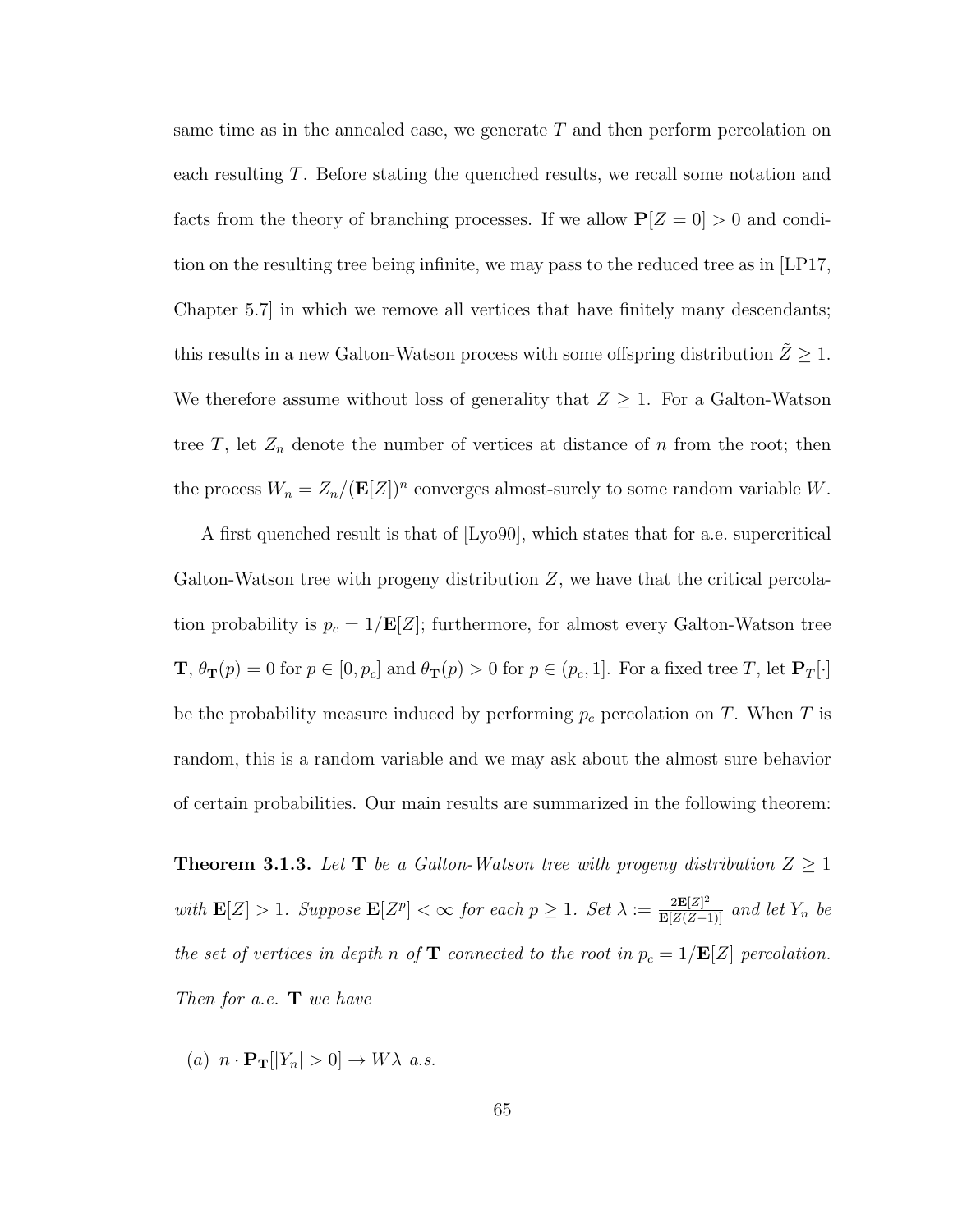same time as in the annealed case, we generate  $T$  and then perform percolation on each resulting T. Before stating the quenched results, we recall some notation and facts from the theory of branching processes. If we allow  $P[Z = 0] > 0$  and condition on the resulting tree being infinite, we may pass to the reduced tree as in [LP17, Chapter 5.7] in which we remove all vertices that have finitely many descendants; this results in a new Galton-Watson process with some offspring distribution  $\tilde{Z} \geq 1$ . We therefore assume without loss of generality that  $Z \geq 1$ . For a Galton-Watson tree  $T$ , let  $Z_n$  denote the number of vertices at distance of n from the root; then the process  $W_n = Z_n/(\mathbf{E}[Z])^n$  converges almost-surely to some random variable W.

A first quenched result is that of [Lyo90], which states that for a.e. supercritical Galton-Watson tree with progeny distribution Z, we have that the critical percolation probability is  $p_c = 1/\mathbf{E}[Z]$ ; furthermore, for almost every Galton-Watson tree  $\mathbf{T}, \theta_{\mathbf{T}}(p) = 0$  for  $p \in [0, p_c]$  and  $\theta_{\mathbf{T}}(p) > 0$  for  $p \in (p_c, 1]$ . For a fixed tree T, let  $\mathbf{P}_T[\cdot]$ be the probability measure induced by performing  $p_c$  percolation on T. When T is random, this is a random variable and we may ask about the almost sure behavior of certain probabilities. Our main results are summarized in the following theorem:

**Theorem 3.1.3.** Let **T** be a Galton-Watson tree with progeny distribution  $Z \geq 1$ with  $\mathbf{E}[Z] > 1$ . Suppose  $\mathbf{E}[Z^p] < \infty$  for each  $p \geq 1$ . Set  $\lambda := \frac{2\mathbf{E}[Z]^2}{\mathbf{E}[Z(Z-1)]}$  and let  $Y_n$  be the set of vertices in depth n of  $\mathbf T$  connected to the root in  $p_c = 1/\mathbf{E}[Z]$  percolation. Then for a.e.  $\mathbf{T}$  we have

(a)  $n \cdot \mathbf{P_T} [|Y_n| > 0] \rightarrow W \lambda$  a.s.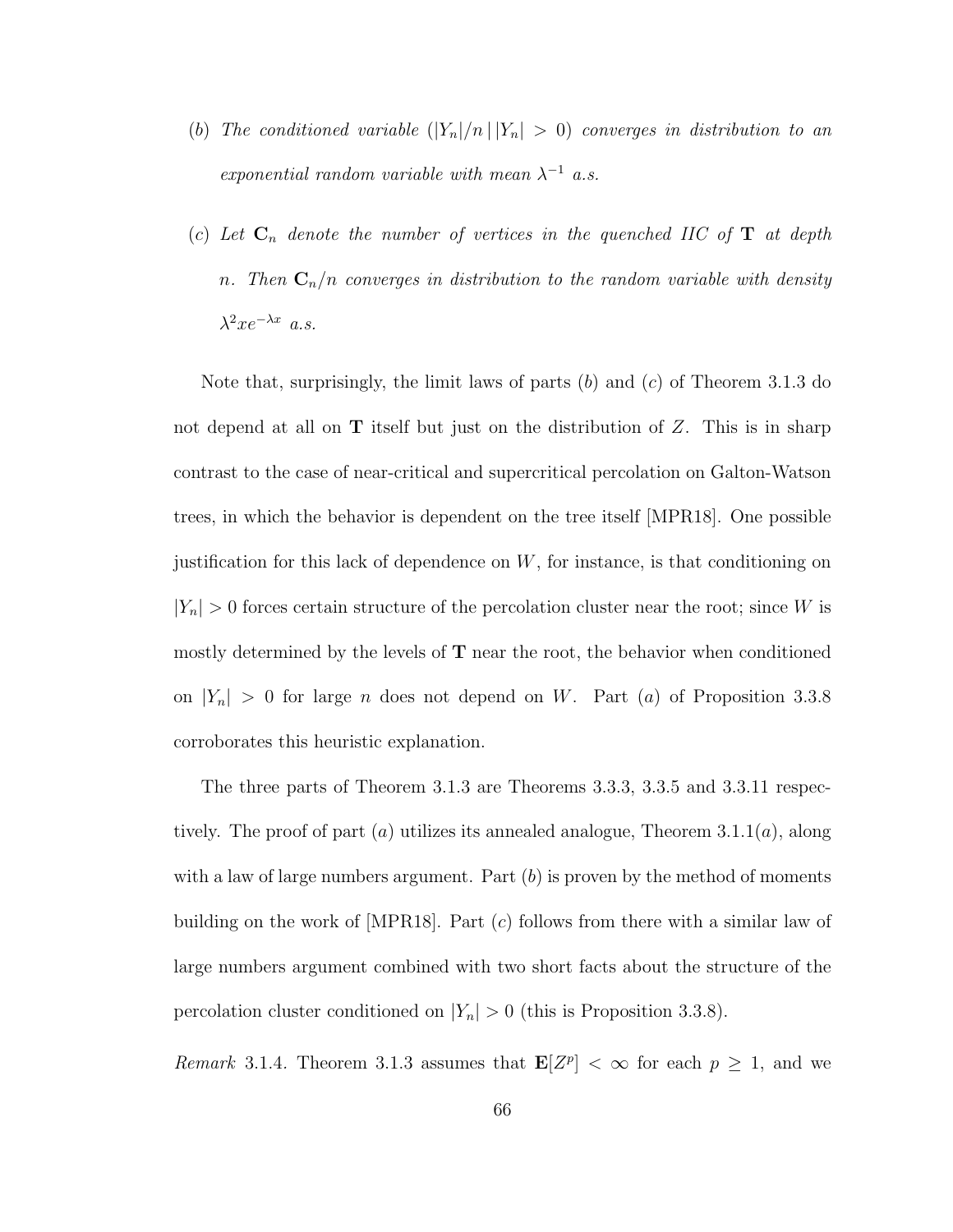- (b) The conditioned variable  $(|Y_n|/n \, | \, |Y_n| > 0)$  converges in distribution to an exponential random variable with mean  $\lambda^{-1}$  a.s.
- (c) Let  $C_n$  denote the number of vertices in the quenched IIC of **T** at depth n. Then  $C_n/n$  converges in distribution to the random variable with density  $\lambda^2 x e^{-\lambda x}$  a.s.

Note that, surprisingly, the limit laws of parts  $(b)$  and  $(c)$  of Theorem 3.1.3 do not depend at all on  $T$  itself but just on the distribution of  $Z$ . This is in sharp contrast to the case of near-critical and supercritical percolation on Galton-Watson trees, in which the behavior is dependent on the tree itself [MPR18]. One possible justification for this lack of dependence on  $W$ , for instance, is that conditioning on  $|Y_n| > 0$  forces certain structure of the percolation cluster near the root; since W is mostly determined by the levels of  $T$  near the root, the behavior when conditioned on  $|Y_n| > 0$  for large *n* does not depend on *W*. Part (*a*) of Proposition 3.3.8 corroborates this heuristic explanation.

The three parts of Theorem 3.1.3 are Theorems 3.3.3, 3.3.5 and 3.3.11 respectively. The proof of part (a) utilizes its annealed analogue, Theorem 3.1.1(a), along with a law of large numbers argument. Part  $(b)$  is proven by the method of moments building on the work of [MPR18]. Part  $(c)$  follows from there with a similar law of large numbers argument combined with two short facts about the structure of the percolation cluster conditioned on  $|Y_n| > 0$  (this is Proposition 3.3.8).

Remark 3.1.4. Theorem 3.1.3 assumes that  $\mathbf{E}[Z^p] < \infty$  for each  $p \geq 1$ , and we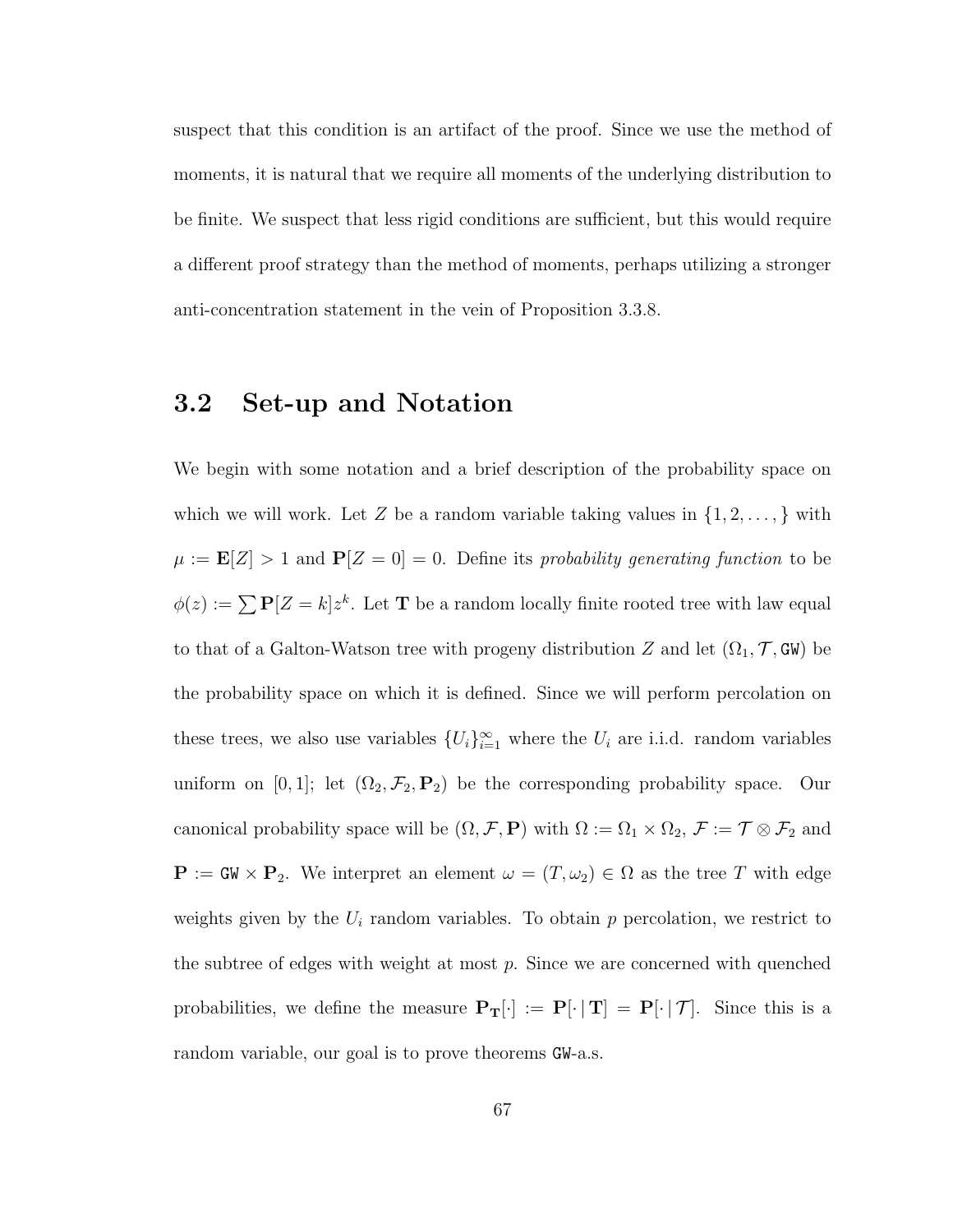suspect that this condition is an artifact of the proof. Since we use the method of moments, it is natural that we require all moments of the underlying distribution to be finite. We suspect that less rigid conditions are sufficient, but this would require a different proof strategy than the method of moments, perhaps utilizing a stronger anti-concentration statement in the vein of Proposition 3.3.8.

## 3.2 Set-up and Notation

We begin with some notation and a brief description of the probability space on which we will work. Let Z be a random variable taking values in  $\{1, 2, \ldots, \}$  with  $\mu := \mathbf{E}[Z] > 1$  and  $\mathbf{P}[Z = 0] = 0$ . Define its probability generating function to be  $\phi(z) := \sum P[Z = k] z^k$ . Let **T** be a random locally finite rooted tree with law equal to that of a Galton-Watson tree with progeny distribution Z and let  $(\Omega_1, \mathcal{T}, \mathsf{GW})$  be the probability space on which it is defined. Since we will perform percolation on these trees, we also use variables  $\{U_i\}_{i=1}^{\infty}$  where the  $U_i$  are i.i.d. random variables uniform on [0, 1]; let  $(\Omega_2, \mathcal{F}_2, \mathbf{P}_2)$  be the corresponding probability space. Our canonical probability space will be  $(\Omega, \mathcal{F}, P)$  with  $\Omega := \Omega_1 \times \Omega_2$ ,  $\mathcal{F} := \mathcal{T} \otimes \mathcal{F}_2$  and  $\mathbf{P} := \mathbf{GW} \times \mathbf{P}_2$ . We interpret an element  $\omega = (T, \omega_2) \in \Omega$  as the tree T with edge weights given by the  $U_i$  random variables. To obtain  $p$  percolation, we restrict to the subtree of edges with weight at most  $p$ . Since we are concerned with quenched probabilities, we define the measure  $P_T[\cdot] := P[\cdot | T] = P[\cdot | \mathcal{T}]$ . Since this is a random variable, our goal is to prove theorems GW-a.s.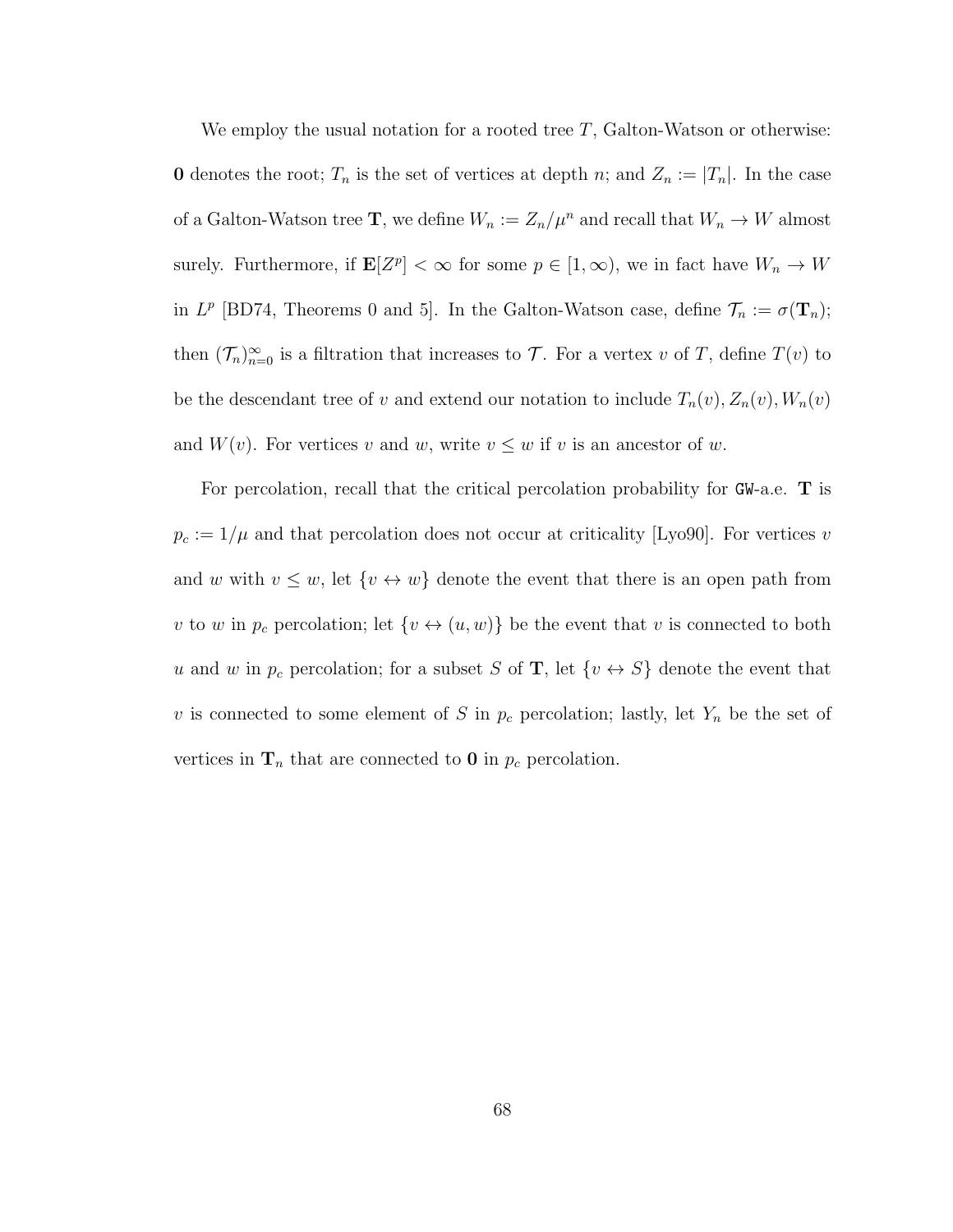We employ the usual notation for a rooted tree  $T$ , Galton-Watson or otherwise: **0** denotes the root;  $T_n$  is the set of vertices at depth n; and  $Z_n := |T_n|$ . In the case of a Galton-Watson tree **T**, we define  $W_n := Z_n / \mu^n$  and recall that  $W_n \to W$  almost surely. Furthermore, if  $\mathbf{E}[Z^p] < \infty$  for some  $p \in [1, \infty)$ , we in fact have  $W_n \to W$ in  $L^p$  [BD74, Theorems 0 and 5]. In the Galton-Watson case, define  $\mathcal{T}_n := \sigma(\mathbf{T}_n)$ ; then  $(\mathcal{T}_n)_{n=0}^{\infty}$  is a filtration that increases to  $\mathcal{T}$ . For a vertex v of T, define  $T(v)$  to be the descendant tree of v and extend our notation to include  $T_n(v)$ ,  $Z_n(v)$ ,  $W_n(v)$ and  $W(v)$ . For vertices v and w, write  $v \leq w$  if v is an ancestor of w.

For percolation, recall that the critical percolation probability for GW-a.e. T is  $p_c := 1/\mu$  and that percolation does not occur at criticality [Lyo90]. For vertices v and w with  $v \leq w$ , let  $\{v \leftrightarrow w\}$  denote the event that there is an open path from v to w in  $p_c$  percolation; let  $\{v \leftrightarrow (u, w)\}$  be the event that v is connected to both u and w in  $p_c$  percolation; for a subset S of **T**, let  $\{v \leftrightarrow S\}$  denote the event that v is connected to some element of S in  $p_c$  percolation; lastly, let  $Y_n$  be the set of vertices in  $\mathbf{T}_n$  that are connected to 0 in  $p_c$  percolation.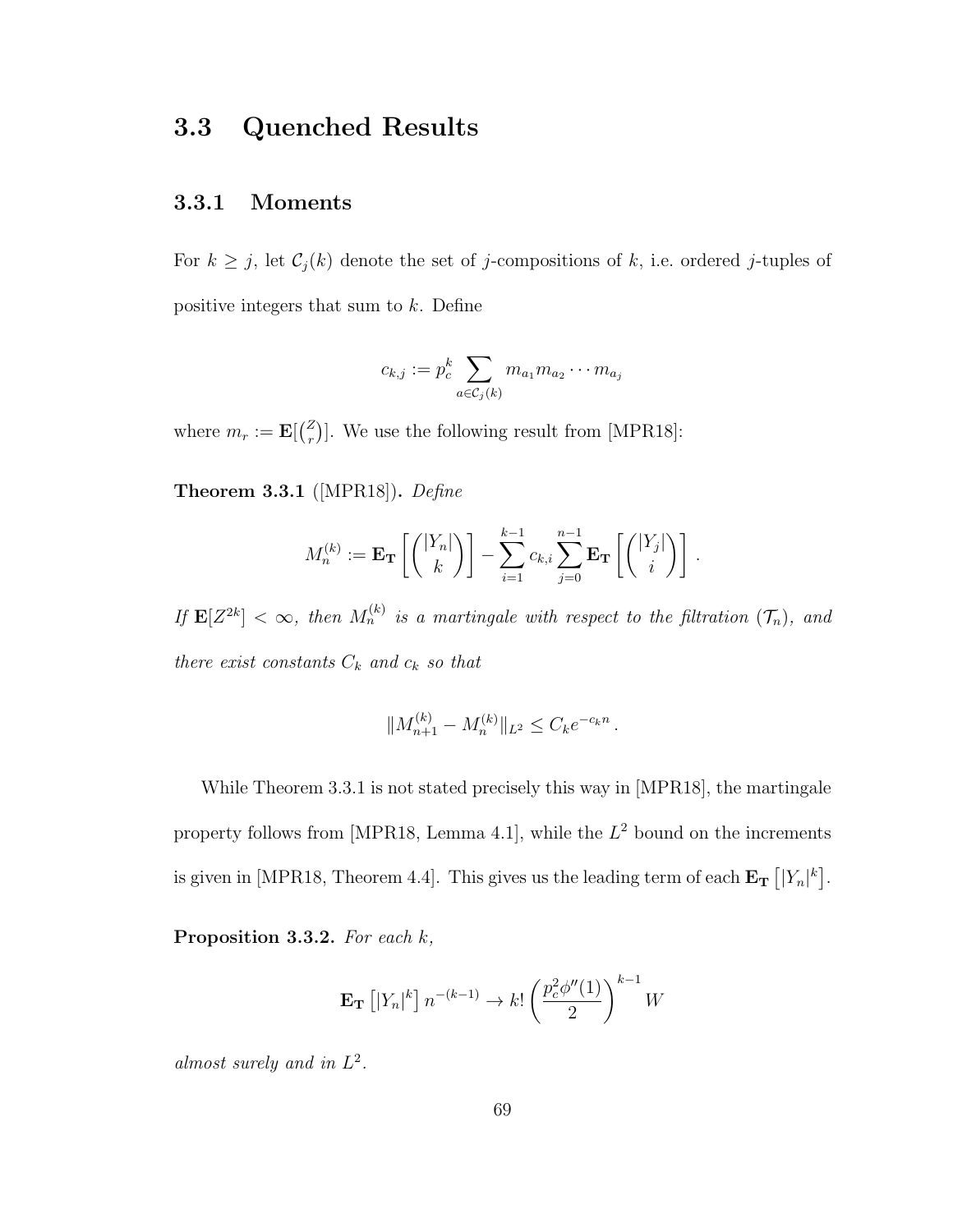## 3.3 Quenched Results

### 3.3.1 Moments

For  $k \geq j$ , let  $C_j(k)$  denote the set of j-compositions of k, i.e. ordered j-tuples of positive integers that sum to k. Define

$$
c_{k,j} := p_c^k \sum_{a \in \mathcal{C}_j(k)} m_{a_1} m_{a_2} \cdots m_{a_j}
$$

where  $m_r := \mathbf{E}[\binom{Z}{r}]$  $\binom{z}{r}$ . We use the following result from [MPR18]:

Theorem 3.3.1 ([MPR18]). Define

$$
M_n^{(k)} := \mathbf{E_T}\left[\binom{|Y_n|}{k}\right] - \sum_{i=1}^{k-1} c_{k,i} \sum_{j=0}^{n-1} \mathbf{E_T}\left[\binom{|Y_j|}{i}\right].
$$

If  $\mathbf{E}[Z^{2k}] < \infty$ , then  $M_n^{(k)}$  is a martingale with respect to the filtration  $(\mathcal{T}_n)$ , and there exist constants  $C_k$  and  $c_k$  so that

$$
||M_{n+1}^{(k)} - M_n^{(k)}||_{L^2} \le C_k e^{-c_k n}.
$$

While Theorem 3.3.1 is not stated precisely this way in [MPR18], the martingale property follows from [MPR18, Lemma 4.1], while the  $L^2$  bound on the increments is given in [MPR18, Theorem 4.4]. This gives us the leading term of each  $\mathbf{E_T}$   $[|Y_n|^k]$ .

Proposition 3.3.2. For each k,

$$
\mathbf{E}_{\mathbf{T}}\left[|Y_n|^k\right]n^{-(k-1)} \to k! \left(\frac{p_c^2 \phi''(1)}{2}\right)^{k-1} W
$$

almost surely and in  $L^2$ .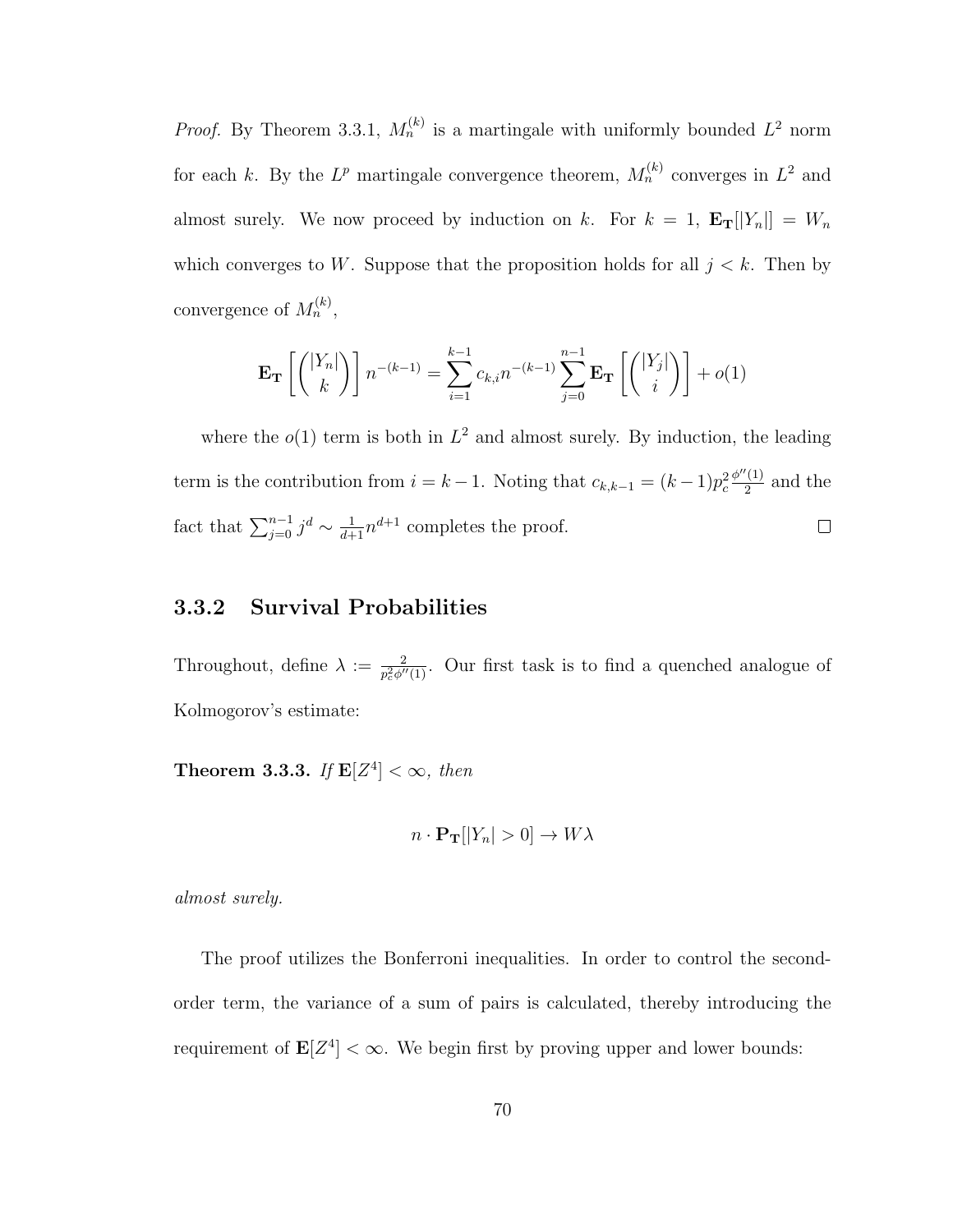*Proof.* By Theorem 3.3.1,  $M_n^{(k)}$  is a martingale with uniformly bounded  $L^2$  norm for each k. By the  $L^p$  martingale convergence theorem,  $M_n^{(k)}$  converges in  $L^2$  and almost surely. We now proceed by induction on k. For  $k = 1$ ,  $\mathbf{E_T}[[Y_n]] = W_n$ which converges to W. Suppose that the proposition holds for all  $j < k$ . Then by convergence of  $M_n^{(k)}$ ,

$$
\mathbf{E}_{\mathbf{T}}\left[\binom{|Y_n|}{k}\right]n^{-(k-1)} = \sum_{i=1}^{k-1} c_{k,i} n^{-(k-1)} \sum_{j=0}^{n-1} \mathbf{E}_{\mathbf{T}}\left[\binom{|Y_j|}{i}\right] + o(1)
$$

where the  $o(1)$  term is both in  $L^2$  and almost surely. By induction, the leading  $\phi''(1)$ term is the contribution from  $i = k - 1$ . Noting that  $c_{k,k-1} = (k-1)p_c^2$  $\frac{(1)}{2}$  and the fact that  $\sum_{j=0}^{n-1} j^d \sim \frac{1}{d+1} n^{d+1}$  completes the proof.  $\Box$ 

### 3.3.2 Survival Probabilities

Throughout, define  $\lambda := \frac{2}{p_c^2 \phi''(1)}$ . Our first task is to find a quenched analogue of Kolmogorov's estimate:

**Theorem 3.3.3.** If  $\mathbf{E}[Z^4] < \infty$ , then

$$
n \cdot \mathbf{P}_{\mathbf{T}}[|Y_n| > 0] \to W\lambda
$$

almost surely.

The proof utilizes the Bonferroni inequalities. In order to control the secondorder term, the variance of a sum of pairs is calculated, thereby introducing the requirement of  $\mathbf{E}[Z^4] < \infty$ . We begin first by proving upper and lower bounds: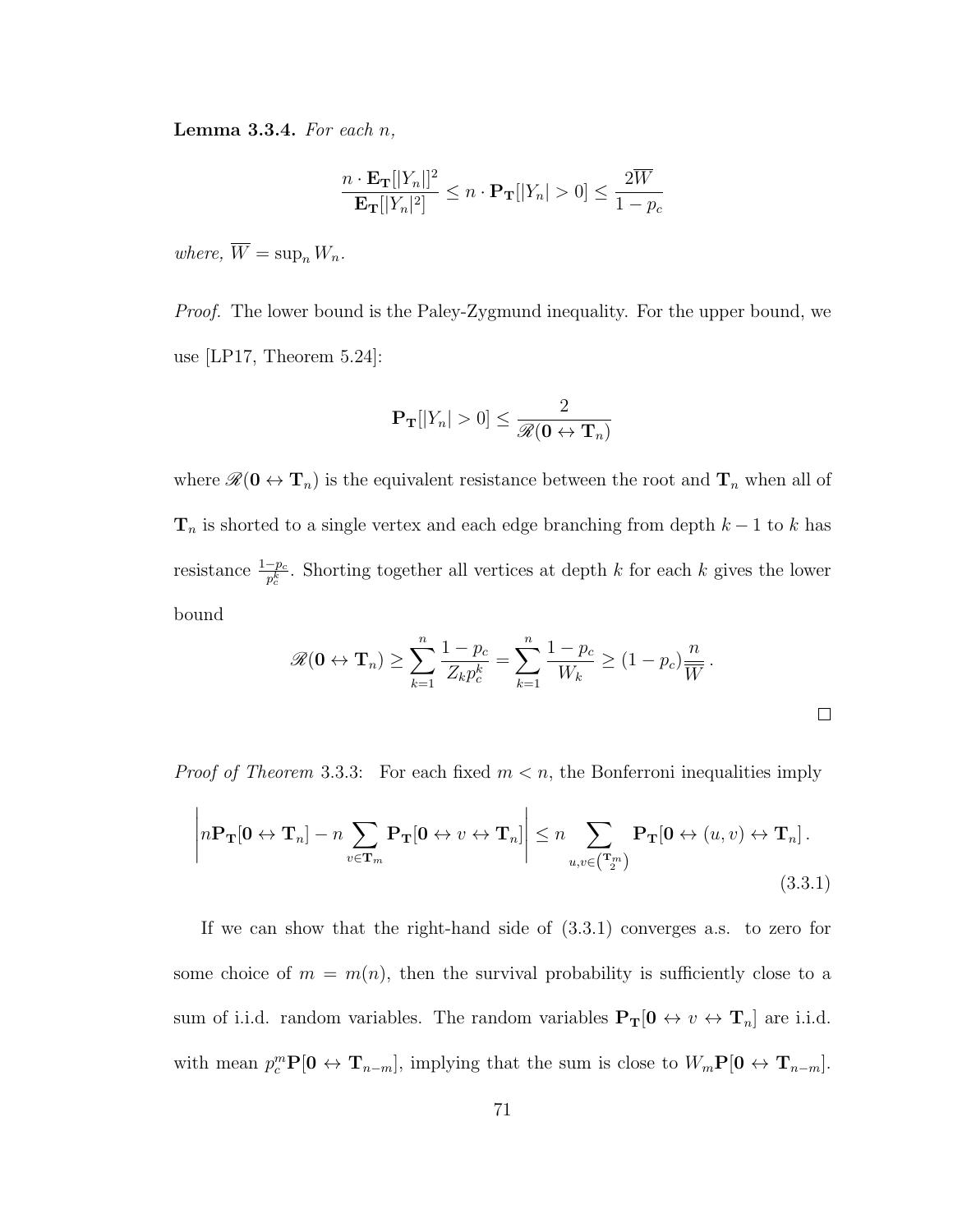**Lemma 3.3.4.** For each  $n$ ,

$$
\frac{n \cdot \mathbf{E_T}[|Y_n|]^2}{\mathbf{E_T}[|Y_n|^2]} \le n \cdot \mathbf{P_T}[|Y_n| > 0] \le \frac{2\overline{W}}{1 - p_c}
$$

where,  $\overline{W} = \sup_n W_n$ .

Proof. The lower bound is the Paley-Zygmund inequality. For the upper bound, we use [LP17, Theorem 5.24]:

$$
\mathbf{P_T}[|Y_n| > 0] \le \frac{2}{\mathscr{R}(\mathbf{0} \leftrightarrow \mathbf{T}_n)}
$$

where  $\mathscr{R}(\mathbf{0} \leftrightarrow \mathbf{T}_n)$  is the equivalent resistance between the root and  $\mathbf{T}_n$  when all of  $\mathbf{T}_n$  is shorted to a single vertex and each edge branching from depth  $k-1$  to k has resistance  $\frac{1-p_c}{p_c^k}$ . Shorting together all vertices at depth k for each k gives the lower bound

$$
\mathscr{R}(\mathbf{0} \leftrightarrow \mathbf{T}_n) \ge \sum_{k=1}^n \frac{1 - p_c}{Z_k p_c^k} = \sum_{k=1}^n \frac{1 - p_c}{W_k} \ge (1 - p_c) \frac{n}{\overline{W}}.
$$

*Proof of Theorem* 3.3.3: For each fixed  $m < n$ , the Bonferroni inequalities imply

$$
\left| n \mathbf{P}_{\mathbf{T}}[\mathbf{0} \leftrightarrow \mathbf{T}_n] - n \sum_{v \in \mathbf{T}_m} \mathbf{P}_{\mathbf{T}}[\mathbf{0} \leftrightarrow v \leftrightarrow \mathbf{T}_n] \right| \le n \sum_{u,v \in \binom{\mathbf{T}_m}{2}} \mathbf{P}_{\mathbf{T}}[\mathbf{0} \leftrightarrow (u,v) \leftrightarrow \mathbf{T}_n].
$$
\n(3.3.1)

If we can show that the right-hand side of (3.3.1) converges a.s. to zero for some choice of  $m = m(n)$ , then the survival probability is sufficiently close to a sum of i.i.d. random variables. The random variables  $P_T[0 \leftrightarrow v \leftrightarrow T_n]$  are i.i.d. with mean  $p_c^m \mathbf{P}[\mathbf{0} \leftrightarrow \mathbf{T}_{n-m}],$  implying that the sum is close to  $W_m \mathbf{P}[\mathbf{0} \leftrightarrow \mathbf{T}_{n-m}].$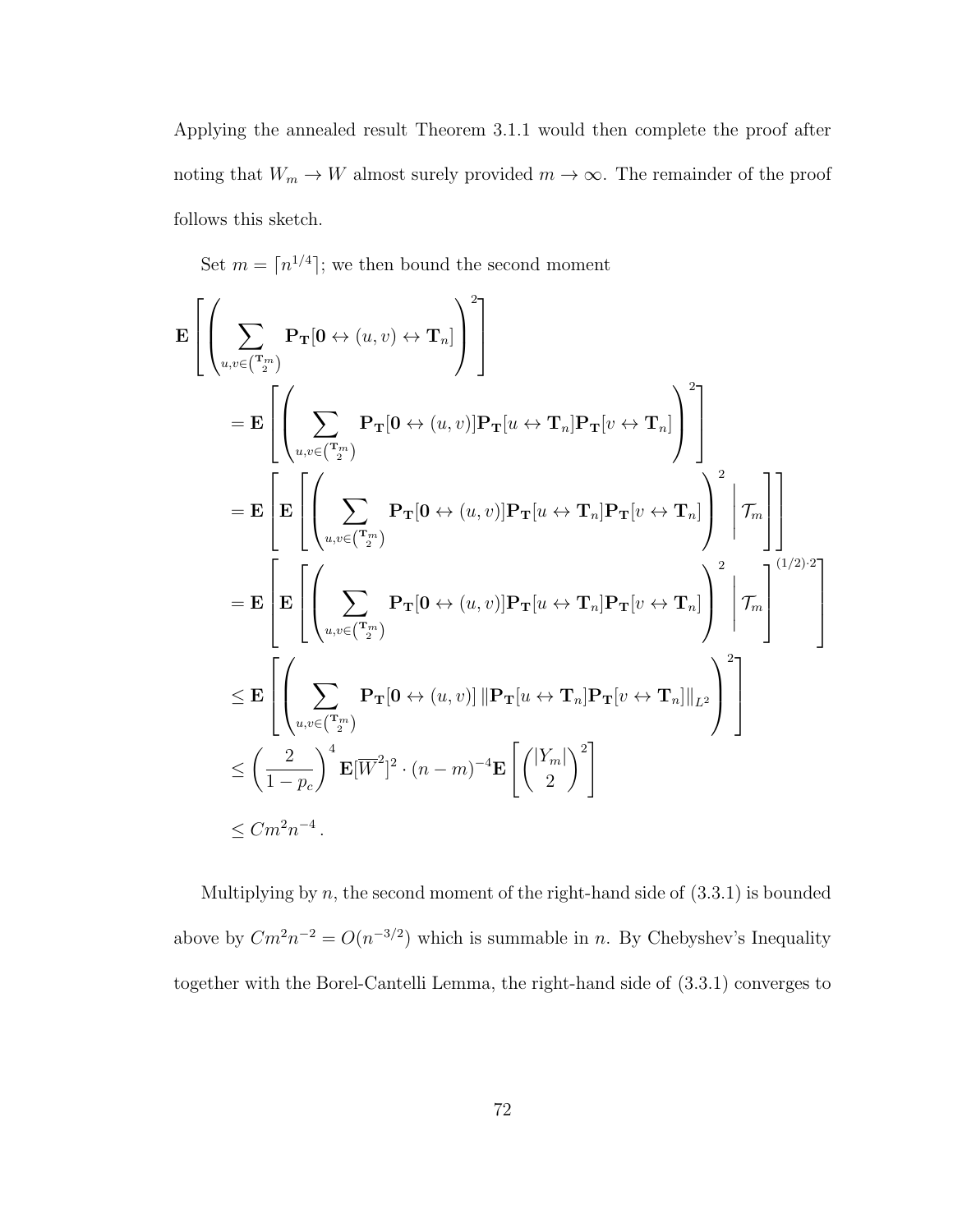Applying the annealed result Theorem 3.1.1 would then complete the proof after noting that  $W_m \to W$  almost surely provided  $m \to \infty$ . The remainder of the proof follows this sketch.

Set  $m = \lceil n^{1/4} \rceil$ ; we then bound the second moment

$$
\mathbf{E}\left[\left(\sum_{u,v\in\binom{\mathbf{T}_m}{2}}\mathbf{P}_{\mathbf{T}}[\mathbf{0}\leftrightarrow(u,v)\leftrightarrow\mathbf{T}_n]\right)^2\right]
$$
\n
$$
=\mathbf{E}\left[\left(\sum_{u,v\in\binom{\mathbf{T}_m}{2}}\mathbf{P}_{\mathbf{T}}[\mathbf{0}\leftrightarrow(u,v)]\mathbf{P}_{\mathbf{T}}[u\leftrightarrow\mathbf{T}_n]\mathbf{P}_{\mathbf{T}}[v\leftrightarrow\mathbf{T}_n]\right)^2\right]
$$
\n
$$
=\mathbf{E}\left[\mathbf{E}\left[\left(\sum_{u,v\in\binom{\mathbf{T}_m}{2}}\mathbf{P}_{\mathbf{T}}[\mathbf{0}\leftrightarrow(u,v)]\mathbf{P}_{\mathbf{T}}[u\leftrightarrow\mathbf{T}_n]\mathbf{P}_{\mathbf{T}}[v\leftrightarrow\mathbf{T}_n]\right)^2\bigg|\mathcal{T}_m\right]\right]
$$
\n
$$
=\mathbf{E}\left[\mathbf{E}\left[\left(\sum_{u,v\in\binom{\mathbf{T}_m}{2}}\mathbf{P}_{\mathbf{T}}[\mathbf{0}\leftrightarrow(u,v)]\mathbf{P}_{\mathbf{T}}[u\leftrightarrow\mathbf{T}_n]\mathbf{P}_{\mathbf{T}}[v\leftrightarrow\mathbf{T}_n]\right)^2\bigg|\mathcal{T}_m\right]^{(1/2)\cdot2}\right]
$$
\n
$$
\leq \mathbf{E}\left[\left(\sum_{u,v\in\binom{\mathbf{T}_m}{2}}\mathbf{P}_{\mathbf{T}}[\mathbf{0}\leftrightarrow(u,v)]\|\mathbf{P}_{\mathbf{T}}[u\leftrightarrow\mathbf{T}_n]\mathbf{P}_{\mathbf{T}}[v\leftrightarrow\mathbf{T}_n]\|_{L^2}\right)^2\right]
$$
\n
$$
\leq \left(\frac{2}{1-p_c}\right)^4\mathbf{E}[\overline{W}^2]^2\cdot(n-m)^{-4}\mathbf{E}\left[\left(\frac{|Y_m|}{2}\right)^2\right]
$$
\n
$$
\leq Cm^2n^{-4}.
$$

Multiplying by  $n$ , the second moment of the right-hand side of  $(3.3.1)$  is bounded above by  $Cm^2n^{-2} = O(n^{-3/2})$  which is summable in n. By Chebyshev's Inequality together with the Borel-Cantelli Lemma, the right-hand side of (3.3.1) converges to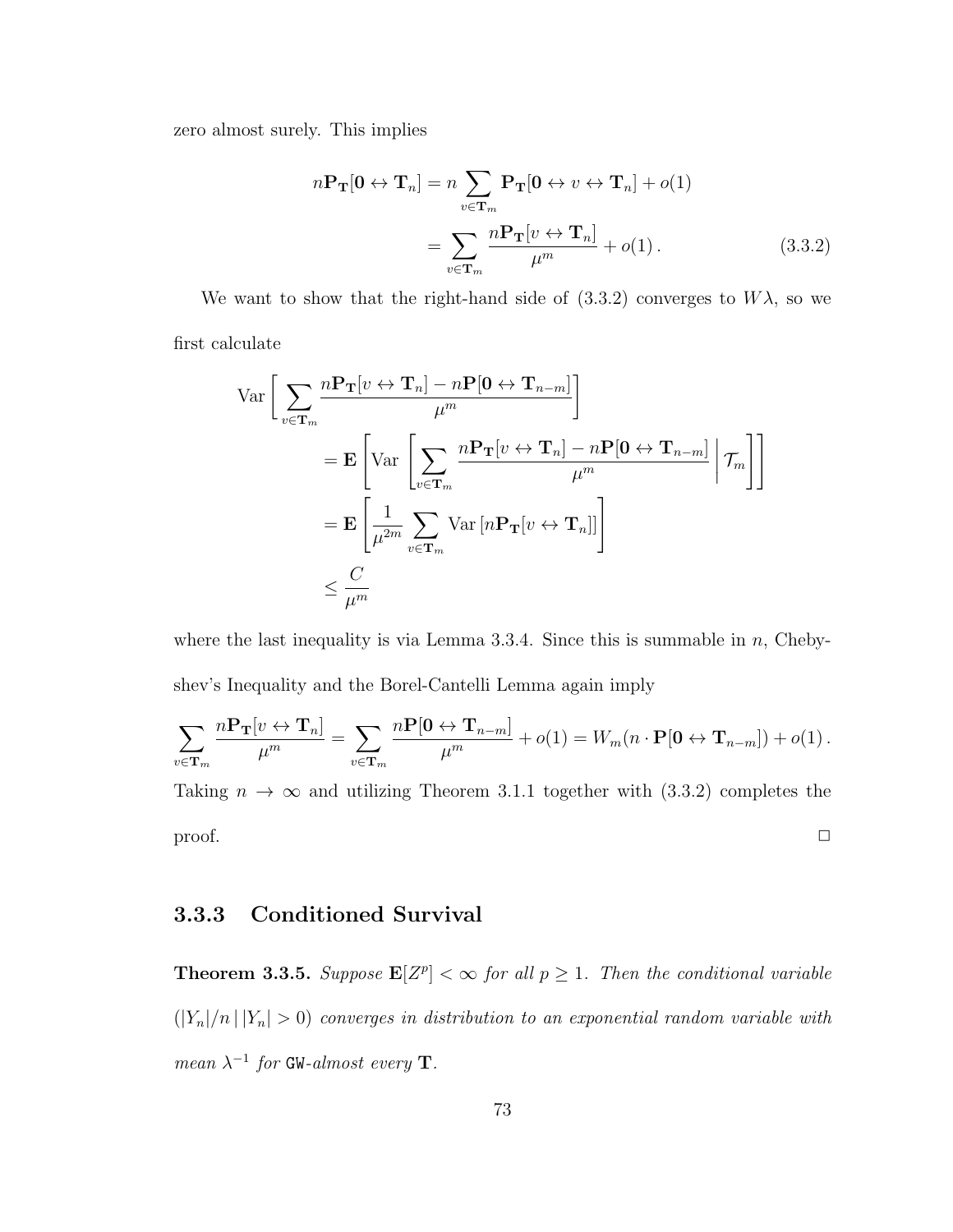zero almost surely. This implies

$$
n\mathbf{P}_{\mathbf{T}}[\mathbf{0} \leftrightarrow \mathbf{T}_n] = n \sum_{v \in \mathbf{T}_m} \mathbf{P}_{\mathbf{T}}[\mathbf{0} \leftrightarrow v \leftrightarrow \mathbf{T}_n] + o(1)
$$

$$
= \sum_{v \in \mathbf{T}_m} \frac{n\mathbf{P}_{\mathbf{T}}[v \leftrightarrow \mathbf{T}_n]}{\mu^m} + o(1).
$$
(3.3.2)

We want to show that the right-hand side of  $(3.3.2)$  converges to  $W\lambda$ , so we first calculate

$$
\operatorname{Var}\left[\sum_{v\in\mathbf{T}_m} \frac{n\mathbf{P}_{\mathbf{T}}[v \leftrightarrow \mathbf{T}_n] - n\mathbf{P}[\mathbf{0} \leftrightarrow \mathbf{T}_{n-m}]}{\mu^m}\right]
$$
\n
$$
= \mathbf{E}\left[\operatorname{Var}\left[\sum_{v\in\mathbf{T}_m} \frac{n\mathbf{P}_{\mathbf{T}}[v \leftrightarrow \mathbf{T}_n] - n\mathbf{P}[\mathbf{0} \leftrightarrow \mathbf{T}_{n-m}]}{\mu^m} \middle| \mathcal{T}_m\right]\right]
$$
\n
$$
= \mathbf{E}\left[\frac{1}{\mu^{2m}} \sum_{v\in\mathbf{T}_m} \operatorname{Var}\left[n\mathbf{P}_{\mathbf{T}}[v \leftrightarrow \mathbf{T}_n]\right]\right]
$$
\n
$$
\leq \frac{C}{\mu^m}
$$

where the last inequality is via Lemma 3.3.4. Since this is summable in  $n$ , Chebyshev's Inequality and the Borel-Cantelli Lemma again imply

$$
\sum_{v \in \mathbf{T}_m} \frac{n \mathbf{P}_{\mathbf{T}}[v \leftrightarrow \mathbf{T}_n]}{\mu^m} = \sum_{v \in \mathbf{T}_m} \frac{n \mathbf{P}[\mathbf{0} \leftrightarrow \mathbf{T}_{n-m}]}{\mu^m} + o(1) = W_m(n \cdot \mathbf{P}[\mathbf{0} \leftrightarrow \mathbf{T}_{n-m}]) + o(1).
$$

Taking  $n \to \infty$  and utilizing Theorem 3.1.1 together with (3.3.2) completes the  $\Box$ 

## 3.3.3 Conditioned Survival

**Theorem 3.3.5.** Suppose  $\mathbf{E}[Z^p] < \infty$  for all  $p \geq 1$ . Then the conditional variable  $(|Y_n|/n \, | \, |Y_n| > 0)$  converges in distribution to an exponential random variable with mean  $\lambda^{-1}$  for GW-almost every **T**.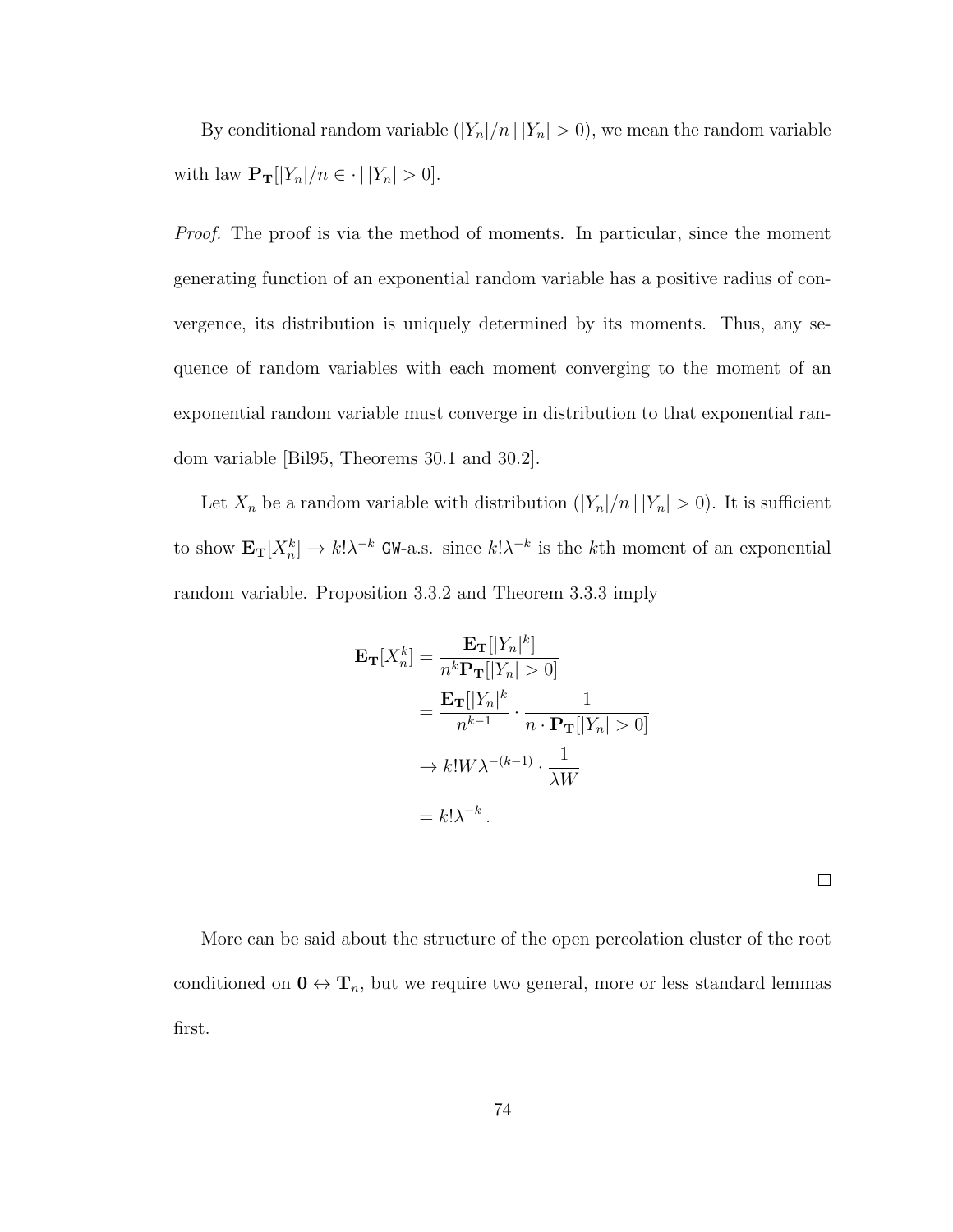By conditional random variable  $(|Y_n|/n \, | \, |Y_n| > 0)$ , we mean the random variable with law  $\mathbf{P_T}[|Y_n|/n \in \cdot | |Y_n| > 0].$ 

*Proof.* The proof is via the method of moments. In particular, since the moment generating function of an exponential random variable has a positive radius of convergence, its distribution is uniquely determined by its moments. Thus, any sequence of random variables with each moment converging to the moment of an exponential random variable must converge in distribution to that exponential random variable [Bil95, Theorems 30.1 and 30.2].

Let  $X_n$  be a random variable with distribution  $(|Y_n|/n ||Y_n| > 0)$ . It is sufficient to show  $\mathbf{E}_{\mathbf{T}}[X_n^k] \to k! \lambda^{-k}$  GW-a.s. since  $k! \lambda^{-k}$  is the kth moment of an exponential random variable. Proposition 3.3.2 and Theorem 3.3.3 imply

$$
\mathbf{E}_{\mathbf{T}}[X_n^k] = \frac{\mathbf{E}_{\mathbf{T}}[|Y_n|^k]}{n^k \mathbf{P}_{\mathbf{T}}[|Y_n| > 0]}
$$
  
= 
$$
\frac{\mathbf{E}_{\mathbf{T}}[|Y_n|^k}{n^{k-1}} \cdot \frac{1}{n \cdot \mathbf{P}_{\mathbf{T}}[|Y_n| > 0]}
$$
  

$$
\rightarrow k! W \lambda^{-(k-1)} \cdot \frac{1}{\lambda W}
$$
  
= 
$$
k! \lambda^{-k}.
$$

 $\Box$ 

More can be said about the structure of the open percolation cluster of the root conditioned on  $0 \leftrightarrow T_n$ , but we require two general, more or less standard lemmas first.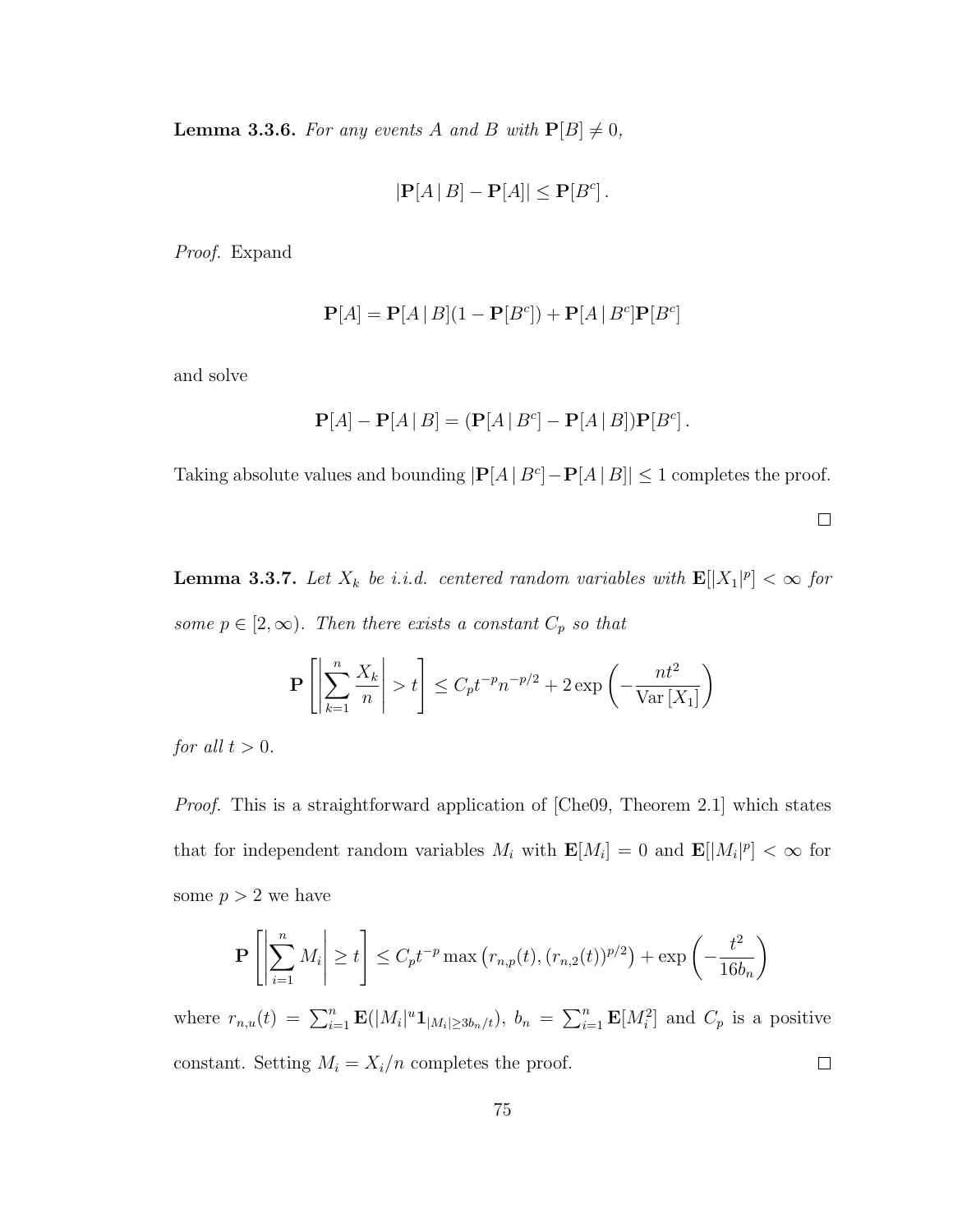**Lemma 3.3.6.** For any events A and B with  $P[B] \neq 0$ ,

$$
|\mathbf{P}[A | B] - \mathbf{P}[A]| \le \mathbf{P}[B^c].
$$

Proof. Expand

$$
\mathbf{P}[A] = \mathbf{P}[A | B](1 - \mathbf{P}[B^c]) + \mathbf{P}[A | B^c] \mathbf{P}[B^c]
$$

and solve

$$
\mathbf{P}[A] - \mathbf{P}[A | B] = (\mathbf{P}[A | B^c] - \mathbf{P}[A | B])\mathbf{P}[B^c].
$$

Taking absolute values and bounding  $|\mathbf{P}[A | B^c] - \mathbf{P}[A | B]| \leq 1$  completes the proof.

 $\Box$ 

**Lemma 3.3.7.** Let  $X_k$  be i.i.d. centered random variables with  $\mathbf{E}[|X_1|^p] < \infty$  for some  $p \in [2, \infty)$ . Then there exists a constant  $C_p$  so that

$$
\mathbf{P}\left[\left|\sum_{k=1}^{n} \frac{X_k}{n}\right| > t\right] \le C_p t^{-p} n^{-p/2} + 2 \exp\left(-\frac{nt^2}{\text{Var}\left[X_1\right]}\right)
$$

for all  $t > 0$ .

Proof. This is a straightforward application of [Che09, Theorem 2.1] which states that for independent random variables  $M_i$  with  $\mathbf{E}[M_i] = 0$  and  $\mathbf{E}[M_i]^p$  <  $\infty$  for some  $p > 2$  we have

$$
\mathbf{P}\left[\left|\sum_{i=1}^{n} M_i\right| \ge t\right] \le C_p t^{-p} \max\left(r_{n,p}(t), (r_{n,2}(t))^{p/2}\right) + \exp\left(-\frac{t^2}{16b_n}\right)
$$

where  $r_{n,u}(t) = \sum_{i=1}^n \mathbf{E}(|M_i|^u \mathbf{1}_{|M_i| \geq 3b_n/t}), b_n = \sum_{i=1}^n \mathbf{E}[M_i^2]$  and  $C_p$  is a positive constant. Setting  $M_i = X_i/n$  completes the proof.  $\Box$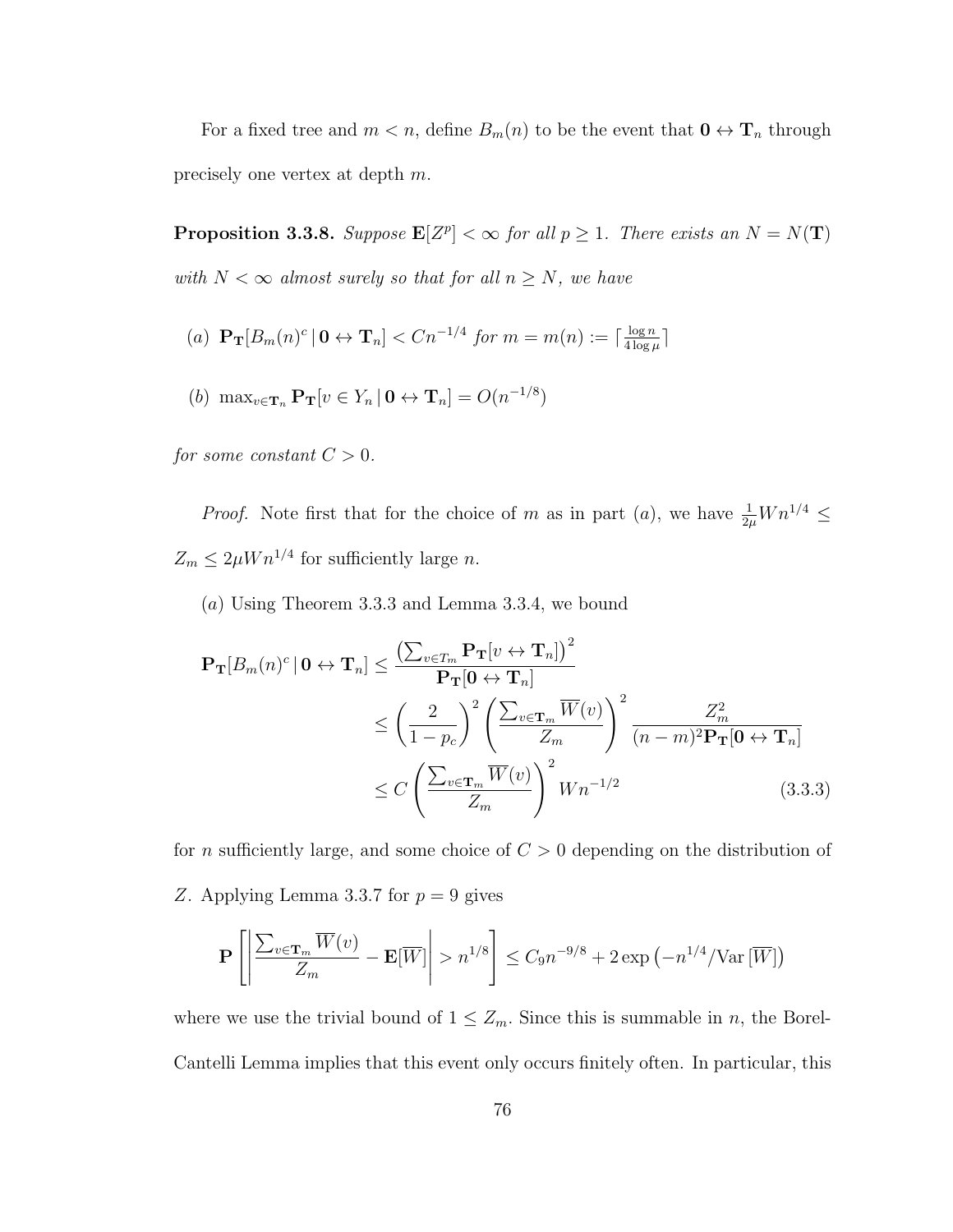For a fixed tree and  $m < n$ , define  $B_m(n)$  to be the event that  $\mathbf{0} \leftrightarrow \mathbf{T}_n$  through precisely one vertex at depth m.

**Proposition 3.3.8.** Suppose  $\mathbf{E}[Z^p] < \infty$  for all  $p \geq 1$ . There exists an  $N = N(\mathbf{T})$ with  $N < \infty$  almost surely so that for all  $n \geq N$ , we have

(a) 
$$
\mathbf{P_T}[B_m(n)^c | \mathbf{0} \leftrightarrow \mathbf{T}_n] < Cn^{-1/4}
$$
 for  $m = m(n) := \lceil \frac{\log n}{4 \log \mu} \rceil$ 

(b) 
$$
\max_{v \in \mathbf{T}_n} \mathbf{P}_{\mathbf{T}}[v \in Y_n | \mathbf{0} \leftrightarrow \mathbf{T}_n] = O(n^{-1/8})
$$

for some constant  $C > 0$ .

*Proof.* Note first that for the choice of m as in part (a), we have  $\frac{1}{2\mu}Wn^{1/4} \leq$  $Z_m \leq 2\mu W n^{1/4}$  for sufficiently large n.

(a) Using Theorem 3.3.3 and Lemma 3.3.4, we bound

$$
\mathbf{P_T}[B_m(n)^c | \mathbf{0} \leftrightarrow \mathbf{T}_n] \leq \frac{\left(\sum_{v \in T_m} \mathbf{P_T}[v \leftrightarrow \mathbf{T}_n]\right)^2}{\mathbf{P_T}[0 \leftrightarrow \mathbf{T}_n]}
$$
  
\n
$$
\leq \left(\frac{2}{1 - p_c}\right)^2 \left(\frac{\sum_{v \in \mathbf{T}_m} \overline{W}(v)}{Z_m}\right)^2 \frac{Z_m^2}{(n - m)^2 \mathbf{P_T}[0 \leftrightarrow \mathbf{T}_n]}
$$
  
\n
$$
\leq C \left(\frac{\sum_{v \in \mathbf{T}_m} \overline{W}(v)}{Z_m}\right)^2 W n^{-1/2}
$$
(3.3.3)

for *n* sufficiently large, and some choice of  $C > 0$  depending on the distribution of Z. Applying Lemma 3.3.7 for  $p = 9$  gives

$$
\mathbf{P}\left[\left|\frac{\sum_{v\in\mathbf{T}_m}\overline{W}(v)}{Z_m}-\mathbf{E}[\overline{W}]\right|>n^{1/8}\right]\leq C_9n^{-9/8}+2\exp\left(-n^{1/4}/\text{Var}[\overline{W}]\right)
$$

where we use the trivial bound of  $1 \leq Z_m$ . Since this is summable in *n*, the Borel-Cantelli Lemma implies that this event only occurs finitely often. In particular, this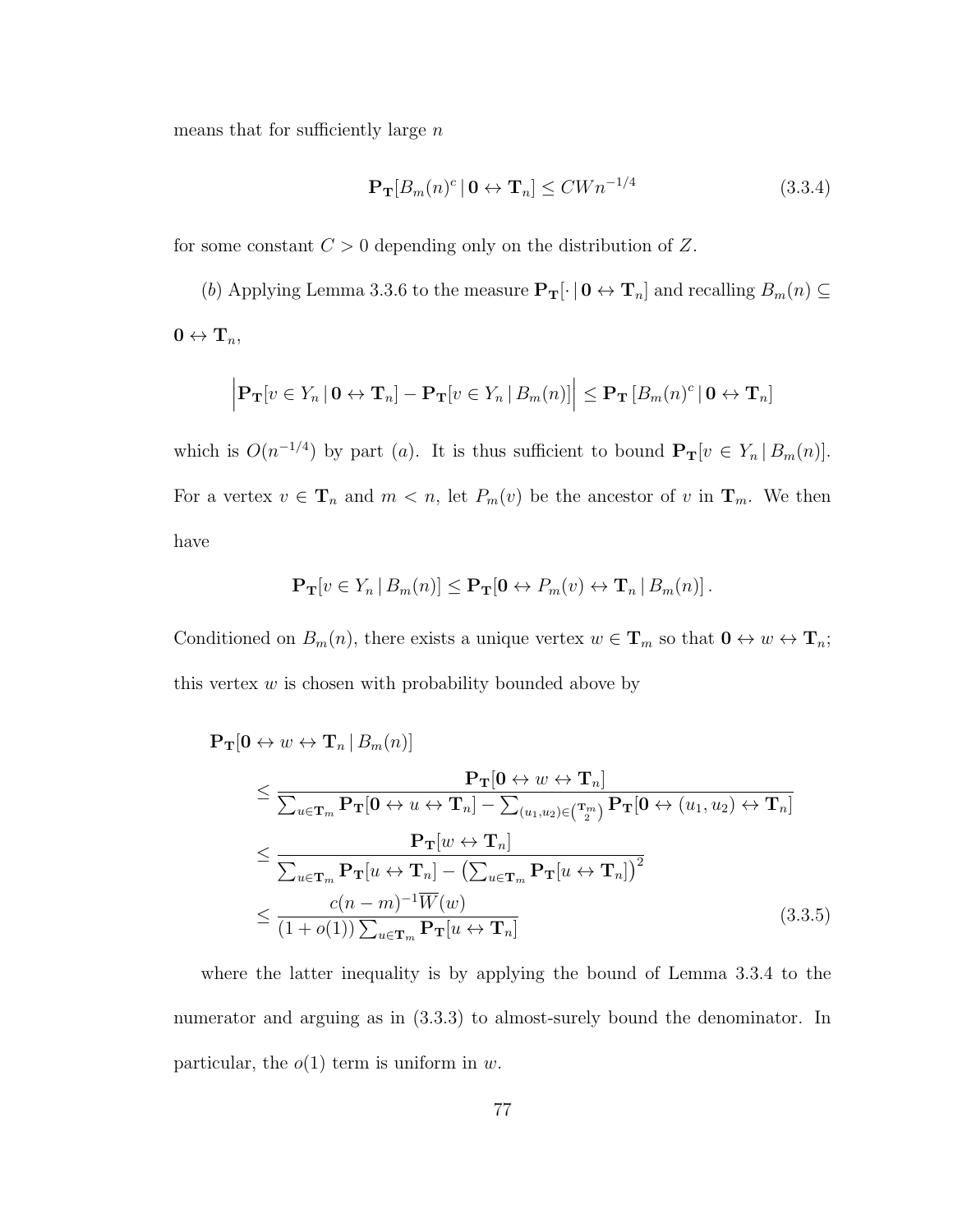means that for sufficiently large  $n$ 

$$
\mathbf{P_T}[B_m(n)^c \mid \mathbf{0} \leftrightarrow \mathbf{T}_n] \le C W n^{-1/4} \tag{3.3.4}
$$

for some constant  $C > 0$  depending only on the distribution of Z.

(b) Applying Lemma 3.3.6 to the measure  $\mathbf{P_T}[\cdot \mid \mathbf{0} \leftrightarrow \mathbf{T}_n]$  and recalling  $B_m(n) \subseteq$  $0 \leftrightarrow \mathbf{T}_n,$ 

$$
\left|\mathbf{P_T}[v \in Y_n \,|\, \mathbf{0} \leftrightarrow \mathbf{T}_n] - \mathbf{P_T}[v \in Y_n \,|\, B_m(n)]\right| \leq \mathbf{P_T}\left[B_m(n)^c \,|\, \mathbf{0} \leftrightarrow \mathbf{T}_n\right]
$$

which is  $O(n^{-1/4})$  by part (a). It is thus sufficient to bound  $\mathbf{P_T}[v \in Y_n | B_m(n)]$ . For a vertex  $v \in \mathbf{T}_n$  and  $m < n$ , let  $P_m(v)$  be the ancestor of v in  $\mathbf{T}_m$ . We then have

$$
\mathbf{P}_{\mathbf{T}}[v \in Y_n \,|\, B_m(n)] \leq \mathbf{P}_{\mathbf{T}}[\mathbf{0} \leftrightarrow P_m(v) \leftrightarrow \mathbf{T}_n \,|\, B_m(n)].
$$

Conditioned on  $B_m(n)$ , there exists a unique vertex  $w \in \mathbf{T}_m$  so that  $\mathbf{0} \leftrightarrow w \leftrightarrow \mathbf{T}_n$ ; this vertex  $w$  is chosen with probability bounded above by

 $\mathbf{P_T}[0 \leftrightarrow w \leftrightarrow \mathbf{T}_n | B_m(n)]$ 

$$
\leq \frac{\mathbf{P}_{\mathbf{T}}[\mathbf{0} \leftrightarrow w \leftrightarrow \mathbf{T}_{n}]}{\sum_{u \in \mathbf{T}_{m}} \mathbf{P}_{\mathbf{T}}[\mathbf{0} \leftrightarrow u \leftrightarrow \mathbf{T}_{n}] - \sum_{(u_{1},u_{2}) \in (\mathbf{T}_{2}^{m})} \mathbf{P}_{\mathbf{T}}[\mathbf{0} \leftrightarrow (u_{1},u_{2}) \leftrightarrow \mathbf{T}_{n}]}
$$
\n
$$
\leq \frac{\mathbf{P}_{\mathbf{T}}[w \leftrightarrow \mathbf{T}_{n}]}{\sum_{u \in \mathbf{T}_{m}} \mathbf{P}_{\mathbf{T}}[u \leftrightarrow \mathbf{T}_{n}] - (\sum_{u \in \mathbf{T}_{m}} \mathbf{P}_{\mathbf{T}}[u \leftrightarrow \mathbf{T}_{n}])^{2}}
$$
\n
$$
\leq \frac{c(n-m)^{-1} \overline{W}(w)}{(1+o(1)) \sum_{u \in \mathbf{T}_{m}} \mathbf{P}_{\mathbf{T}}[u \leftrightarrow \mathbf{T}_{n}]}
$$
\n(3.3.5)

where the latter inequality is by applying the bound of Lemma 3.3.4 to the numerator and arguing as in (3.3.3) to almost-surely bound the denominator. In particular, the  $o(1)$  term is uniform in w.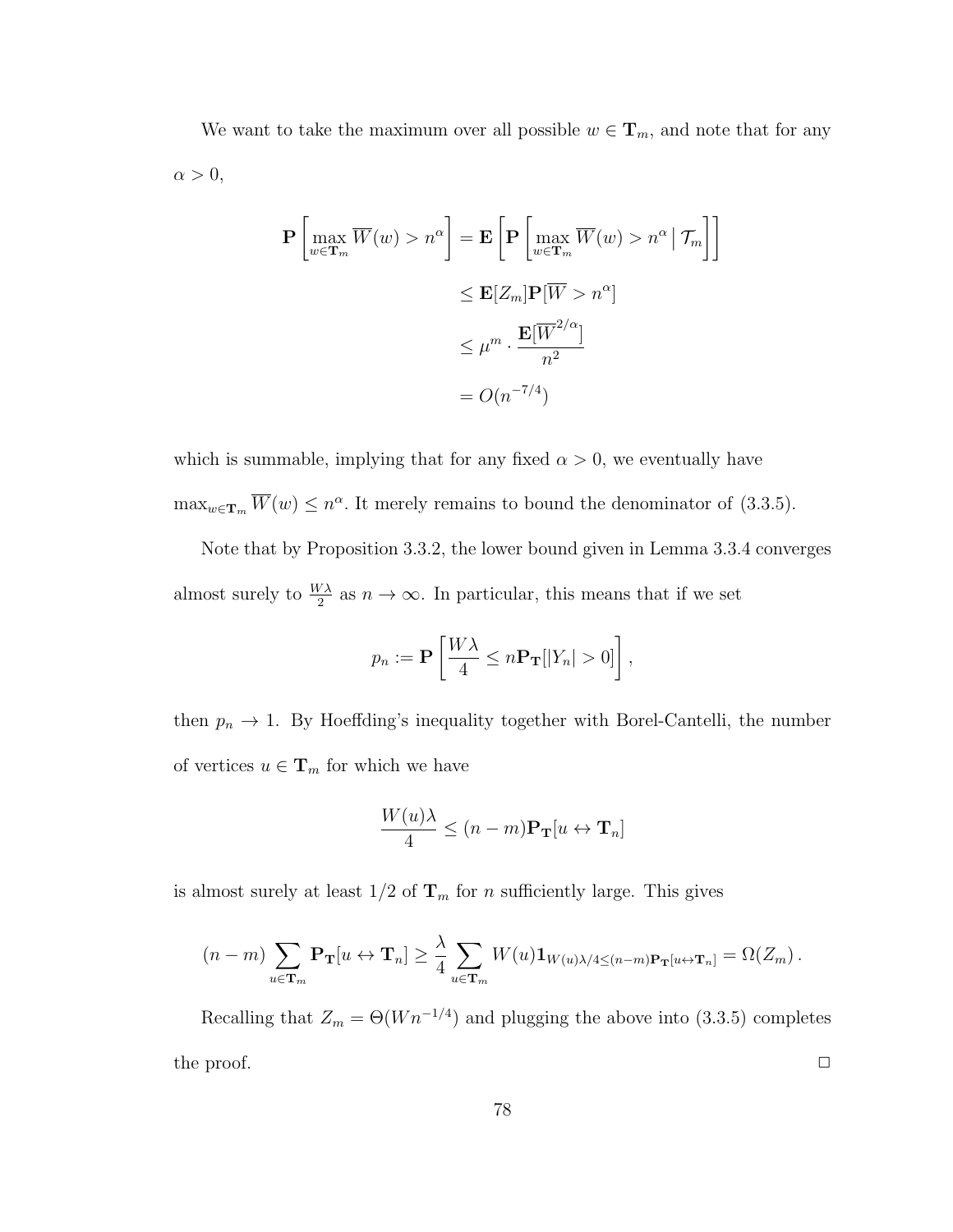We want to take the maximum over all possible  $w \in \mathbf{T}_m$ , and note that for any  $\alpha > 0,$ 

$$
\mathbf{P}\left[\max_{w \in \mathbf{T}_m} \overline{W}(w) > n^{\alpha}\right] = \mathbf{E}\left[\mathbf{P}\left[\max_{w \in \mathbf{T}_m} \overline{W}(w) > n^{\alpha} | \mathcal{T}_m\right]\right]
$$
  

$$
\leq \mathbf{E}[Z_m] \mathbf{P}[\overline{W} > n^{\alpha}]
$$
  

$$
\leq \mu^m \cdot \frac{\mathbf{E}[\overline{W}^{2/\alpha}]}{n^2}
$$
  

$$
= O(n^{-7/4})
$$

which is summable, implying that for any fixed  $\alpha > 0$ , we eventually have  $\max_{w \in \mathbf{T}_m} \overline{W}(w) \leq n^{\alpha}$ . It merely remains to bound the denominator of (3.3.5).

Note that by Proposition 3.3.2, the lower bound given in Lemma 3.3.4 converges almost surely to  $\frac{W\lambda}{2}$  as  $n \to \infty$ . In particular, this means that if we set

$$
p_n := \mathbf{P}\left[\frac{W\lambda}{4} \leq n\mathbf{P}_{\mathbf{T}}[|Y_n| > 0]\right],
$$

then  $p_n \to 1$ . By Hoeffding's inequality together with Borel-Cantelli, the number of vertices  $u\in\mathbf{T}_m$  for which we have

$$
\frac{W(u)\lambda}{4} \le (n-m)\mathbf{P}_{\mathbf{T}}[u \leftrightarrow \mathbf{T}_n]
$$

is almost surely at least  $1/2$  of  $\mathbf{T}_m$  for n sufficiently large. This gives

$$
(n-m)\sum_{u\in\mathbf{T}_m}\mathbf{P}_{\mathbf{T}}[u\leftrightarrow \mathbf{T}_n]\geq \frac{\lambda}{4}\sum_{u\in\mathbf{T}_m}W(u)\mathbf{1}_{W(u)\lambda/4\leq (n-m)\mathbf{P}_{\mathbf{T}}[u\leftrightarrow \mathbf{T}_n]}=\Omega(Z_m)\,.
$$

Recalling that  $Z_m = \Theta(Wn^{-1/4})$  and plugging the above into (3.3.5) completes the proof.  $\Box$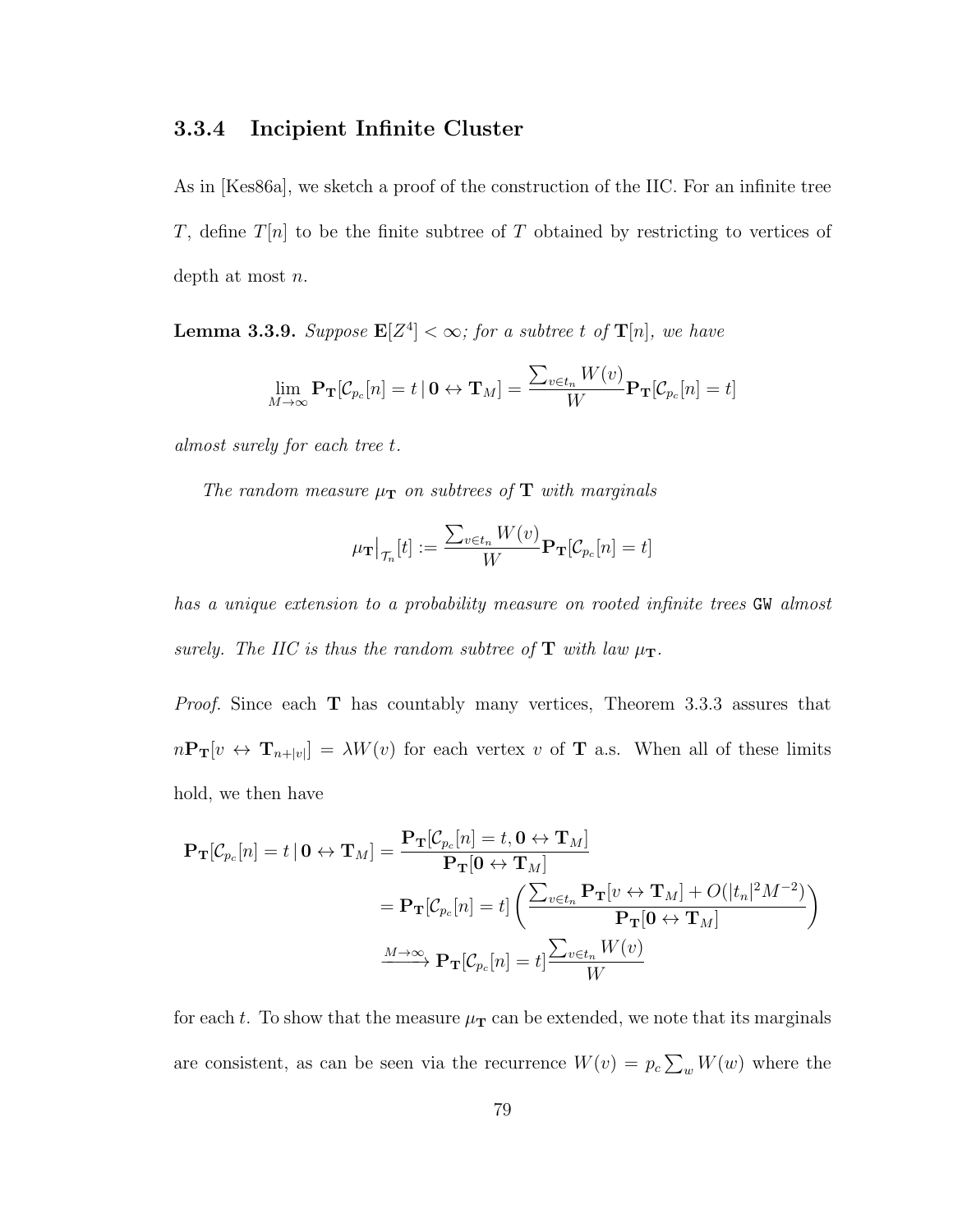### 3.3.4 Incipient Infinite Cluster

As in [Kes86a], we sketch a proof of the construction of the IIC. For an infinite tree T, define  $T[n]$  to be the finite subtree of T obtained by restricting to vertices of depth at most  $n$ .

**Lemma 3.3.9.** Suppose  $\mathbf{E}[Z^4] < \infty$ ; for a subtree t of  $\mathbf{T}[n]$ , we have

$$
\lim_{M\rightarrow\infty}\mathbf{P}_{\mathbf{T}}[\mathcal{C}_{p_c}[n]=t\,|\, \mathbf{0}\leftrightarrow\mathbf{T}_M]=\frac{\sum_{v\in t_n}W(v)}{W}\mathbf{P}_{\mathbf{T}}[\mathcal{C}_{p_c}[n]=t]
$$

almost surely for each tree t.

The random measure  $\mu_{\mathbf{T}}$  on subtrees of  $\mathbf{T}$  with marginals

$$
\mu_{\mathbf{T}}\big|_{\mathcal{T}_n}[t]:=\frac{\sum_{v\in t_n}W(v)}{W}\mathbf{P}_{\mathbf{T}}[\mathcal{C}_{p_c}[n]=t]
$$

has a unique extension to a probability measure on rooted infinite trees GW almost surely. The IIC is thus the random subtree of  $T$  with law  $\mu_T$ .

*Proof.* Since each  $\bf{T}$  has countably many vertices, Theorem 3.3.3 assures that  $n\mathbf{P_T}[v \leftrightarrow \mathbf{T}_{n+|v|}] = \lambda W(v)$  for each vertex v of **T** a.s. When all of these limits hold, we then have

$$
\mathbf{P}_{\mathbf{T}}[\mathcal{C}_{p_c}[n] = t | \mathbf{0} \leftrightarrow \mathbf{T}_M] = \frac{\mathbf{P}_{\mathbf{T}}[\mathcal{C}_{p_c}[n] = t, \mathbf{0} \leftrightarrow \mathbf{T}_M]}{\mathbf{P}_{\mathbf{T}}[\mathbf{0} \leftrightarrow \mathbf{T}_M]}
$$
  
\n
$$
= \mathbf{P}_{\mathbf{T}}[\mathcal{C}_{p_c}[n] = t] \left( \frac{\sum_{v \in t_n} \mathbf{P}_{\mathbf{T}}[v \leftrightarrow \mathbf{T}_M] + O(|t_n|^2 M^{-2})}{\mathbf{P}_{\mathbf{T}}[\mathbf{0} \leftrightarrow \mathbf{T}_M]} \right)
$$
  
\n
$$
\xrightarrow{M \to \infty} \mathbf{P}_{\mathbf{T}}[\mathcal{C}_{p_c}[n] = t] \frac{\sum_{v \in t_n} W(v)}{W}
$$

for each t. To show that the measure  $\mu_{\rm T}$  can be extended, we note that its marginals are consistent, as can be seen via the recurrence  $W(v) = p_c \sum_w W(w)$  where the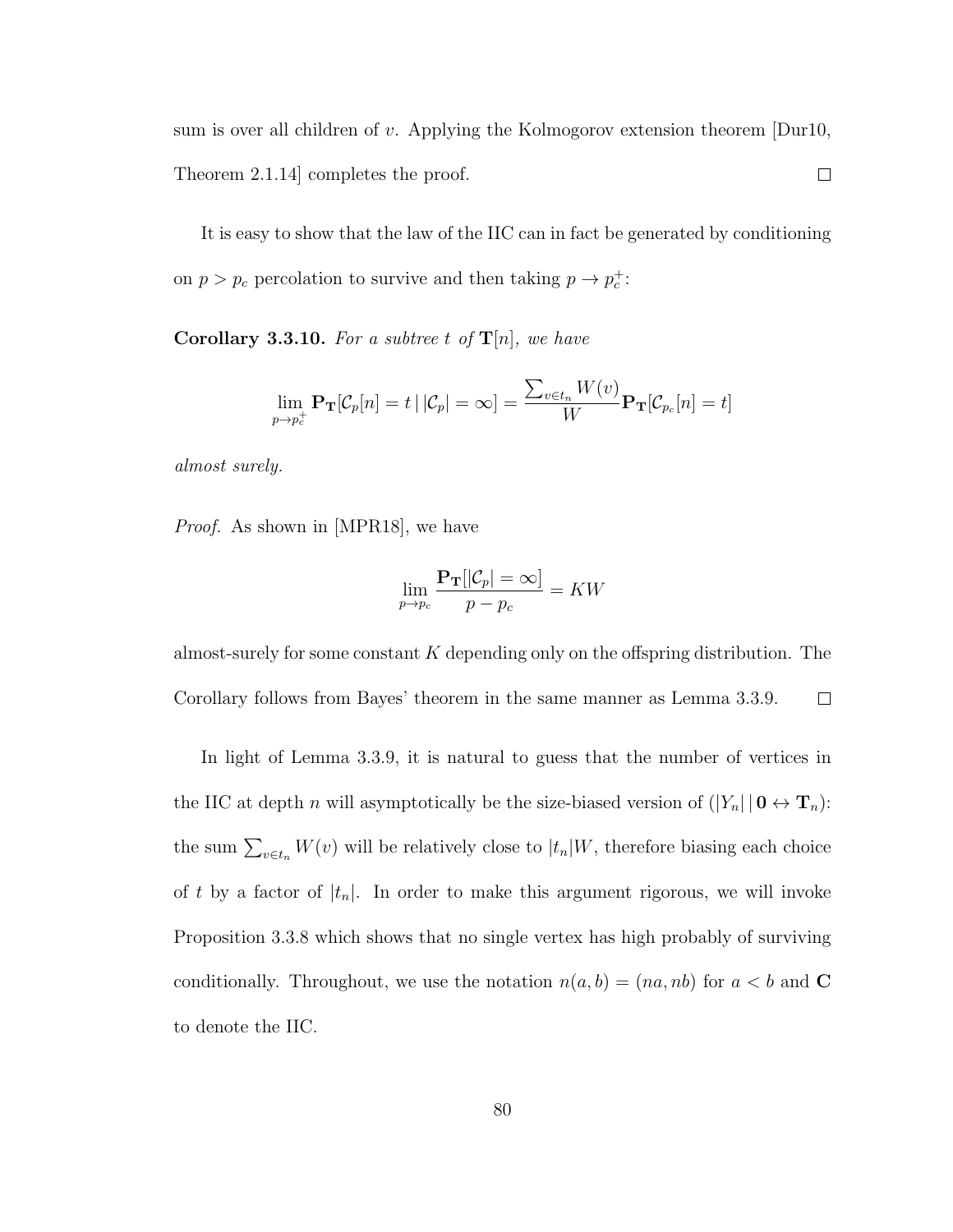sum is over all children of v. Applying the Kolmogorov extension theorem  $Durl0$ ,  $\Box$ Theorem 2.1.14] completes the proof.

It is easy to show that the law of the IIC can in fact be generated by conditioning on  $p > p_c$  percolation to survive and then taking  $p \to p_c^+$ :

**Corollary 3.3.10.** For a subtree t of  $T[n]$ , we have

$$
\lim_{p \to p_c^+} \mathbf{P}_{\mathbf{T}}[\mathcal{C}_p[n] = t | |\mathcal{C}_p| = \infty] = \frac{\sum_{v \in t_n} W(v)}{W} \mathbf{P}_{\mathbf{T}}[\mathcal{C}_{p_c}[n] = t]
$$

almost surely.

Proof. As shown in [MPR18], we have

$$
\lim_{p \to p_c} \frac{\mathbf{P_T}[|\mathcal{C}_p| = \infty]}{p - p_c} = KW
$$

almost-surely for some constant  $K$  depending only on the offspring distribution. The Corollary follows from Bayes' theorem in the same manner as Lemma 3.3.9.  $\Box$ 

In light of Lemma 3.3.9, it is natural to guess that the number of vertices in the IIC at depth n will asymptotically be the size-biased version of  $(|Y_n| \mid \mathbf{0} \leftrightarrow \mathbf{T}_n)$ : the sum  $\sum_{v \in t_n} W(v)$  will be relatively close to  $|t_n|W$ , therefore biasing each choice of t by a factor of  $|t_n|$ . In order to make this argument rigorous, we will invoke Proposition 3.3.8 which shows that no single vertex has high probably of surviving conditionally. Throughout, we use the notation  $n(a, b) = (na, nb)$  for  $a < b$  and C to denote the IIC.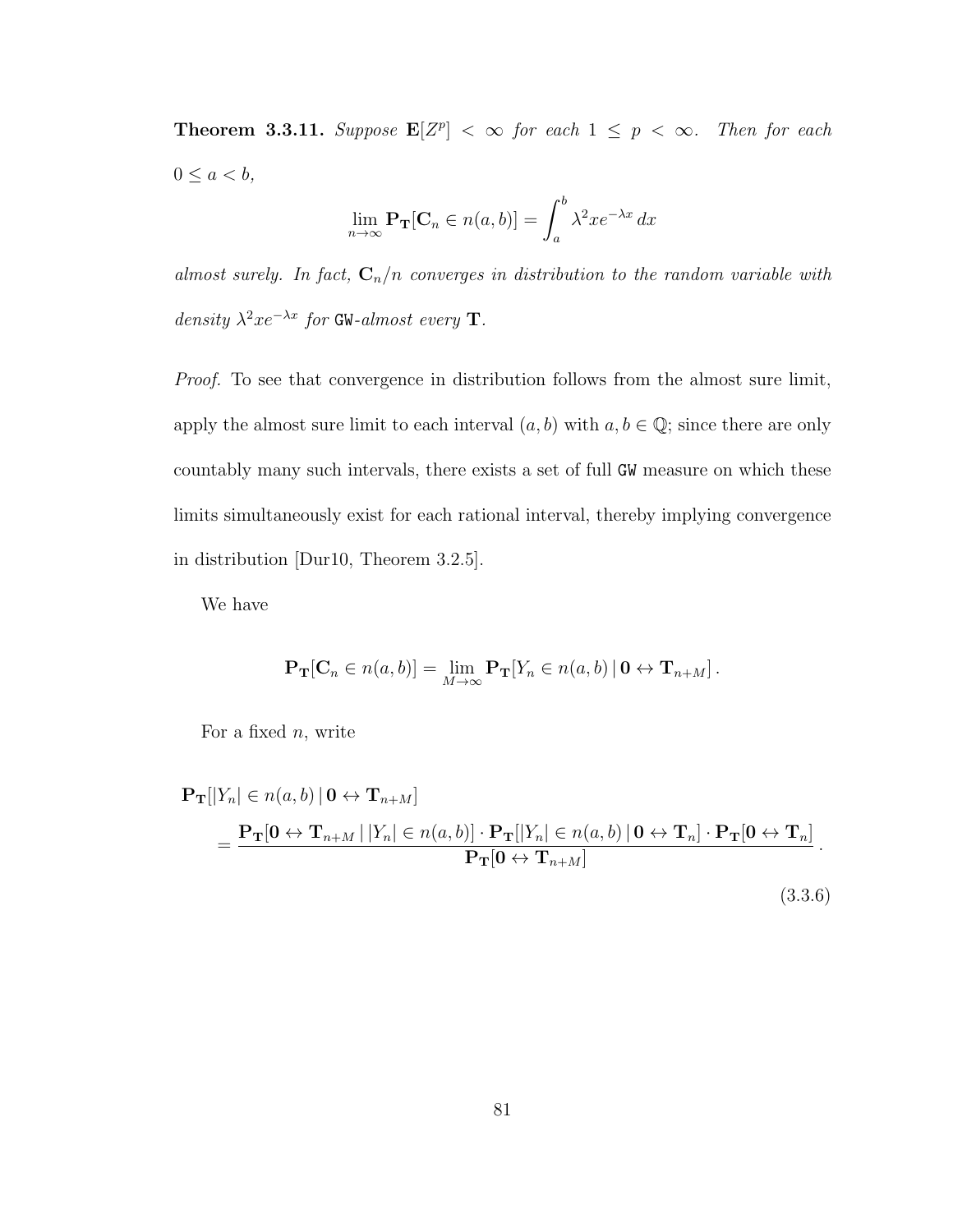**Theorem 3.3.11.** Suppose  $\mathbf{E}[Z^p] < \infty$  for each  $1 \leq p < \infty$ . Then for each  $0 \leq a < b$ ,

$$
\lim_{n \to \infty} \mathbf{P}_{\mathbf{T}}[\mathbf{C}_n \in n(a, b)] = \int_a^b \lambda^2 x e^{-\lambda x} dx
$$

almost surely. In fact,  $C_n/n$  converges in distribution to the random variable with density  $\lambda^2 x e^{-\lambda x}$  for GW-almost every T.

Proof. To see that convergence in distribution follows from the almost sure limit, apply the almost sure limit to each interval  $(a, b)$  with  $a, b \in \mathbb{Q}$ ; since there are only countably many such intervals, there exists a set of full GW measure on which these limits simultaneously exist for each rational interval, thereby implying convergence in distribution [Dur10, Theorem 3.2.5].

We have

$$
\mathbf{P}_{\mathbf{T}}[\mathbf{C}_n \in n(a, b)] = \lim_{M \to \infty} \mathbf{P}_{\mathbf{T}}[Y_n \in n(a, b) | \mathbf{0} \leftrightarrow \mathbf{T}_{n+M}].
$$

For a fixed  $n$ , write

$$
\mathbf{P_T}[|Y_n| \in n(a, b) | \mathbf{0} \leftrightarrow \mathbf{T}_{n+M}]
$$
\n
$$
= \frac{\mathbf{P_T}[0 \leftrightarrow \mathbf{T}_{n+M} | |Y_n| \in n(a, b)] \cdot \mathbf{P_T}[|Y_n| \in n(a, b) | \mathbf{0} \leftrightarrow \mathbf{T}_n] \cdot \mathbf{P_T}[0 \leftrightarrow \mathbf{T}_n]}{\mathbf{P_T}[0 \leftrightarrow \mathbf{T}_{n+M}]}.
$$
\n(3.3.6)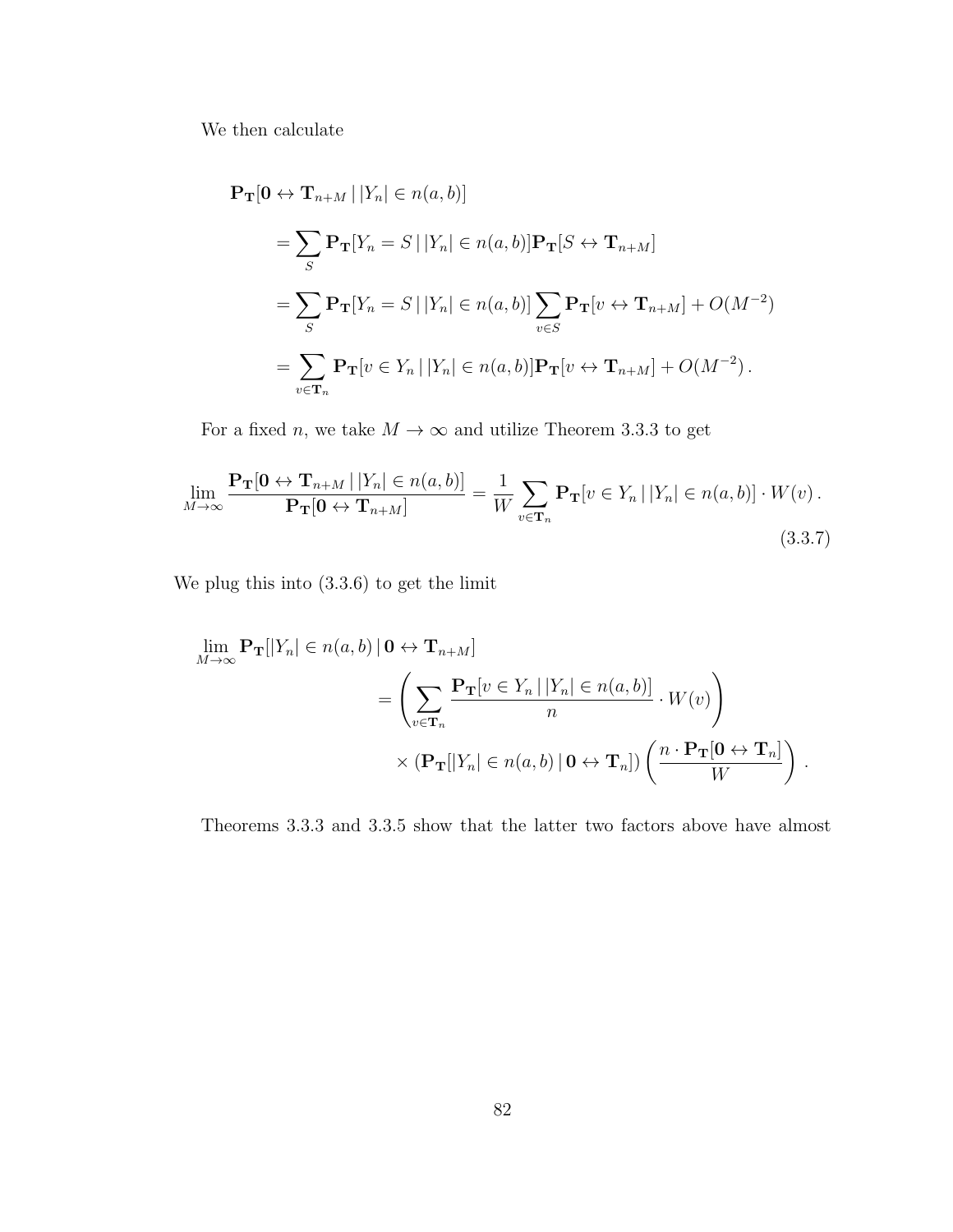We then calculate

$$
\begin{aligned} \mathbf{P_T}[0 \leftrightarrow \mathbf{T}_{n+M} | |Y_n| \in n(a, b)] \\ &= \sum_{S} \mathbf{P_T}[Y_n = S | |Y_n| \in n(a, b)] \mathbf{P_T}[S \leftrightarrow \mathbf{T}_{n+M}] \\ &= \sum_{S} \mathbf{P_T}[Y_n = S | |Y_n| \in n(a, b)] \sum_{v \in S} \mathbf{P_T}[v \leftrightarrow \mathbf{T}_{n+M}] + O(M^{-2}) \\ &= \sum_{v \in \mathbf{T}_n} \mathbf{P_T}[v \in Y_n | |Y_n| \in n(a, b)] \mathbf{P_T}[v \leftrightarrow \mathbf{T}_{n+M}] + O(M^{-2}). \end{aligned}
$$

For a fixed  $n,$  we take  $M\rightarrow\infty$  and utilize Theorem 3.3.3 to get

$$
\lim_{M \to \infty} \frac{\mathbf{P}_{\mathbf{T}}[\mathbf{0} \leftrightarrow \mathbf{T}_{n+M} | |Y_n| \in n(a, b)]}{\mathbf{P}_{\mathbf{T}}[\mathbf{0} \leftrightarrow \mathbf{T}_{n+M}]} = \frac{1}{W} \sum_{v \in \mathbf{T}_n} \mathbf{P}_{\mathbf{T}}[v \in Y_n | |Y_n| \in n(a, b)] \cdot W(v).
$$
\n(3.3.7)

We plug this into (3.3.6) to get the limit

$$
\lim_{M \to \infty} \mathbf{P}_{\mathbf{T}}[|Y_n| \in n(a, b) | \mathbf{0} \leftrightarrow \mathbf{T}_{n+M}]
$$
\n
$$
= \left( \sum_{v \in \mathbf{T}_n} \frac{\mathbf{P}_{\mathbf{T}}[v \in Y_n | |Y_n| \in n(a, b)]}{n} \cdot W(v) \right)
$$
\n
$$
\times (\mathbf{P}_{\mathbf{T}}[|Y_n| \in n(a, b) | \mathbf{0} \leftrightarrow \mathbf{T}_n]) \left( \frac{n \cdot \mathbf{P}_{\mathbf{T}}[\mathbf{0} \leftrightarrow \mathbf{T}_n]}{W} \right).
$$

Theorems 3.3.3 and 3.3.5 show that the latter two factors above have almost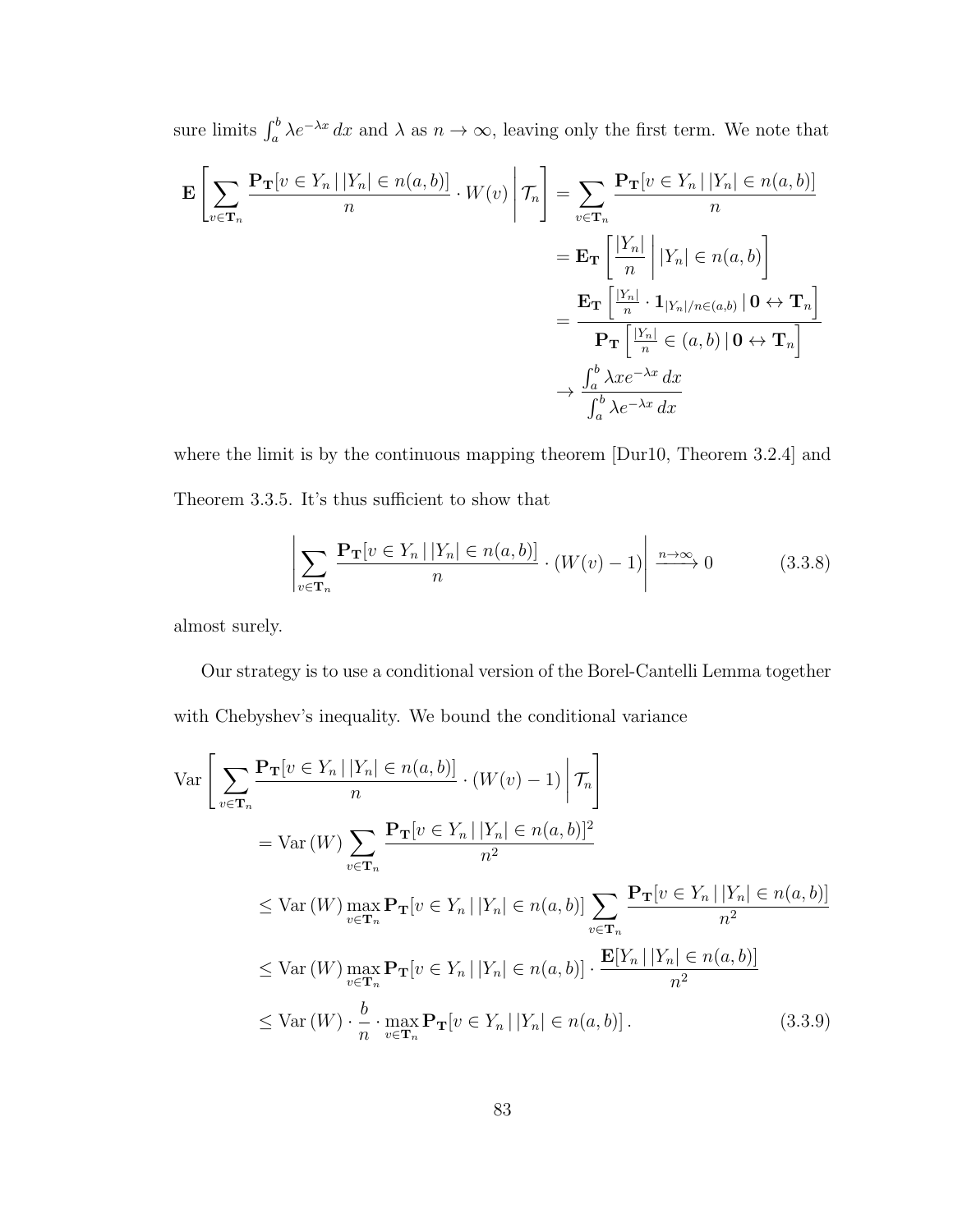sure limits  $\int_a^b \lambda e^{-\lambda x} dx$  and  $\lambda$  as  $n \to \infty$ , leaving only the first term. We note that

$$
\mathbf{E}\left[\sum_{v\in\mathbf{T}_n}\frac{\mathbf{P}_{\mathbf{T}}[v\in Y_n\,|\,|Y_n|\in n(a,b)]}{n}\cdot W(v)\,\middle|\,\mathcal{T}_n\right] = \sum_{v\in\mathbf{T}_n}\frac{\mathbf{P}_{\mathbf{T}}[v\in Y_n\,|\,|Y_n|\in n(a,b)]}{n}
$$
\n
$$
= \mathbf{E}_{\mathbf{T}}\left[\frac{|Y_n|}{n}\,\middle|\,|Y_n|\in n(a,b)\right]
$$
\n
$$
= \frac{\mathbf{E}_{\mathbf{T}}\left[\frac{|Y_n|}{n}\cdot \mathbf{1}_{|Y_n|/n\in(a,b)}\,|\,0\leftrightarrow\mathbf{T}_n\right]}{\mathbf{P}_{\mathbf{T}}\left[\frac{|Y_n|}{n}\in(a,b)\,|\,0\leftrightarrow\mathbf{T}_n\right]}
$$
\n
$$
\rightarrow \frac{\int_a^b \lambda x e^{-\lambda x}\,dx}{\int_a^b \lambda e^{-\lambda x}\,dx}
$$

where the limit is by the continuous mapping theorem [Dur10, Theorem 3.2.4] and Theorem 3.3.5. It's thus sufficient to show that

$$
\left| \sum_{v \in \mathbf{T}_n} \frac{\mathbf{P}_{\mathbf{T}}[v \in Y_n \mid |Y_n| \in n(a, b)]}{n} \cdot (W(v) - 1) \right| \xrightarrow{n \to \infty} 0 \tag{3.3.8}
$$

almost surely.

Our strategy is to use a conditional version of the Borel-Cantelli Lemma together with Chebyshev's inequality. We bound the conditional variance

$$
\operatorname{Var}\left[\sum_{v\in\mathbf{T}_n} \frac{\mathbf{P}_{\mathbf{T}}[v \in Y_n | |Y_n| \in n(a, b)]}{n} \cdot (W(v) - 1) \middle| \mathcal{T}_n\right]
$$
  
\n
$$
= \operatorname{Var}(W) \sum_{v\in\mathbf{T}_n} \frac{\mathbf{P}_{\mathbf{T}}[v \in Y_n | |Y_n| \in n(a, b)]^2}{n^2}
$$
  
\n
$$
\leq \operatorname{Var}(W) \max_{v\in\mathbf{T}_n} \mathbf{P}_{\mathbf{T}}[v \in Y_n | |Y_n| \in n(a, b)] \sum_{v\in\mathbf{T}_n} \frac{\mathbf{P}_{\mathbf{T}}[v \in Y_n | |Y_n| \in n(a, b)]}{n^2}
$$
  
\n
$$
\leq \operatorname{Var}(W) \max_{v\in\mathbf{T}_n} \mathbf{P}_{\mathbf{T}}[v \in Y_n | |Y_n| \in n(a, b)] \cdot \frac{\mathbf{E}[Y_n | |Y_n| \in n(a, b)]}{n^2}
$$
  
\n
$$
\leq \operatorname{Var}(W) \cdot \frac{b}{n} \cdot \max_{v\in\mathbf{T}_n} \mathbf{P}_{\mathbf{T}}[v \in Y_n | |Y_n| \in n(a, b)]. \qquad (3.3.9)
$$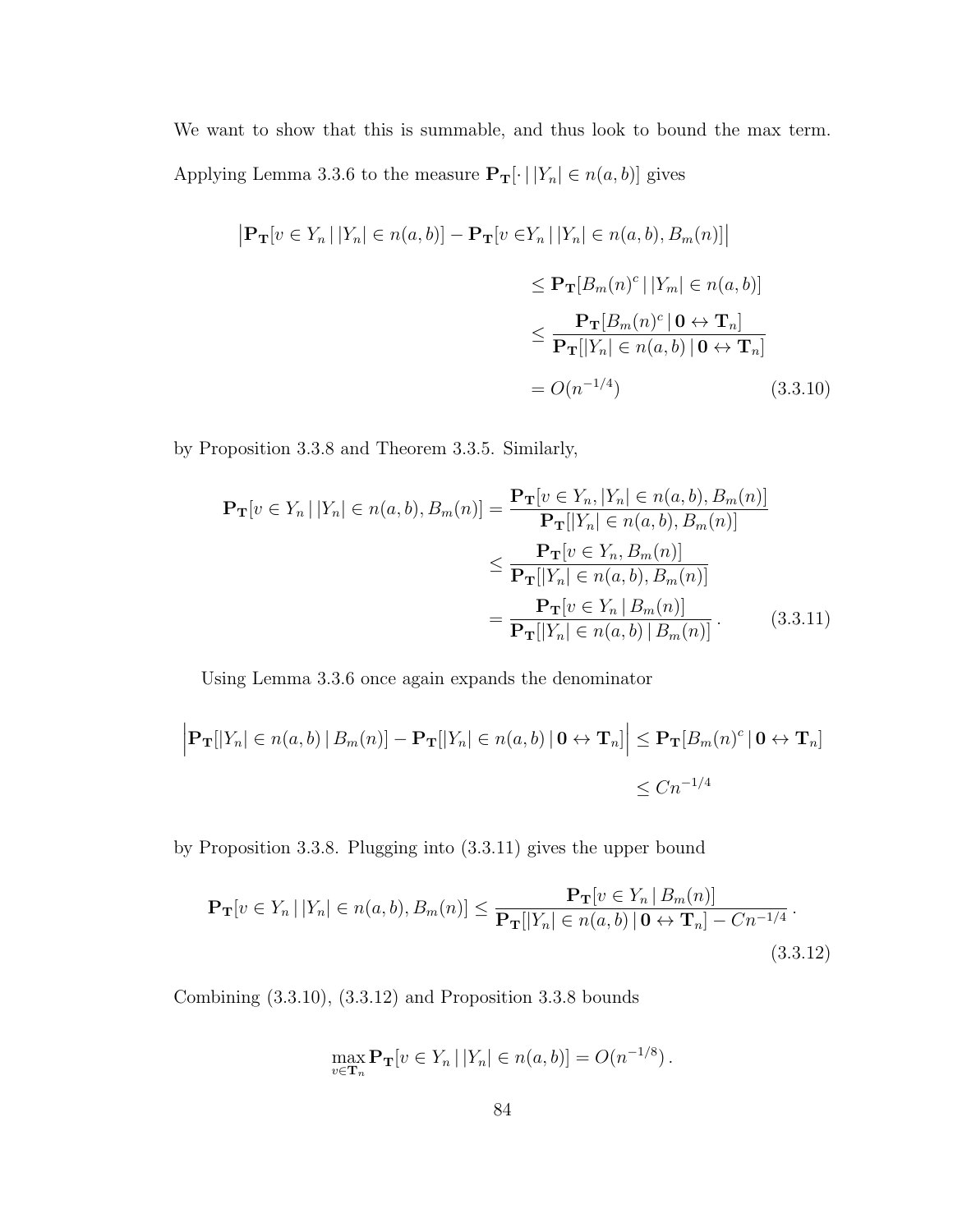We want to show that this is summable, and thus look to bound the max term. Applying Lemma 3.3.6 to the measure  $\mathbf{P_T}[\cdot | |Y_n| \in n(a, b)]$  gives

$$
\begin{aligned} \left| \mathbf{P}_{\mathbf{T}}[v \in Y_n \, | \, |Y_n| \in n(a, b)] - \mathbf{P}_{\mathbf{T}}[v \in Y_n \, | \, |Y_n| \in n(a, b), B_m(n)] \right| \\ &\leq \mathbf{P}_{\mathbf{T}}[B_m(n)^c \, | \, |Y_m| \in n(a, b)] \\ &\leq \frac{\mathbf{P}_{\mathbf{T}}[B_m(n)^c \, | \, \mathbf{0} \leftrightarrow \mathbf{T}_n]}{\mathbf{P}_{\mathbf{T}}[|Y_n| \in n(a, b) \, | \, \mathbf{0} \leftrightarrow \mathbf{T}_n]} \\ &= O(n^{-1/4}) \end{aligned} \tag{3.3.10}
$$

by Proposition 3.3.8 and Theorem 3.3.5. Similarly,

$$
\mathbf{P_T}[v \in Y_n \mid |Y_n| \in n(a, b), B_m(n)] = \frac{\mathbf{P_T}[v \in Y_n, |Y_n| \in n(a, b), B_m(n)]}{\mathbf{P_T}[|Y_n| \in n(a, b), B_m(n)]}
$$
  
\n
$$
\leq \frac{\mathbf{P_T}[v \in Y_n, B_m(n)]}{\mathbf{P_T}[|Y_n| \in n(a, b), B_m(n)]}
$$
  
\n
$$
= \frac{\mathbf{P_T}[v \in Y_n \mid B_m(n)]}{\mathbf{P_T}[|Y_n| \in n(a, b) \mid B_m(n)]}. \qquad (3.3.11)
$$

Using Lemma 3.3.6 once again expands the denominator

$$
\left| \mathbf{P}_{\mathbf{T}}[|Y_n| \in n(a,b) | B_m(n)] - \mathbf{P}_{\mathbf{T}}[|Y_n| \in n(a,b) | \mathbf{0} \leftrightarrow \mathbf{T}_n] \right| \leq \mathbf{P}_{\mathbf{T}}[B_m(n)^c | \mathbf{0} \leftrightarrow \mathbf{T}_n]
$$
  

$$
\leq Cn^{-1/4}
$$

by Proposition 3.3.8. Plugging into (3.3.11) gives the upper bound

$$
\mathbf{P_T}[v \in Y_n \,|\, |Y_n| \in n(a, b), B_m(n)] \le \frac{\mathbf{P_T}[v \in Y_n \,|\, B_m(n)]}{\mathbf{P_T}[|Y_n| \in n(a, b) \,|\, \mathbf{0} \leftrightarrow \mathbf{T}_n] - C n^{-1/4}}.
$$
\n(3.3.12)

Combining (3.3.10), (3.3.12) and Proposition 3.3.8 bounds

$$
\max_{v \in \mathbf{T}_n} \mathbf{P}_{\mathbf{T}}[v \in Y_n | |Y_n| \in n(a, b)] = O(n^{-1/8}).
$$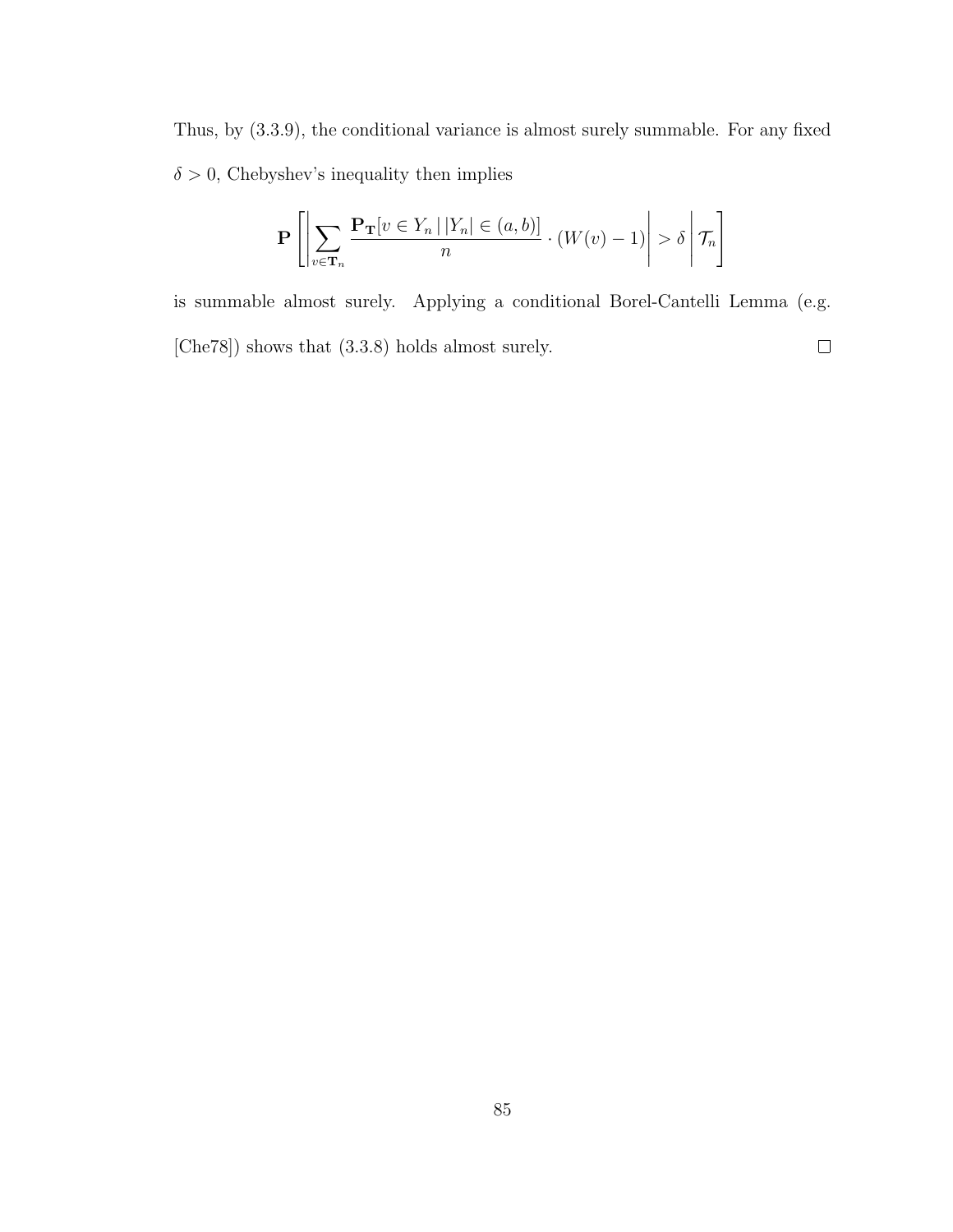Thus, by (3.3.9), the conditional variance is almost surely summable. For any fixed  $\delta > 0$ , Chebyshev's inequality then implies

$$
\mathbf{P}\left[\left|\sum_{v\in\mathbf{T}_n}\frac{\mathbf{P}_{\mathbf{T}}[v\in Y_n\,|\,|Y_n|\in(a,b)]}{n}\cdot(W(v)-1)\right|>\delta\,\bigg|\,\mathcal{T}_n\right]
$$

is summable almost surely. Applying a conditional Borel-Cantelli Lemma (e.g. [Che78]) shows that (3.3.8) holds almost surely.  $\Box$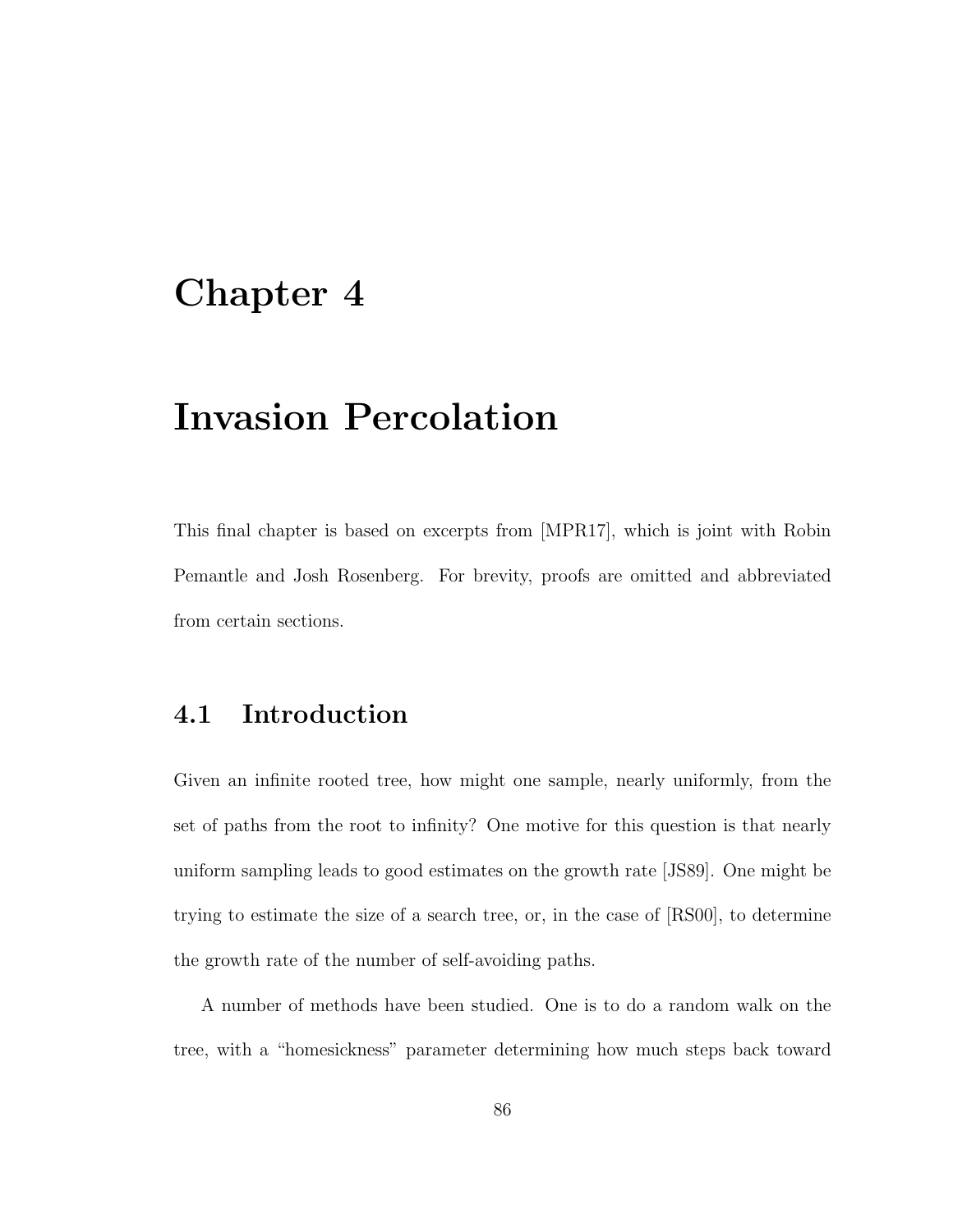## Chapter 4

## Invasion Percolation

This final chapter is based on excerpts from [MPR17], which is joint with Robin Pemantle and Josh Rosenberg. For brevity, proofs are omitted and abbreviated from certain sections.

## 4.1 Introduction

Given an infinite rooted tree, how might one sample, nearly uniformly, from the set of paths from the root to infinity? One motive for this question is that nearly uniform sampling leads to good estimates on the growth rate [JS89]. One might be trying to estimate the size of a search tree, or, in the case of [RS00], to determine the growth rate of the number of self-avoiding paths.

A number of methods have been studied. One is to do a random walk on the tree, with a "homesickness" parameter determining how much steps back toward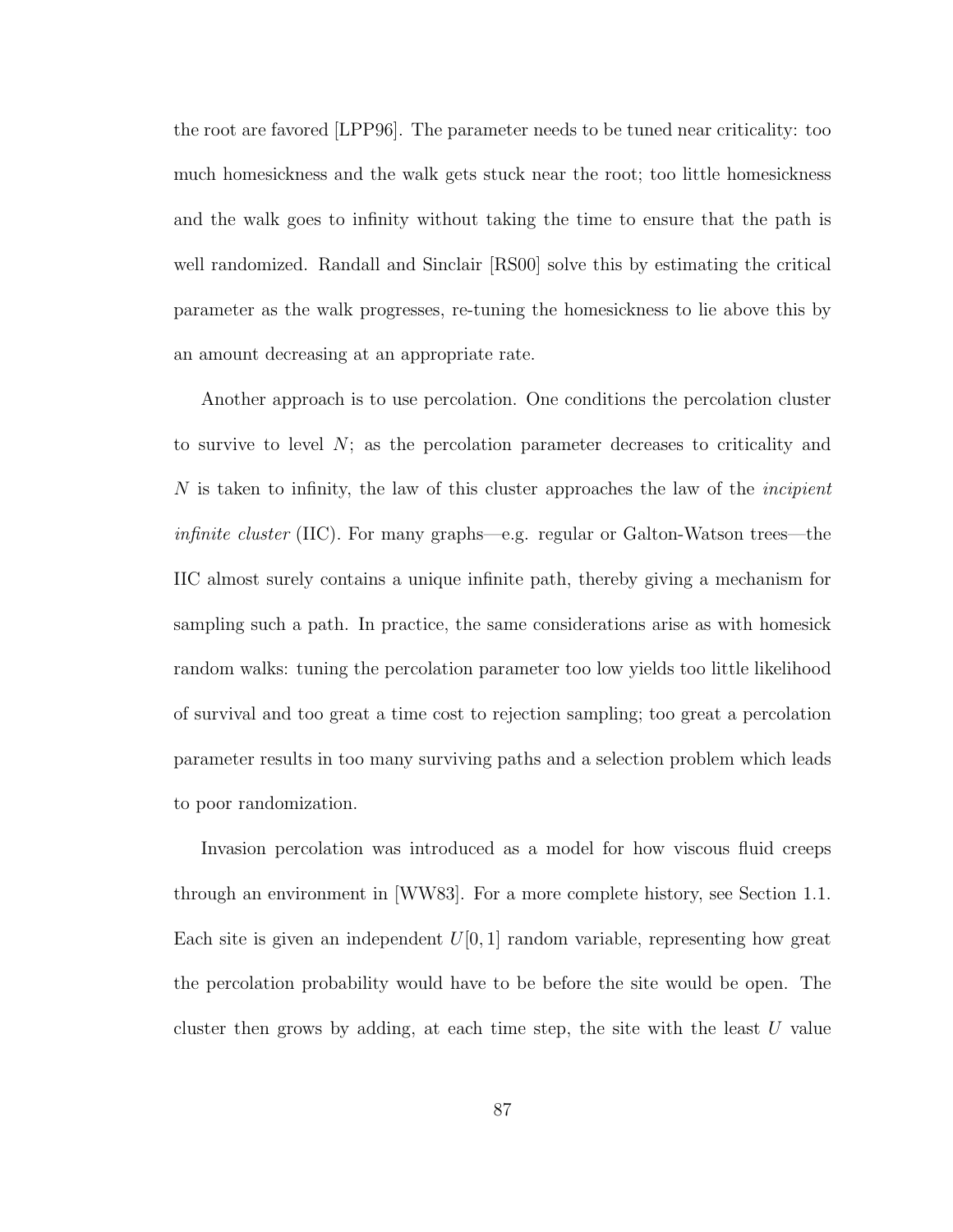the root are favored [LPP96]. The parameter needs to be tuned near criticality: too much homesickness and the walk gets stuck near the root; too little homesickness and the walk goes to infinity without taking the time to ensure that the path is well randomized. Randall and Sinclair [RS00] solve this by estimating the critical parameter as the walk progresses, re-tuning the homesickness to lie above this by an amount decreasing at an appropriate rate.

Another approach is to use percolation. One conditions the percolation cluster to survive to level  $N$ ; as the percolation parameter decreases to criticality and  $N$  is taken to infinity, the law of this cluster approaches the law of the *incipient* infinite cluster (IIC). For many graphs—e.g. regular or Galton-Watson trees—the IIC almost surely contains a unique infinite path, thereby giving a mechanism for sampling such a path. In practice, the same considerations arise as with homesick random walks: tuning the percolation parameter too low yields too little likelihood of survival and too great a time cost to rejection sampling; too great a percolation parameter results in too many surviving paths and a selection problem which leads to poor randomization.

Invasion percolation was introduced as a model for how viscous fluid creeps through an environment in [WW83]. For a more complete history, see Section 1.1. Each site is given an independent  $U[0, 1]$  random variable, representing how great the percolation probability would have to be before the site would be open. The cluster then grows by adding, at each time step, the site with the least  $U$  value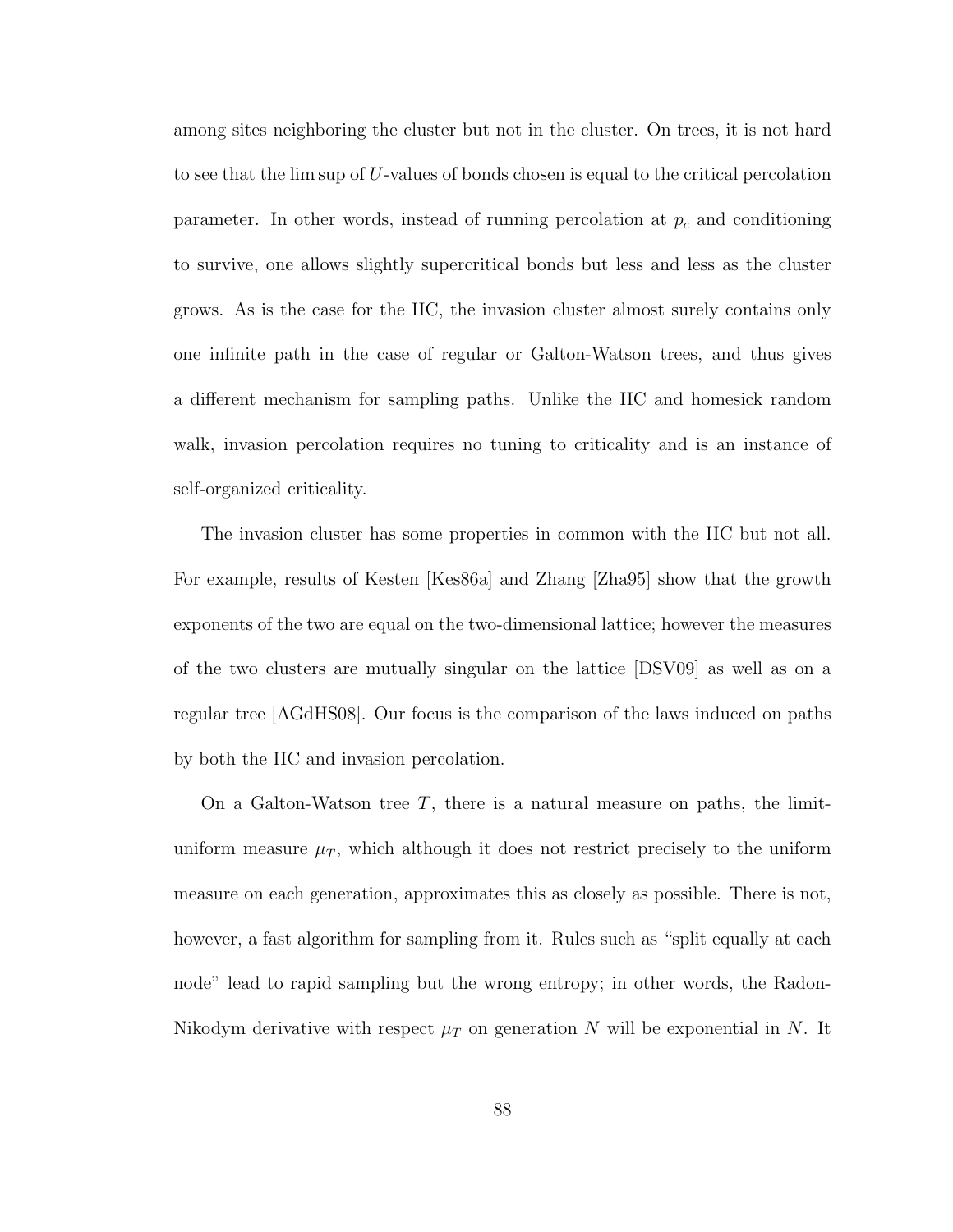among sites neighboring the cluster but not in the cluster. On trees, it is not hard to see that the lim sup of U-values of bonds chosen is equal to the critical percolation parameter. In other words, instead of running percolation at  $p_c$  and conditioning to survive, one allows slightly supercritical bonds but less and less as the cluster grows. As is the case for the IIC, the invasion cluster almost surely contains only one infinite path in the case of regular or Galton-Watson trees, and thus gives a different mechanism for sampling paths. Unlike the IIC and homesick random walk, invasion percolation requires no tuning to criticality and is an instance of self-organized criticality.

The invasion cluster has some properties in common with the IIC but not all. For example, results of Kesten [Kes86a] and Zhang [Zha95] show that the growth exponents of the two are equal on the two-dimensional lattice; however the measures of the two clusters are mutually singular on the lattice [DSV09] as well as on a regular tree [AGdHS08]. Our focus is the comparison of the laws induced on paths by both the IIC and invasion percolation.

On a Galton-Watson tree  $T$ , there is a natural measure on paths, the limituniform measure  $\mu_T$ , which although it does not restrict precisely to the uniform measure on each generation, approximates this as closely as possible. There is not, however, a fast algorithm for sampling from it. Rules such as "split equally at each node" lead to rapid sampling but the wrong entropy; in other words, the Radon-Nikodym derivative with respect  $\mu_T$  on generation N will be exponential in N. It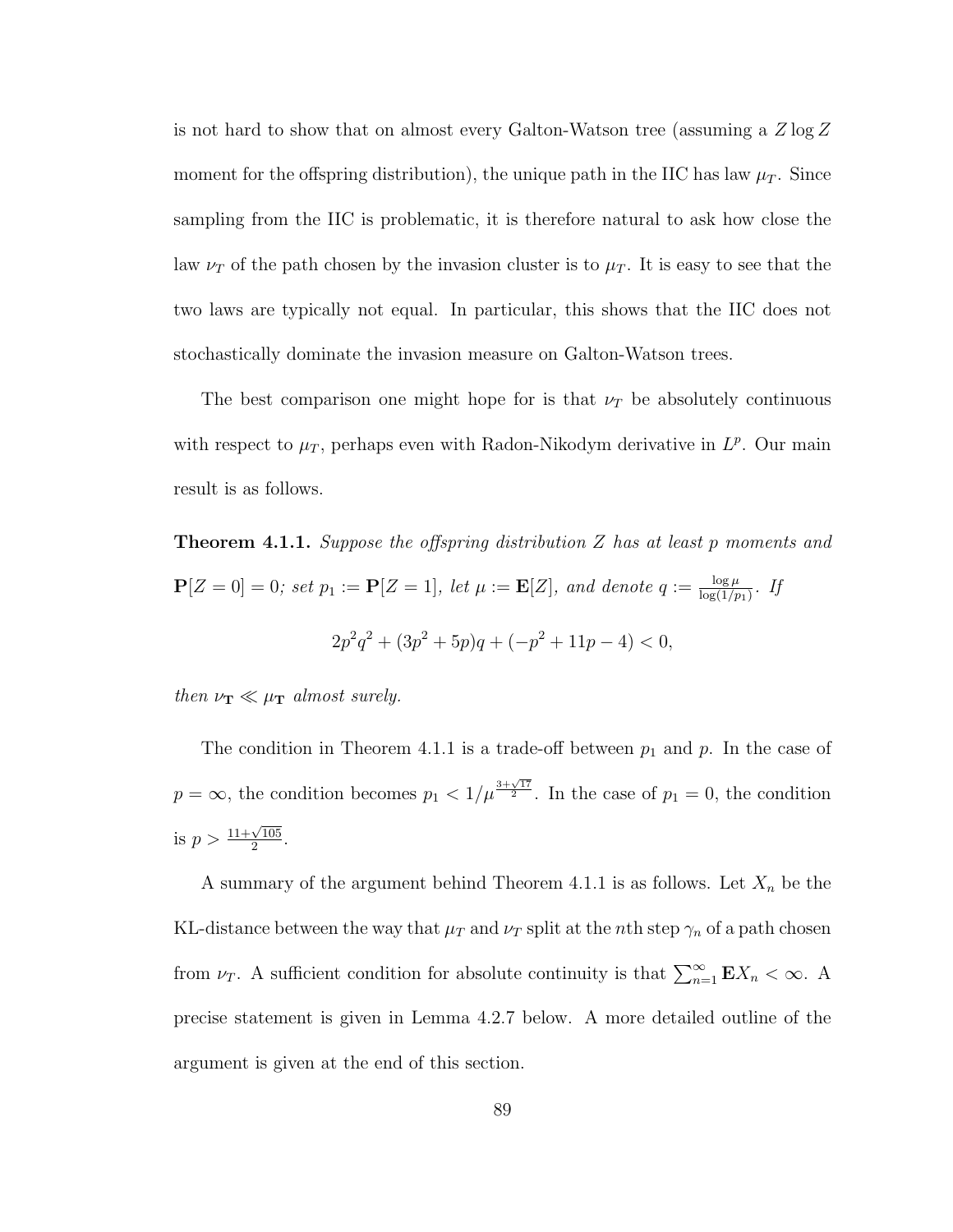is not hard to show that on almost every Galton-Watson tree (assuming a Z log Z moment for the offspring distribution), the unique path in the IIC has law  $\mu_T$ . Since sampling from the IIC is problematic, it is therefore natural to ask how close the law  $\nu_T$  of the path chosen by the invasion cluster is to  $\mu_T$ . It is easy to see that the two laws are typically not equal. In particular, this shows that the IIC does not stochastically dominate the invasion measure on Galton-Watson trees.

The best comparison one might hope for is that  $\nu_T$  be absolutely continuous with respect to  $\mu_T$ , perhaps even with Radon-Nikodym derivative in  $L^p$ . Our main result is as follows.

**Theorem 4.1.1.** Suppose the offspring distribution Z has at least p moments and  $\mathbf{P}[Z=0]=0$ ; set  $p_1 := \mathbf{P}[Z=1]$ , let  $\mu := \mathbf{E}[Z]$ , and denote  $q := \frac{\log \mu}{\log(1/\tau)}$  $\frac{\log \mu}{\log(1/p_1)}$ . If  $2p^2q^2 + (3p^2 + 5p)q + (-p^2 + 11p - 4) < 0,$ 

then  $\nu_{\mathbf{T}} \ll \mu_{\mathbf{T}}$  almost surely.

The condition in Theorem 4.1.1 is a trade-off between  $p_1$  and  $p$ . In the case of  $p = \infty$ , the condition becomes  $p_1 < 1/\mu^{\frac{3+\sqrt{17}}{2}}$ . In the case of  $p_1 = 0$ , the condition is  $p > \frac{11 + \sqrt{105}}{2}$  $\frac{\sqrt{105}}{2}$ .

A summary of the argument behind Theorem 4.1.1 is as follows. Let  $X_n$  be the KL-distance between the way that  $\mu_T$  and  $\nu_T$  split at the *n*th step  $\gamma_n$  of a path chosen from  $\nu_T$ . A sufficient condition for absolute continuity is that  $\sum_{n=1}^{\infty} \mathbf{E} X_n < \infty$ . A precise statement is given in Lemma 4.2.7 below. A more detailed outline of the argument is given at the end of this section.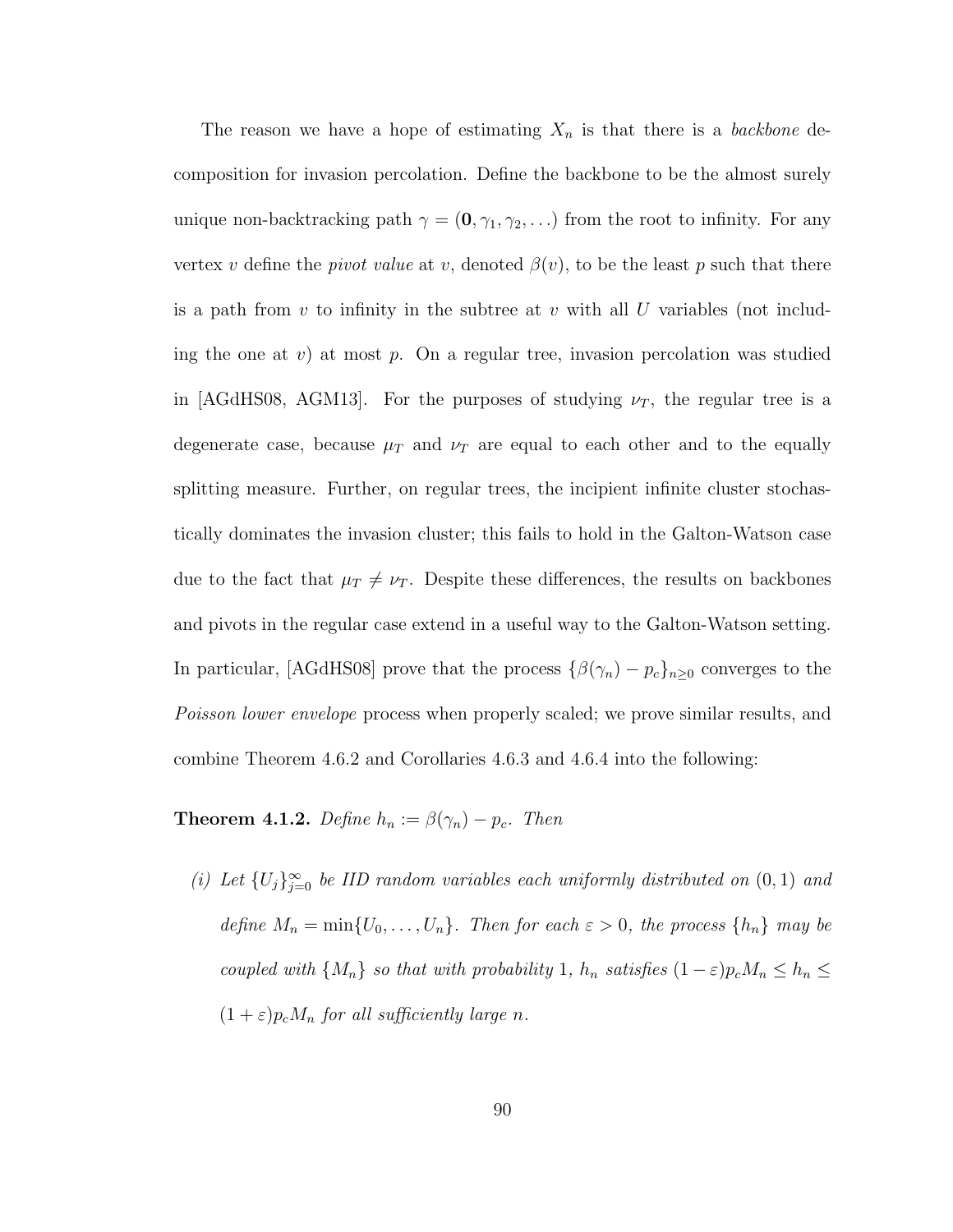The reason we have a hope of estimating  $X_n$  is that there is a *backbone* decomposition for invasion percolation. Define the backbone to be the almost surely unique non-backtracking path  $\gamma = (0, \gamma_1, \gamma_2, \ldots)$  from the root to infinity. For any vertex v define the *pivot value* at v, denoted  $\beta(v)$ , to be the least p such that there is a path from  $v$  to infinity in the subtree at  $v$  with all U variables (not including the one at v) at most p. On a regular tree, invasion percolation was studied in [AGdHS08, AGM13]. For the purposes of studying  $\nu_T$ , the regular tree is a degenerate case, because  $\mu$ <sub>T</sub> and  $\nu$ <sub>T</sub> are equal to each other and to the equally splitting measure. Further, on regular trees, the incipient infinite cluster stochastically dominates the invasion cluster; this fails to hold in the Galton-Watson case due to the fact that  $\mu_T \neq \nu_T$ . Despite these differences, the results on backbones and pivots in the regular case extend in a useful way to the Galton-Watson setting. In particular, [AGdHS08] prove that the process  $\{\beta(\gamma_n) - p_c\}_{n \geq 0}$  converges to the Poisson lower envelope process when properly scaled; we prove similar results, and combine Theorem 4.6.2 and Corollaries 4.6.3 and 4.6.4 into the following:

**Theorem 4.1.2.** Define  $h_n := \beta(\gamma_n) - p_c$ . Then

(i) Let  $\{U_j\}_{j=0}^{\infty}$  be IID random variables each uniformly distributed on  $(0,1)$  and define  $M_n = \min\{U_0, \ldots, U_n\}$ . Then for each  $\varepsilon > 0$ , the process  $\{h_n\}$  may be coupled with  $\{M_n\}$  so that with probability 1,  $h_n$  satisfies  $(1 - \varepsilon)p_cM_n \leq h_n \leq$  $(1+\varepsilon)p_cM_n$  for all sufficiently large n.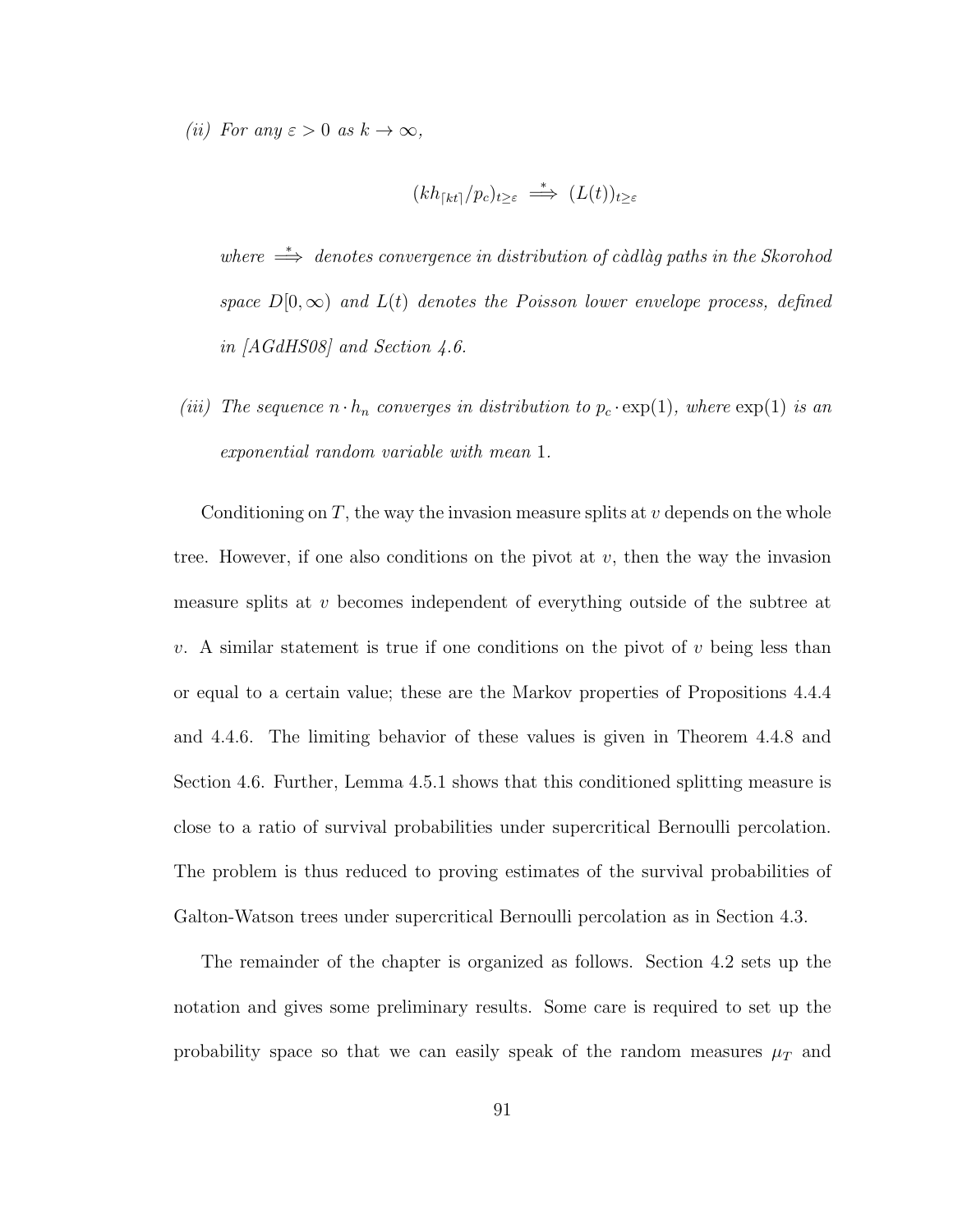(ii) For any  $\varepsilon > 0$  as  $k \to \infty$ ,

$$
(kh_{\lceil kt\rceil}/p_c)_{t\geq\varepsilon} \stackrel{*}{\implies} (L(t))_{t\geq\varepsilon}
$$

where  $\Rightarrow$  denotes convergence in distribution of càdlàg paths in the Skorohod space  $D[0,\infty)$  and  $L(t)$  denotes the Poisson lower envelope process, defined in [AGdHS08] and Section 4.6.

(iii) The sequence  $n \cdot h_n$  converges in distribution to  $p_c \cdot \exp(1)$ , where  $\exp(1)$  is an exponential random variable with mean 1.

Conditioning on  $T$ , the way the invasion measure splits at  $v$  depends on the whole tree. However, if one also conditions on the pivot at  $v$ , then the way the invasion measure splits at v becomes independent of everything outside of the subtree at v. A similar statement is true if one conditions on the pivot of v being less than or equal to a certain value; these are the Markov properties of Propositions 4.4.4 and 4.4.6. The limiting behavior of these values is given in Theorem 4.4.8 and Section 4.6. Further, Lemma 4.5.1 shows that this conditioned splitting measure is close to a ratio of survival probabilities under supercritical Bernoulli percolation. The problem is thus reduced to proving estimates of the survival probabilities of Galton-Watson trees under supercritical Bernoulli percolation as in Section 4.3.

The remainder of the chapter is organized as follows. Section 4.2 sets up the notation and gives some preliminary results. Some care is required to set up the probability space so that we can easily speak of the random measures  $\mu_T$  and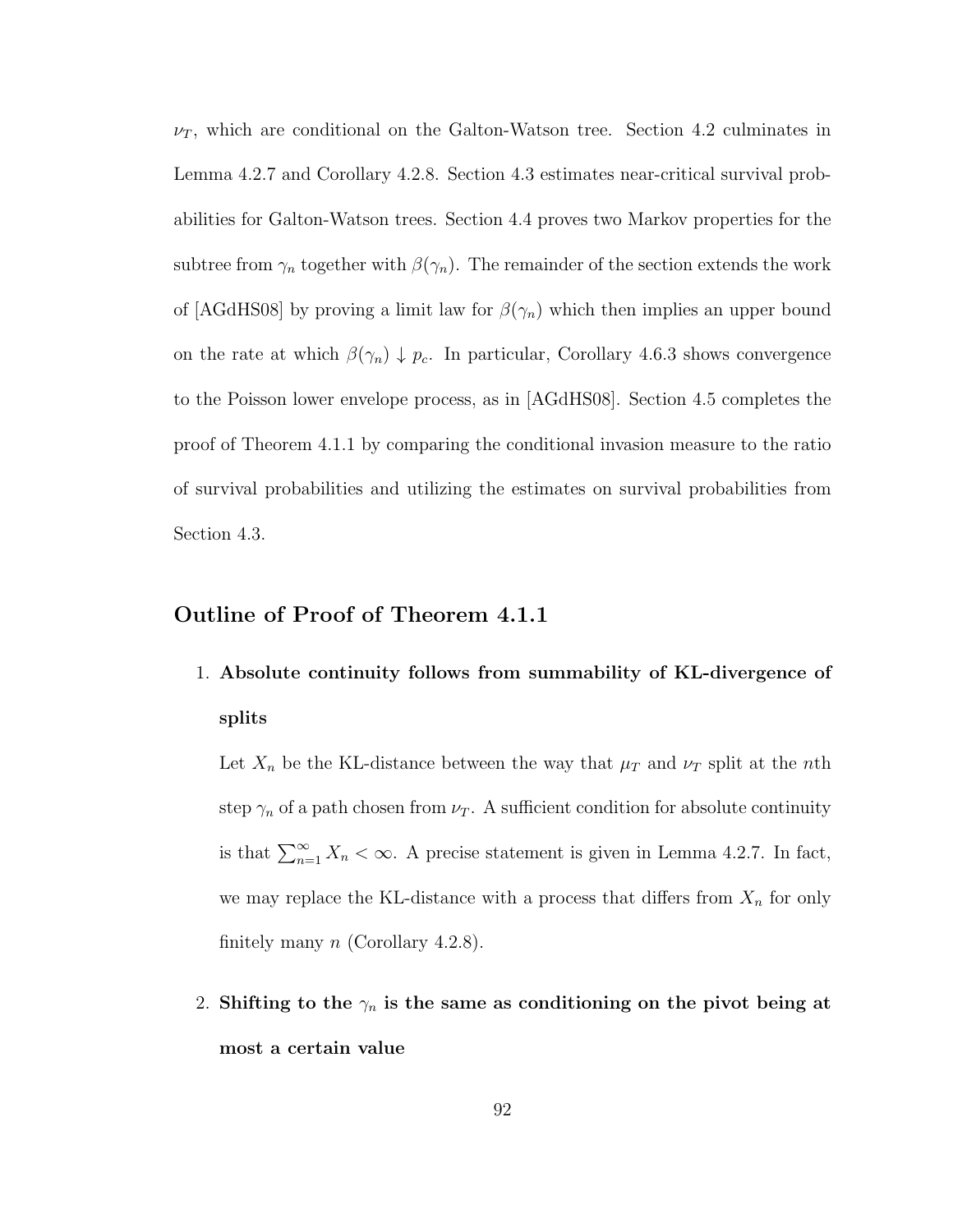$\nu_T$ , which are conditional on the Galton-Watson tree. Section 4.2 culminates in Lemma 4.2.7 and Corollary 4.2.8. Section 4.3 estimates near-critical survival probabilities for Galton-Watson trees. Section 4.4 proves two Markov properties for the subtree from  $\gamma_n$  together with  $\beta(\gamma_n)$ . The remainder of the section extends the work of [AGdHS08] by proving a limit law for  $\beta(\gamma_n)$  which then implies an upper bound on the rate at which  $\beta(\gamma_n) \downarrow p_c$ . In particular, Corollary 4.6.3 shows convergence to the Poisson lower envelope process, as in [AGdHS08]. Section 4.5 completes the proof of Theorem 4.1.1 by comparing the conditional invasion measure to the ratio of survival probabilities and utilizing the estimates on survival probabilities from Section 4.3.

#### Outline of Proof of Theorem 4.1.1

1. Absolute continuity follows from summability of KL-divergence of splits

Let  $X_n$  be the KL-distance between the way that  $\mu_T$  and  $\nu_T$  split at the *n*th step  $\gamma_n$  of a path chosen from  $\nu_T$ . A sufficient condition for absolute continuity is that  $\sum_{n=1}^{\infty} X_n < \infty$ . A precise statement is given in Lemma 4.2.7. In fact, we may replace the KL-distance with a process that differs from  $X_n$  for only finitely many  $n$  (Corollary 4.2.8).

2. Shifting to the  $\gamma_n$  is the same as conditioning on the pivot being at most a certain value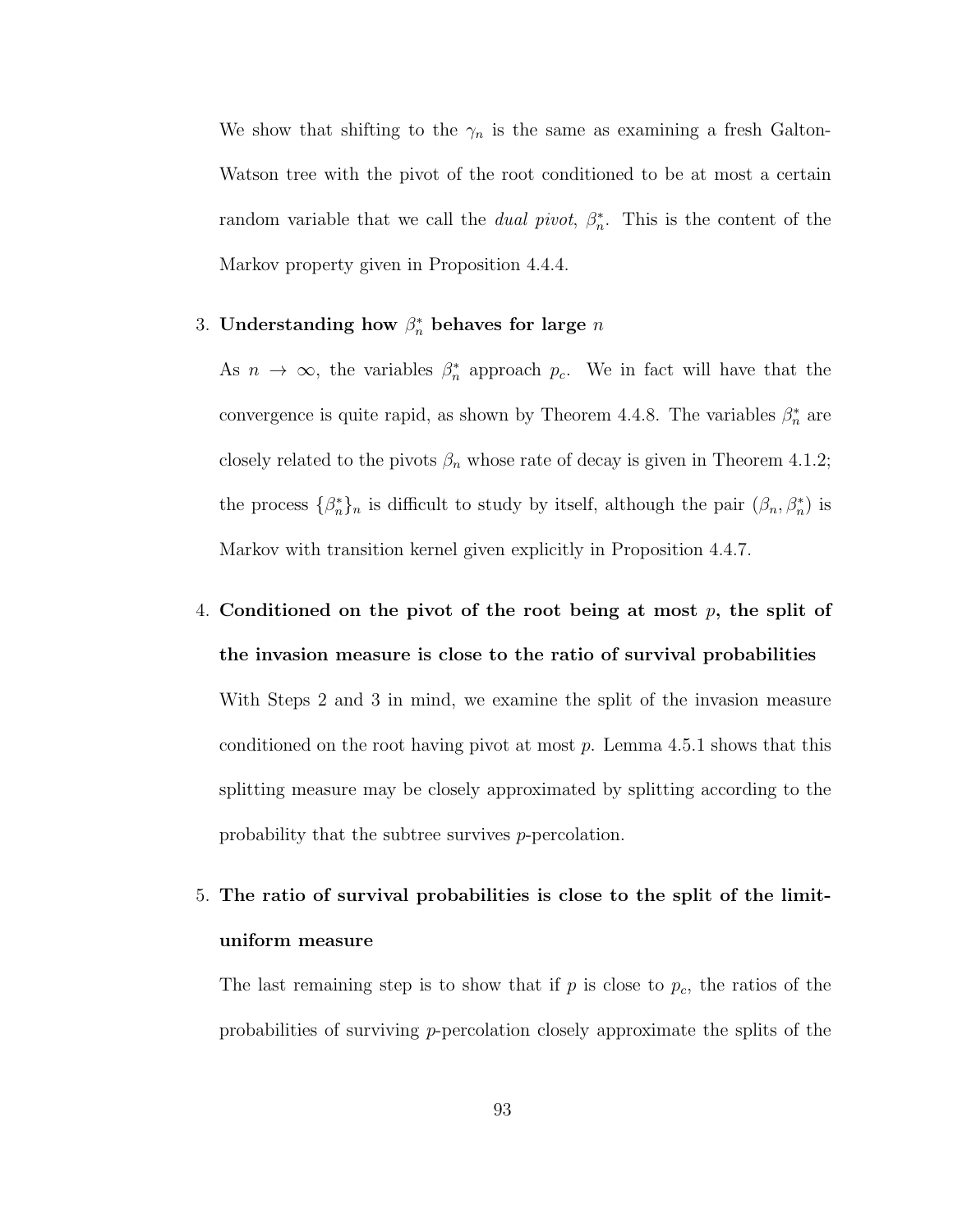We show that shifting to the  $\gamma_n$  is the same as examining a fresh Galton-Watson tree with the pivot of the root conditioned to be at most a certain random variable that we call the *dual pivot*,  $\beta_n^*$ . This is the content of the Markov property given in Proposition 4.4.4.

3. Understanding how  $\beta_n^*$  behaves for large n

As  $n \to \infty$ , the variables  $\beta_n^*$  approach  $p_c$ . We in fact will have that the convergence is quite rapid, as shown by Theorem 4.4.8. The variables  $\beta_n^*$  are closely related to the pivots  $\beta_n$  whose rate of decay is given in Theorem 4.1.2; the process  $\{\beta_n^*\}_n$  is difficult to study by itself, although the pair  $(\beta_n, \beta_n^*)$  is Markov with transition kernel given explicitly in Proposition 4.4.7.

- 4. Conditioned on the pivot of the root being at most  $p$ , the split of the invasion measure is close to the ratio of survival probabilities With Steps 2 and 3 in mind, we examine the split of the invasion measure conditioned on the root having pivot at most  $p$ . Lemma 4.5.1 shows that this splitting measure may be closely approximated by splitting according to the probability that the subtree survives p-percolation.
- 5. The ratio of survival probabilities is close to the split of the limituniform measure

The last remaining step is to show that if  $p$  is close to  $p_c$ , the ratios of the probabilities of surviving  $p$ -percolation closely approximate the splits of the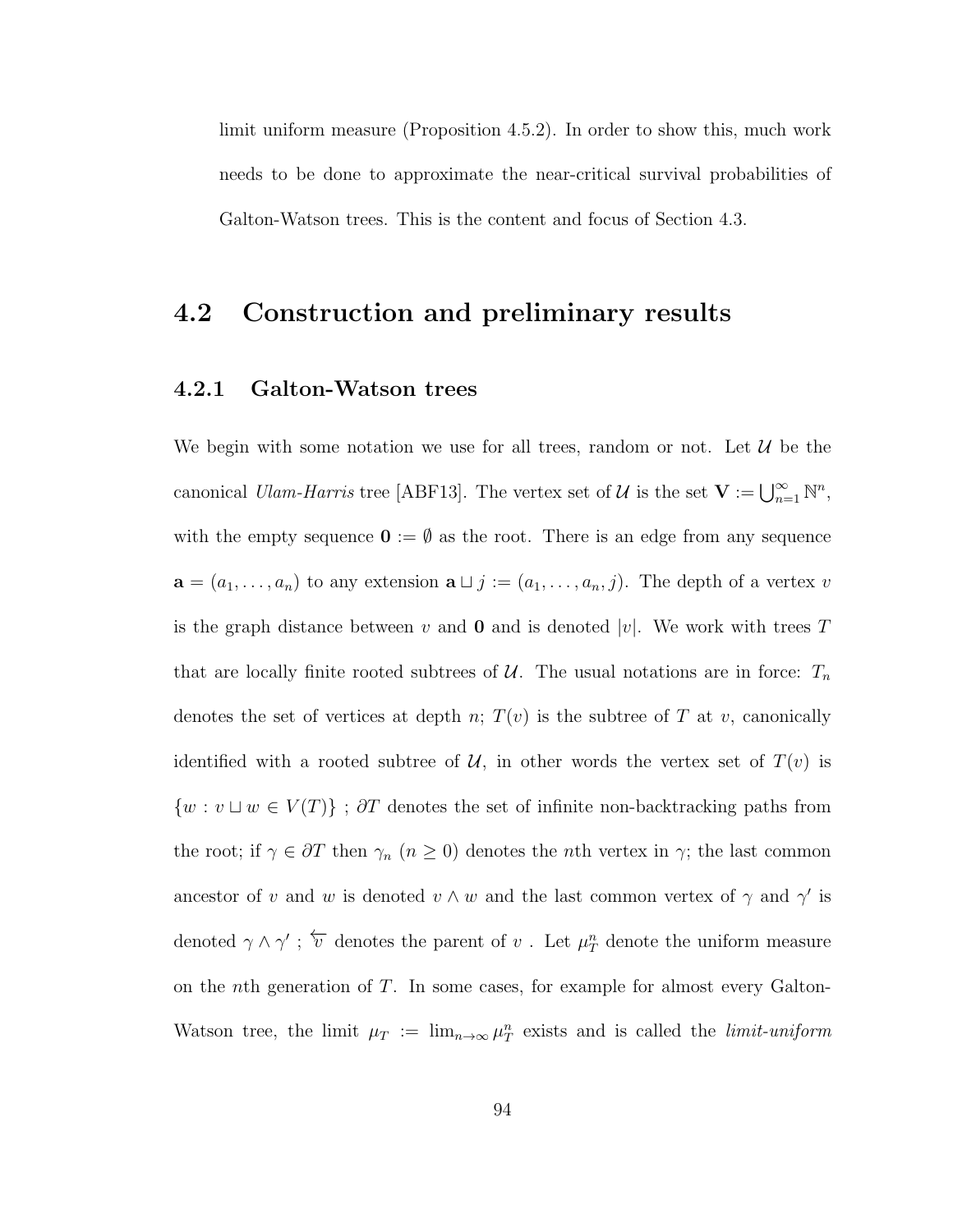limit uniform measure (Proposition 4.5.2). In order to show this, much work needs to be done to approximate the near-critical survival probabilities of Galton-Watson trees. This is the content and focus of Section 4.3.

## 4.2 Construction and preliminary results

#### 4.2.1 Galton-Watson trees

We begin with some notation we use for all trees, random or not. Let  $\mathcal{U}$  be the canonical *Ulam-Harris* tree [ABF13]. The vertex set of  $\mathcal{U}$  is the set  $\mathbf{V} := \bigcup_{n=1}^{\infty} \mathbb{N}^n$ , with the empty sequence  $\mathbf{0} := \emptyset$  as the root. There is an edge from any sequence  $\mathbf{a} = (a_1, \ldots, a_n)$  to any extension  $\mathbf{a} \sqcup j := (a_1, \ldots, a_n, j)$ . The depth of a vertex v is the graph distance between v and **0** and is denoted |v|. We work with trees T that are locally finite rooted subtrees of  $U$ . The usual notations are in force:  $T_n$ denotes the set of vertices at depth n;  $T(v)$  is the subtree of T at v, canonically identified with a rooted subtree of  $\mathcal{U}$ , in other words the vertex set of  $T(v)$  is  ${w : v \sqcup w \in V(T)}$ ; ∂T denotes the set of infinite non-backtracking paths from the root; if  $\gamma \in \partial T$  then  $\gamma_n$   $(n \geq 0)$  denotes the *n*th vertex in  $\gamma$ ; the last common ancestor of v and w is denoted  $v \wedge w$  and the last common vertex of  $\gamma$  and  $\gamma'$  is denoted  $\gamma \wedge \gamma'$ ;  $\overleftarrow{v}$  denotes the parent of  $v$ . Let  $\mu_T^n$  denote the uniform measure on the nth generation of T. In some cases, for example for almost every Galton-Watson tree, the limit  $\mu_T := \lim_{n \to \infty} \mu_T^n$  exists and is called the *limit-uniform*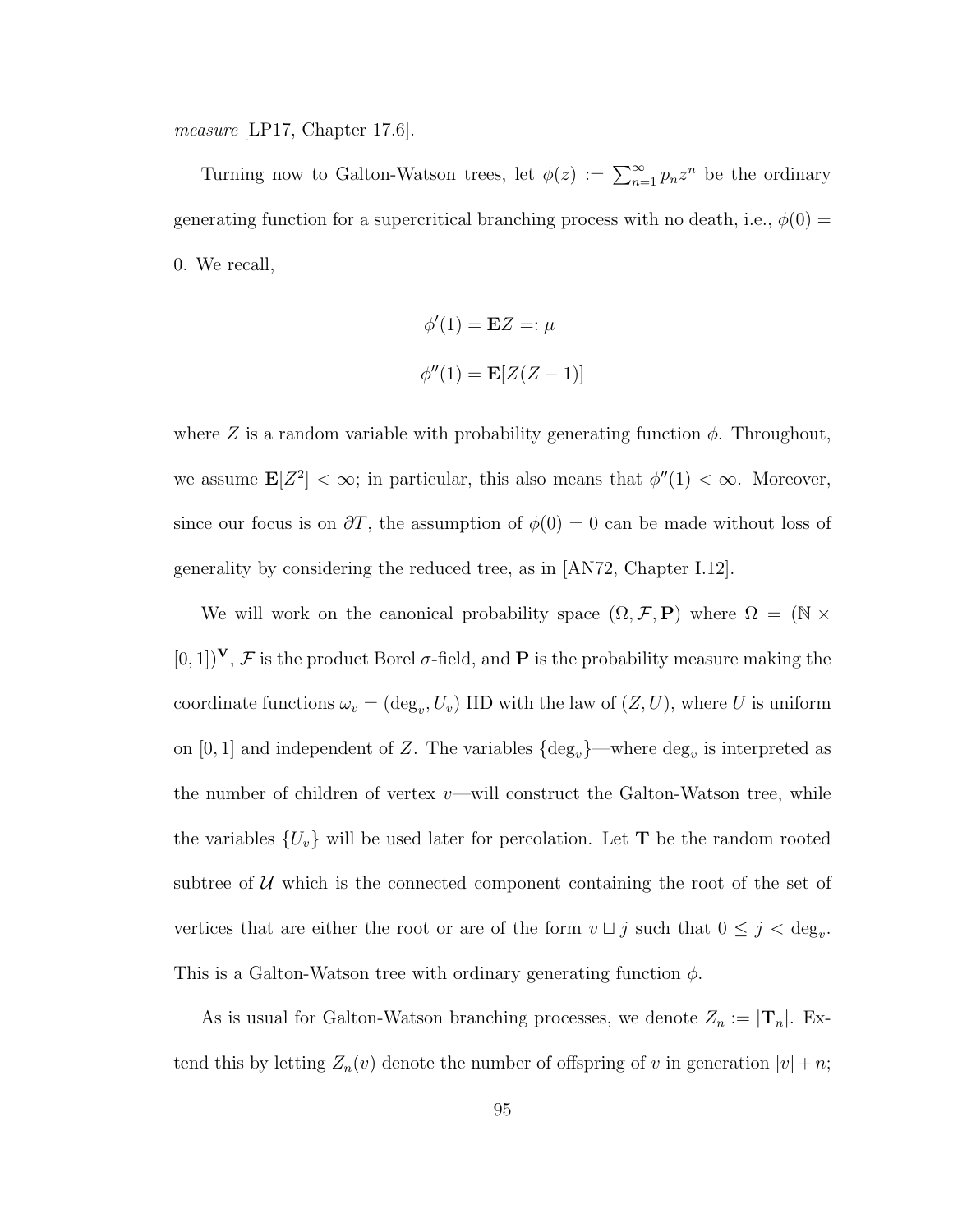measure [LP17, Chapter 17.6].

Turning now to Galton-Watson trees, let  $\phi(z) := \sum_{n=1}^{\infty} p_n z^n$  be the ordinary generating function for a supercritical branching process with no death, i.e.,  $\phi(0)$  = 0. We recall,

$$
\phi'(1) = \mathbf{E}Z =: \mu
$$

$$
\phi''(1) = \mathbf{E}[Z(Z-1)]
$$

where Z is a random variable with probability generating function  $\phi$ . Throughout, we assume  $\mathbf{E}[Z^2] < \infty$ ; in particular, this also means that  $\phi''(1) < \infty$ . Moreover, since our focus is on  $\partial T$ , the assumption of  $\phi(0) = 0$  can be made without loss of generality by considering the reduced tree, as in [AN72, Chapter I.12].

We will work on the canonical probability space  $(\Omega, \mathcal{F}, P)$  where  $\Omega = (\mathbb{N} \times$  $[0, 1]$ <sup>V</sup>, *F* is the product Borel  $\sigma$ -field, and **P** is the probability measure making the coordinate functions  $\omega_v = (\deg_v, U_v)$  IID with the law of  $(Z, U)$ , where U is uniform on [0, 1] and independent of Z. The variables  $\{\text{deg}_{v}\}$ —where  $\text{deg}_{v}$  is interpreted as the number of children of vertex  $v$ —will construct the Galton-Watson tree, while the variables  $\{U_v\}$  will be used later for percolation. Let **T** be the random rooted subtree of  $U$  which is the connected component containing the root of the set of vertices that are either the root or are of the form  $v \sqcup j$  such that  $0 \leq j < deg_v$ . This is a Galton-Watson tree with ordinary generating function  $\phi$ .

As is usual for Galton-Watson branching processes, we denote  $Z_n := |\mathbf{T}_n|$ . Extend this by letting  $Z_n(v)$  denote the number of offspring of v in generation  $|v| + n$ ;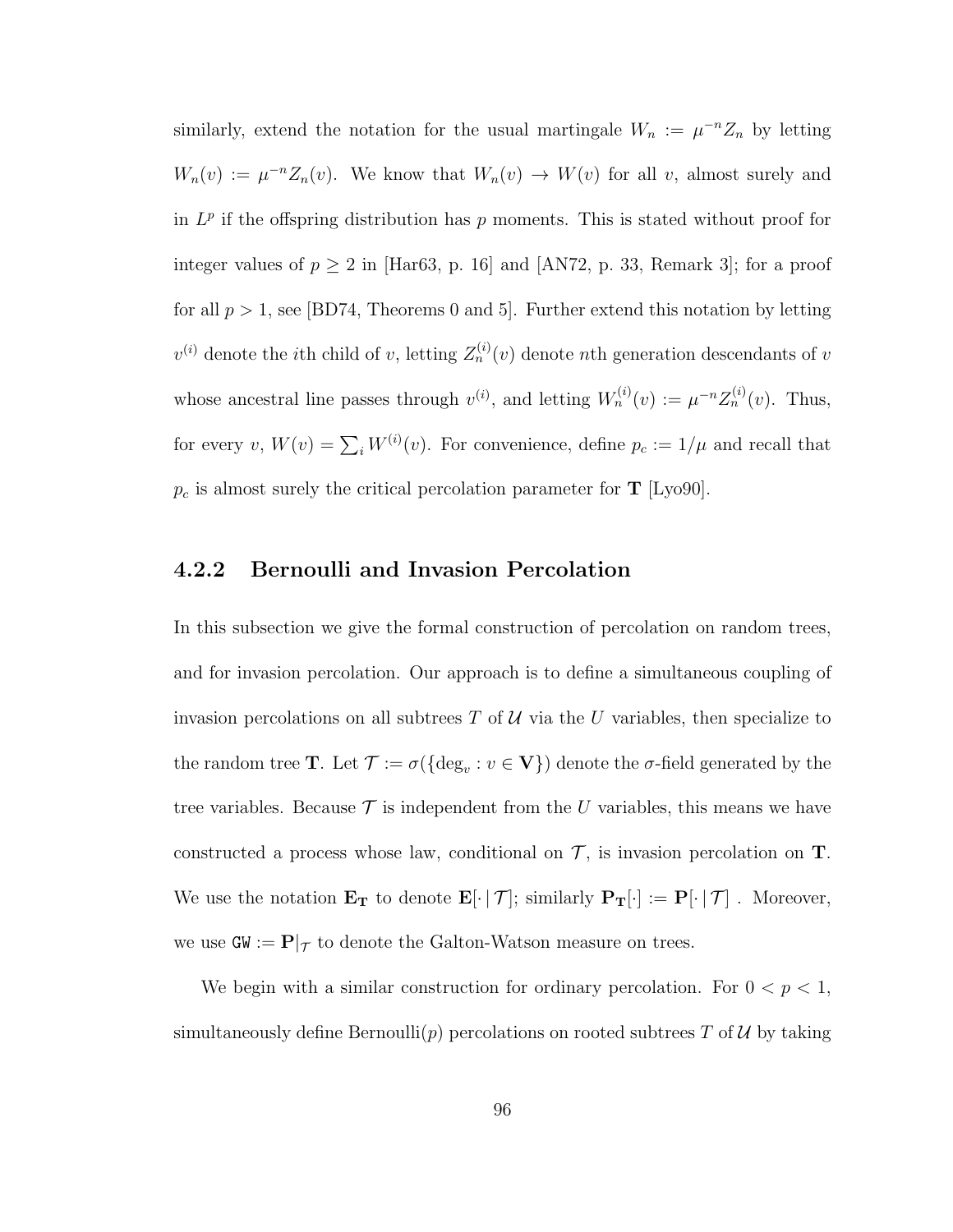similarly, extend the notation for the usual martingale  $W_n := \mu^{-n} Z_n$  by letting  $W_n(v) := \mu^{-n} Z_n(v)$ . We know that  $W_n(v) \to W(v)$  for all v, almost surely and in  $L^p$  if the offspring distribution has p moments. This is stated without proof for integer values of  $p \geq 2$  in [Har63, p. 16] and [AN72, p. 33, Remark 3]; for a proof for all  $p > 1$ , see [BD74, Theorems 0 and 5]. Further extend this notation by letting  $v^{(i)}$  denote the *i*th child of v, letting  $Z_n^{(i)}(v)$  denote *n*th generation descendants of v whose ancestral line passes through  $v^{(i)}$ , and letting  $W_n^{(i)}(v) := \mu^{-n} Z_n^{(i)}(v)$ . Thus, for every  $v, W(v) = \sum_{i} W^{(i)}(v)$ . For convenience, define  $p_c := 1/\mu$  and recall that  $p_c$  is almost surely the critical percolation parameter for **T** [Lyo90].

### 4.2.2 Bernoulli and Invasion Percolation

In this subsection we give the formal construction of percolation on random trees, and for invasion percolation. Our approach is to define a simultaneous coupling of invasion percolations on all subtrees  $T$  of  $\mathcal U$  via the U variables, then specialize to the random tree **T**. Let  $\mathcal{T} := \sigma(\{\text{deg}_v : v \in \mathbf{V}\})$  denote the  $\sigma$ -field generated by the tree variables. Because  $\mathcal T$  is independent from the U variables, this means we have constructed a process whose law, conditional on  $\mathcal{T}$ , is invasion percolation on  $T$ . We use the notation  $\mathbf{E_T}$  to denote  $\mathbf{E}[\cdot | \mathcal{T}]$ ; similarly  $\mathbf{P_T}[\cdot] := \mathbf{P}[\cdot | \mathcal{T}]$ . Moreover, we use  $\mathsf{GW} := \mathbf{P}|_{\mathcal{T}}$  to denote the Galton-Watson measure on trees.

We begin with a similar construction for ordinary percolation. For  $0 < p < 1$ , simultaneously define Bernoulli(p) percolations on rooted subtrees T of U by taking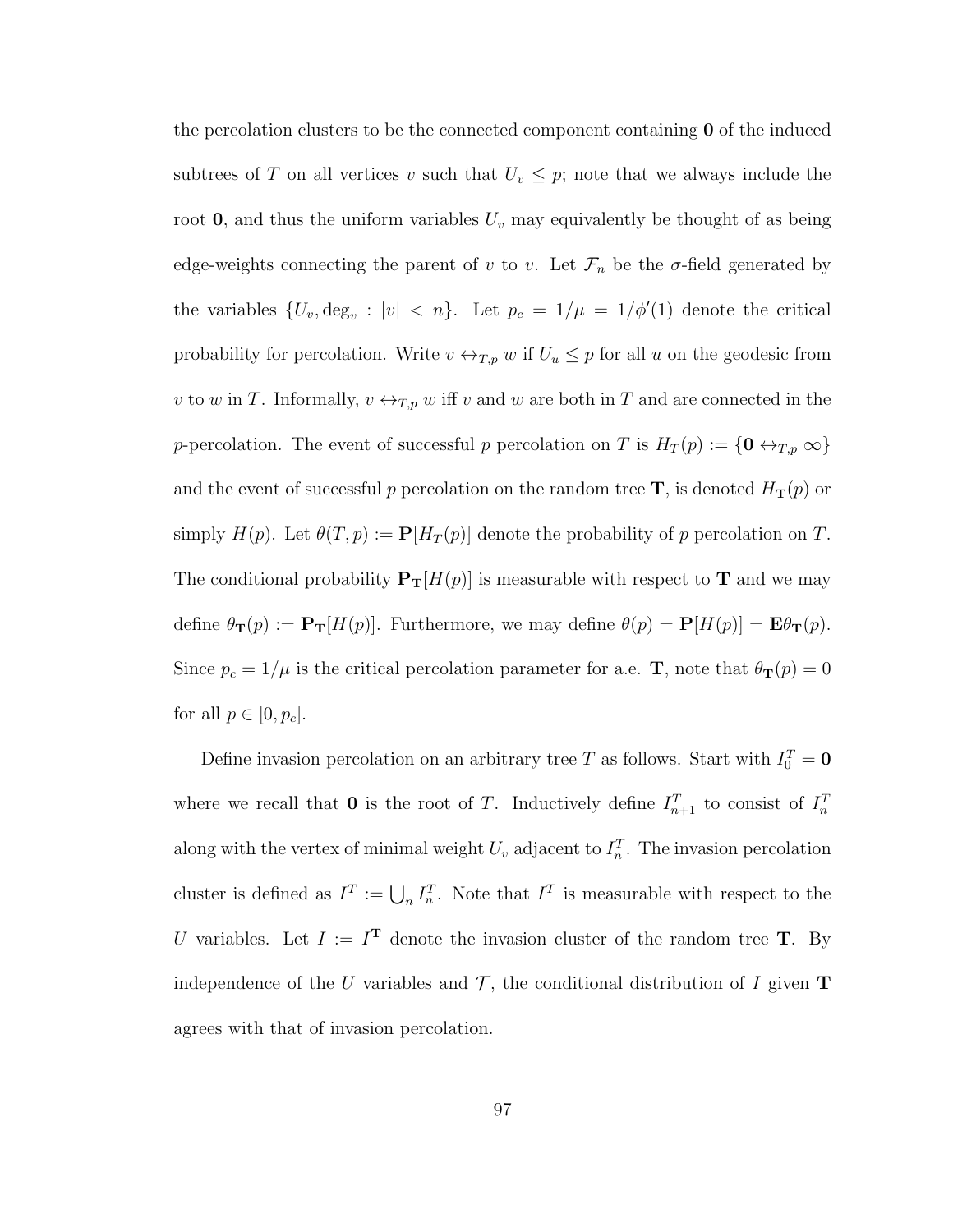the percolation clusters to be the connected component containing  $\bf{0}$  of the induced subtrees of T on all vertices v such that  $U_v \leq p$ ; note that we always include the root  $\mathbf{0}$ , and thus the uniform variables  $U_v$  may equivalently be thought of as being edge-weights connecting the parent of v to v. Let  $\mathcal{F}_n$  be the  $\sigma$ -field generated by the variables  $\{U_v, \deg_v : |v| < n\}$ . Let  $p_c = 1/\mu = 1/\phi'(1)$  denote the critical probability for percolation. Write  $v \leftrightarrow_{T,p} w$  if  $U_u \leq p$  for all u on the geodesic from v to w in T. Informally,  $v \leftrightarrow_{T,p} w$  iff v and w are both in T and are connected in the p-percolation. The event of successful p percolation on T is  $H_T(p) := \{0 \leftrightarrow_{T,p} \infty\}$ and the event of successful p percolation on the random tree  $\mathbf{T}$ , is denoted  $H_{\mathbf{T}}(p)$  or simply  $H(p)$ . Let  $\theta(T, p) := \mathbf{P}[H_T(p)]$  denote the probability of p percolation on T. The conditional probability  $P_T[H(p)]$  is measurable with respect to T and we may define  $\theta_{\mathbf{T}}(p) := \mathbf{P}_{\mathbf{T}}[H(p)]$ . Furthermore, we may define  $\theta(p) = \mathbf{P}[H(p)] = \mathbf{E}\theta_{\mathbf{T}}(p)$ . Since  $p_c = 1/\mu$  is the critical percolation parameter for a.e. **T**, note that  $\theta_{\mathbf{T}}(p) = 0$ for all  $p \in [0, p_c]$ .

Define invasion percolation on an arbitrary tree T as follows. Start with  $I_0^T = 0$ where we recall that **0** is the root of T. Inductively define  $I_{n+1}^T$  to consist of  $I_n^T$ along with the vertex of minimal weight  $U_v$  adjacent to  $I_n^T$ . The invasion percolation cluster is defined as  $I^T := \bigcup_n I_n^T$ . Note that  $I^T$  is measurable with respect to the U variables. Let  $I := I^T$  denote the invasion cluster of the random tree T. By independence of the U variables and  $\mathcal{T}$ , the conditional distribution of I given **T** agrees with that of invasion percolation.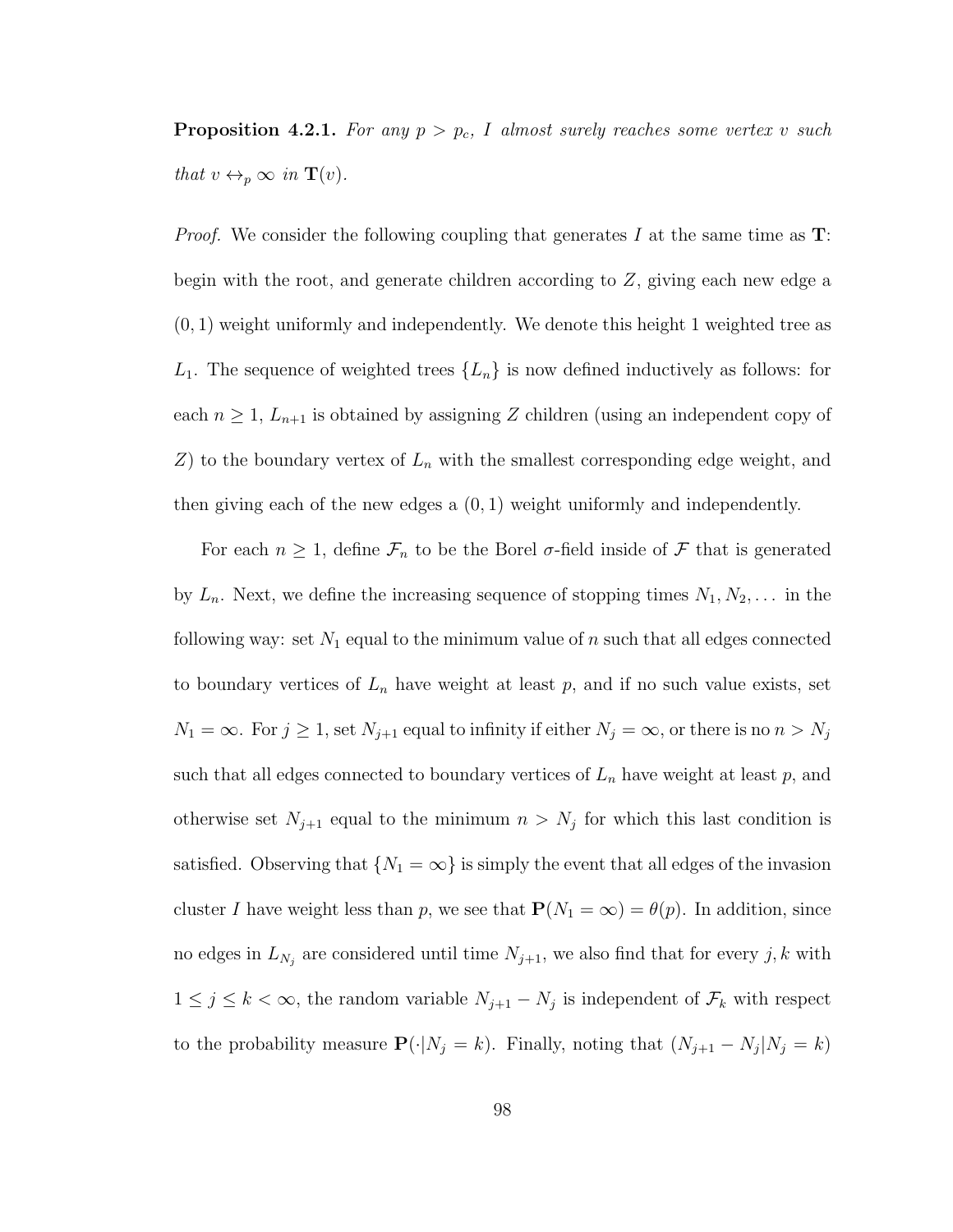**Proposition 4.2.1.** For any  $p > p_c$ , I almost surely reaches some vertex v such that  $v \leftrightarrow_p \infty$  in  $\mathbf{T}(v)$ .

*Proof.* We consider the following coupling that generates I at the same time as  $T$ : begin with the root, and generate children according to Z, giving each new edge a  $(0, 1)$  weight uniformly and independently. We denote this height 1 weighted tree as  $L_1$ . The sequence of weighted trees  $\{L_n\}$  is now defined inductively as follows: for each  $n \geq 1$ ,  $L_{n+1}$  is obtained by assigning Z children (using an independent copy of  $Z$ ) to the boundary vertex of  $L_n$  with the smallest corresponding edge weight, and then giving each of the new edges a (0, 1) weight uniformly and independently.

For each  $n \geq 1$ , define  $\mathcal{F}_n$  to be the Borel  $\sigma$ -field inside of  $\mathcal F$  that is generated by  $L_n$ . Next, we define the increasing sequence of stopping times  $N_1, N_2, \ldots$  in the following way: set  $N_1$  equal to the minimum value of  $n$  such that all edges connected to boundary vertices of  $L_n$  have weight at least  $p$ , and if no such value exists, set  $N_1 = \infty$ . For  $j \ge 1$ , set  $N_{j+1}$  equal to infinity if either  $N_j = \infty$ , or there is no  $n > N_j$ such that all edges connected to boundary vertices of  $L_n$  have weight at least p, and otherwise set  $N_{j+1}$  equal to the minimum  $n > N_j$  for which this last condition is satisfied. Observing that  $\{N_1 = \infty\}$  is simply the event that all edges of the invasion cluster I have weight less than p, we see that  $P(N_1 = \infty) = \theta(p)$ . In addition, since no edges in  $L_{N_j}$  are considered until time  $N_{j+1}$ , we also find that for every j, k with  $1 \leq j \leq k < \infty$ , the random variable  $N_{j+1} - N_j$  is independent of  $\mathcal{F}_k$  with respect to the probability measure  $\mathbf{P}(\cdot|N_j = k)$ . Finally, noting that  $(N_{j+1} - N_j|N_j = k)$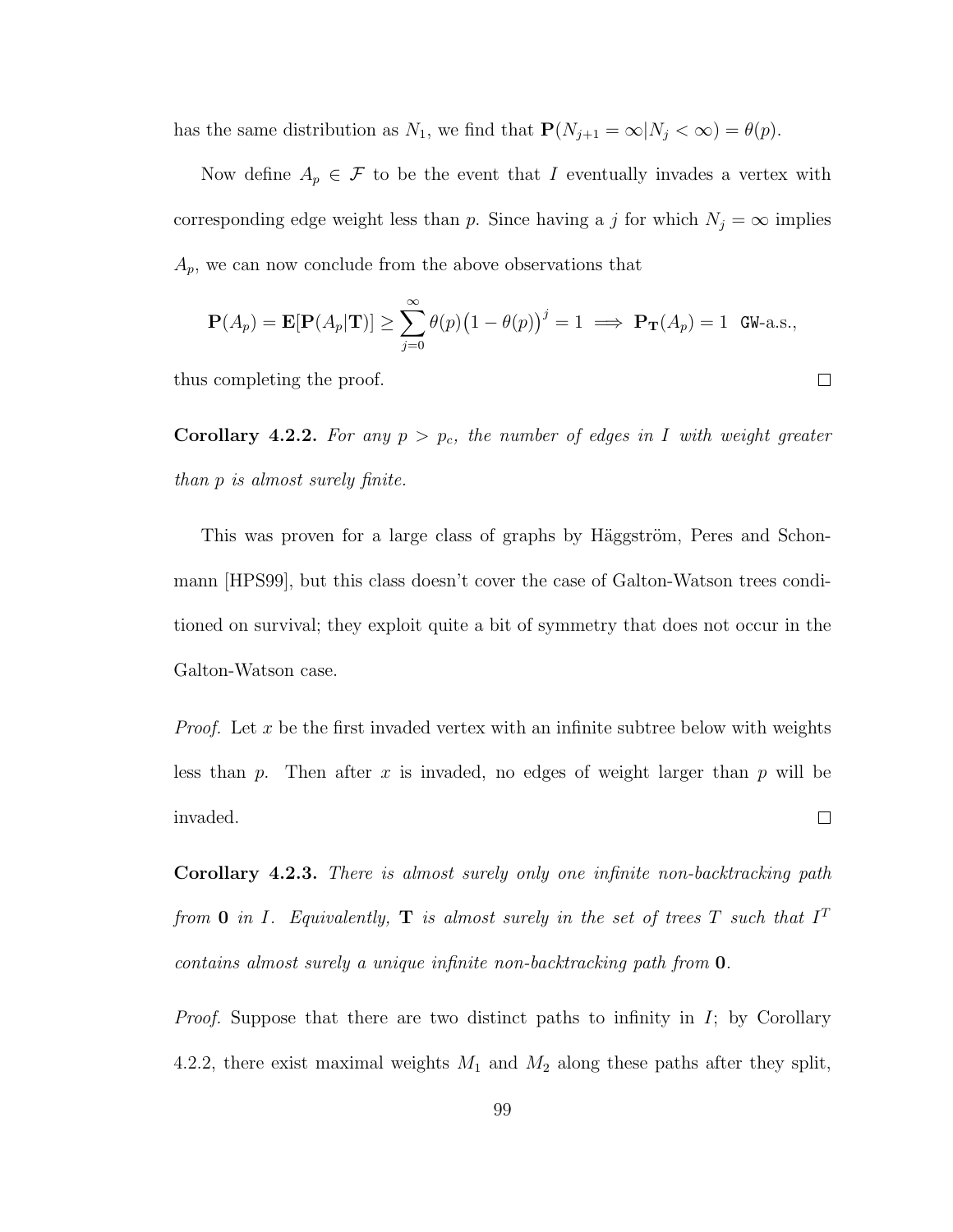has the same distribution as  $N_1$ , we find that  $\mathbf{P}(N_{j+1} = \infty | N_j < \infty) = \theta(p)$ .

Now define  $A_p \in \mathcal{F}$  to be the event that I eventually invades a vertex with corresponding edge weight less than p. Since having a j for which  $N_j = \infty$  implies  $A_p$ , we can now conclude from the above observations that

$$
\mathbf{P}(A_p) = \mathbf{E}[\mathbf{P}(A_p|\mathbf{T})] \ge \sum_{j=0}^{\infty} \theta(p) (1 - \theta(p))^j = 1 \implies \mathbf{P}_{\mathbf{T}}(A_p) = 1 \text{ GW-a.s.},
$$

 $\Box$ 

thus completing the proof.

Corollary 4.2.2. For any  $p > p_c$ , the number of edges in I with weight greater than p is almost surely finite.

This was proven for a large class of graphs by Häggström, Peres and Schonmann [HPS99], but this class doesn't cover the case of Galton-Watson trees conditioned on survival; they exploit quite a bit of symmetry that does not occur in the Galton-Watson case.

*Proof.* Let x be the first invaded vertex with an infinite subtree below with weights less than p. Then after x is invaded, no edges of weight larger than p will be invaded.  $\Box$ 

Corollary 4.2.3. There is almost surely only one infinite non-backtracking path from 0 in I. Equivalently,  $\bf{T}$  is almost surely in the set of trees  $T$  such that  $I^T$ contains almost surely a unique infinite non-backtracking path from 0.

*Proof.* Suppose that there are two distinct paths to infinity in  $I$ ; by Corollary 4.2.2, there exist maximal weights  $M_1$  and  $M_2$  along these paths after they split,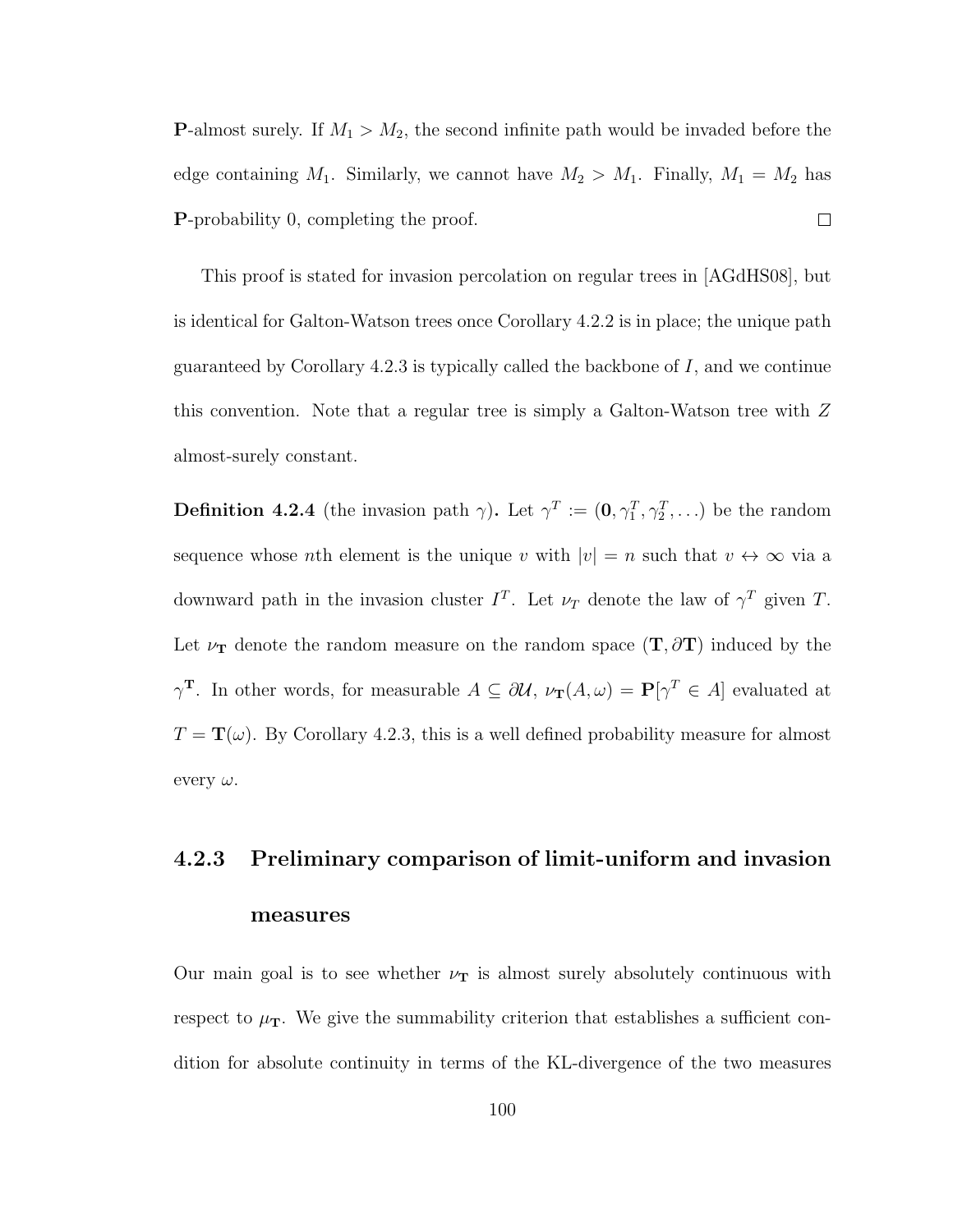**P**-almost surely. If  $M_1 > M_2$ , the second infinite path would be invaded before the edge containing  $M_1$ . Similarly, we cannot have  $M_2 > M_1$ . Finally,  $M_1 = M_2$  has P-probability 0, completing the proof.  $\Box$ 

This proof is stated for invasion percolation on regular trees in [AGdHS08], but is identical for Galton-Watson trees once Corollary 4.2.2 is in place; the unique path guaranteed by Corollary 4.2.3 is typically called the backbone of  $I$ , and we continue this convention. Note that a regular tree is simply a Galton-Watson tree with Z almost-surely constant.

**Definition 4.2.4** (the invasion path  $\gamma$ ). Let  $\gamma^T := (0, \gamma_1^T, \gamma_2^T, \ldots)$  be the random sequence whose *n*th element is the unique v with  $|v| = n$  such that  $v \leftrightarrow \infty$  via a downward path in the invasion cluster  $I^T$ . Let  $\nu_T$  denote the law of  $\gamma^T$  given T. Let  $\nu_T$  denote the random measure on the random space  $(T, \partial T)$  induced by the  $\gamma^T$ . In other words, for measurable  $A \subseteq \partial \mathcal{U}$ ,  $\nu_T(A,\omega) = \mathbf{P}[\gamma^T \in A]$  evaluated at  $T = \mathbf{T}(\omega)$ . By Corollary 4.2.3, this is a well defined probability measure for almost every  $\omega$ .

# 4.2.3 Preliminary comparison of limit-uniform and invasion measures

Our main goal is to see whether  $\nu_T$  is almost surely absolutely continuous with respect to  $\mu_{\rm T}$ . We give the summability criterion that establishes a sufficient condition for absolute continuity in terms of the KL-divergence of the two measures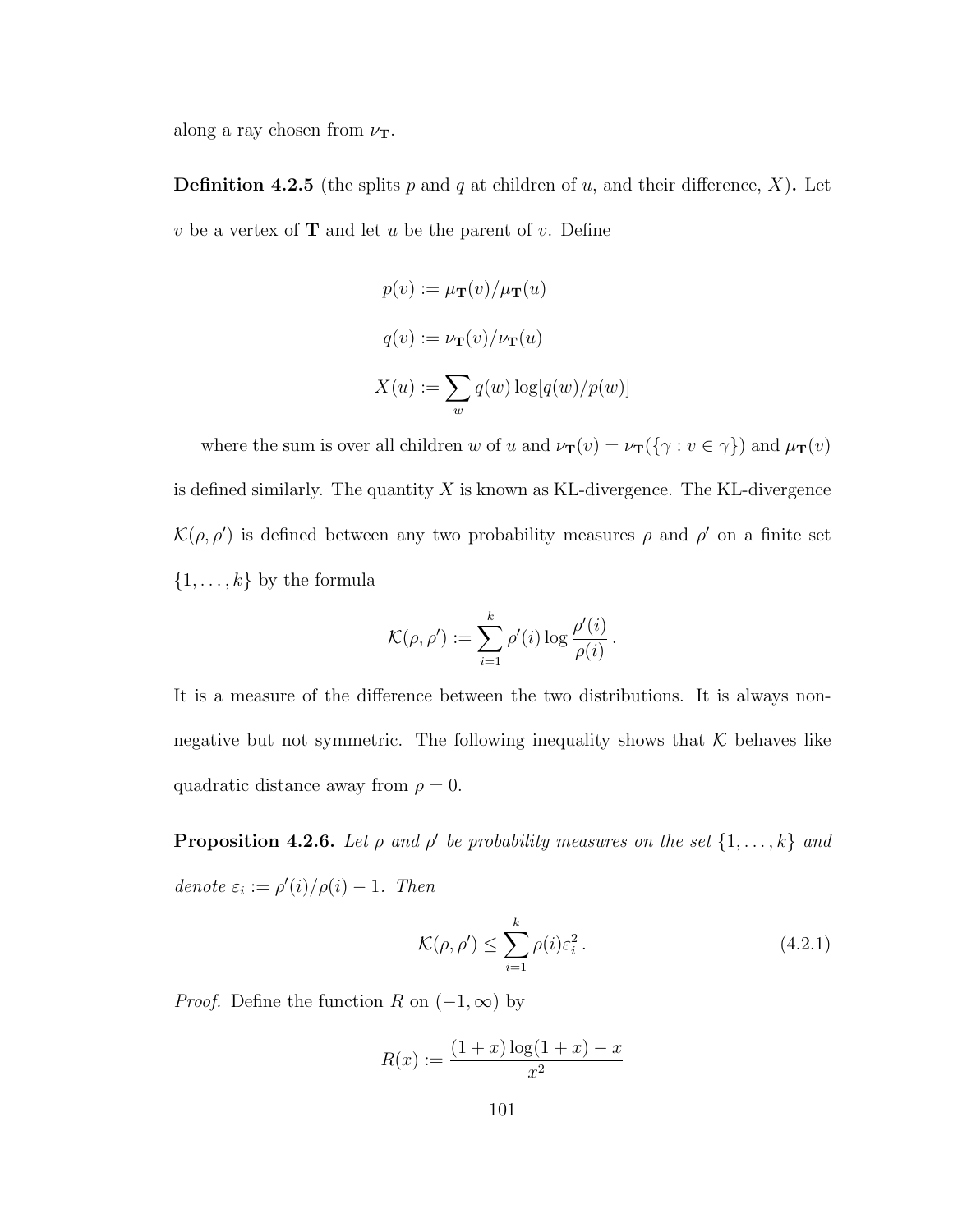along a ray chosen from  $\nu_{\mathbf{T}}$ .

**Definition 4.2.5** (the splits p and q at children of u, and their difference, X). Let  $v$  be a vertex of **T** and let  $u$  be the parent of  $v$ . Define

$$
p(v) := \mu_{\mathbf{T}}(v) / \mu_{\mathbf{T}}(u)
$$

$$
q(v) := \nu_{\mathbf{T}}(v) / \nu_{\mathbf{T}}(u)
$$

$$
X(u) := \sum_{w} q(w) \log[q(w) / p(w)]
$$

where the sum is over all children w of u and  $\nu_{\mathbf{T}}(v) = \nu_{\mathbf{T}}(\{\gamma : v \in \gamma\})$  and  $\mu_{\mathbf{T}}(v)$ is defined similarly. The quantity  $X$  is known as KL-divergence. The KL-divergence  $\mathcal{K}(\rho, \rho')$  is defined between any two probability measures  $\rho$  and  $\rho'$  on a finite set  $\{1, \ldots, k\}$  by the formula

$$
\mathcal{K}(\rho,\rho'):=\sum_{i=1}^k \rho'(i)\log \frac{\rho'(i)}{\rho(i)}.
$$

It is a measure of the difference between the two distributions. It is always nonnegative but not symmetric. The following inequality shows that  $K$  behaves like quadratic distance away from  $\rho = 0$ .

**Proposition 4.2.6.** Let  $\rho$  and  $\rho'$  be probability measures on the set  $\{1, \ldots, k\}$  and denote  $\varepsilon_i := \rho'(i)/\rho(i) - 1$ . Then

$$
\mathcal{K}(\rho, \rho') \le \sum_{i=1}^{k} \rho(i)\varepsilon_i^2.
$$
\n(4.2.1)

*Proof.* Define the function R on  $(-1, \infty)$  by

$$
R(x) := \frac{(1+x)\log(1+x) - x}{x^2}
$$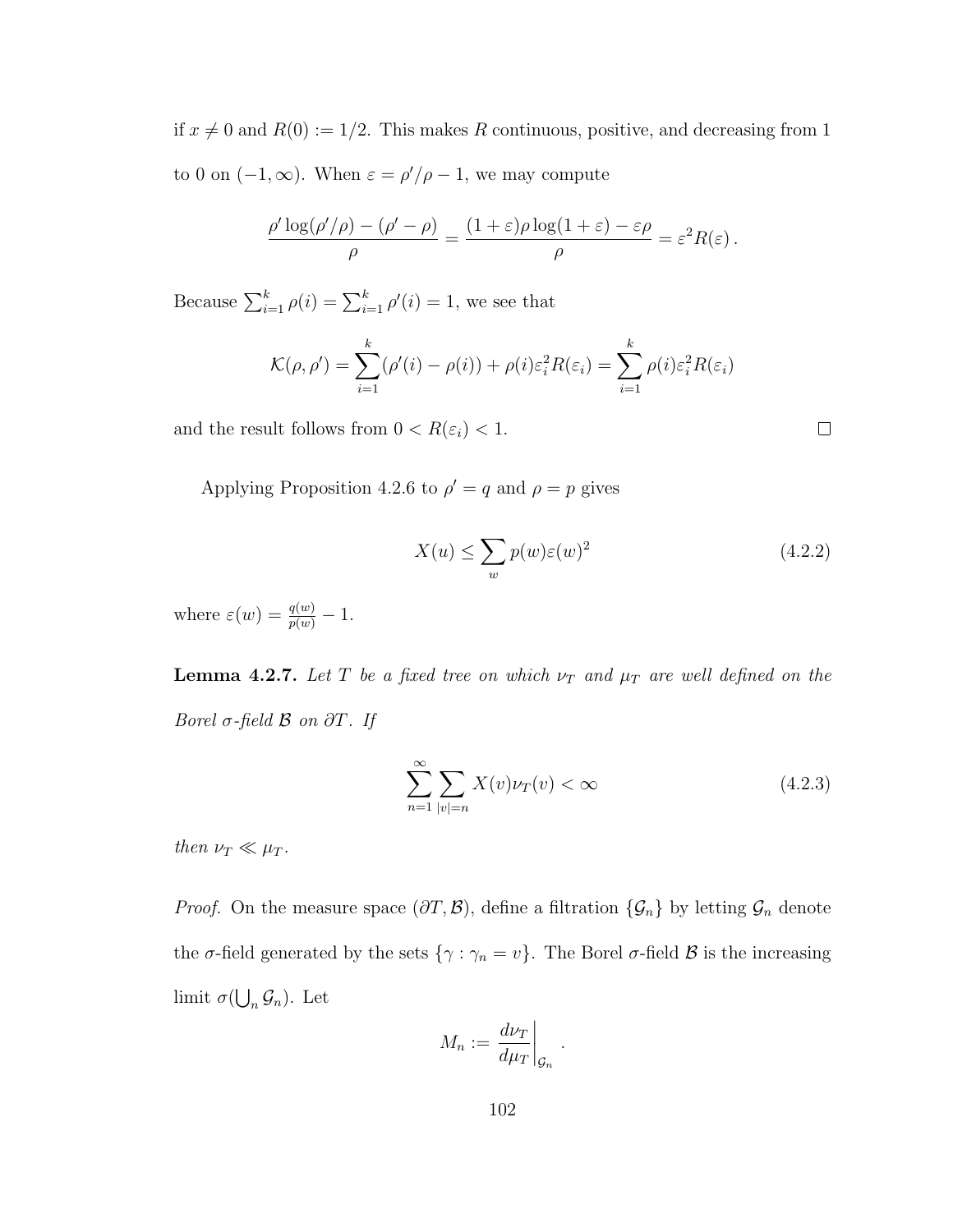if  $x \neq 0$  and  $R(0) := 1/2$ . This makes R continuous, positive, and decreasing from 1 to 0 on  $(-1, \infty)$ . When  $\varepsilon = \rho'/\rho - 1$ , we may compute

$$
\frac{\rho' \log(\rho'/\rho) - (\rho' - \rho)}{\rho} = \frac{(1+\varepsilon)\rho \log(1+\varepsilon) - \varepsilon\rho}{\rho} = \varepsilon^2 R(\varepsilon).
$$

Because  $\sum_{i=1}^{k} \rho(i) = \sum_{i=1}^{k} \rho'(i) = 1$ , we see that

$$
\mathcal{K}(\rho,\rho') = \sum_{i=1}^{k} (\rho'(i) - \rho(i)) + \rho(i)\varepsilon_i^2 R(\varepsilon_i) = \sum_{i=1}^{k} \rho(i)\varepsilon_i^2 R(\varepsilon_i)
$$

and the result follows from  $0 < R(\varepsilon_i) < 1$ .

Applying Proposition 4.2.6 to  $\rho' = q$  and  $\rho = p$  gives

$$
X(u) \le \sum_{w} p(w)\varepsilon(w)^2 \tag{4.2.2}
$$

 $\Box$ 

where  $\varepsilon(w) = \frac{q(w)}{p(w)} - 1$ .

**Lemma 4.2.7.** Let T be a fixed tree on which  $\nu_T$  and  $\mu_T$  are well defined on the Borel  $\sigma$ -field  $\beta$  on  $\partial T$ . If

$$
\sum_{n=1}^{\infty} \sum_{|v|=n} X(v)\nu_T(v) < \infty \tag{4.2.3}
$$

then  $\nu_T \ll \mu_T$ .

*Proof.* On the measure space  $(\partial T, \mathcal{B})$ , define a filtration  $\{\mathcal{G}_n\}$  by letting  $\mathcal{G}_n$  denote the  $\sigma$ -field generated by the sets  $\{\gamma : \gamma_n = v\}$ . The Borel  $\sigma$ -field  $\mathcal B$  is the increasing limit  $\sigma(\bigcup_n \mathcal{G}_n)$ . Let

$$
M_n := \left. \frac{d\nu_T}{d\mu_T} \right|_{\mathcal{G}_n}.
$$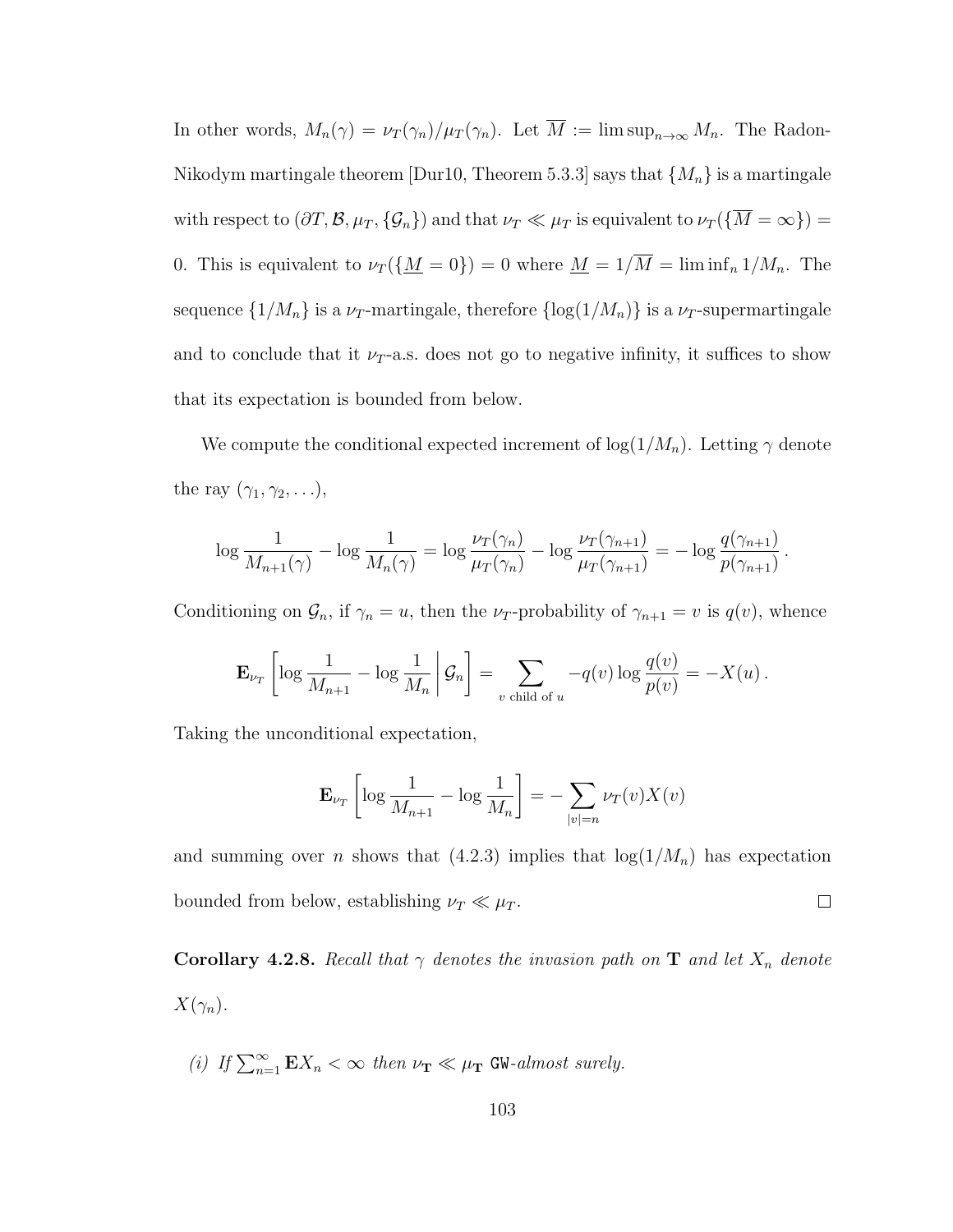In other words,  $M_n(\gamma) = \nu_T(\gamma_n)/\mu_T(\gamma_n)$ . Let  $\overline{M} := \limsup_{n \to \infty} M_n$ . The Radon-Nikodym martingale theorem [Dur10, Theorem 5.3.3] says that  $\{M_n\}$  is a martingale with respect to  $(\partial T, \mathcal{B}, \mu_T, \{\mathcal{G}_n\})$  and that  $\nu_T \ll \mu_T$  is equivalent to  $\nu_T(\{\overline{M} = \infty\}) =$ 0. This is equivalent to  $\nu_T(\underline{M} = 0) = 0$  where  $\underline{M} = 1/\overline{M} = \liminf_n 1/M_n$ . The sequence  $\{1/M_n\}$  is a  $\nu_T$ -martingale, therefore  $\{\log(1/M_n)\}\$ is a  $\nu_T$ -supermartingale and to conclude that it  $\nu_T$ -a.s. does not go to negative infinity, it suffices to show that its expectation is bounded from below.

We compute the conditional expected increment of  $\log(1/M_n)$ . Letting  $\gamma$  denote the ray  $(\gamma_1, \gamma_2, \ldots),$ 

$$
\log\frac{1}{M_{n+1}(\gamma)} - \log\frac{1}{M_n(\gamma)} = \log\frac{\nu_T(\gamma_n)}{\mu_T(\gamma_n)} - \log\frac{\nu_T(\gamma_{n+1})}{\mu_T(\gamma_{n+1})} = -\log\frac{q(\gamma_{n+1})}{p(\gamma_{n+1})}.
$$

Conditioning on  $\mathcal{G}_n$ , if  $\gamma_n = u$ , then the  $\nu_T$ -probability of  $\gamma_{n+1} = v$  is  $q(v)$ , whence

$$
\mathbf{E}_{\nu_T} \left[ \log \frac{1}{M_{n+1}} - \log \frac{1}{M_n} \middle| \mathcal{G}_n \right] = \sum_{v \text{ child of } u} -q(v) \log \frac{q(v)}{p(v)} = -X(u) .
$$

Taking the unconditional expectation,

$$
\mathbf{E}_{\nu_T} \left[ \log \frac{1}{M_{n+1}} - \log \frac{1}{M_n} \right] = - \sum_{|v|=n} \nu_T(v) X(v)
$$

and summing over *n* shows that  $(4.2.3)$  implies that  $log(1/M_n)$  has expectation bounded from below, establishing  $\nu_T \ll \mu_T$ .  $\Box$ 

Corollary 4.2.8. Recall that  $\gamma$  denotes the invasion path on T and let  $X_n$  denote  $X(\gamma_n)$ .

(i) If 
$$
\sum_{n=1}^{\infty} \mathbf{E}X_n < \infty
$$
 then  $\nu_{\mathbf{T}} \ll \mu_{\mathbf{T}}$  GW-almost surely.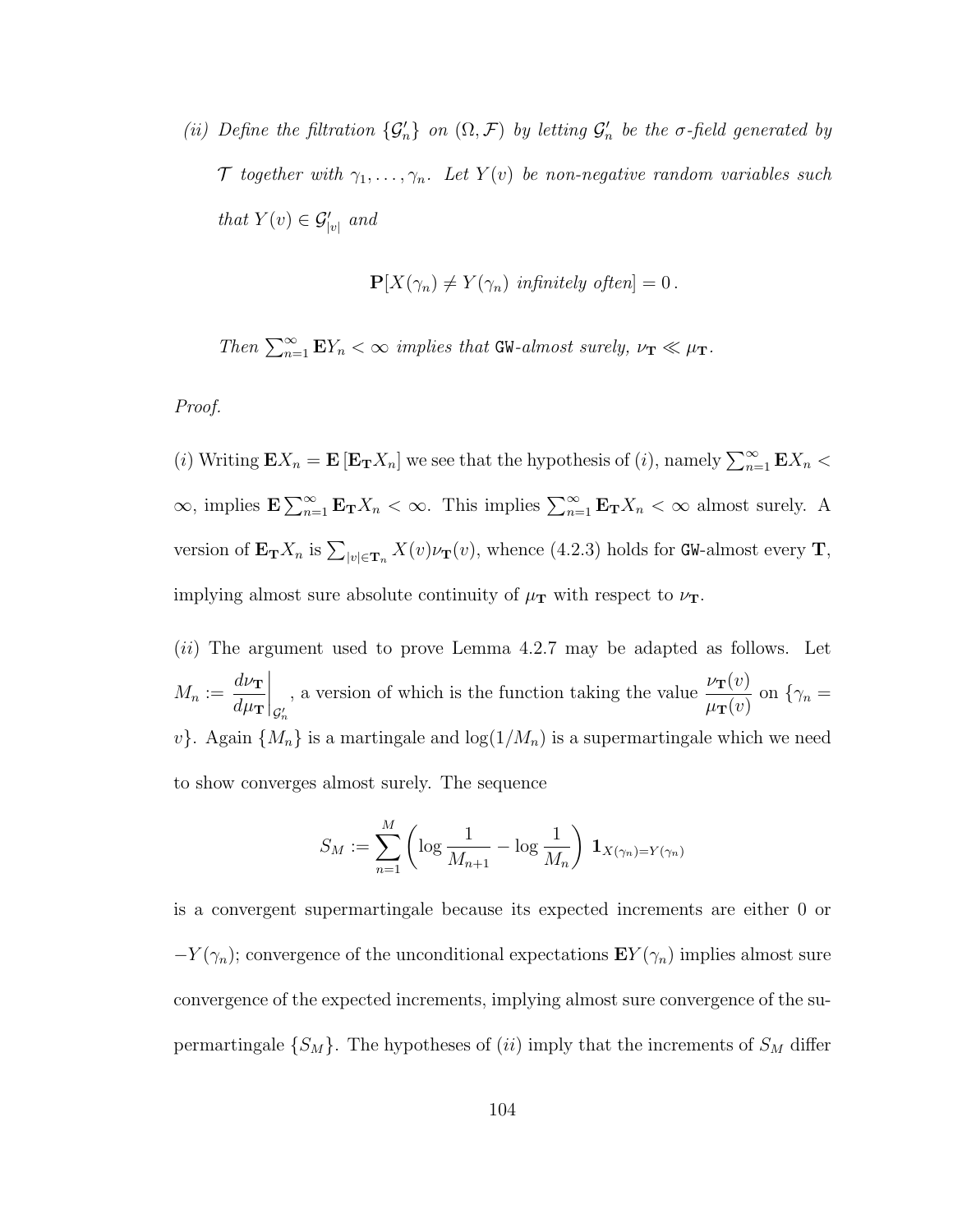(ii) Define the filtration  $\{\mathcal{G}'_n\}$  on  $(\Omega, \mathcal{F})$  by letting  $\mathcal{G}'_n$  be the  $\sigma$ -field generated by T together with  $\gamma_1, \ldots, \gamma_n$ . Let  $Y(v)$  be non-negative random variables such that  $Y(v) \in \mathcal{G}'_{|v|}$  and

$$
\mathbf{P}[X(\gamma_n) \neq Y(\gamma_n) \text{ infinitely often}] = 0.
$$

Then  $\sum_{n=1}^{\infty} \mathbf{E} Y_n < \infty$  implies that GW-almost surely,  $\nu_{\mathbf{T}} \ll \mu_{\mathbf{T}}$ .

#### Proof.

(i) Writing  $\mathbf{E}X_n = \mathbf{E} [\mathbf{E_T}X_n]$  we see that the hypothesis of (i), namely  $\sum_{n=1}^{\infty} \mathbf{E}X_n$  $\infty$ , implies  $\mathbf{E} \sum_{n=1}^{\infty} \mathbf{E}_{\mathbf{T}} X_n < \infty$ . This implies  $\sum_{n=1}^{\infty} \mathbf{E}_{\mathbf{T}} X_n < \infty$  almost surely. A version of  ${\bf E_T}X_n$  is  $\sum_{|v|\in {\bf T}_n}X(v)\nu_{\bf T}(v)$ , whence (4.2.3) holds for GW-almost every T, implying almost sure absolute continuity of  $\mu_{\rm T}$  with respect to  $\nu_{\rm T}$ .

(ii) The argument used to prove Lemma 4.2.7 may be adapted as follows. Let  $M_n :=$  $d\nu_{\mathbf{T}}$  $d\mu_{\bf T}$  $\bigg|_{\mathcal{G}'_r}$ n , a version of which is the function taking the value  $\frac{\nu_{\mathbf{T}}(v)}{\sqrt{n}}$  $\mu_{\textbf{T}}(v)$ on  $\{\gamma_n =$  $v$ . Again  $\{M_n\}$  is a martingale and  $\log(1/M_n)$  is a supermartingale which we need to show converges almost surely. The sequence

$$
S_M := \sum_{n=1}^M \left( \log \frac{1}{M_{n+1}} - \log \frac{1}{M_n} \right) \mathbf{1}_{X(\gamma_n) = Y(\gamma_n)}
$$

is a convergent supermartingale because its expected increments are either 0 or  $-Y(\gamma_n)$ ; convergence of the unconditional expectations  $\mathbf{E}Y(\gamma_n)$  implies almost sure convergence of the expected increments, implying almost sure convergence of the supermartingale  $\{S_M\}$ . The hypotheses of (ii) imply that the increments of  $S_M$  differ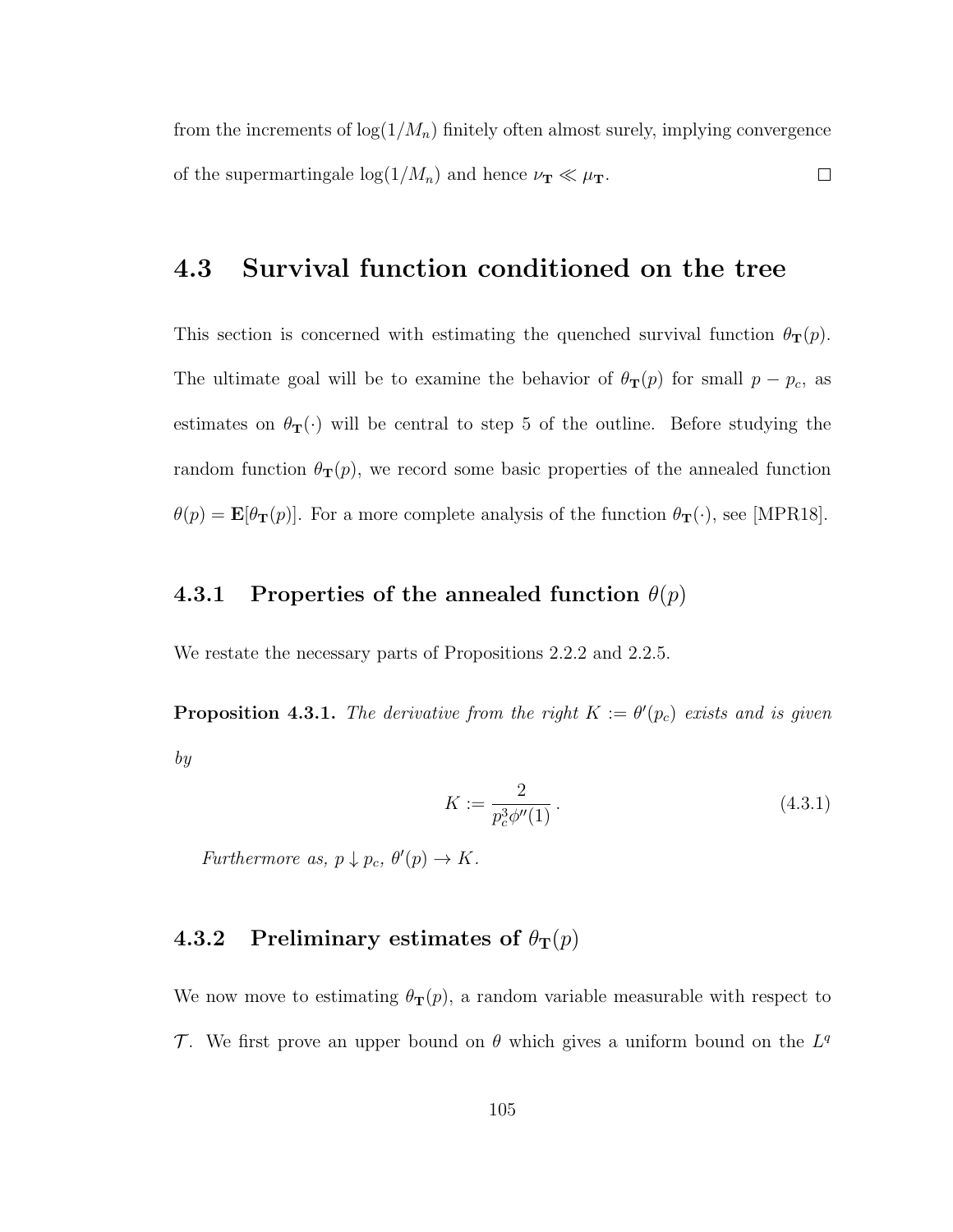from the increments of  $log(1/M_n)$  finitely often almost surely, implying convergence of the supermartingale  $\log(1/M_n)$  and hence  $\nu_{\mathbf{T}} \ll \mu_{\mathbf{T}}$ .  $\Box$ 

## 4.3 Survival function conditioned on the tree

This section is concerned with estimating the quenched survival function  $\theta_{\mathbf{T}}(p)$ . The ultimate goal will be to examine the behavior of  $\theta_{\mathbf{T}}(p)$  for small  $p - p_c$ , as estimates on  $\theta_{\mathbf{T}}(\cdot)$  will be central to step 5 of the outline. Before studying the random function  $\theta_{\mathbf{T}}(p)$ , we record some basic properties of the annealed function  $\theta(p) = \mathbf{E}[\theta_{\mathbf{T}}(p)]$ . For a more complete analysis of the function  $\theta_{\mathbf{T}}(\cdot)$ , see [MPR18].

#### 4.3.1 Properties of the annealed function  $\theta(p)$

We restate the necessary parts of Propositions 2.2.2 and 2.2.5.

**Proposition 4.3.1.** The derivative from the right  $K := \theta'(p_c)$  exists and is given by

$$
K := \frac{2}{p_c^3 \phi''(1)} \,. \tag{4.3.1}
$$

Furthermore as,  $p \downarrow p_c$ ,  $\theta'(p) \rightarrow K$ .

# 4.3.2 Preliminary estimates of  $\theta_{\rm T}(p)$

We now move to estimating  $\theta_{\mathbf{T}}(p)$ , a random variable measurable with respect to T. We first prove an upper bound on  $\theta$  which gives a uniform bound on the  $L^q$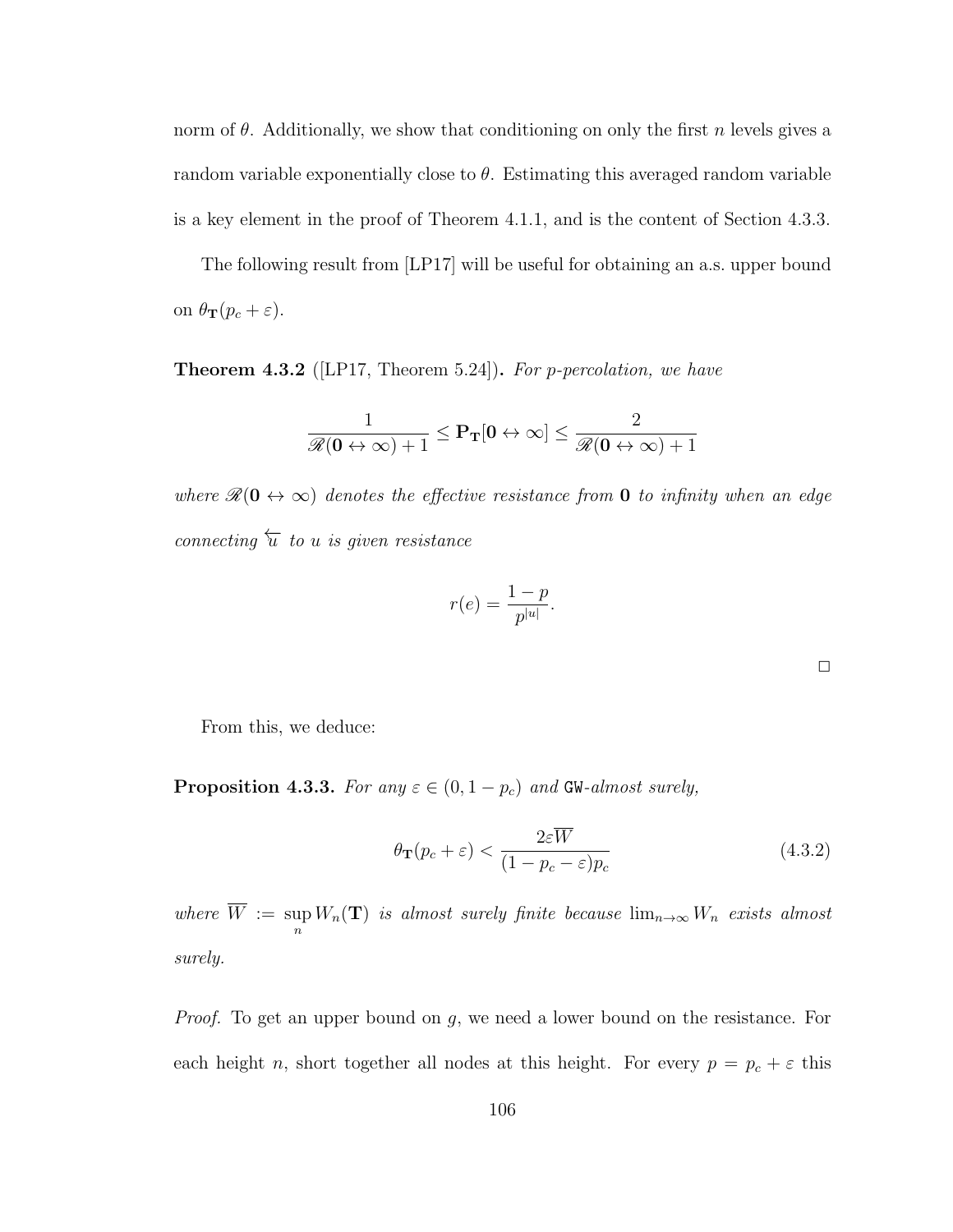norm of  $\theta$ . Additionally, we show that conditioning on only the first n levels gives a random variable exponentially close to  $\theta$ . Estimating this averaged random variable is a key element in the proof of Theorem 4.1.1, and is the content of Section 4.3.3.

The following result from [LP17] will be useful for obtaining an a.s. upper bound on  $\theta_{\mathbf{T}}(p_c + \varepsilon)$ .

**Theorem 4.3.2** ([LP17, Theorem 5.24]). For p-percolation, we have

$$
\frac{1}{\mathscr{R}(\mathbf{0} \leftrightarrow \infty)+1} \leq \mathbf{P_T}[\mathbf{0} \leftrightarrow \infty] \leq \frac{2}{\mathscr{R}(\mathbf{0} \leftrightarrow \infty)+1}
$$

where  $\mathscr{R}(\mathbf{0} \leftrightarrow \infty)$  denotes the effective resistance from **0** to infinity when an edge connecting  $\overleftarrow{u}$  to u is given resistance

$$
r(e) = \frac{1-p}{p^{|u|}}.
$$

| œ | __ |  |
|---|----|--|

From this, we deduce:

**Proposition 4.3.3.** For any  $\varepsilon \in (0, 1-p_c)$  and GW-almost surely,

$$
\theta_{\mathbf{T}}(p_c + \varepsilon) < \frac{2\varepsilon \overline{W}}{(1 - p_c - \varepsilon)p_c} \tag{4.3.2}
$$

where  $W := \sup$  $\sup_n W_n(\mathbf{T})$  is almost surely finite because  $\lim_{n\to\infty} W_n$  exists almost surely.

*Proof.* To get an upper bound on g, we need a lower bound on the resistance. For each height n, short together all nodes at this height. For every  $p = p_c + \varepsilon$  this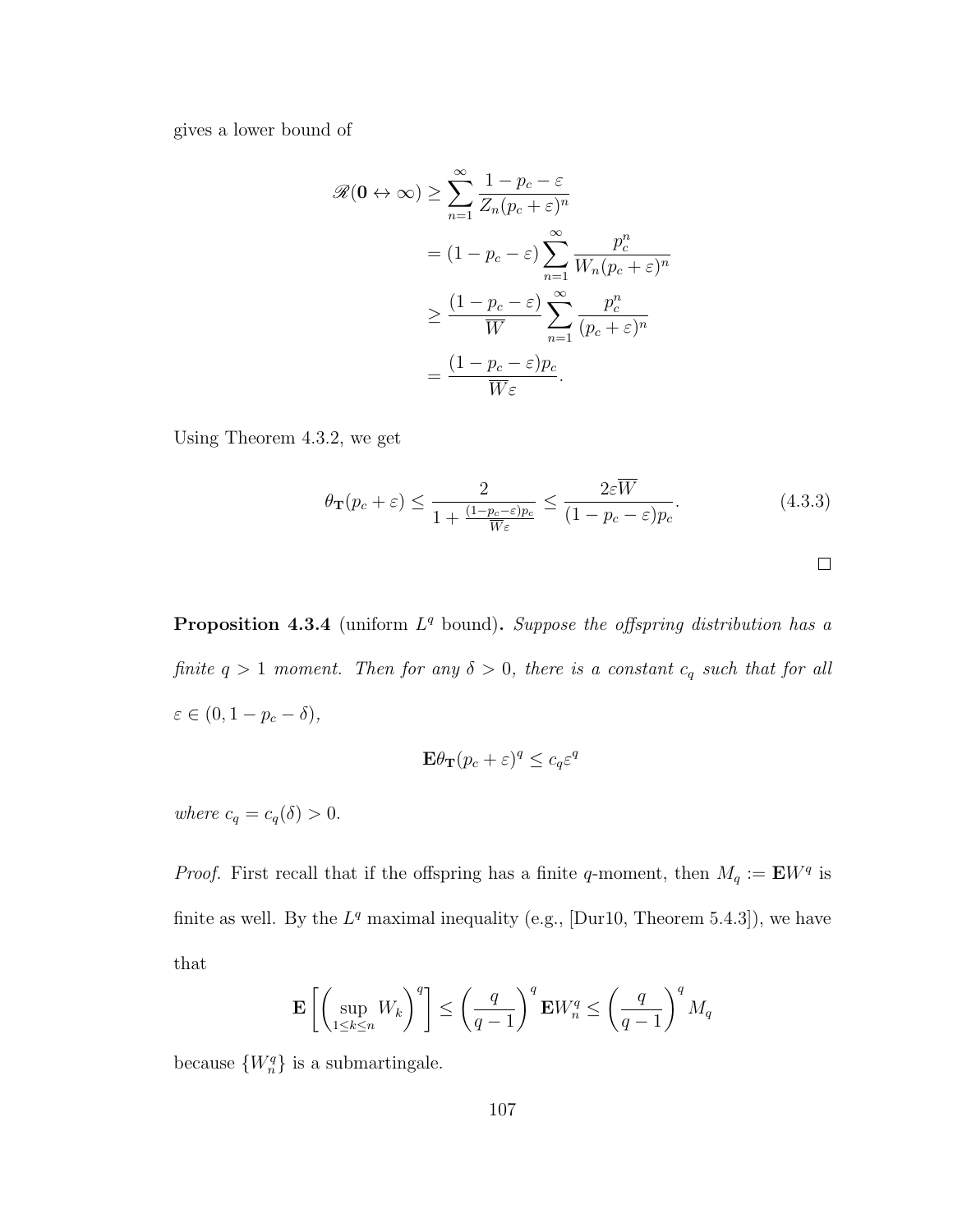gives a lower bound of

$$
\mathscr{R}(\mathbf{0} \leftrightarrow \infty) \geq \sum_{n=1}^{\infty} \frac{1 - p_c - \varepsilon}{Z_n (p_c + \varepsilon)^n}
$$

$$
= (1 - p_c - \varepsilon) \sum_{n=1}^{\infty} \frac{p_c^n}{W_n (p_c + \varepsilon)^n}
$$

$$
\geq \frac{(1 - p_c - \varepsilon)}{\overline{W}} \sum_{n=1}^{\infty} \frac{p_c^n}{(p_c + \varepsilon)^n}
$$

$$
= \frac{(1 - p_c - \varepsilon)p_c}{\overline{W}\varepsilon}.
$$

Using Theorem 4.3.2, we get

$$
\theta_{\mathbf{T}}(p_c + \varepsilon) \le \frac{2}{1 + \frac{(1 - p_c - \varepsilon)p_c}{\overline{W}\varepsilon}} \le \frac{2\varepsilon \overline{W}}{(1 - p_c - \varepsilon)p_c}.
$$
\n(4.3.3)

**Proposition 4.3.4** (uniform  $L^q$  bound). Suppose the offspring distribution has a finite  $q > 1$  moment. Then for any  $\delta > 0$ , there is a constant  $c_q$  such that for all  $\varepsilon \in (0, 1-p_c-\delta),$ 

$$
\mathbf{E}\theta_{\mathbf{T}}(p_c+\varepsilon)^q \le c_q \varepsilon^q
$$

where  $c_q = c_q(\delta) > 0$ .

*Proof.* First recall that if the offspring has a finite q-moment, then  $M_q := \mathbf{E} W^q$  is finite as well. By the  $L^q$  maximal inequality (e.g., [Dur10, Theorem 5.4.3]), we have that

$$
\mathbf{E}\left[\left(\sup_{1\leq k\leq n}W_k\right)^q\right]\leq \left(\frac{q}{q-1}\right)^q \mathbf{E}W_n^q \leq \left(\frac{q}{q-1}\right)^q M_q
$$

because  $\{W_n^q\}$  is a submartingale.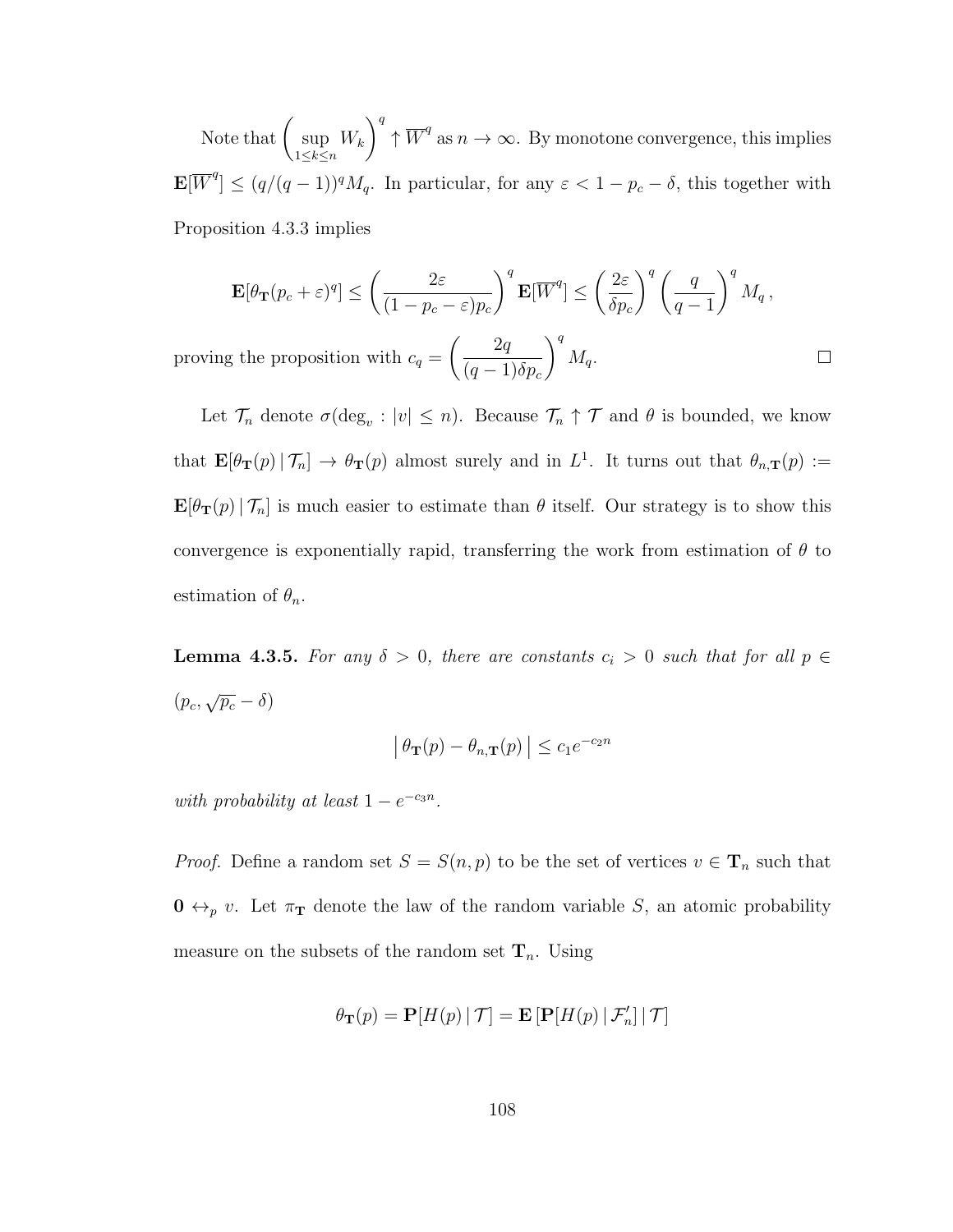Note that  $\int$  sup  $1 \leq k \leq n$  $W_k$  $\setminus^q$  $\uparrow \overline{W}^q$  as  $n \to \infty$ . By monotone convergence, this implies  $\mathbf{E}[\overline{W}^q] \leq (q/(q-1))^q M_q$ . In particular, for any  $\varepsilon < 1 - p_c - \delta$ , this together with Proposition 4.3.3 implies

$$
\mathbf{E}[\theta_{\mathbf{T}}(p_c+\varepsilon)^q] \leq \left(\frac{2\varepsilon}{(1-p_c-\varepsilon)p_c}\right)^q \mathbf{E}[\overline{W}^q] \leq \left(\frac{2\varepsilon}{\delta p_c}\right)^q \left(\frac{q}{q-1}\right)^q M_q,
$$

 $\Box$ 

proving the proposition with  $c_q =$  $\begin{pmatrix} 2q \end{pmatrix}$  $(q-1)\delta p_c$  $\setminus^q$  $M_q$ .

Let  $\mathcal{T}_n$  denote  $\sigma(\deg_v : |v| \leq n)$ . Because  $\mathcal{T}_n \uparrow \mathcal{T}$  and  $\theta$  is bounded, we know that  $\mathbf{E}[\theta_{\mathbf{T}}(p) | \mathcal{T}_n] \to \theta_{\mathbf{T}}(p)$  almost surely and in  $L^1$ . It turns out that  $\theta_{n,\mathbf{T}}(p) :=$  $\mathbf{E}[\theta_{\mathbf{T}}(p) | \mathcal{T}_n]$  is much easier to estimate than  $\theta$  itself. Our strategy is to show this convergence is exponentially rapid, transferring the work from estimation of  $\theta$  to estimation of  $\theta_n$ .

**Lemma 4.3.5.** For any  $\delta > 0$ , there are constants  $c_i > 0$  such that for all  $p \in$  $(p_c, \sqrt{p_c} - \delta)$ 

$$
\left| \theta_{\mathbf{T}}(p) - \theta_{n,\mathbf{T}}(p) \right| \le c_1 e^{-c_2 n}
$$

with probability at least  $1 - e^{-c_3 n}$ .

*Proof.* Define a random set  $S = S(n, p)$  to be the set of vertices  $v \in \mathbf{T}_n$  such that  $\mathbf{0} \leftrightarrow_{p} v$ . Let  $\pi_{\mathbf{T}}$  denote the law of the random variable S, an atomic probability measure on the subsets of the random set  $\mathbf{T}_n$ . Using

$$
\theta_{\mathbf{T}}(p) = \mathbf{P}[H(p) | \mathcal{T}] = \mathbf{E}\left[\mathbf{P}[H(p) | \mathcal{F}_n'] | \mathcal{T}\right]
$$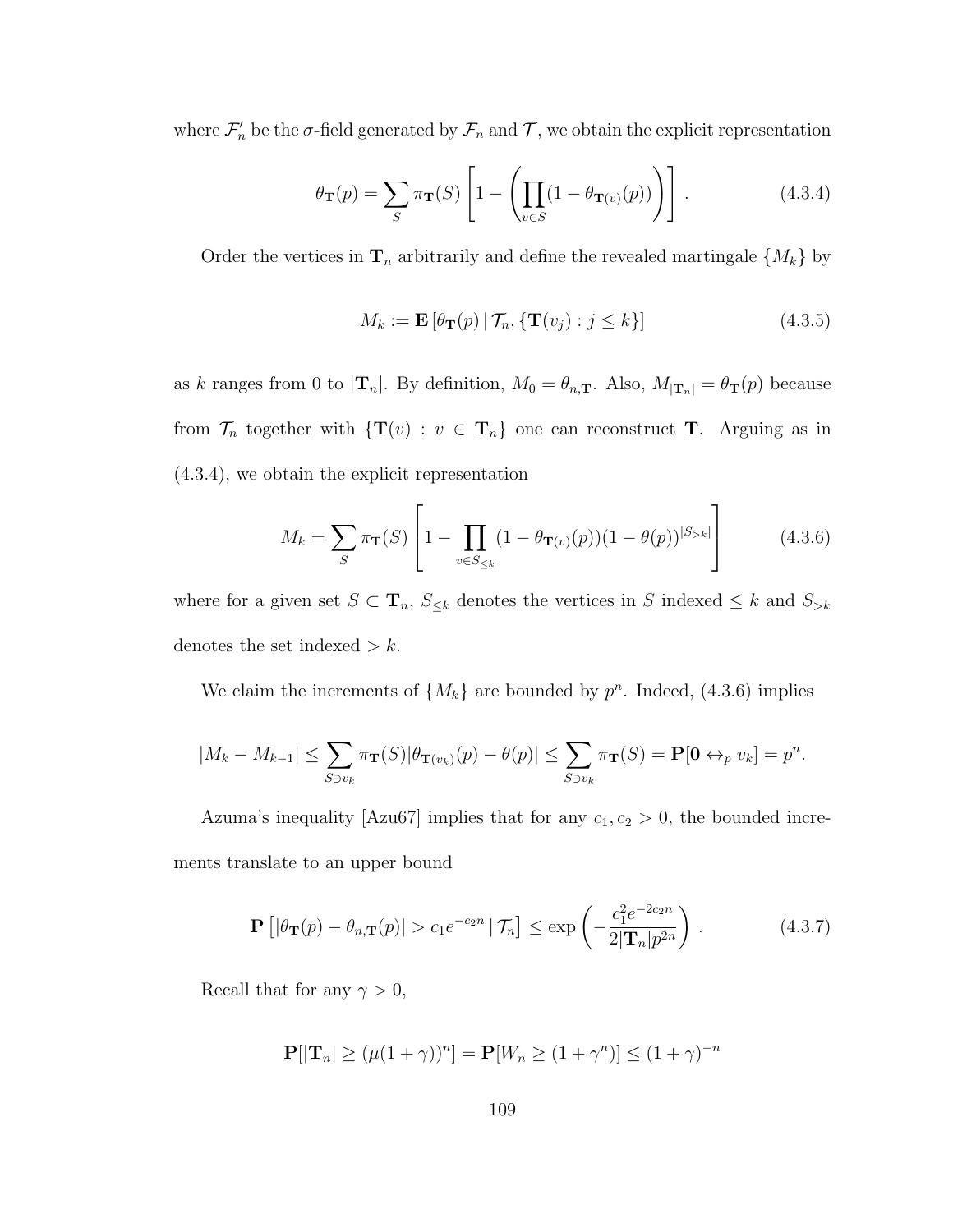where  $\mathcal{F}'_n$  be the  $\sigma$ -field generated by  $\mathcal{F}_n$  and  $\mathcal{T}$ , we obtain the explicit representation

$$
\theta_{\mathbf{T}}(p) = \sum_{S} \pi_{\mathbf{T}}(S) \left[ 1 - \left( \prod_{v \in S} (1 - \theta_{\mathbf{T}(v)}(p)) \right) \right]. \tag{4.3.4}
$$

Order the vertices in  $\mathbf{T}_n$  arbitrarily and define the revealed martingale  $\{M_k\}$  by

$$
M_k := \mathbf{E}\left[\theta_\mathbf{T}(p) \,|\, \mathcal{T}_n, \{\mathbf{T}(v_j) : j \le k\}\right] \tag{4.3.5}
$$

as k ranges from 0 to  $|\mathbf{T}_n|$ . By definition,  $M_0 = \theta_{n,\mathbf{T}}$ . Also,  $M_{|\mathbf{T}_n|} = \theta_{\mathbf{T}}(p)$  because from  $\mathcal{T}_n$  together with  $\{T(v) : v \in T_n\}$  one can reconstruct T. Arguing as in (4.3.4), we obtain the explicit representation

$$
M_k = \sum_{S} \pi_{\mathbf{T}}(S) \left[ 1 - \prod_{v \in S_{\le k}} (1 - \theta_{\mathbf{T}(v)}(p))(1 - \theta(p))^{S_{>k}} \right]
$$
(4.3.6)

where for a given set  $S \subset \mathbf{T}_n$ ,  $S_{\leq k}$  denotes the vertices in S indexed  $\leq k$  and  $S_{\geq k}$ denotes the set indexed  $> k$ .

We claim the increments of  $\{M_k\}$  are bounded by  $p^n$ . Indeed, (4.3.6) implies

$$
|M_k - M_{k-1}| \leq \sum_{S \ni v_k} \pi_{\mathbf{T}}(S) |\theta_{\mathbf{T}(v_k)}(p) - \theta(p)| \leq \sum_{S \ni v_k} \pi_{\mathbf{T}}(S) = \mathbf{P}[\mathbf{0} \leftrightarrow_p v_k] = p^n.
$$

Azuma's inequality [Azu67] implies that for any  $c_1, c_2 > 0$ , the bounded increments translate to an upper bound

$$
\mathbf{P}\left[|\theta_{\mathbf{T}}(p) - \theta_{n,\mathbf{T}}(p)| > c_1 e^{-c_2 n} |\mathcal{T}_n\right] \le \exp\left(-\frac{c_1^2 e^{-2c_2 n}}{2|\mathbf{T}_n| p^{2n}}\right). \tag{4.3.7}
$$

Recall that for any  $\gamma > 0$ ,

$$
\mathbf{P}[|\mathbf{T}_n| \ge (\mu(1+\gamma))^n] = \mathbf{P}[W_n \ge (1+\gamma^n)] \le (1+\gamma)^{-n}
$$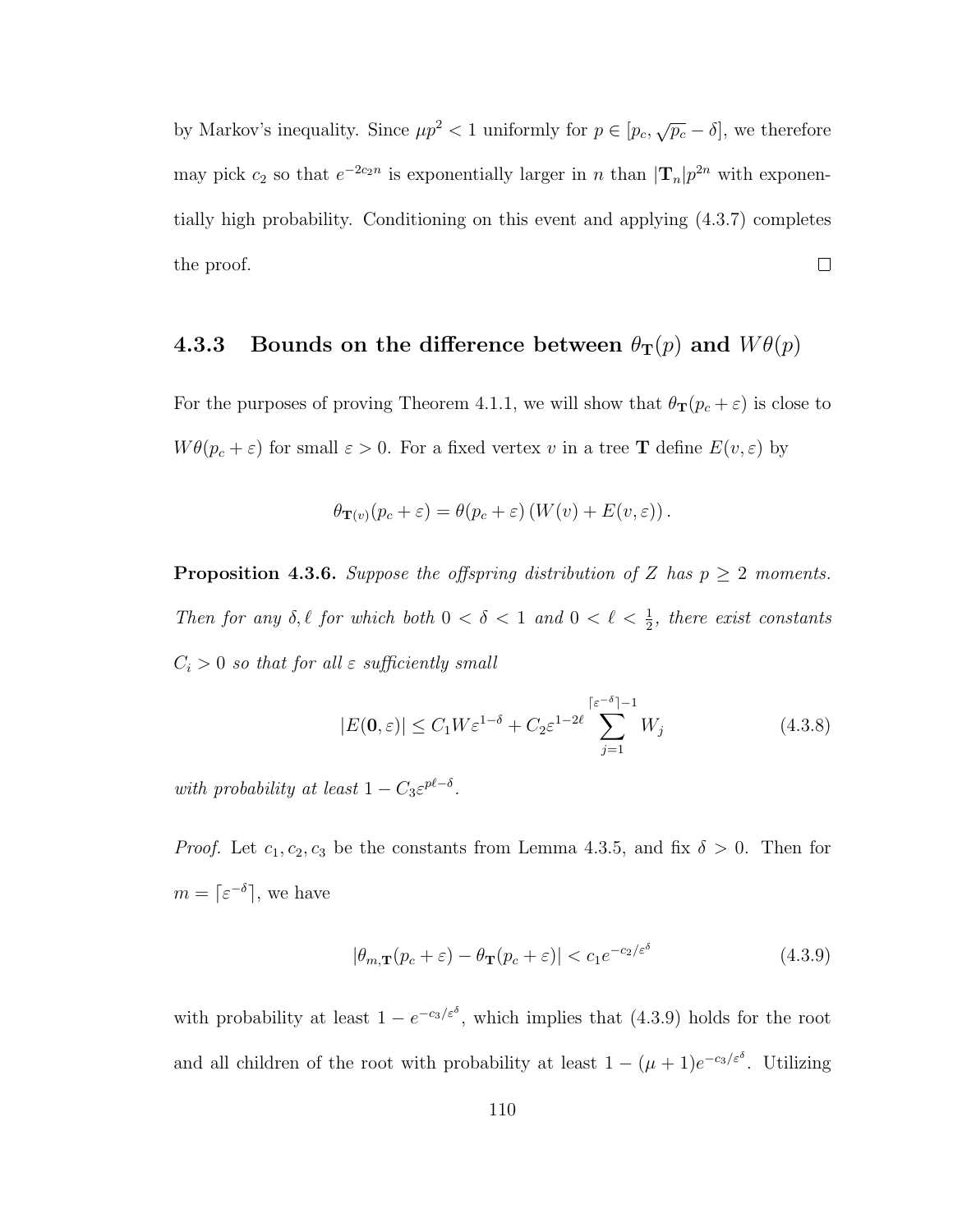by Markov's inequality. Since  $\mu p^2 < 1$  uniformly for  $p \in [p_c, \sqrt{p_c} - \delta]$ , we therefore may pick  $c_2$  so that  $e^{-2c_2n}$  is exponentially larger in n than  $|\mathbf{T}_n|p^{2n}$  with exponentially high probability. Conditioning on this event and applying (4.3.7) completes  $\Box$ the proof.

# 4.3.3 Bounds on the difference between  $\theta_{\text{T}}(p)$  and  $W\theta(p)$

For the purposes of proving Theorem 4.1.1, we will show that  $\theta_{\mathbf{T}}(p_c + \varepsilon)$  is close to  $W\theta(p_c+\varepsilon)$  for small  $\varepsilon > 0$ . For a fixed vertex v in a tree **T** define  $E(v,\varepsilon)$  by

$$
\theta_{\mathbf{T}(v)}(p_c + \varepsilon) = \theta(p_c + \varepsilon) \left( W(v) + E(v, \varepsilon) \right).
$$

**Proposition 4.3.6.** Suppose the offspring distribution of Z has  $p \geq 2$  moments. Then for any  $\delta, \ell$  for which both  $0 < \delta < 1$  and  $0 < \ell < \frac{1}{2}$ , there exist constants  $C_i > 0$  so that for all  $\varepsilon$  sufficiently small

$$
|E(\mathbf{0}, \varepsilon)| \le C_1 W \varepsilon^{1-\delta} + C_2 \varepsilon^{1-2\ell} \sum_{j=1}^{\lceil \varepsilon^{-\delta} \rceil - 1} W_j \tag{4.3.8}
$$

with probability at least  $1 - C_3 \varepsilon^{p\ell - \delta}$ .

*Proof.* Let  $c_1, c_2, c_3$  be the constants from Lemma 4.3.5, and fix  $\delta > 0$ . Then for  $m = \lceil \varepsilon^{-\delta} \rceil$ , we have

$$
|\theta_{m,\mathbf{T}}(p_c + \varepsilon) - \theta_{\mathbf{T}}(p_c + \varepsilon)| < c_1 e^{-c_2/\varepsilon^{\delta}} \tag{4.3.9}
$$

with probability at least  $1 - e^{-c_3/\varepsilon \delta}$ , which implies that (4.3.9) holds for the root and all children of the root with probability at least  $1 - (\mu + 1)e^{-c_3/\varepsilon}$ . Utilizing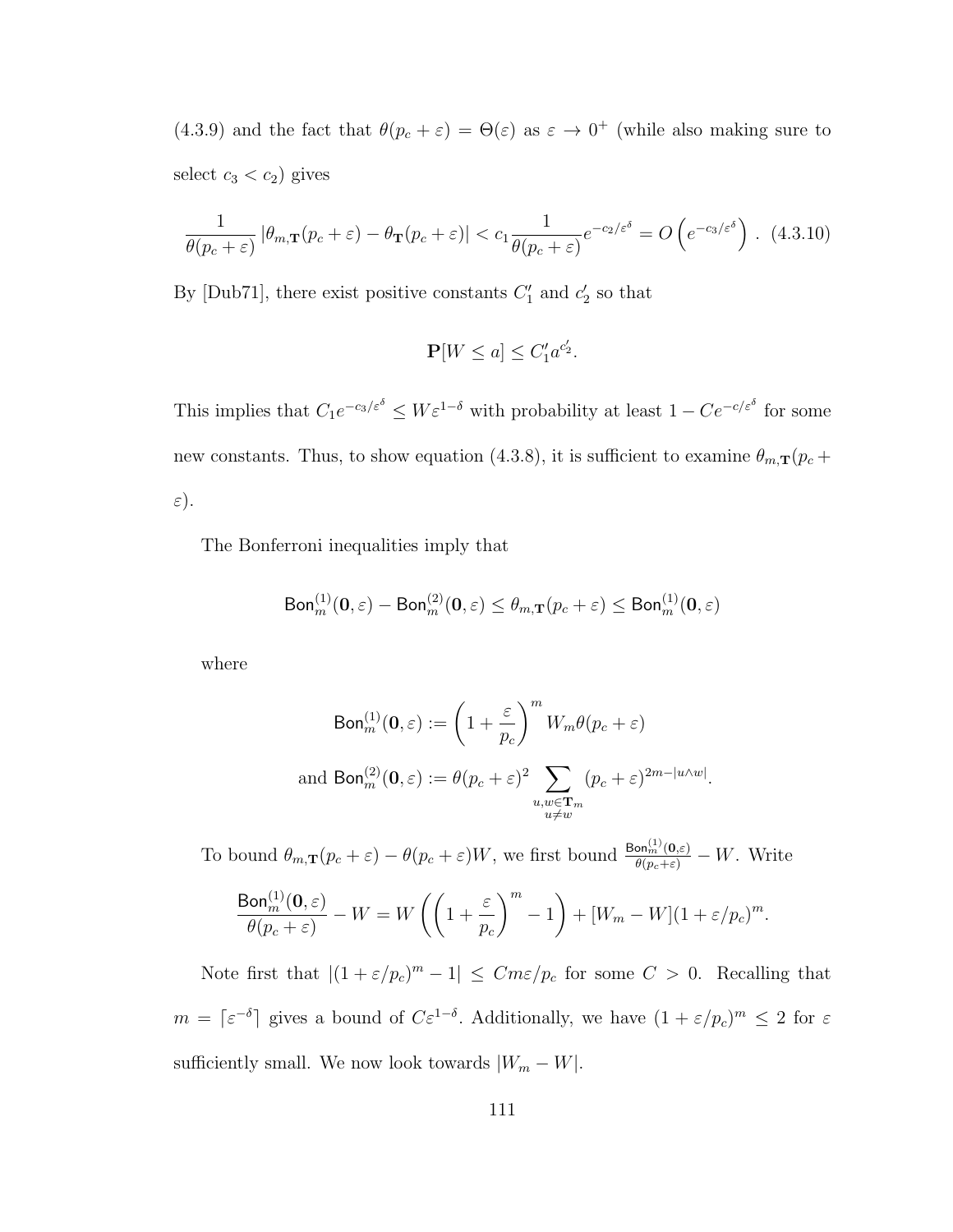(4.3.9) and the fact that  $\theta(p_c + \varepsilon) = \Theta(\varepsilon)$  as  $\varepsilon \to 0^+$  (while also making sure to select  $c_3 < c_2$ ) gives

$$
\frac{1}{\theta(p_c+\varepsilon)} |\theta_{m,\mathbf{T}}(p_c+\varepsilon) - \theta_{\mathbf{T}}(p_c+\varepsilon)| < c_1 \frac{1}{\theta(p_c+\varepsilon)} e^{-c_2/\varepsilon^{\delta}} = O\left(e^{-c_3/\varepsilon^{\delta}}\right). (4.3.10)
$$

By [Dub71], there exist positive constants  $C_1'$  and  $c_2'$  so that

$$
\mathbf{P}[W \le a] \le C_1' a^{c_2'}.
$$

This implies that  $C_1e^{-c_3/\varepsilon \delta} \leq W\varepsilon^{1-\delta}$  with probability at least  $1 - Ce^{-c/\varepsilon \delta}$  for some new constants. Thus, to show equation (4.3.8), it is sufficient to examine  $\theta_{m,\mathbf{T}}(p_c +$  $\varepsilon$ ).

The Bonferroni inequalities imply that

$$
\mathsf{Bon}^{(1)}_m(\mathbf{0},\varepsilon)-\mathsf{Bon}^{(2)}_m(\mathbf{0},\varepsilon)\leq \theta_{m,\mathbf{T}}(p_c+\varepsilon)\leq \mathsf{Bon}^{(1)}_m(\mathbf{0},\varepsilon)
$$

where

$$
\text{Bon}_m^{(1)}(\mathbf{0}, \varepsilon) := \left(1 + \frac{\varepsilon}{p_c}\right)^m W_m \theta(p_c + \varepsilon)
$$
  
and 
$$
\text{Bon}_m^{(2)}(\mathbf{0}, \varepsilon) := \theta(p_c + \varepsilon)^2 \sum_{\substack{u, w \in \mathbf{T}_m \\ u \neq w}} (p_c + \varepsilon)^{2m - |u \wedge w|}.
$$

To bound  $\theta_{m,\mathbf{T}}(p_c+\varepsilon)-\theta(p_c+\varepsilon)W$ , we first bound  $\frac{\text{Bon}_{m}^{(1)}(\mathbf{0},\varepsilon)}{\theta(p_c+\varepsilon)}-W$ . Write

$$
\frac{\text{Bon}_{m}^{(1)}(\mathbf{0},\varepsilon)}{\theta(p_c + \varepsilon)} - W = W\left(\left(1 + \frac{\varepsilon}{p_c}\right)^m - 1\right) + [W_m - W](1 + \varepsilon/p_c)^m.
$$

Note first that  $|(1 + \varepsilon/p_c)^m - 1| \leq Cm\varepsilon/p_c$  for some  $C > 0$ . Recalling that  $m = \lceil \varepsilon^{-\delta} \rceil$  gives a bound of  $C \varepsilon^{1-\delta}$ . Additionally, we have  $(1 + \varepsilon/p_c)^m \leq 2$  for  $\varepsilon$ sufficiently small. We now look towards  $|W_m - W|$ .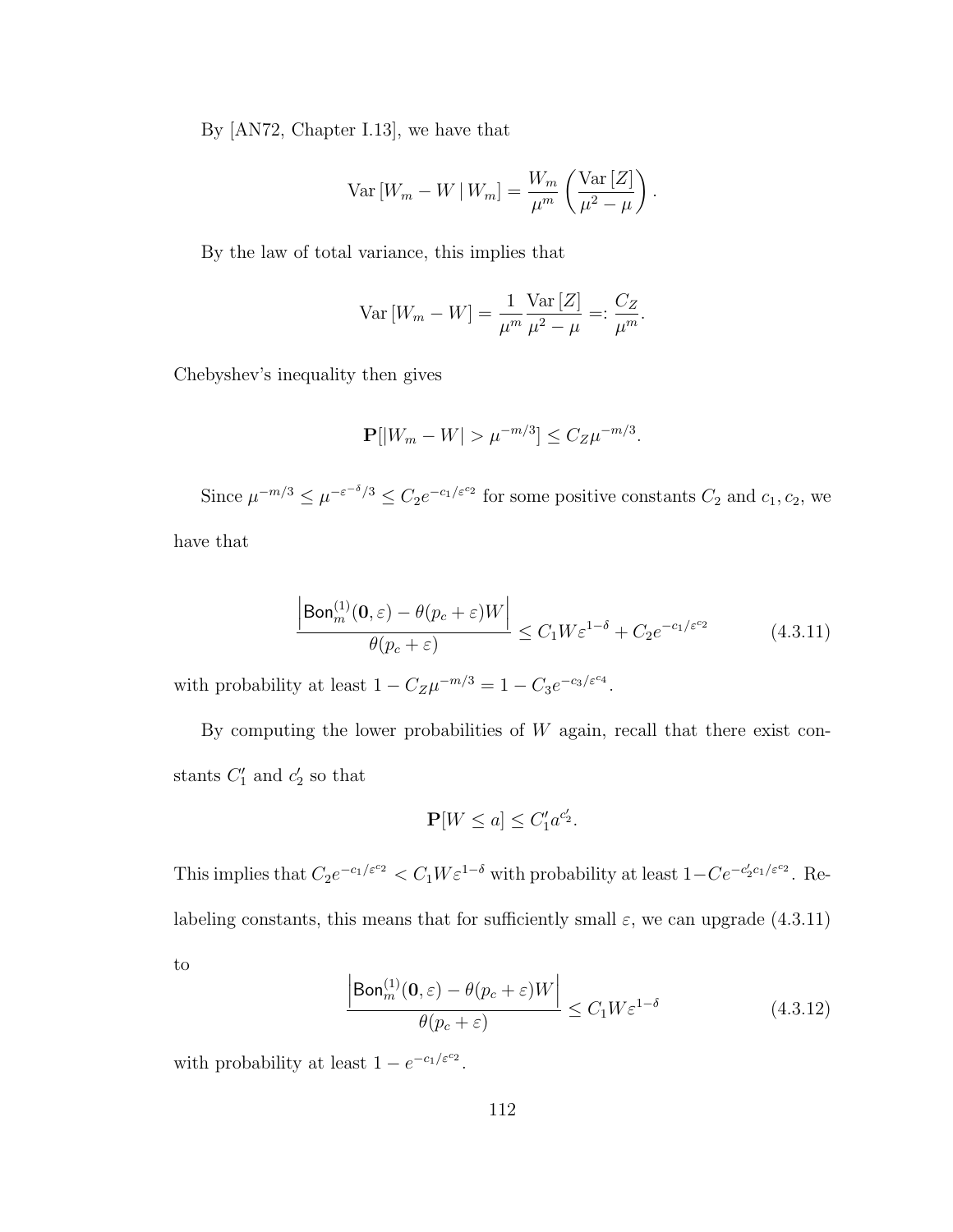By [AN72, Chapter I.13], we have that

$$
\text{Var}\left[W_m - W \,|\, W_m\right] = \frac{W_m}{\mu^m} \left(\frac{\text{Var}\left[Z\right]}{\mu^2 - \mu}\right).
$$

By the law of total variance, this implies that

$$
\text{Var}\left[W_m - W\right] = \frac{1}{\mu^m} \frac{\text{Var}\left[Z\right]}{\mu^2 - \mu} =: \frac{C_Z}{\mu^m}.
$$

Chebyshev's inequality then gives

$$
\mathbf{P}[|W_m - W| > \mu^{-m/3}] \le C_Z \mu^{-m/3}.
$$

Since  $\mu^{-m/3} \leq \mu^{-\varepsilon^{-\delta}/3} \leq C_2 e^{-c_1/\varepsilon^{c_2}}$  for some positive constants  $C_2$  and  $c_1, c_2$ , we have that

$$
\frac{\left|\text{Bon}_m^{(1)}(\mathbf{0},\varepsilon) - \theta(p_c + \varepsilon)W\right|}{\theta(p_c + \varepsilon)} \le C_1 W \varepsilon^{1-\delta} + C_2 e^{-c_1/\varepsilon^{c_2}} \tag{4.3.11}
$$

with probability at least  $1 - C_Z \mu^{-m/3} = 1 - C_3 e^{-c_3/\varepsilon^{c_4}}$ .

By computing the lower probabilities of  $W$  again, recall that there exist constants  $C_1'$  and  $c_2'$  so that

$$
\mathbf{P}[W \le a] \le C_1' a^{c_2'}.
$$

This implies that  $C_2e^{-c_1/\varepsilon c_2} < C_1W\varepsilon^{1-\delta}$  with probability at least  $1-Ce^{-c_2'c_1/\varepsilon c_2}$ . Relabeling constants, this means that for sufficiently small  $\varepsilon$ , we can upgrade (4.3.11) to

$$
\frac{\left|\text{Bon}_m^{(1)}(\mathbf{0},\varepsilon) - \theta(p_c + \varepsilon)W\right|}{\theta(p_c + \varepsilon)} \le C_1 W \varepsilon^{1-\delta} \tag{4.3.12}
$$

with probability at least  $1 - e^{-c_1/\varepsilon^{c_2}}$ .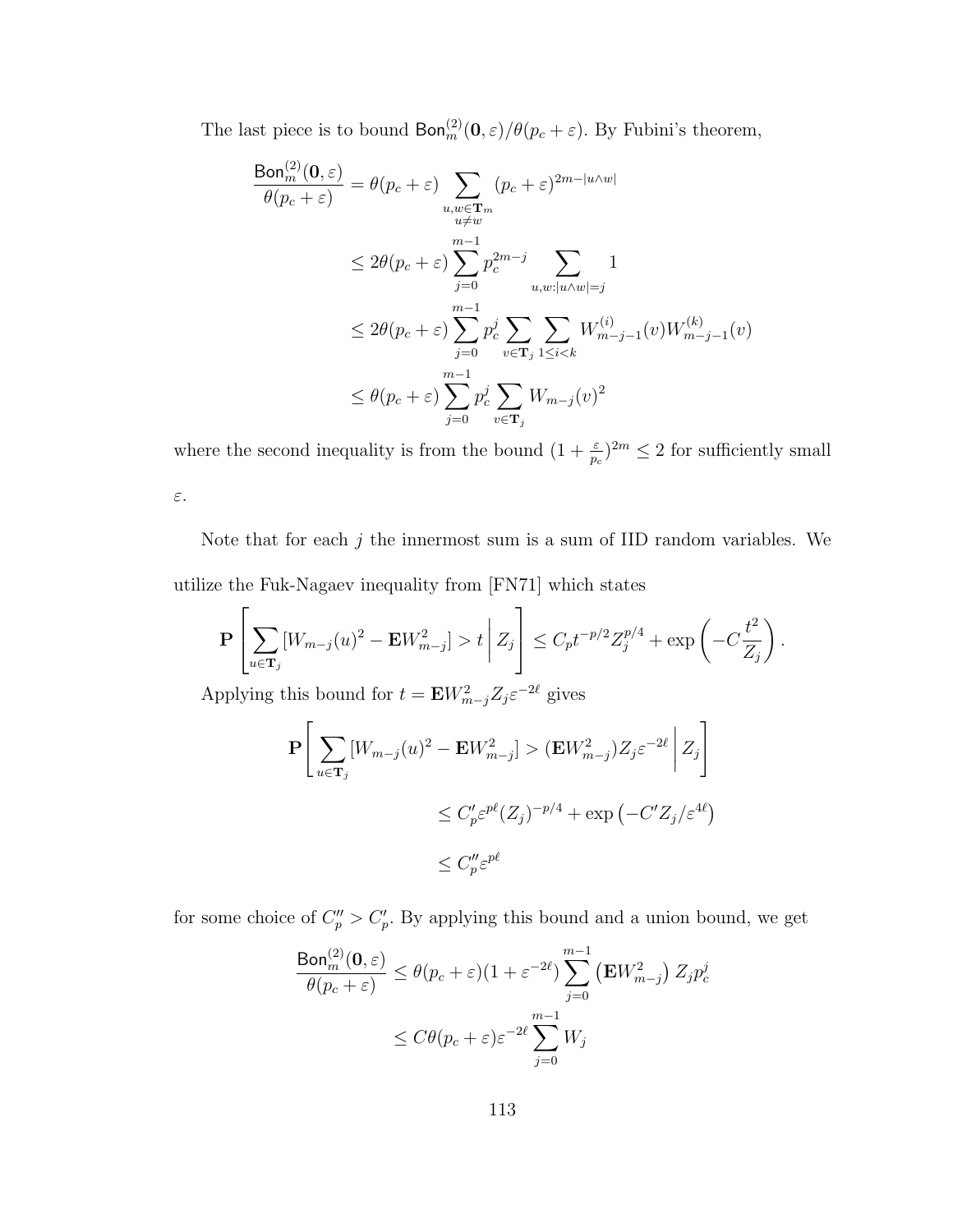The last piece is to bound  $\text{Bon}_m^{(2)}(\mathbf{0},\varepsilon)/\theta(p_c+\varepsilon)$ . By Fubini's theorem,

$$
\frac{\text{Bon}_{m}^{(2)}(0,\varepsilon)}{\theta(p_c + \varepsilon)} = \theta(p_c + \varepsilon) \sum_{\substack{u,w \in \mathbf{T}_m \\ u \neq w}} (p_c + \varepsilon)^{2m - |u \wedge w|}
$$
  

$$
\leq 2\theta(p_c + \varepsilon) \sum_{j=0}^{m-1} p_c^{2m-j} \sum_{u,w:|u \wedge w| = j} 1
$$
  

$$
\leq 2\theta(p_c + \varepsilon) \sum_{j=0}^{m-1} p_c^j \sum_{v \in \mathbf{T}_j} \sum_{1 \leq i < k} W_{m-j-1}^{(i)}(v) W_{m-j-1}^{(k)}(v)
$$
  

$$
\leq \theta(p_c + \varepsilon) \sum_{j=0}^{m-1} p_c^j \sum_{v \in \mathbf{T}_j} W_{m-j}(v)^2
$$

where the second inequality is from the bound  $(1 + \frac{\varepsilon}{p_c})^{2m} \leq 2$  for sufficiently small ε.

Note that for each  $j$  the innermost sum is a sum of IID random variables. We utilize the Fuk-Nagaev inequality from [FN71] which states

$$
\mathbf{P}\left[\sum_{u\in\mathbf{T}_j} [W_{m-j}(u)^2 - \mathbf{E} W_{m-j}^2] > t | Z_j \right] \leq C_p t^{-p/2} Z_j^{p/4} + \exp\left(-C \frac{t^2}{Z_j}\right).
$$

Applying this bound for  $t = \mathbf{E} W_{m-j}^2 Z_j \varepsilon^{-2\ell}$  gives

$$
\mathbf{P}\left[\sum_{u\in\mathbf{T}_j} [W_{m-j}(u)^2 - \mathbf{E}W_{m-j}^2] > (\mathbf{E}W_{m-j}^2)Z_j\varepsilon^{-2\ell} |Z_j\right]
$$
  

$$
\leq C'_p\varepsilon^{p\ell}(Z_j)^{-p/4} + \exp(-C'Z_j/\varepsilon^{4\ell})
$$
  

$$
\leq C''_p\varepsilon^{p\ell}
$$

for some choice of  $C_p'' > C_p'$ . By applying this bound and a union bound, we get

$$
\frac{\text{Bon}_m^{(2)}(0,\varepsilon)}{\theta(p_c + \varepsilon)} \le \theta(p_c + \varepsilon)(1 + \varepsilon^{-2\ell}) \sum_{j=0}^{m-1} (\mathbf{E}W_{m-j}^2) Z_j p_c^j
$$
  

$$
\le C\theta(p_c + \varepsilon)\varepsilon^{-2\ell} \sum_{j=0}^{m-1} W_j
$$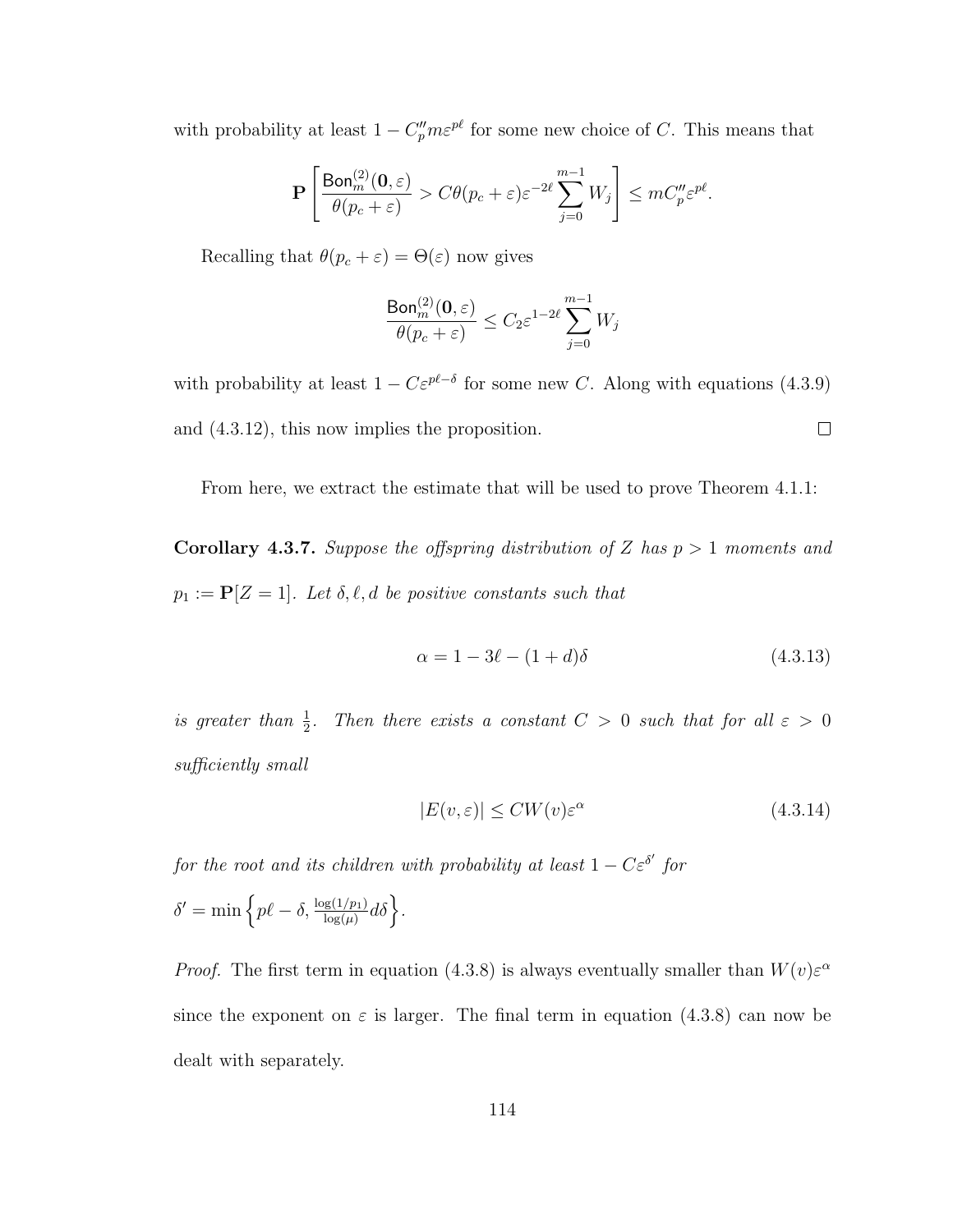with probability at least  $1 - C_p^{\prime\prime} m \varepsilon^{p\ell}$  for some new choice of C. This means that

$$
\mathbf{P}\left[\frac{\textsf{Bon}_{m}^{(2)}(\mathbf{0},\varepsilon)}{\theta(p_c+\varepsilon)} > C\theta(p_c+\varepsilon)\varepsilon^{-2\ell}\sum_{j=0}^{m-1}W_j\right] \leq mC''_p\varepsilon^{p\ell}.
$$

Recalling that  $\theta(p_c + \varepsilon) = \Theta(\varepsilon)$  now gives

$$
\frac{\mathrm{Bon}^{(2)}_m(\mathbf{0},\varepsilon)}{\theta(p_c + \varepsilon)} \leq C_2 \varepsilon^{1-2\ell} \sum_{j=0}^{m-1} W_j
$$

with probability at least  $1 - C \varepsilon^{p\ell-\delta}$  for some new C. Along with equations (4.3.9)  $\Box$ and (4.3.12), this now implies the proposition.

From here, we extract the estimate that will be used to prove Theorem 4.1.1:

**Corollary 4.3.7.** Suppose the offspring distribution of Z has  $p > 1$  moments and  $p_1 := \mathbf{P}[Z = 1]$ . Let  $\delta, \ell, d$  be positive constants such that

$$
\alpha = 1 - 3\ell - (1 + d)\delta \tag{4.3.13}
$$

is greater than  $\frac{1}{2}$ . Then there exists a constant  $C > 0$  such that for all  $\varepsilon > 0$ sufficiently small

$$
|E(v,\varepsilon)| \le CW(v)\varepsilon^{\alpha} \tag{4.3.14}
$$

for the root and its children with probability at least  $1 - C \varepsilon^{\delta'}$  for

$$
\delta' = \min \left\{ p\ell - \delta, \frac{\log(1/p_1)}{\log(\mu)} d\delta \right\}.
$$

*Proof.* The first term in equation (4.3.8) is always eventually smaller than  $W(v) \varepsilon^{\alpha}$ since the exponent on  $\varepsilon$  is larger. The final term in equation (4.3.8) can now be dealt with separately.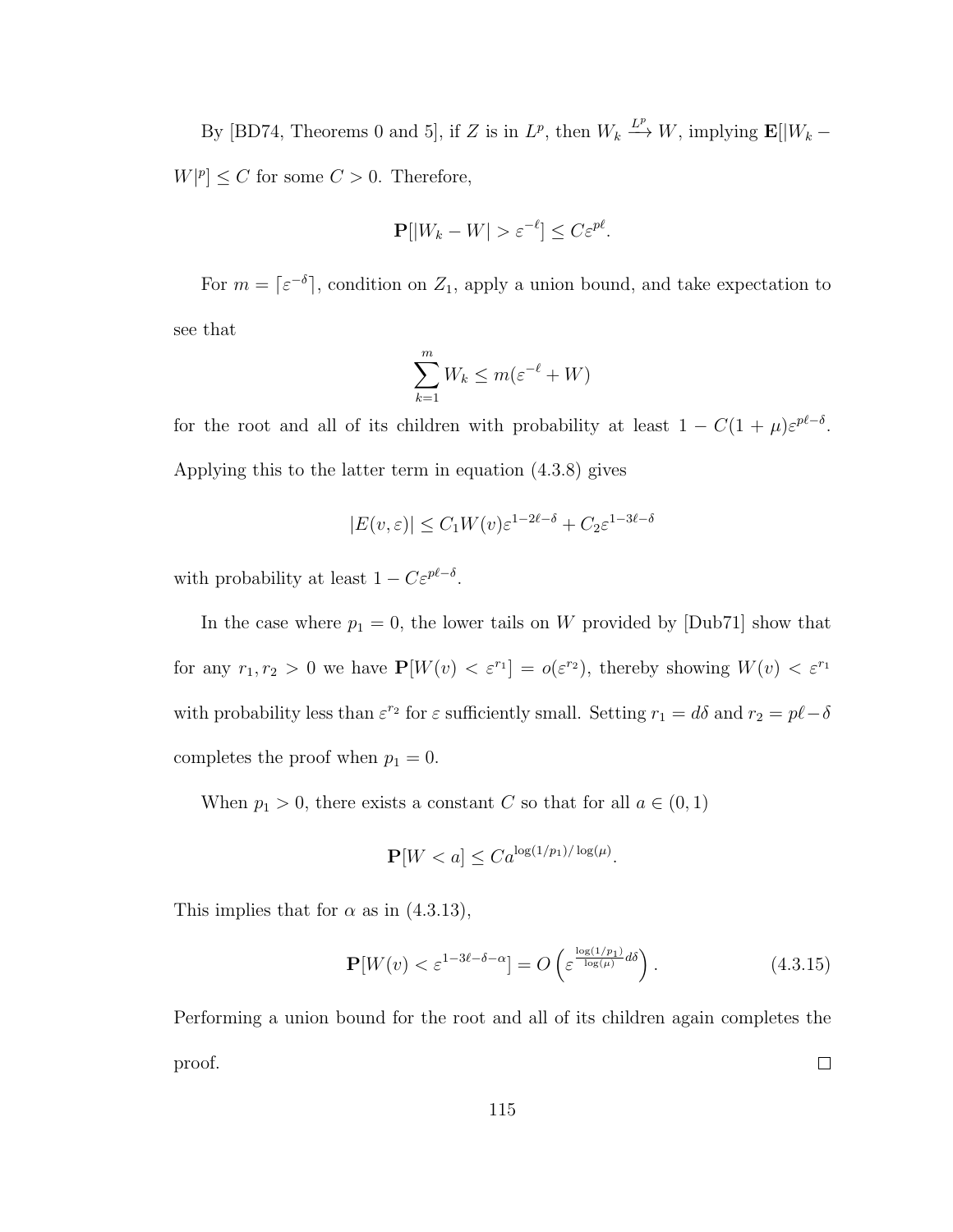By [BD74, Theorems 0 and 5], if Z is in  $L^p$ , then  $W_k \stackrel{L^p}{\longrightarrow} W$ , implying  $\mathbf{E}[|W_k W|p| \leq C$  for some  $C > 0$ . Therefore,

$$
\mathbf{P}[|W_k - W| > \varepsilon^{-\ell}] \le C\varepsilon^{p\ell}.
$$

For  $m = \lceil \varepsilon^{-\delta} \rceil$ , condition on  $Z_1$ , apply a union bound, and take expectation to see that

$$
\sum_{k=1}^{m} W_k \le m(\varepsilon^{-\ell} + W)
$$

for the root and all of its children with probability at least  $1 - C(1 + \mu)\varepsilon^{p\ell - \delta}$ . Applying this to the latter term in equation (4.3.8) gives

$$
|E(v,\varepsilon)| \le C_1 W(v) \varepsilon^{1-2\ell-\delta} + C_2 \varepsilon^{1-3\ell-\delta}
$$

with probability at least  $1 - C \varepsilon^{p\ell - \delta}$ .

In the case where  $p_1 = 0$ , the lower tails on W provided by [Dub71] show that for any  $r_1, r_2 > 0$  we have  $\mathbf{P}[W(v) < \varepsilon^{r_1}] = o(\varepsilon^{r_2})$ , thereby showing  $W(v) < \varepsilon^{r_1}$ with probability less than  $\varepsilon^{r_2}$  for  $\varepsilon$  sufficiently small. Setting  $r_1 = d\delta$  and  $r_2 = p\ell - \delta$ completes the proof when  $p_1 = 0$ .

When  $p_1 > 0$ , there exists a constant C so that for all  $a \in (0, 1)$ 

$$
\mathbf{P}[W < a] \leq C a^{\log(1/p_1)/\log(\mu)}.
$$

This implies that for  $\alpha$  as in (4.3.13),

$$
\mathbf{P}[W(v) < \varepsilon^{1-3\ell-\delta-\alpha}] = O\left(\varepsilon^{\frac{\log(1/p_1)}{\log(\mu)}d\delta}\right). \tag{4.3.15}
$$

Performing a union bound for the root and all of its children again completes the  $\Box$ proof.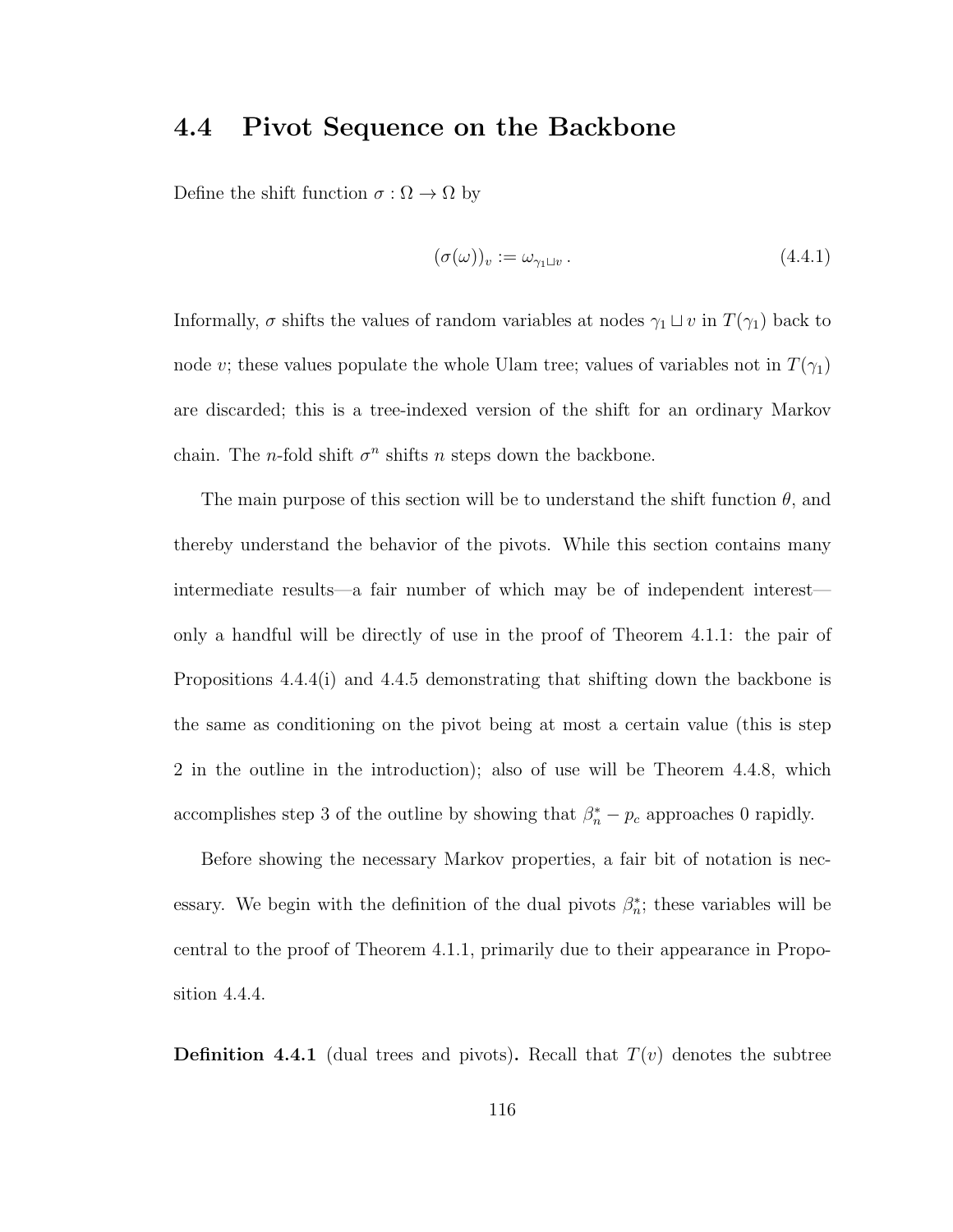# 4.4 Pivot Sequence on the Backbone

Define the shift function  $\sigma : \Omega \to \Omega$  by

$$
(\sigma(\omega))_v := \omega_{\gamma_1 \sqcup v} \,. \tag{4.4.1}
$$

Informally,  $\sigma$  shifts the values of random variables at nodes  $\gamma_1 \sqcup v$  in  $T(\gamma_1)$  back to node v; these values populate the whole Ulam tree; values of variables not in  $T(\gamma_1)$ are discarded; this is a tree-indexed version of the shift for an ordinary Markov chain. The *n*-fold shift  $\sigma^n$  shifts *n* steps down the backbone.

The main purpose of this section will be to understand the shift function  $\theta$ , and thereby understand the behavior of the pivots. While this section contains many intermediate results—a fair number of which may be of independent interest only a handful will be directly of use in the proof of Theorem 4.1.1: the pair of Propositions 4.4.4(i) and 4.4.5 demonstrating that shifting down the backbone is the same as conditioning on the pivot being at most a certain value (this is step 2 in the outline in the introduction); also of use will be Theorem 4.4.8, which accomplishes step 3 of the outline by showing that  $\beta_n^* - p_c$  approaches 0 rapidly.

Before showing the necessary Markov properties, a fair bit of notation is necessary. We begin with the definition of the dual pivots  $\beta_n^*$ ; these variables will be central to the proof of Theorem 4.1.1, primarily due to their appearance in Proposition 4.4.4.

**Definition 4.4.1** (dual trees and pivots). Recall that  $T(v)$  denotes the subtree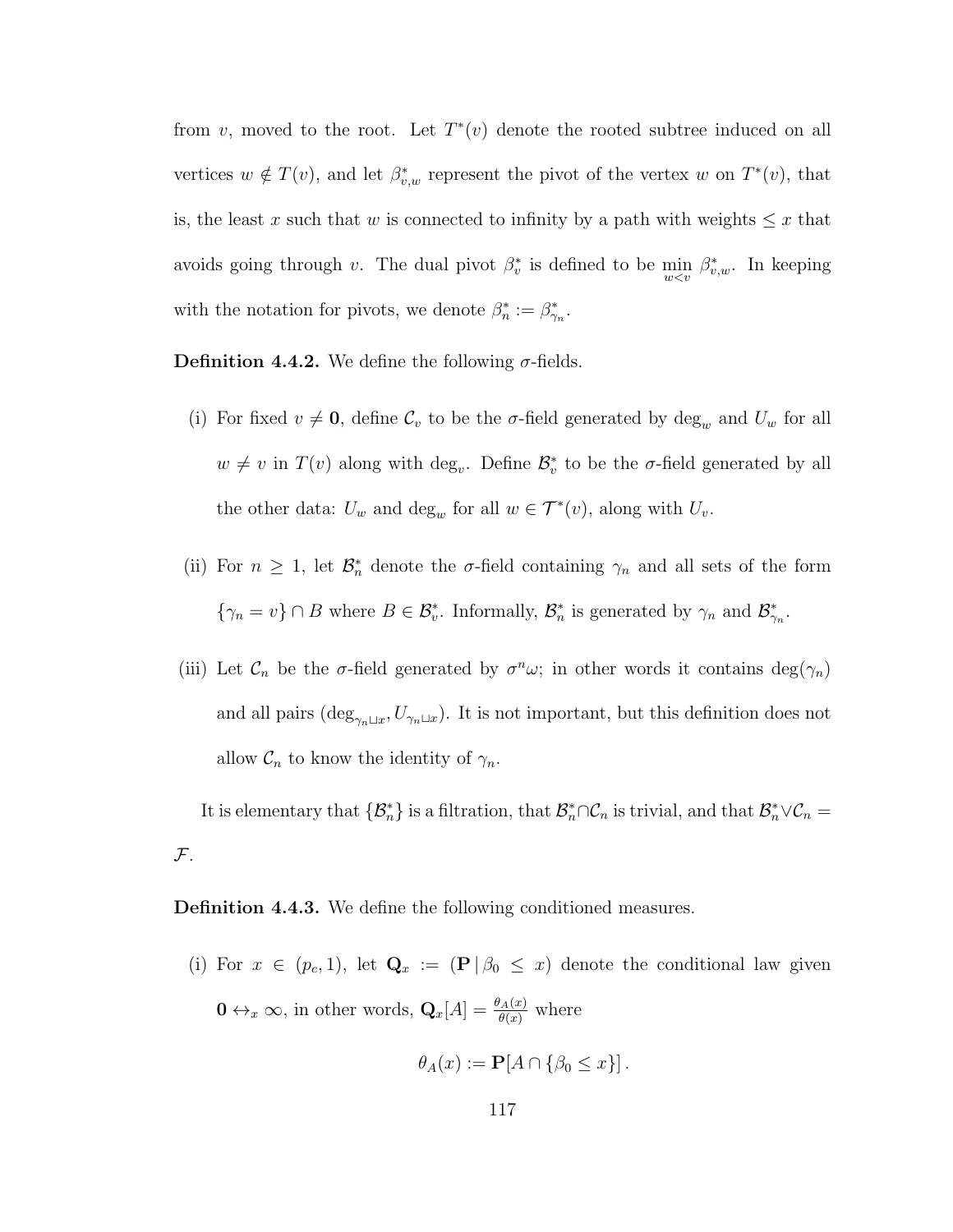from v, moved to the root. Let  $T^*(v)$  denote the rooted subtree induced on all vertices  $w \notin T(v)$ , and let  $\beta_{v,w}^*$  represent the pivot of the vertex w on  $T^*(v)$ , that is, the least x such that w is connected to infinity by a path with weights  $\leq x$  that avoids going through v. The dual pivot  $\beta_v^*$  is defined to be  $\min_{w \le v} \beta_{v,w}^*$ . In keeping with the notation for pivots, we denote  $\beta_n^* := \beta_{\gamma_n}^*$ .

**Definition 4.4.2.** We define the following  $\sigma$ -fields.

- (i) For fixed  $v \neq 0$ , define  $\mathcal{C}_v$  to be the  $\sigma$ -field generated by deg<sub>w</sub> and  $U_w$  for all  $w \neq v$  in  $T(v)$  along with deg<sub>v</sub>. Define  $\mathcal{B}_{v}^{*}$  to be the  $\sigma$ -field generated by all the other data:  $U_w$  and  $\deg_w$  for all  $w \in \mathcal{T}^*(v)$ , along with  $U_v$ .
- (ii) For  $n \geq 1$ , let  $\mathcal{B}_n^*$  denote the  $\sigma$ -field containing  $\gamma_n$  and all sets of the form  $\{\gamma_n = v\} \cap B$  where  $B \in \mathcal{B}_v^*$ . Informally,  $\mathcal{B}_n^*$  is generated by  $\gamma_n$  and  $\mathcal{B}_{\gamma_n}^*$ .
- (iii) Let  $\mathcal{C}_n$  be the σ-field generated by  $\sigma^n \omega$ ; in other words it contains  $\deg(\gamma_n)$ and all pairs  $(\deg_{\gamma_n \sqcup x}, U_{\gamma_n \sqcup x})$ . It is not important, but this definition does not allow  $C_n$  to know the identity of  $\gamma_n$ .

It is elementary that  $\{\mathcal{B}_n^*\}\$ is a filtration, that  $\mathcal{B}_n^*\cap\mathcal{C}_n$  is trivial, and that  $\mathcal{B}_n^*\vee\mathcal{C}_n =$  $\mathcal{F}.$ 

Definition 4.4.3. We define the following conditioned measures.

(i) For  $x \in (p_c, 1)$ , let  $\mathbf{Q}_x := (\mathbf{P} | \beta_0 \leq x)$  denote the conditional law given  $\mathbf{0} \leftrightarrow_x \infty$ , in other words,  $\mathbf{Q}_x[A] = \frac{\theta_A(x)}{\theta(x)}$  where

$$
\theta_A(x) := \mathbf{P}[A \cap {\beta_0 \le x}] \, .
$$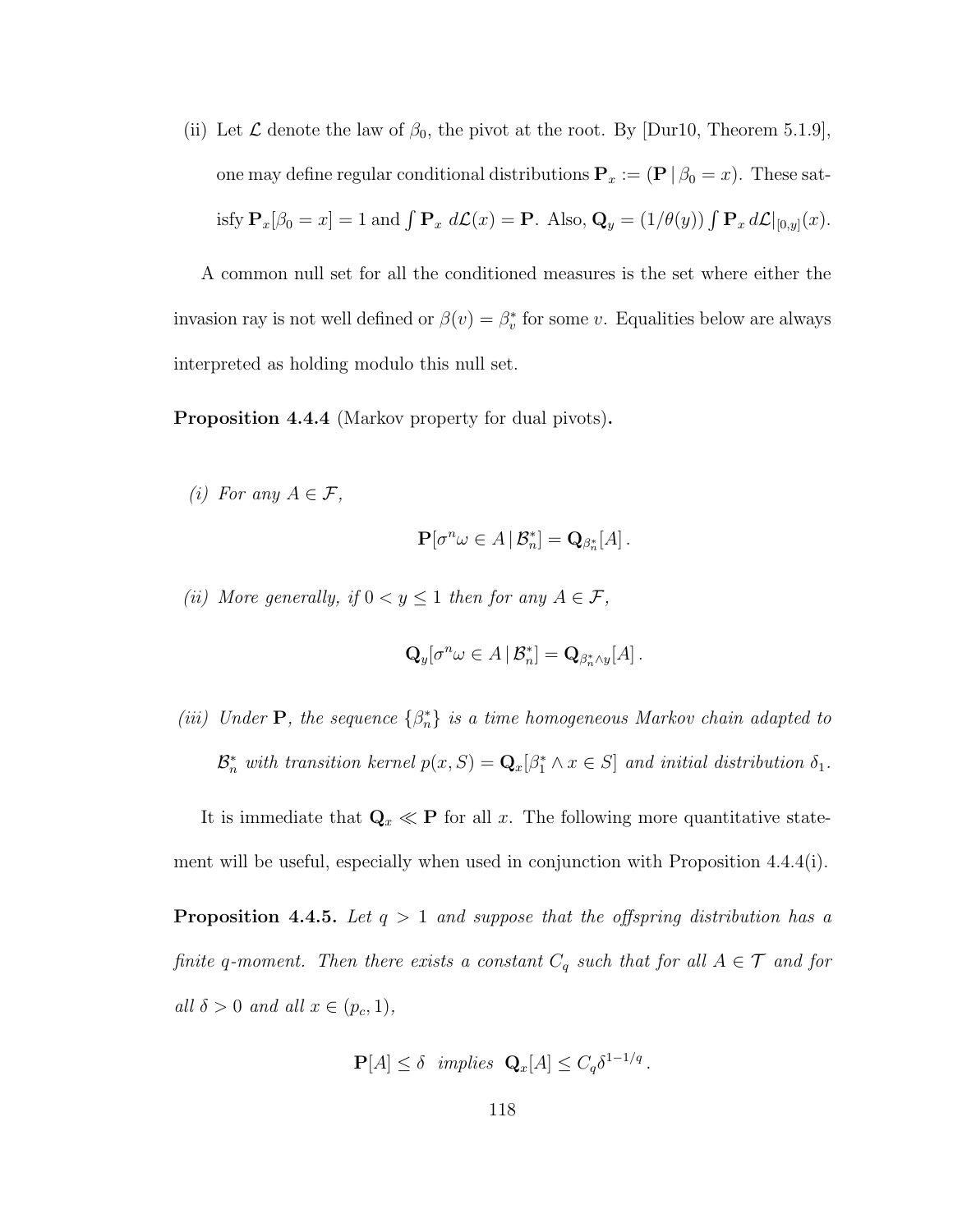(ii) Let  $\mathcal L$  denote the law of  $\beta_0$ , the pivot at the root. By [Dur10, Theorem 5.1.9], one may define regular conditional distributions  $P_x := (P | \beta_0 = x)$ . These satisfy  $\mathbf{P}_x[\beta_0 = x] = 1$  and  $\int \mathbf{P}_x d\mathcal{L}(x) = \mathbf{P}$ . Also,  $\mathbf{Q}_y = (1/\theta(y)) \int \mathbf{P}_x d\mathcal{L}|_{[0,y]}(x)$ .

A common null set for all the conditioned measures is the set where either the invasion ray is not well defined or  $\beta(v) = \beta_v^*$  for some v. Equalities below are always interpreted as holding modulo this null set.

Proposition 4.4.4 (Markov property for dual pivots).

(i) For any  $A \in \mathcal{F}$ ,

$$
\mathbf{P}[\sigma^n \omega \in A \,|\, \mathcal{B}_n^*] = \mathbf{Q}_{\beta_n^*}[A].
$$

(ii) More generally, if  $0 < y \le 1$  then for any  $A \in \mathcal{F}$ ,

$$
\mathbf{Q}_y[\sigma^n \omega \in A \,|\, \mathcal{B}_n^*] = \mathbf{Q}_{\beta_n^* \wedge y}[A].
$$

(iii) Under  $P$ , the sequence  $\{\beta_n^*\}$  is a time homogeneous Markov chain adapted to  $\mathcal{B}_n^*$  with transition kernel  $p(x, S) = \mathbf{Q}_x[\beta_1^* \wedge x \in S]$  and initial distribution  $\delta_1$ .

It is immediate that  $\mathbf{Q}_x \ll \mathbf{P}$  for all x. The following more quantitative statement will be useful, especially when used in conjunction with Proposition 4.4.4(i).

**Proposition 4.4.5.** Let  $q > 1$  and suppose that the offspring distribution has a finite q-moment. Then there exists a constant  $C_q$  such that for all  $A \in \mathcal{T}$  and for all  $\delta > 0$  and all  $x \in (p_c, 1)$ ,

$$
\mathbf{P}[A] \leq \delta \ \ \text{implies} \ \ \mathbf{Q}_x[A] \leq C_q \delta^{1-1/q} \, .
$$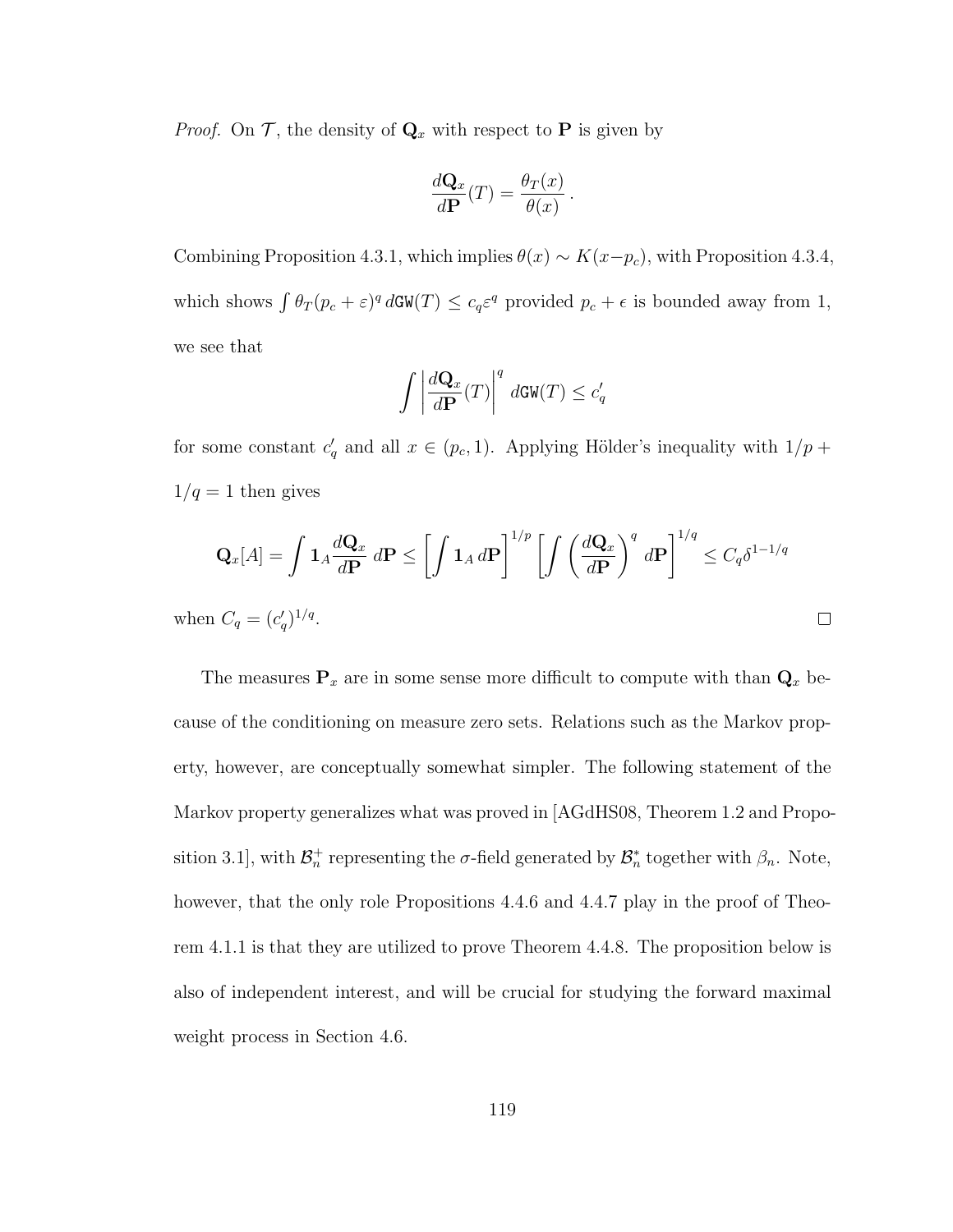*Proof.* On  $\mathcal{T}$ , the density of  $\mathbf{Q}_x$  with respect to **P** is given by

$$
\frac{d\mathbf{Q}_x}{d\mathbf{P}}(T) = \frac{\theta_T(x)}{\theta(x)}.
$$

Combining Proposition 4.3.1, which implies  $\theta(x) \sim K(x-p_c)$ , with Proposition 4.3.4, which shows  $\int \theta_T (p_c + \varepsilon)^q d\mathbf{GW}(T) \leq c_q \varepsilon^q$  provided  $p_c + \varepsilon$  is bounded away from 1, we see that

$$
\int \left| \frac{d\mathbf{Q}_x}{d\mathbf{P}}(T) \right|^q d\mathbf{GW}(T) \le c_q'
$$

for some constant  $c'_q$  and all  $x \in (p_c, 1)$ . Applying Hölder's inequality with  $1/p +$  $1/q = 1$  then gives

$$
\mathbf{Q}_x[A] = \int \mathbf{1}_A \frac{d\mathbf{Q}_x}{d\mathbf{P}} \, d\mathbf{P} \le \left[ \int \mathbf{1}_A \, d\mathbf{P} \right]^{1/p} \left[ \int \left( \frac{d\mathbf{Q}_x}{d\mathbf{P}} \right)^q \, d\mathbf{P} \right]^{1/q} \le C_q \delta^{1-1/q}
$$
\nwhen  $C_q = (c'_q)^{1/q}$ .

The measures  $P_x$  are in some sense more difficult to compute with than  $Q_x$  because of the conditioning on measure zero sets. Relations such as the Markov property, however, are conceptually somewhat simpler. The following statement of the Markov property generalizes what was proved in [AGdHS08, Theorem 1.2 and Proposition 3.1], with  $\mathcal{B}_n^+$  representing the  $\sigma$ -field generated by  $\mathcal{B}_n^*$  together with  $\beta_n$ . Note, however, that the only role Propositions 4.4.6 and 4.4.7 play in the proof of Theorem 4.1.1 is that they are utilized to prove Theorem 4.4.8. The proposition below is also of independent interest, and will be crucial for studying the forward maximal weight process in Section 4.6.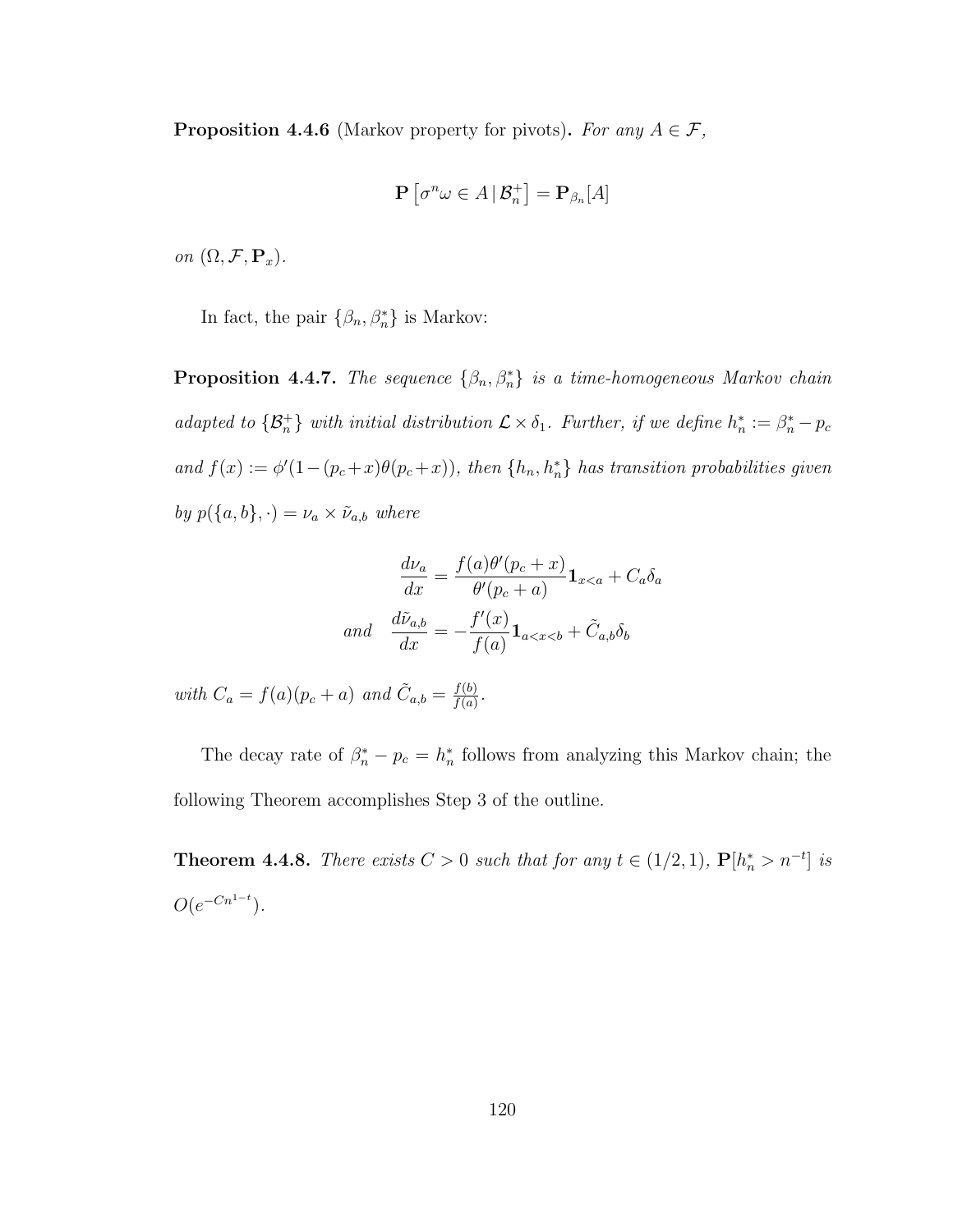**Proposition 4.4.6** (Markov property for pivots). For any  $A \in \mathcal{F}$ ,

$$
\mathbf{P}\left[\sigma^n\omega\in A\,|\,\mathcal{B}_n^+\right]=\mathbf{P}_{\beta_n}[A]
$$

on  $(\Omega, \mathcal{F}, \mathbf{P}_x)$ .

In fact, the pair  $\{\beta_n, \beta_n^*\}$  is Markov:

**Proposition 4.4.7.** The sequence  $\{\beta_n, \beta_n^*\}$  is a time-homogeneous Markov chain adapted to  $\{\mathcal{B}_n^+\}$  with initial distribution  $\mathcal{L} \times \delta_1$ . Further, if we define  $h_n^* := \beta_n^* - p_c$ and  $f(x) := \phi'(1-(p_c+x)\theta(p_c+x))$ , then  $\{h_n, h_n^*\}$  has transition probabilities given by  $p({a,b},.) = \nu_a \times \tilde{\nu}_{a,b}$  where

$$
\frac{d\nu_a}{dx} = \frac{f(a)\theta'(p_c + x)}{\theta'(p_c + a)} \mathbf{1}_{x < a} + C_a \delta_a
$$
  
and 
$$
\frac{d\tilde{\nu}_{a,b}}{dx} = -\frac{f'(x)}{f(a)} \mathbf{1}_{a < x < b} + \tilde{C}_{a,b} \delta_b
$$

with  $C_a = f(a)(p_c + a)$  and  $\tilde{C}_{a,b} = \frac{f(b)}{f(a)}$  $\frac{f(b)}{f(a)}$ .

The decay rate of  $\beta_n^* - p_c = h_n^*$  follows from analyzing this Markov chain; the following Theorem accomplishes Step 3 of the outline.

**Theorem 4.4.8.** There exists  $C > 0$  such that for any  $t \in (1/2, 1)$ ,  $P[h_n^* > n^{-t}]$  is  $O(e^{-Cn^{1-t}}).$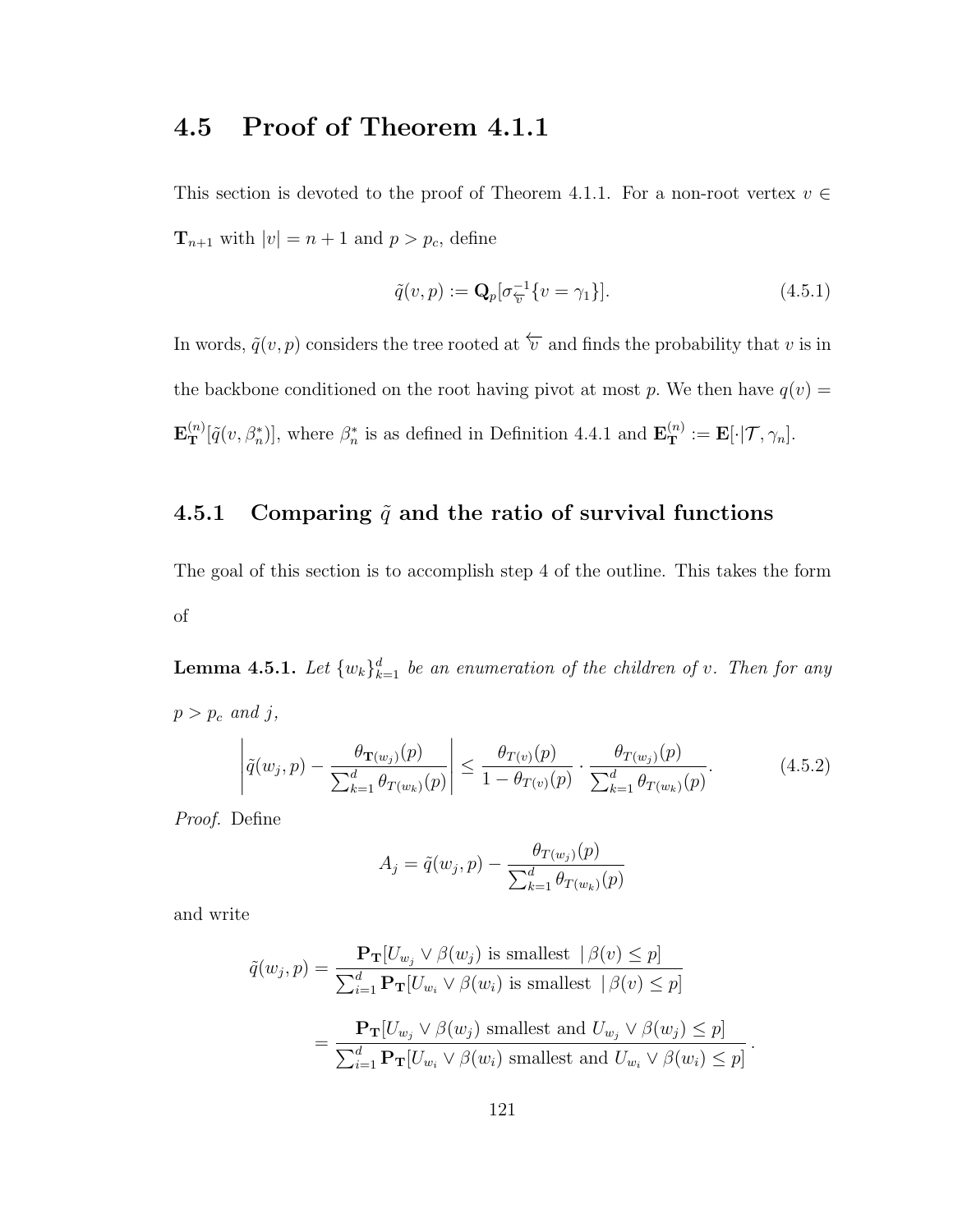# 4.5 Proof of Theorem 4.1.1

This section is devoted to the proof of Theorem 4.1.1. For a non-root vertex  $v \in$  $\mathbf{T}_{n+1}$  with  $|v| = n+1$  and  $p > p_c$ , define

$$
\tilde{q}(v,p) := \mathbf{Q}_p[\sigma_{\overline{v}}^{-1}\{v = \gamma_1\}].\tag{4.5.1}
$$

In words,  $\tilde{q}(v, p)$  considers the tree rooted at  $\overleftarrow{v}$  and finds the probability that v is in the backbone conditioned on the root having pivot at most p. We then have  $q(v) =$  $\mathbf{E}_{\mathbf{T}}^{(n)}[\tilde{q}(v,\beta_{n}^{*})],$  where  $\beta_{n}^{*}$  is as defined in Definition 4.4.1 and  $\mathbf{E}_{\mathbf{T}}^{(n)} := \mathbf{E}[\cdot | \mathcal{T}, \gamma_{n}].$ 

## 4.5.1 Comparing  $\tilde{q}$  and the ratio of survival functions

The goal of this section is to accomplish step 4 of the outline. This takes the form of

**Lemma 4.5.1.** Let  $\{w_k\}_{k=1}^d$  be an enumeration of the children of v. Then for any  $p > p_c$  and j,

$$
\left| \tilde{q}(w_j, p) - \frac{\theta_{\mathbf{T}(w_j)}(p)}{\sum_{k=1}^d \theta_{\mathbf{T}(w_k)}(p)} \right| \le \frac{\theta_{\mathbf{T}(v)}(p)}{1 - \theta_{\mathbf{T}(v)}(p)} \cdot \frac{\theta_{\mathbf{T}(w_j)}(p)}{\sum_{k=1}^d \theta_{\mathbf{T}(w_k)}(p)}.
$$
(4.5.2)

Proof. Define

$$
A_{j} = \tilde{q}(w_{j}, p) - \frac{\theta_{T(w_{j})}(p)}{\sum_{k=1}^{d} \theta_{T(w_{k})}(p)}
$$

and write

$$
\tilde{q}(w_j, p) = \frac{\mathbf{P_T}[U_{w_j} \lor \beta(w_j) \text{ is smallest } | \beta(v) \le p]}{\sum_{i=1}^d \mathbf{P_T}[U_{w_i} \lor \beta(w_i) \text{ is smallest } | \beta(v) \le p]}
$$

$$
= \frac{\mathbf{P_T}[U_{w_j} \lor \beta(w_j) \text{ smallest and } U_{w_j} \lor \beta(w_j) \le p]}{\sum_{i=1}^d \mathbf{P_T}[U_{w_i} \lor \beta(w_i) \text{ smallest and } U_{w_i} \lor \beta(w_i) \le p]}
$$

.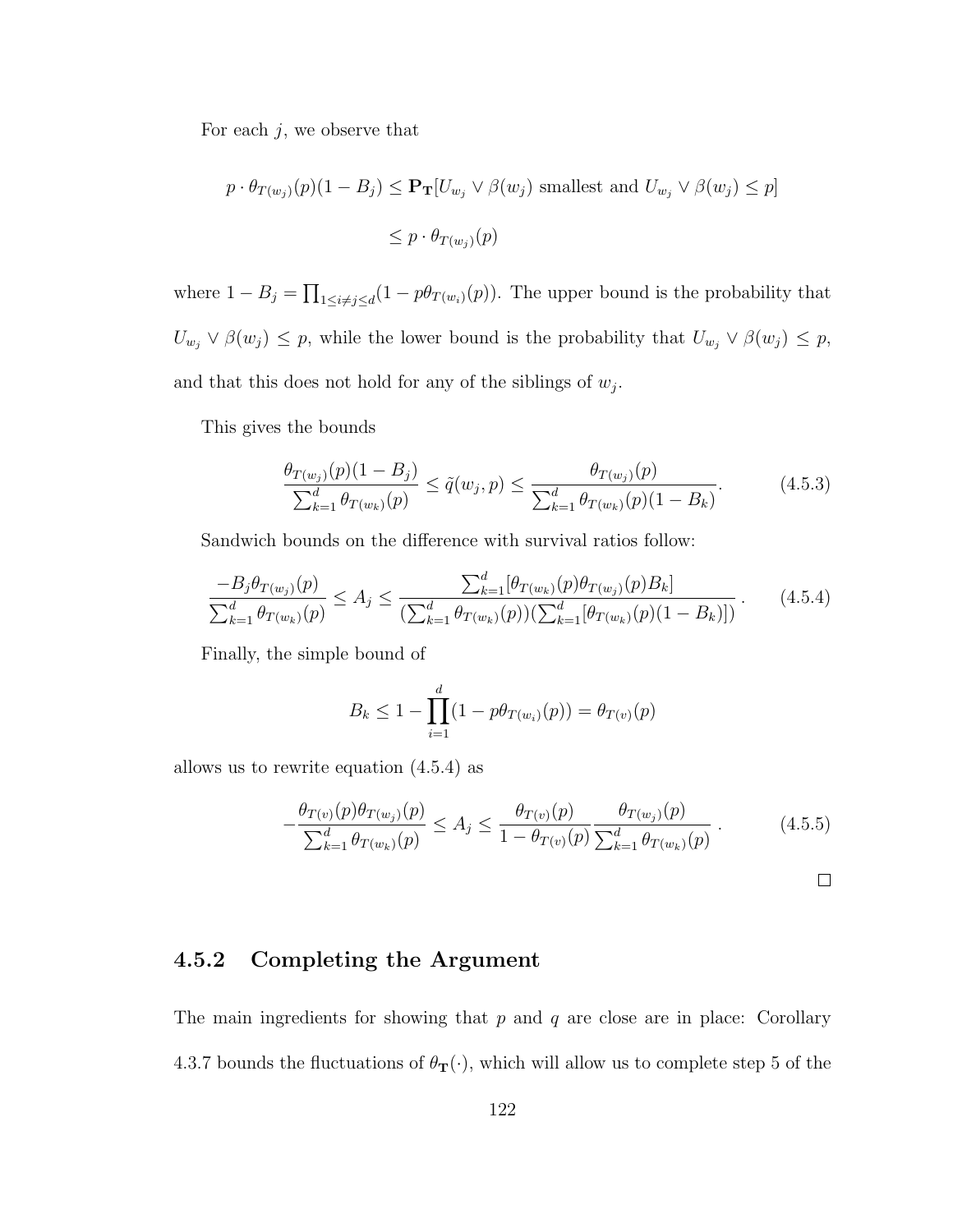For each  $j$ , we observe that

$$
p \cdot \theta_{T(w_j)}(p)(1 - B_j) \le \mathbf{P_T}[U_{w_j} \vee \beta(w_j) \text{ smallest and } U_{w_j} \vee \beta(w_j) \le p]
$$
  

$$
\le p \cdot \theta_{T(w_j)}(p)
$$

where  $1 - B_j = \prod_{1 \leq i \neq j \leq d} (1 - p\theta_{T(w_i)}(p))$ . The upper bound is the probability that  $U_{w_j} \vee \beta(w_j) \leq p$ , while the lower bound is the probability that  $U_{w_j} \vee \beta(w_j) \leq p$ , and that this does not hold for any of the siblings of  $w_j$ .

This gives the bounds

$$
\frac{\theta_{T(w_j)}(p)(1-B_j)}{\sum_{k=1}^d \theta_{T(w_k)}(p)} \le \tilde{q}(w_j, p) \le \frac{\theta_{T(w_j)}(p)}{\sum_{k=1}^d \theta_{T(w_k)}(p)(1-B_k)}.\tag{4.5.3}
$$

Sandwich bounds on the difference with survival ratios follow:

$$
\frac{-B_j \theta_{T(w_j)}(p)}{\sum_{k=1}^d \theta_{T(w_k)}(p)} \le A_j \le \frac{\sum_{k=1}^d [\theta_{T(w_k)}(p) \theta_{T(w_j)}(p) B_k]}{(\sum_{k=1}^d \theta_{T(w_k)}(p))(\sum_{k=1}^d [\theta_{T(w_k)}(p) (1 - B_k)])}.
$$
(4.5.4)

Finally, the simple bound of

$$
B_k \le 1 - \prod_{i=1}^d (1 - p\theta_{T(w_i)}(p)) = \theta_{T(v)}(p)
$$

allows us to rewrite equation (4.5.4) as

$$
-\frac{\theta_{T(v)}(p)\theta_{T(w_j)}(p)}{\sum_{k=1}^d \theta_{T(w_k)}(p)} \le A_j \le \frac{\theta_{T(v)}(p)}{1 - \theta_{T(v)}(p)} \frac{\theta_{T(w_j)}(p)}{\sum_{k=1}^d \theta_{T(w_k)}(p)}.
$$
(4.5.5)

### 4.5.2 Completing the Argument

The main ingredients for showing that  $p$  and  $q$  are close are in place: Corollary 4.3.7 bounds the fluctuations of  $\theta_{\mathbf{T}}(\cdot)$ , which will allow us to complete step 5 of the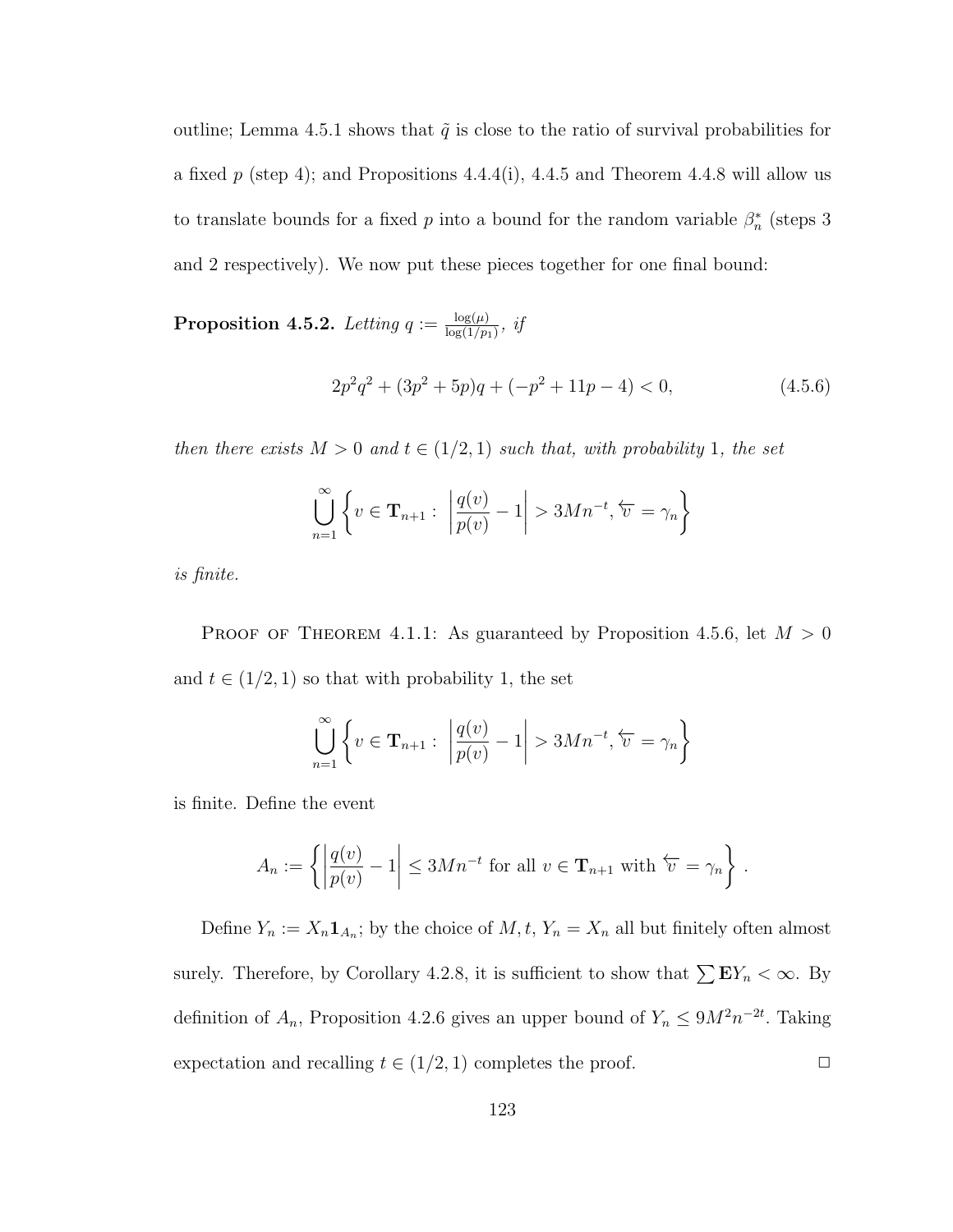outline; Lemma 4.5.1 shows that  $\tilde{q}$  is close to the ratio of survival probabilities for a fixed p (step 4); and Propositions  $4.4.4(i)$ ,  $4.4.5$  and Theorem  $4.4.8$  will allow us to translate bounds for a fixed p into a bound for the random variable  $\beta_n^*$  (steps 3) and 2 respectively). We now put these pieces together for one final bound:

**Proposition 4.5.2.** Letting  $q := \frac{\log(\mu)}{\log(1/n)}$  $rac{\log(\mu)}{\log(1/p_1)}, \; \it{ij}$ 

$$
2p^2q^2 + (3p^2 + 5p)q + (-p^2 + 11p - 4) < 0,\tag{4.5.6}
$$

then there exists  $M > 0$  and  $t \in (1/2, 1)$  such that, with probability 1, the set

$$
\bigcup_{n=1}^{\infty} \left\{ v \in \mathbf{T}_{n+1} : \left| \frac{q(v)}{p(v)} - 1 \right| > 3Mn^{-t}, \overleftarrow{v} = \gamma_n \right\}
$$

is finite.

PROOF OF THEOREM 4.1.1: As guaranteed by Proposition 4.5.6, let  $M > 0$ and  $t \in (1/2, 1)$  so that with probability 1, the set

$$
\bigcup_{n=1}^{\infty} \left\{ v \in \mathbf{T}_{n+1} : \left| \frac{q(v)}{p(v)} - 1 \right| > 3Mn^{-t}, \overleftarrow{v} = \gamma_n \right\}
$$

is finite. Define the event

$$
A_n := \left\{ \left| \frac{q(v)}{p(v)} - 1 \right| \le 3Mn^{-t} \text{ for all } v \in \mathbf{T}_{n+1} \text{ with } \overleftarrow{v} = \gamma_n \right\}.
$$

Define  $Y_n := X_n \mathbf{1}_{A_n}$ ; by the choice of  $M, t, Y_n = X_n$  all but finitely often almost surely. Therefore, by Corollary 4.2.8, it is sufficient to show that  $\sum \mathbf{E}Y_n < \infty$ . By definition of  $A_n$ , Proposition 4.2.6 gives an upper bound of  $Y_n \leq 9M^2n^{-2t}$ . Taking expectation and recalling  $t \in (1/2, 1)$  completes the proof.  $\Box$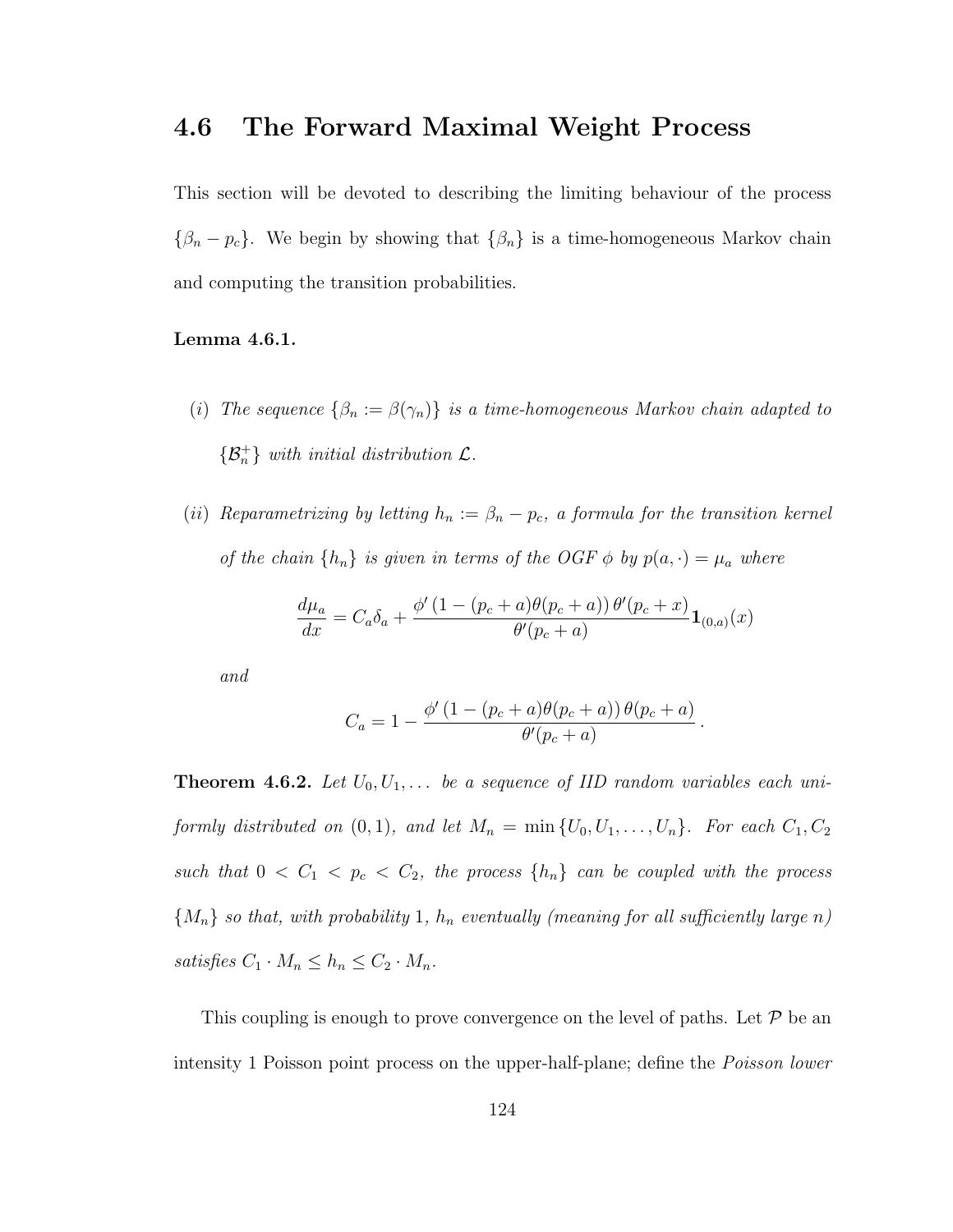# 4.6 The Forward Maximal Weight Process

This section will be devoted to describing the limiting behaviour of the process  $\{\beta_n - p_c\}$ . We begin by showing that  $\{\beta_n\}$  is a time-homogeneous Markov chain and computing the transition probabilities.

#### Lemma 4.6.1.

- (i) The sequence  $\{\beta_n := \beta(\gamma_n)\}\$ is a time-homogeneous Markov chain adapted to  $\{\mathcal{B}_n^+\}$  with initial distribution  $\mathcal{L}$ .
- (ii) Reparametrizing by letting  $h_n := \beta_n p_c$ , a formula for the transition kernel of the chain  $\{h_n\}$  is given in terms of the OGF  $\phi$  by  $p(a, \cdot) = \mu_a$  where

$$
\frac{d\mu_a}{dx} = C_a \delta_a + \frac{\phi'(1 - (p_c + a)\theta(p_c + a))\,\theta'(p_c + x)}{\theta'(p_c + a)}\mathbf{1}_{(0,a)}(x)
$$

and

$$
C_a = 1 - \frac{\phi'(1 - (p_c + a)\theta(p_c + a))\theta(p_c + a)}{\theta'(p_c + a)}.
$$

**Theorem 4.6.2.** Let  $U_0, U_1, \ldots$  be a sequence of IID random variables each uniformly distributed on  $(0, 1)$ , and let  $M_n = \min \{U_0, U_1, \ldots, U_n\}$ . For each  $C_1, C_2$ such that  $0 < C_1 < p_c < C_2$ , the process  $\{h_n\}$  can be coupled with the process  $\{M_n\}$  so that, with probability 1,  $h_n$  eventually (meaning for all sufficiently large n) satisfies  $C_1 \cdot M_n \leq h_n \leq C_2 \cdot M_n$ .

This coupling is enough to prove convergence on the level of paths. Let  $\mathcal P$  be an intensity 1 Poisson point process on the upper-half-plane; define the Poisson lower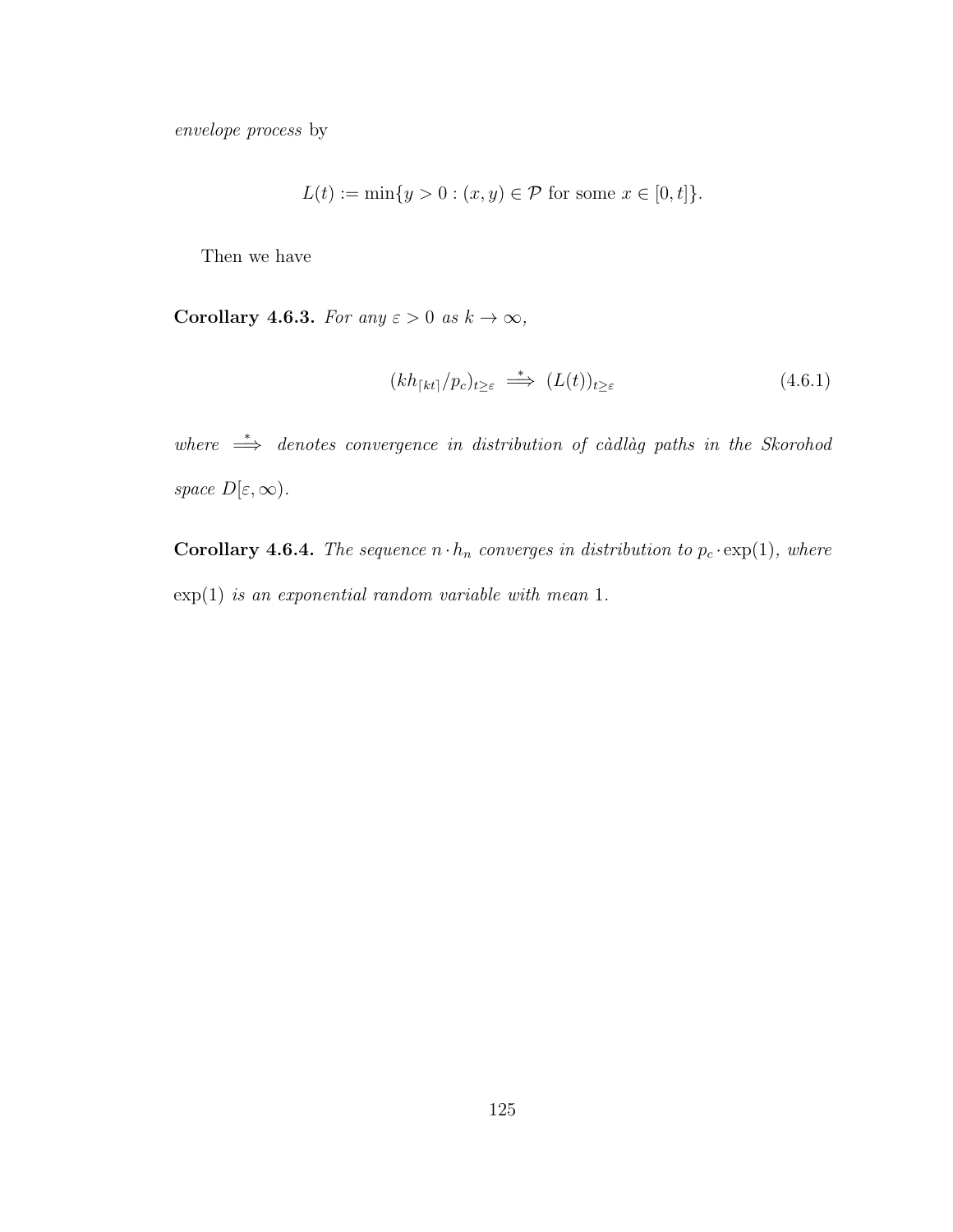envelope process by

$$
L(t) := \min\{y > 0 : (x, y) \in \mathcal{P} \text{ for some } x \in [0, t]\}.
$$

Then we have

Corollary 4.6.3. For any  $\varepsilon > 0$  as  $k \to \infty$ ,

$$
(kh_{\lceil kt\rceil}/p_c)_{t\geq\varepsilon} \stackrel{*}{\implies} (L(t))_{t\geq\varepsilon} \tag{4.6.1}
$$

where  $\Rightarrow$  denotes convergence in distribution of càdlàg paths in the Skorohod space  $D[\varepsilon,\infty)$ .

**Corollary 4.6.4.** The sequence  $n \cdot h_n$  converges in distribution to  $p_c \cdot \exp(1)$ , where  $\exp(1)$  is an exponential random variable with mean 1.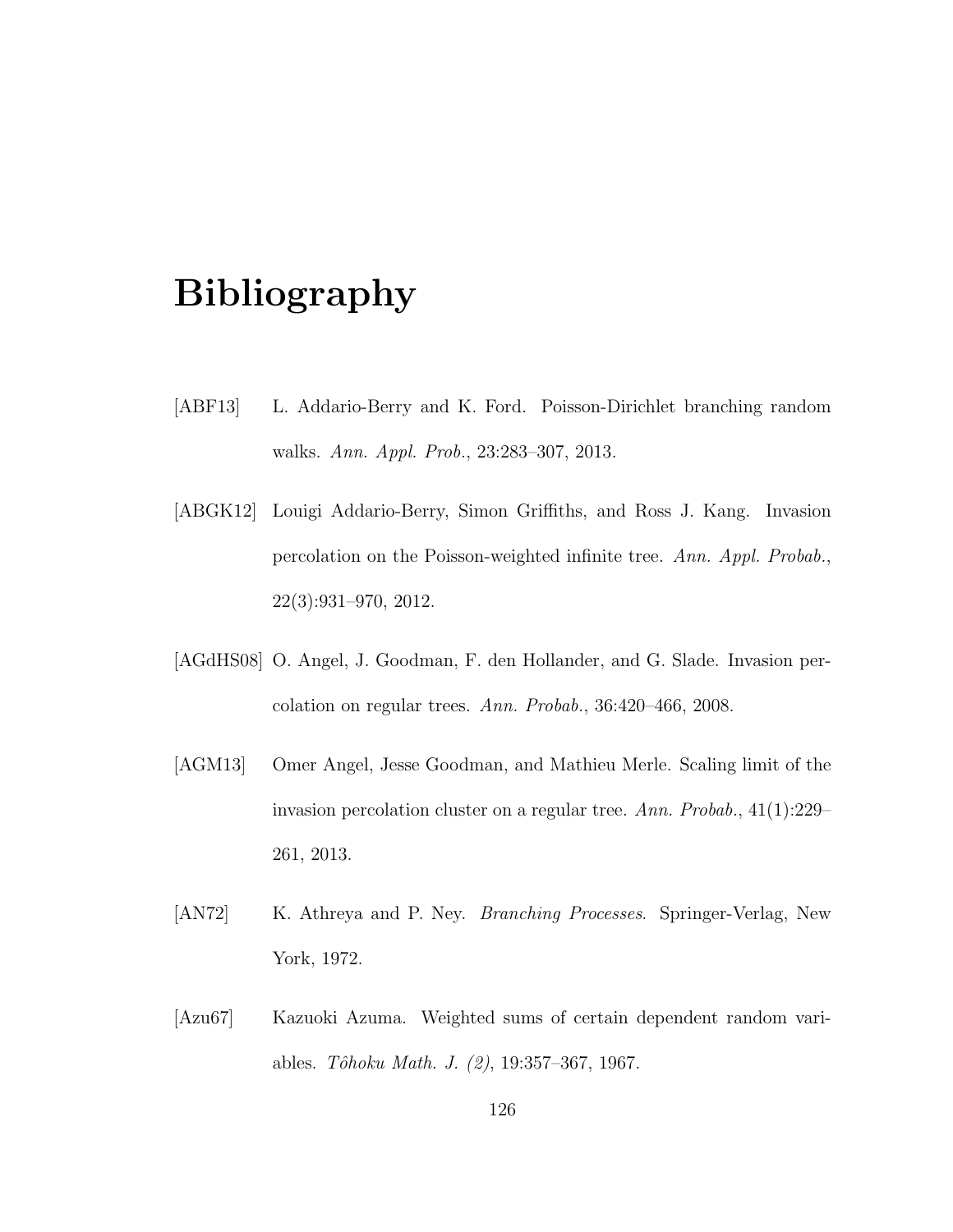# Bibliography

- [ABF13] L. Addario-Berry and K. Ford. Poisson-Dirichlet branching random walks. Ann. Appl. Prob., 23:283–307, 2013.
- [ABGK12] Louigi Addario-Berry, Simon Griffiths, and Ross J. Kang. Invasion percolation on the Poisson-weighted infinite tree. Ann. Appl. Probab., 22(3):931–970, 2012.
- [AGdHS08] O. Angel, J. Goodman, F. den Hollander, and G. Slade. Invasion percolation on regular trees. Ann. Probab., 36:420–466, 2008.
- [AGM13] Omer Angel, Jesse Goodman, and Mathieu Merle. Scaling limit of the invasion percolation cluster on a regular tree. Ann. Probab., 41(1):229– 261, 2013.
- [AN72] K. Athreya and P. Ney. *Branching Processes*. Springer-Verlag, New York, 1972.
- [Azu67] Kazuoki Azuma. Weighted sums of certain dependent random variables. Tôhoku Math. J. (2), 19:357–367, 1967.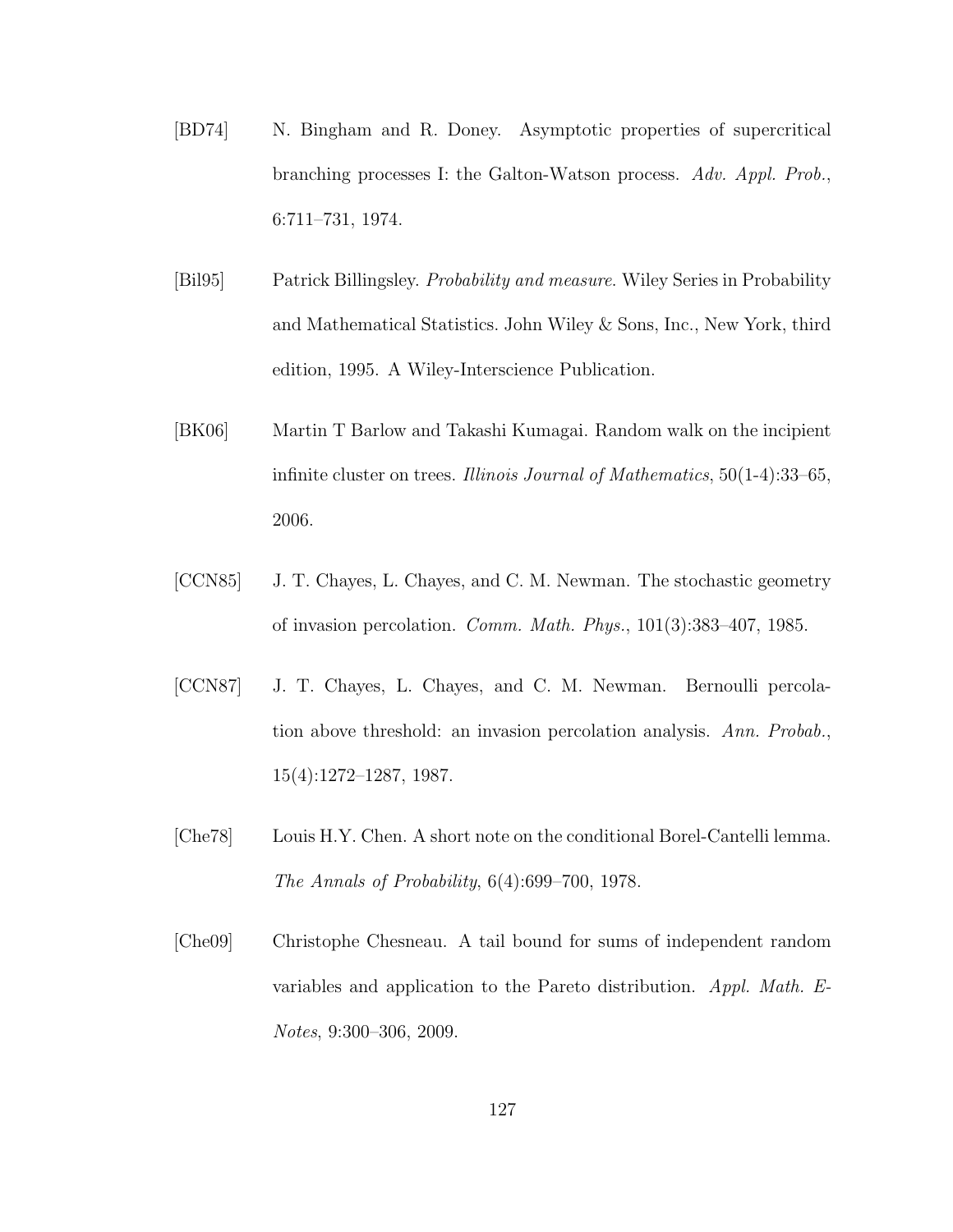- [BD74] N. Bingham and R. Doney. Asymptotic properties of supercritical branching processes I: the Galton-Watson process. Adv. Appl. Prob., 6:711–731, 1974.
- [Bil95] Patrick Billingsley. Probability and measure. Wiley Series in Probability and Mathematical Statistics. John Wiley & Sons, Inc., New York, third edition, 1995. A Wiley-Interscience Publication.
- [BK06] Martin T Barlow and Takashi Kumagai. Random walk on the incipient infinite cluster on trees. Illinois Journal of Mathematics, 50(1-4):33–65, 2006.
- [CCN85] J. T. Chayes, L. Chayes, and C. M. Newman. The stochastic geometry of invasion percolation. Comm. Math. Phys., 101(3):383–407, 1985.
- [CCN87] J. T. Chayes, L. Chayes, and C. M. Newman. Bernoulli percolation above threshold: an invasion percolation analysis. Ann. Probab., 15(4):1272–1287, 1987.
- [Che78] Louis H.Y. Chen. A short note on the conditional Borel-Cantelli lemma. The Annals of Probability, 6(4):699–700, 1978.
- [Che09] Christophe Chesneau. A tail bound for sums of independent random variables and application to the Pareto distribution. Appl. Math. E-Notes, 9:300–306, 2009.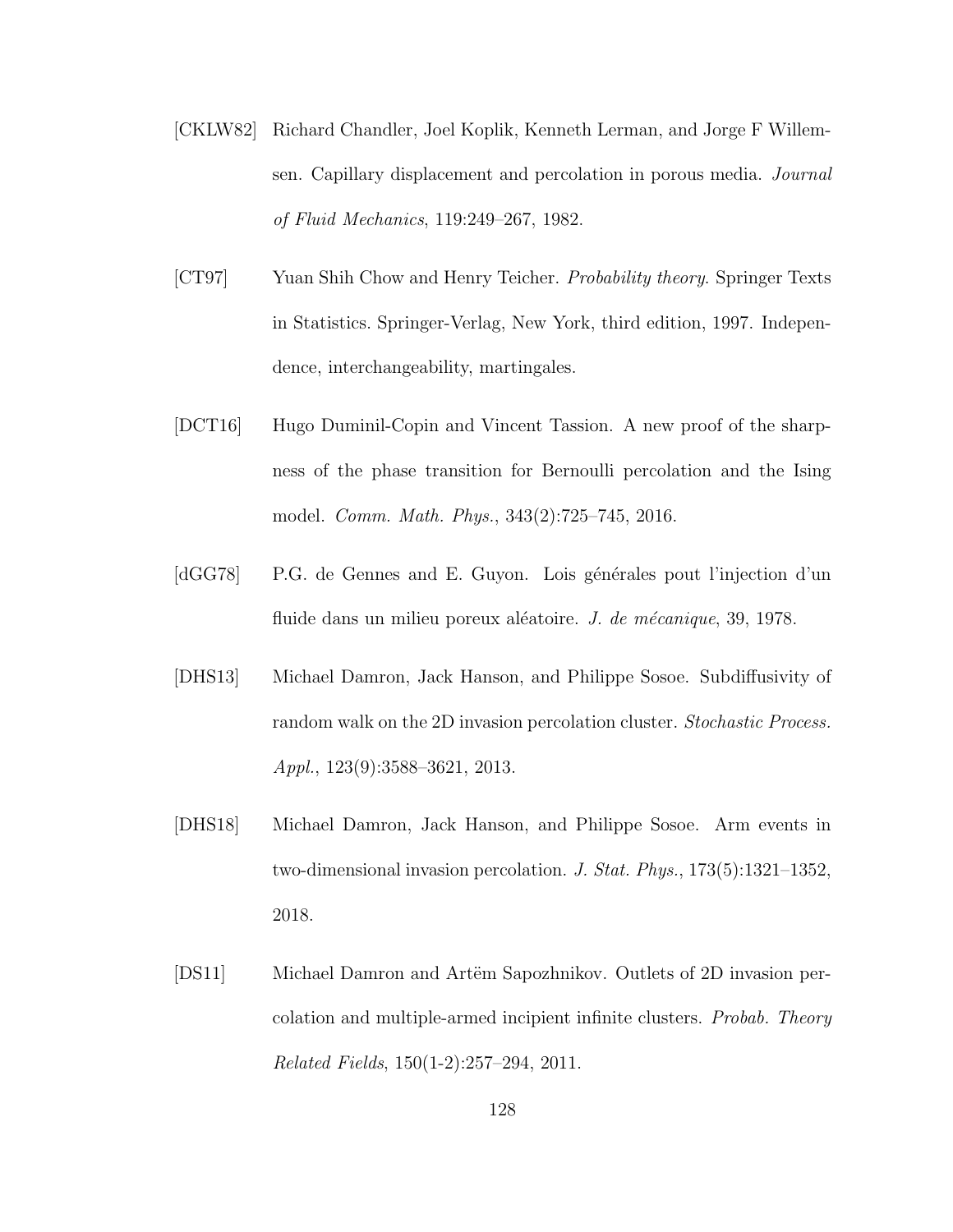- [CKLW82] Richard Chandler, Joel Koplik, Kenneth Lerman, and Jorge F Willemsen. Capillary displacement and percolation in porous media. Journal of Fluid Mechanics, 119:249–267, 1982.
- [CT97] Yuan Shih Chow and Henry Teicher. *Probability theory*. Springer Texts in Statistics. Springer-Verlag, New York, third edition, 1997. Independence, interchangeability, martingales.
- [DCT16] Hugo Duminil-Copin and Vincent Tassion. A new proof of the sharpness of the phase transition for Bernoulli percolation and the Ising model. Comm. Math. Phys., 343(2):725–745, 2016.
- [dGG78] P.G. de Gennes and E. Guyon. Lois générales pout l'injection d'un fluide dans un milieu poreux aléatoire. *J. de mécanique*,  $39, 1978$ .
- [DHS13] Michael Damron, Jack Hanson, and Philippe Sosoe. Subdiffusivity of random walk on the 2D invasion percolation cluster. Stochastic Process. Appl., 123(9):3588–3621, 2013.
- [DHS18] Michael Damron, Jack Hanson, and Philippe Sosoe. Arm events in two-dimensional invasion percolation. J. Stat. Phys., 173(5):1321–1352, 2018.
- [DS11] Michael Damron and Artëm Sapozhnikov. Outlets of 2D invasion percolation and multiple-armed incipient infinite clusters. Probab. Theory Related Fields, 150(1-2):257–294, 2011.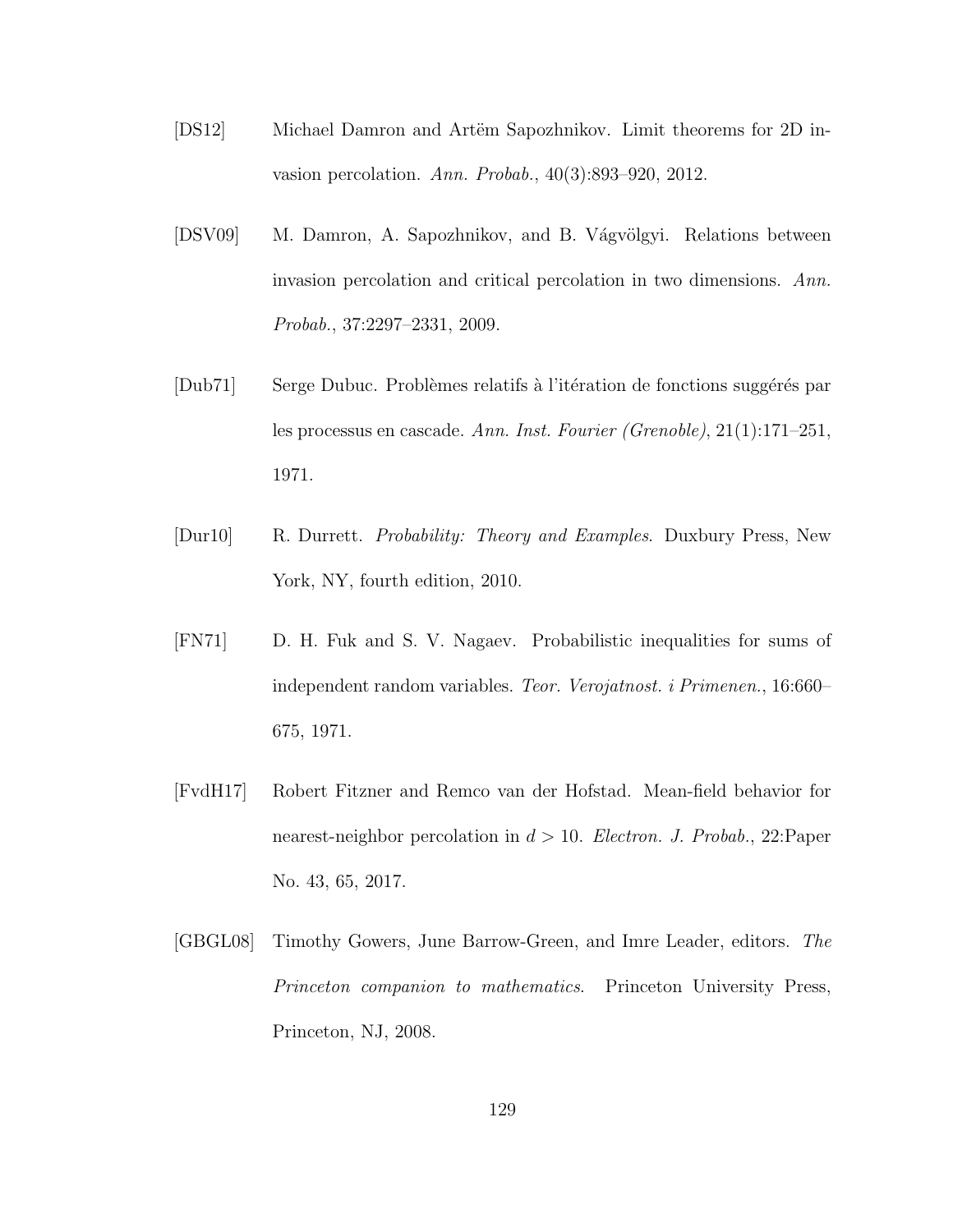- [DS12] Michael Damron and Artëm Sapozhnikov. Limit theorems for 2D invasion percolation. Ann. Probab., 40(3):893–920, 2012.
- [DSV09] M. Damron, A. Sapozhnikov, and B. Vágvölgyi. Relations between invasion percolation and critical percolation in two dimensions. Ann. Probab., 37:2297–2331, 2009.
- [Dub71] Serge Dubuc. Problèmes relatifs à l'itération de fonctions suggérés par les processus en cascade. Ann. Inst. Fourier (Grenoble), 21(1):171–251, 1971.
- [Dur10] R. Durrett. Probability: Theory and Examples. Duxbury Press, New York, NY, fourth edition, 2010.
- [FN71] D. H. Fuk and S. V. Nagaev. Probabilistic inequalities for sums of independent random variables. Teor. Verojatnost. i Primenen., 16:660– 675, 1971.
- [FvdH17] Robert Fitzner and Remco van der Hofstad. Mean-field behavior for nearest-neighbor percolation in  $d > 10$ . Electron. J. Probab., 22: Paper No. 43, 65, 2017.
- [GBGL08] Timothy Gowers, June Barrow-Green, and Imre Leader, editors. The Princeton companion to mathematics. Princeton University Press, Princeton, NJ, 2008.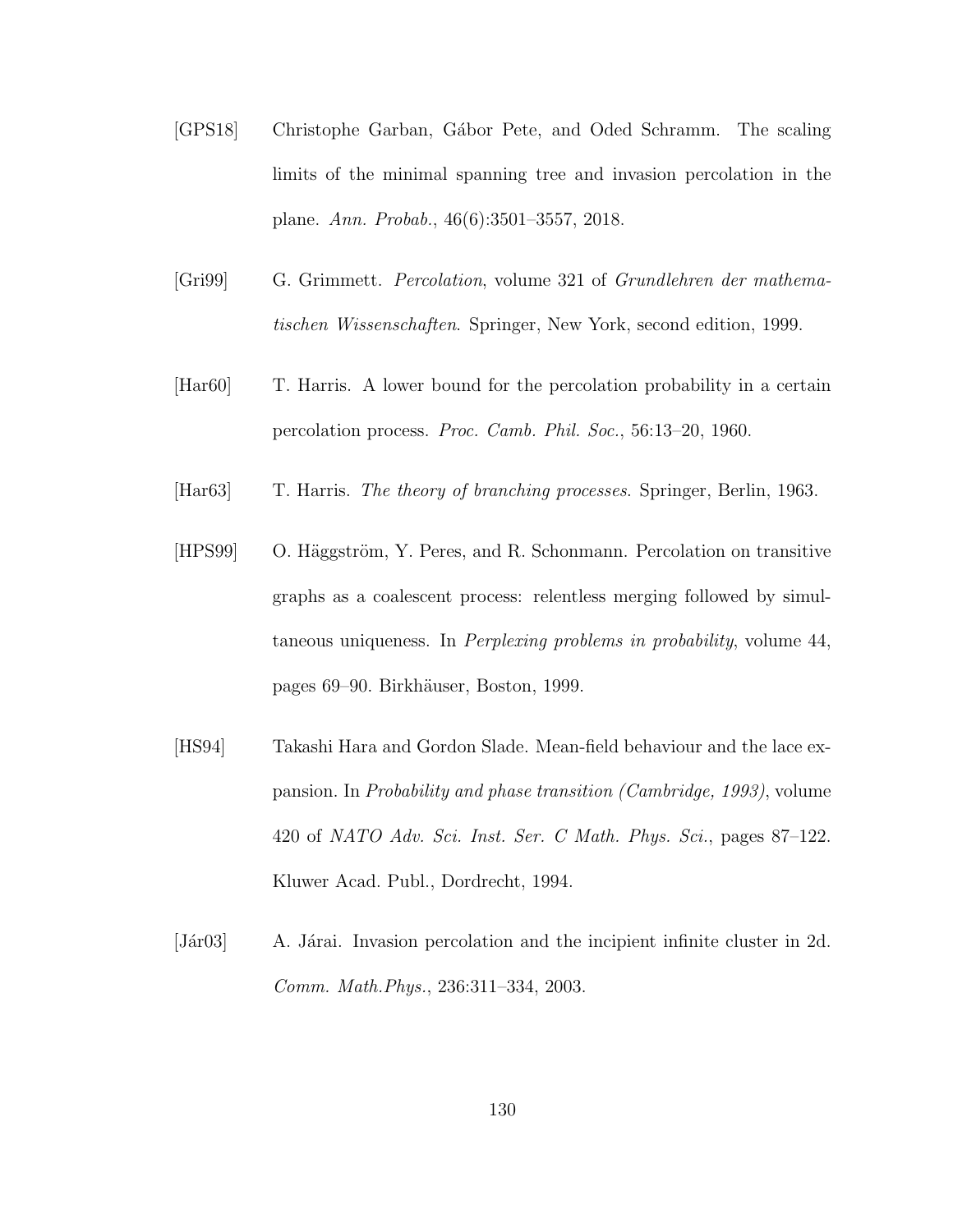- [GPS18] Christophe Garban, Gábor Pete, and Oded Schramm. The scaling limits of the minimal spanning tree and invasion percolation in the plane. Ann. Probab., 46(6):3501–3557, 2018.
- [Gri99] G. Grimmett. Percolation, volume 321 of Grundlehren der mathematischen Wissenschaften. Springer, New York, second edition, 1999.
- [Har60] T. Harris. A lower bound for the percolation probability in a certain percolation process. Proc. Camb. Phil. Soc., 56:13–20, 1960.
- [Har63] T. Harris. The theory of branching processes. Springer, Berlin, 1963.
- [HPS99] O. Häggström, Y. Peres, and R. Schonmann. Percolation on transitive graphs as a coalescent process: relentless merging followed by simultaneous uniqueness. In *Perplexing problems in probability*, volume 44, pages 69–90. Birkh¨auser, Boston, 1999.
- [HS94] Takashi Hara and Gordon Slade. Mean-field behaviour and the lace expansion. In Probability and phase transition (Cambridge, 1993), volume 420 of NATO Adv. Sci. Inst. Ser. C Math. Phys. Sci., pages 87–122. Kluwer Acad. Publ., Dordrecht, 1994.
- [Jár03] A. Járai. Invasion percolation and the incipient infinite cluster in 2d. Comm. Math.Phys., 236:311–334, 2003.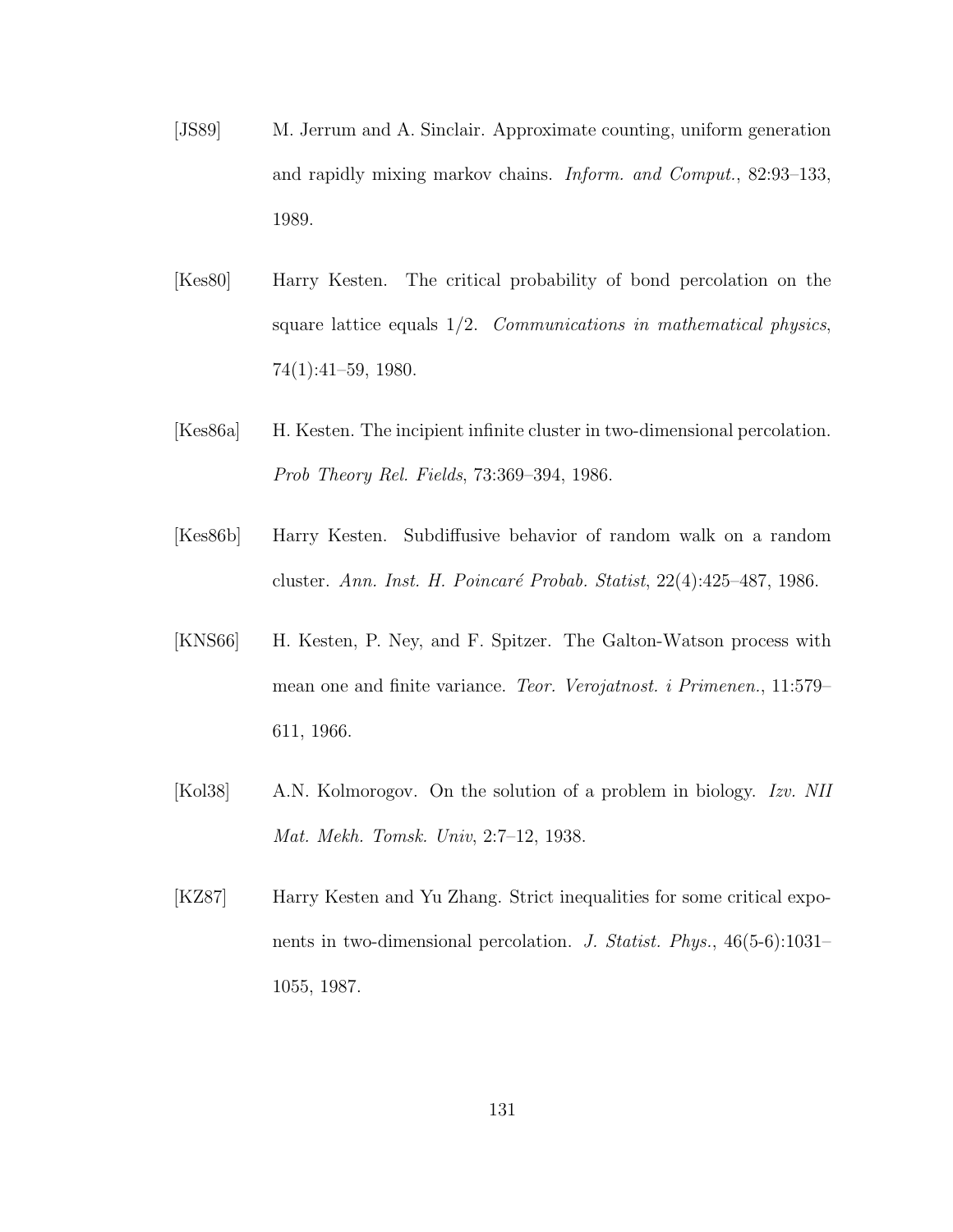- [JS89] M. Jerrum and A. Sinclair. Approximate counting, uniform generation and rapidly mixing markov chains. Inform. and Comput., 82:93–133, 1989.
- [Kes80] Harry Kesten. The critical probability of bond percolation on the square lattice equals  $1/2$ . *Communications in mathematical physics,* 74(1):41–59, 1980.
- [Kes86a] H. Kesten. The incipient infinite cluster in two-dimensional percolation. Prob Theory Rel. Fields, 73:369–394, 1986.
- [Kes86b] Harry Kesten. Subdiffusive behavior of random walk on a random cluster. Ann. Inst. H. Poincaré Probab. Statist, 22(4):425–487, 1986.
- [KNS66] H. Kesten, P. Ney, and F. Spitzer. The Galton-Watson process with mean one and finite variance. Teor. Verojatnost. i Primenen., 11:579– 611, 1966.
- [Kol38] A.N. Kolmorogov. On the solution of a problem in biology. Izv. NII Mat. Mekh. Tomsk. Univ, 2:7–12, 1938.
- [KZ87] Harry Kesten and Yu Zhang. Strict inequalities for some critical exponents in two-dimensional percolation. J. Statist. Phys., 46(5-6):1031– 1055, 1987.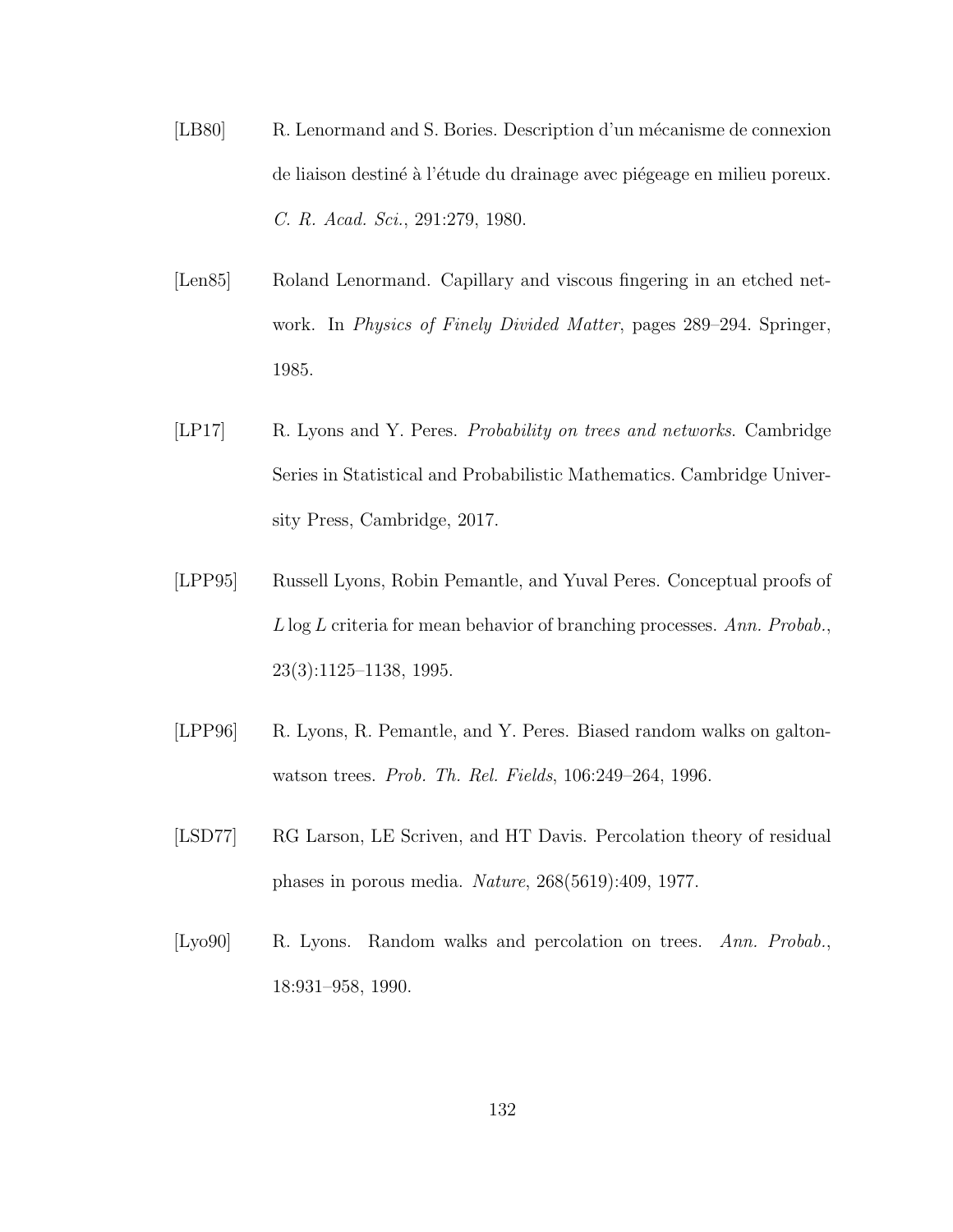- [LB80] R. Lenormand and S. Bories. Description d'un mécanisme de connexion de liaison destiné à l'étude du drainage avec piégeage en milieu poreux. C. R. Acad. Sci., 291:279, 1980.
- [Len85] Roland Lenormand. Capillary and viscous fingering in an etched network. In Physics of Finely Divided Matter, pages 289–294. Springer, 1985.
- [LP17] R. Lyons and Y. Peres. Probability on trees and networks. Cambridge Series in Statistical and Probabilistic Mathematics. Cambridge University Press, Cambridge, 2017.
- [LPP95] Russell Lyons, Robin Pemantle, and Yuval Peres. Conceptual proofs of L log L criteria for mean behavior of branching processes. Ann. Probab., 23(3):1125–1138, 1995.
- [LPP96] R. Lyons, R. Pemantle, and Y. Peres. Biased random walks on galtonwatson trees. Prob. Th. Rel. Fields, 106:249–264, 1996.
- [LSD77] RG Larson, LE Scriven, and HT Davis. Percolation theory of residual phases in porous media. Nature, 268(5619):409, 1977.
- [Lyo90] R. Lyons. Random walks and percolation on trees. Ann. Probab., 18:931–958, 1990.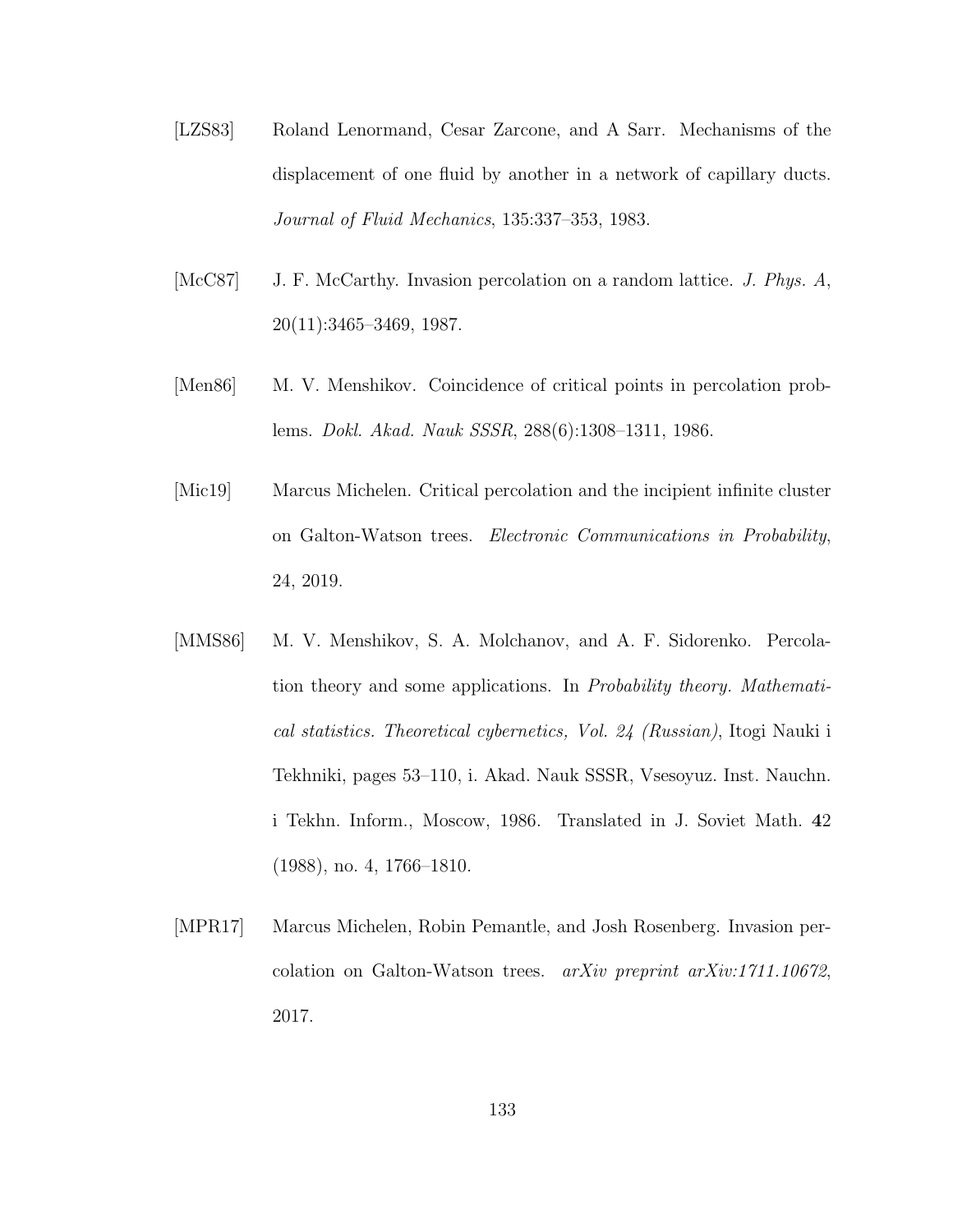- [LZS83] Roland Lenormand, Cesar Zarcone, and A Sarr. Mechanisms of the displacement of one fluid by another in a network of capillary ducts. Journal of Fluid Mechanics, 135:337–353, 1983.
- [McC87] J. F. McCarthy. Invasion percolation on a random lattice. *J. Phys. A*, 20(11):3465–3469, 1987.
- [Men86] M. V. Menshikov. Coincidence of critical points in percolation problems. Dokl. Akad. Nauk SSSR, 288(6):1308–1311, 1986.
- [Mic19] Marcus Michelen. Critical percolation and the incipient infinite cluster on Galton-Watson trees. Electronic Communications in Probability, 24, 2019.
- [MMS86] M. V. Menshikov, S. A. Molchanov, and A. F. Sidorenko. Percolation theory and some applications. In Probability theory. Mathematical statistics. Theoretical cybernetics, Vol. 24 (Russian), Itogi Nauki i Tekhniki, pages 53–110, i. Akad. Nauk SSSR, Vsesoyuz. Inst. Nauchn. i Tekhn. Inform., Moscow, 1986. Translated in J. Soviet Math. 42 (1988), no. 4, 1766–1810.
- [MPR17] Marcus Michelen, Robin Pemantle, and Josh Rosenberg. Invasion percolation on Galton-Watson trees. arXiv preprint arXiv:1711.10672, 2017.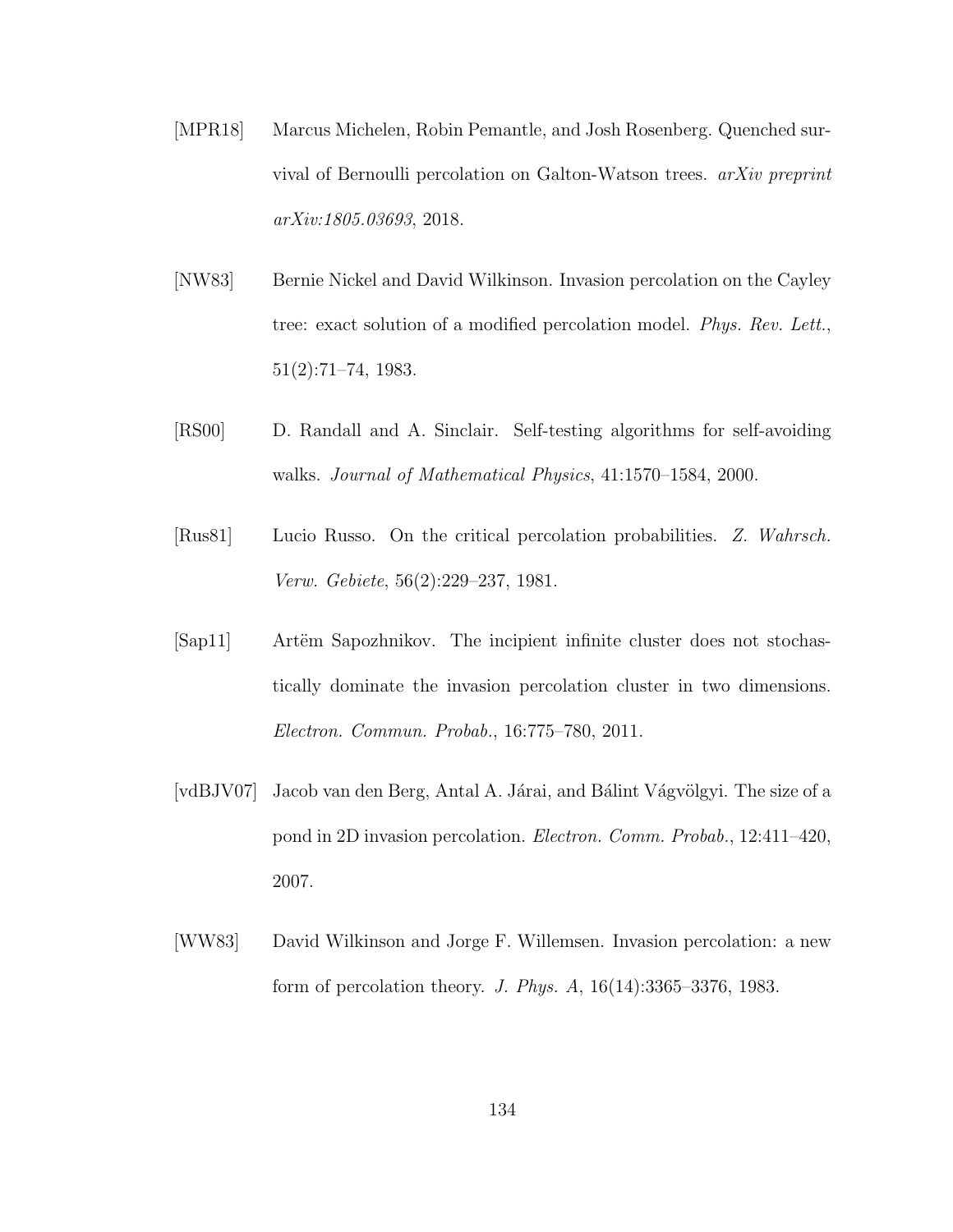- [MPR18] Marcus Michelen, Robin Pemantle, and Josh Rosenberg. Quenched survival of Bernoulli percolation on Galton-Watson trees. arXiv preprint arXiv:1805.03693, 2018.
- [NW83] Bernie Nickel and David Wilkinson. Invasion percolation on the Cayley tree: exact solution of a modified percolation model. Phys. Rev. Lett., 51(2):71–74, 1983.
- [RS00] D. Randall and A. Sinclair. Self-testing algorithms for self-avoiding walks. Journal of Mathematical Physics, 41:1570–1584, 2000.
- [Rus81] Lucio Russo. On the critical percolation probabilities. Z. Wahrsch. Verw. Gebiete, 56(2):229–237, 1981.
- [Sap11] Artëm Sapozhnikov. The incipient infinite cluster does not stochastically dominate the invasion percolation cluster in two dimensions. Electron. Commun. Probab., 16:775–780, 2011.
- [vdBJV07] Jacob van den Berg, Antal A. Járai, and Bálint Vágvölgyi. The size of a pond in 2D invasion percolation. Electron. Comm. Probab., 12:411–420, 2007.
- [WW83] David Wilkinson and Jorge F. Willemsen. Invasion percolation: a new form of percolation theory. J. Phys. A, 16(14):3365–3376, 1983.